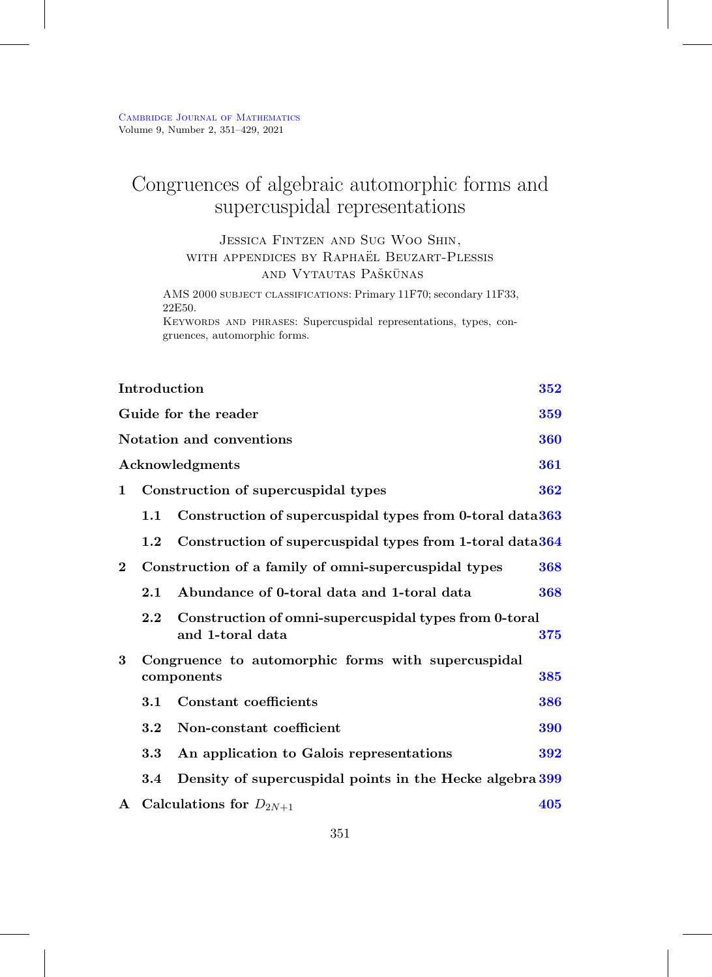# Congruences of algebraic automorphic forms and supercuspidal representations

# Jessica Fintzen and Sug Woo Shin, WITH APPENDICES BY RAPHAEL BEUZART-PLESSIS and Vytautas Paškūnas

AMS 2000 subject classifications: Primary 11F70; secondary 11F33, 22E50.

Keywords and phrases: Supercuspidal representations, types, congruences, automorphic forms.

|                 | Introduction                                                     |                                                                           | 352 |  |  |
|-----------------|------------------------------------------------------------------|---------------------------------------------------------------------------|-----|--|--|
|                 | Guide for the reader<br>359                                      |                                                                           |     |  |  |
|                 | Notation and conventions<br>360                                  |                                                                           |     |  |  |
|                 |                                                                  | Acknowledgments                                                           | 361 |  |  |
| 1               | Construction of supercuspidal types<br>362                       |                                                                           |     |  |  |
|                 | Construction of supercuspidal types from 0-toral data 363<br>1.1 |                                                                           |     |  |  |
|                 | $1.2\,$                                                          | Construction of supercuspidal types from 1-toral data 364                 |     |  |  |
| $\overline{2}$  |                                                                  | Construction of a family of omni-supercuspidal types                      | 368 |  |  |
|                 | 2.1                                                              | Abundance of 0-toral data and 1-toral data                                | 368 |  |  |
|                 | 2.2                                                              | Construction of omni-supercuspidal types from 0-toral<br>and 1-toral data | 375 |  |  |
| 3<br>components |                                                                  | Congruence to automorphic forms with supercuspidal                        | 385 |  |  |
|                 | 3.1                                                              | Constant coefficients                                                     | 386 |  |  |
|                 | 3.2                                                              | Non-constant coefficient                                                  | 390 |  |  |
|                 | $3.3\,$                                                          | An application to Galois representations                                  | 392 |  |  |
|                 | $3.4\,$                                                          | Density of supercuspidal points in the Hecke algebra 399                  |     |  |  |
| ${\bf A}$       |                                                                  | Calculations for $D_{2N+1}$                                               | 405 |  |  |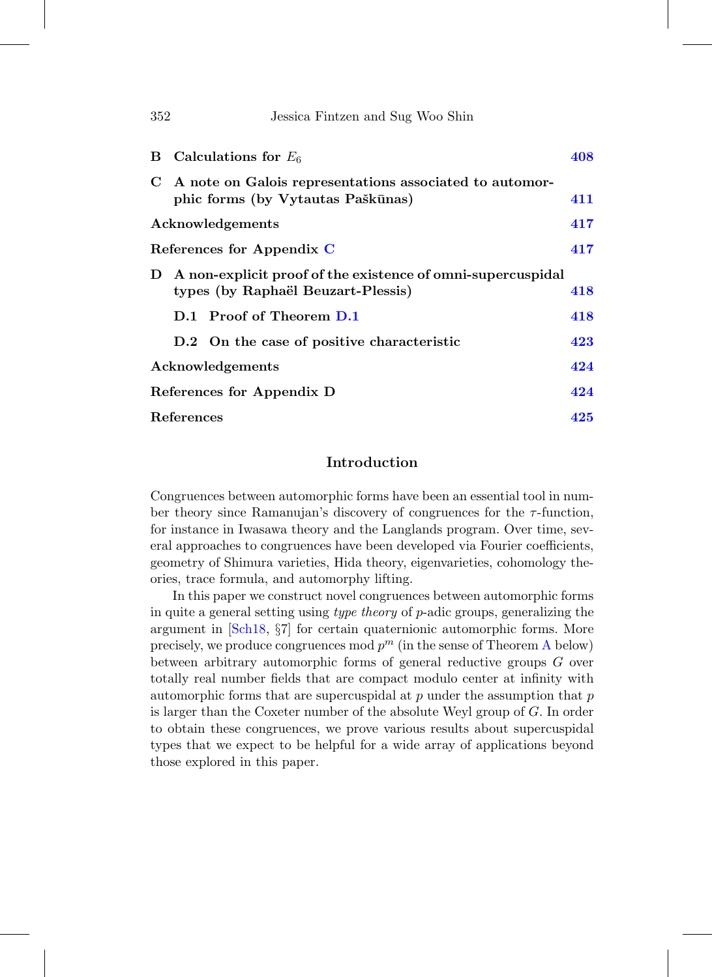| 352 | Jessica Fintzen and Sug Woo Shin                                                                  |     |
|-----|---------------------------------------------------------------------------------------------------|-----|
| В   | Calculations for $E_6$                                                                            | 408 |
| C   | A note on Galois representations associated to automor-<br>phic forms (by Vytautas Paškūnas)      | 411 |
|     | Acknowledgements                                                                                  | 417 |
|     | References for Appendix C                                                                         | 417 |
| D   | A non-explicit proof of the existence of omni-supercuspidal<br>types (by Raphaël Beuzart-Plessis) | 418 |
|     | D.1 Proof of Theorem D.1                                                                          | 418 |
|     | D.2 On the case of positive characteristic                                                        | 423 |
|     | Acknowledgements                                                                                  | 424 |
|     | References for Appendix D                                                                         | 424 |
|     | References                                                                                        | 425 |

# **Introduction**

<span id="page-1-0"></span>Congruences between automorphic forms have been an essential tool in number theory since Ramanujan's discovery of congruences for the  $\tau$ -function, for instance in Iwasawa theory and the Langlands program. Over time, several approaches to congruences have been developed via Fourier coefficients, geometry of Shimura varieties, Hida theory, eigenvarieties, cohomology theories, trace formula, and automorphy lifting.

In this paper we construct novel congruences between automorphic forms in quite a general setting using type theory of p-adic groups, generalizing the argument in [\[Sch18](#page-77-0), §7] for certain quaternionic automorphic forms. More precisely, we produce congruences mod  $p^m$  (in the sense of Theorem [A](#page-2-0) below) between arbitrary automorphic forms of general reductive groups G over totally real number fields that are compact modulo center at infinity with automorphic forms that are supercuspidal at  $p$  under the assumption that  $p$ is larger than the Coxeter number of the absolute Weyl group of G. In order to obtain these congruences, we prove various results about supercuspidal types that we expect to be helpful for a wide array of applications beyond those explored in this paper.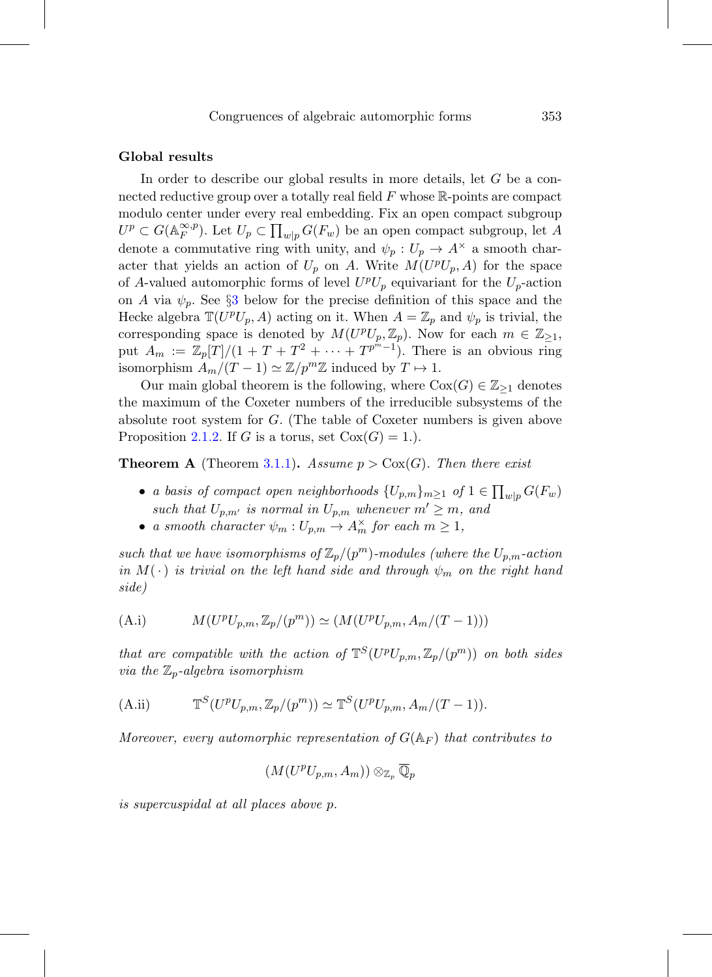#### **Global results**

In order to describe our global results in more details, let  $G$  be a connected reductive group over a totally real field  $F$  whose  $\mathbb{R}$ -points are compact modulo center under every real embedding. Fix an open compact subgroup  $U^p \subset G(\mathbb{A}_F^{\infty,p})$ . Let  $U_p \subset \prod_{w|p} G(F_w)$  be an open compact subgroup, let A denote a commutative ring with unity, and  $\psi_p: U_p \to A^{\times}$  a smooth character that yields an action of  $U_p$  on A. Write  $M(U^pU_p, A)$  for the space of A-valued automorphic forms of level  $U^pU_p$  equivariant for the  $U_p$ -action on A via  $\psi_p$ . See §[3](#page-34-0) below for the precise definition of this space and the Hecke algebra  $\mathbb{T}(U^pU_p, A)$  acting on it. When  $A = \mathbb{Z}_p$  and  $\psi_p$  is trivial, the corresponding space is denoted by  $M(U^pU_p, \mathbb{Z}_p)$ . Now for each  $m \in \mathbb{Z}_{\geq 1}$ , put  $A_m := \mathbb{Z}_p[T]/(1+T+T^2+\cdots+T^{p^m-1})$ . There is an obvious ring isomorphism  $A_m/(T-1) \simeq \mathbb{Z}/p^m\mathbb{Z}$  induced by  $T \mapsto 1$ .

Our main global theorem is the following, where  $Cox(G) \in \mathbb{Z}_{\geq 1}$  denotes the maximum of the Coxeter numbers of the irreducible subsystems of the absolute root system for G. (The table of Coxeter numbers is given above Proposition [2.1.2.](#page-18-0) If G is a torus, set  $Cox(G) = 1$ .

<span id="page-2-0"></span>**Theorem A** (Theorem [3.1.1\)](#page-35-1). Assume  $p > \text{Cox}(G)$ . Then there exist

- a basis of compact open neighborhoods  $\{U_{p,m}\}_{m\geq 1}$  of  $1 \in \prod_{w|p} G(F_w)$ such that  $U_{p,m'}$  is normal in  $U_{p,m}$  whenever  $m' \geq m$ , and
- a smooth character  $\psi_m: U_{p,m} \to A_m^{\times}$  for each  $m \geq 1$ ,

such that we have isomorphisms of  $\mathbb{Z}_p/(p^m)$ -modules (where the  $U_{p,m}$ -action in  $M(\cdot)$  is trivial on the left hand side and through  $\psi_m$  on the right hand side)

<span id="page-2-1"></span>(A.i) 
$$
M(U^p U_{p,m}, \mathbb{Z}_p/(p^m)) \simeq (M(U^p U_{p,m}, A_m/(T-1)))
$$

that are compatible with the action of  $\mathbb{T}^{S}(U^{p}U_{p,m},\mathbb{Z}_{p}/(p^{m}))$  on both sides via the  $\mathbb{Z}_p$ -algebra isomorphism

(A.ii) 
$$
\mathbb{T}^S(U^pU_{p,m}, \mathbb{Z}_p/(p^m)) \simeq \mathbb{T}^S(U^pU_{p,m}, A_m/(T-1)).
$$

Moreover, every automorphic representation of  $G(\mathbb{A}_F)$  that contributes to

$$
(M(U^pU_{p,m},A_m))\otimes_{\mathbb{Z}_p}\overline{\mathbb{Q}}_p
$$

is supercuspidal at all places above p.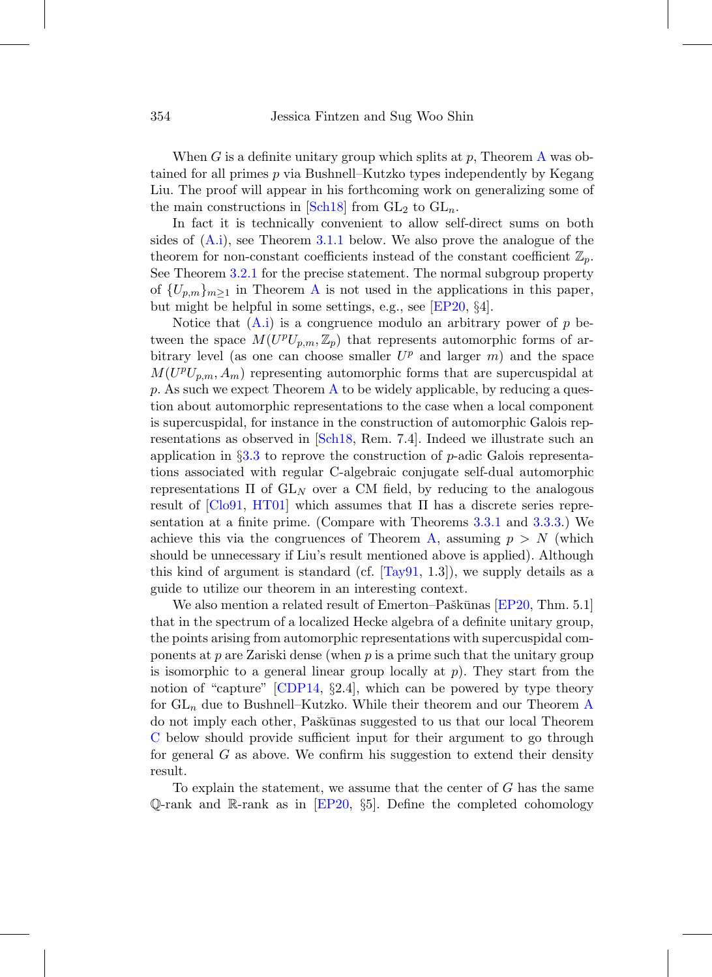When G is a definite unitary group which splits at  $p$ , Theorem [A](#page-2-0) was obtained for all primes p via Bushnell–Kutzko types independently by Kegang Liu. The proof will appear in his forthcoming work on generalizing some of the main constructions in [\[Sch18\]](#page-77-0) from  $GL_2$  to  $GL_n$ .

In fact it is technically convenient to allow self-direct sums on both sides of [\(A.i\)](#page-2-1), see Theorem [3.1.1](#page-35-1) below. We also prove the analogue of the theorem for non-constant coefficients instead of the constant coefficient  $\mathbb{Z}_p$ . See Theorem [3.2.1](#page-39-1) for the precise statement. The normal subgroup property of  ${U_{p,m}}_{m>1}$  in Theorem [A](#page-2-0) is not used in the applications in this paper, but might be helpful in some settings, e.g., see [\[EP20](#page-75-0), §4].

Notice that  $(A_i)$  is a congruence modulo an arbitrary power of p between the space  $M(U^pU_{p,m},\mathbb{Z}_p)$  that represents automorphic forms of arbitrary level (as one can choose smaller  $U^p$  and larger m) and the space  $M(U^pU_{p,m}, A_m)$  representing automorphic forms that are supercuspidal at p. [A](#page-2-0)s such we expect Theorem  $\Lambda$  to be widely applicable, by reducing a question about automorphic representations to the case when a local component is supercuspidal, for instance in the construction of automorphic Galois representations as observed in [\[Sch18](#page-77-0), Rem. 7.4]. Indeed we illustrate such an application in §[3.3](#page-41-0) to reprove the construction of p-adic Galois representations associated with regular C-algebraic conjugate self-dual automorphic representations  $\Pi$  of  $GL_N$  over a CM field, by reducing to the analogous result of  $\left[$ Clo91, [HT01](#page-76-0) $\right]$  which assumes that  $\Pi$  has a discrete series representation at a finite prime. (Compare with Theorems [3.3.1](#page-42-0) and [3.3.3.](#page-42-1)) We achieve this via the congruences of Theorem [A,](#page-2-0) assuming  $p>N$  (which should be unnecessary if Liu's result mentioned above is applied). Although this kind of argument is standard (cf.  $[Tay91, 1.3]$  $[Tay91, 1.3]$ ), we supply details as a guide to utilize our theorem in an interesting context.

We also mention a related result of Emerton–Paškūnas  $[EP20, Thm. 5.1]$  $[EP20, Thm. 5.1]$ that in the spectrum of a localized Hecke algebra of a definite unitary group, the points arising from automorphic representations with supercuspidal components at  $p$  are Zariski dense (when  $p$  is a prime such that the unitary group is isomorphic to a general linear group locally at  $p$ ). They start from the notion of "capture" [\[CDP14,](#page-75-2) §2.4], which can be powered by type theory for  $GL_n$  due to Bushnell–Kutzko. While their theorem and our Theorem [A](#page-2-0) do not imply each other, Paškūnas suggested to us that our local Theorem [C](#page-6-0) below should provide sufficient input for their argument to go through for general  $G$  as above. We confirm his suggestion to extend their density result.

To explain the statement, we assume that the center of G has the same Q-rank and R-rank as in  $[EP20, §5]$  $[EP20, §5]$ . Define the completed cohomology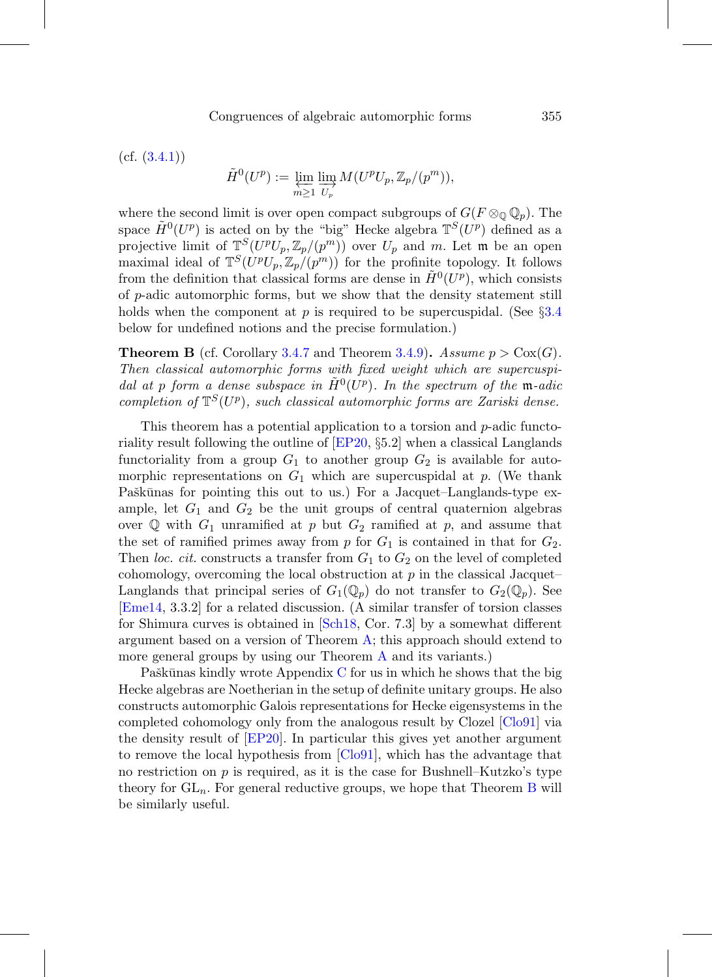$(cf. (3.4.1))$  $(cf. (3.4.1))$  $(cf. (3.4.1))$ 

$$
\tilde{H}^0(U^p) := \varprojlim_{m \ge 1} \varinjlim_{U_p} M(U^p U_p, \mathbb{Z}_p/(p^m)),
$$

where the second limit is over open compact subgroups of  $G(F \otimes_{\mathbb{Q}} \mathbb{Q}_p)$ . The space  $\tilde{H}^0(U^p)$  is acted on by the "big" Hecke algebra  $\mathbb{T}^S(U^p)$  defined as a projective limit of  $\mathbb{T}^{S}(U^{p}U_{p}, \mathbb{Z}_{p}/(p^{m}))$  over  $U_{p}$  and m. Let m be an open maximal ideal of  $\mathbb{T}^{S}(U^{p}U_{p}, \mathbb{Z}_{p}/(p^{m}))$  for the profinite topology. It follows from the definition that classical forms are dense in  $\tilde{H}^0(U^p)$ , which consists of p-adic automorphic forms, but we show that the density statement still holds when the component at p is required to be supercuspidal. (See  $\S 3.4$  $\S 3.4$ ) below for undefined notions and the precise formulation.)

<span id="page-4-0"></span>**Theorem B** (cf. Corollary [3.4.7](#page-52-0) and Theorem [3.4.9\)](#page-53-0). Assume  $p > \text{Cox}(G)$ . Then classical automorphic forms with fixed weight which are supercuspidal at p form a dense subspace in  $\tilde{H}^0(U^p)$ . In the spectrum of the m-adic completion of  $\mathbb{T}^{S}(U^p)$ , such classical automorphic forms are Zariski dense.

This theorem has a potential application to a torsion and p-adic functoriality result following the outline of [\[EP20](#page-75-0), §5.2] when a classical Langlands functoriality from a group  $G_1$  to another group  $G_2$  is available for automorphic representations on  $G_1$  which are supercuspidal at p. (We thank Paškūnas for pointing this out to us.) For a Jacquet–Langlands-type example, let  $G_1$  and  $G_2$  be the unit groups of central quaternion algebras over  $\mathbb Q$  with  $G_1$  unramified at p but  $G_2$  ramified at p, and assume that the set of ramified primes away from  $p$  for  $G_1$  is contained in that for  $G_2$ . Then loc. cit. constructs a transfer from  $G_1$  to  $G_2$  on the level of completed cohomology, overcoming the local obstruction at  $p$  in the classical Jacquet– Langlands that principal series of  $G_1(\mathbb{Q}_p)$  do not transfer to  $G_2(\mathbb{Q}_p)$ . See [\[Eme14](#page-75-3), 3.3.2] for a related discussion. (A similar transfer of torsion classes for Shimura curves is obtained in [\[Sch18](#page-77-0), Cor. 7.3] by a somewhat different argument based on a version of Theorem [A;](#page-2-0) this approach should extend to more general groups by using our Theorem [A](#page-2-0) and its variants.)

Paškūnas kindly wrote Appendix  $C$  for us in which he shows that the big Hecke algebras are Noetherian in the setup of definite unitary groups. He also constructs automorphic Galois representations for Hecke eigensystems in the completed cohomology only from the analogous result by Clozel [\[Clo91\]](#page-75-1) via the density result of [\[EP20\]](#page-75-0). In particular this gives yet another argument to remove the local hypothesis from [\[Clo91](#page-75-1)], which has the advantage that no restriction on  $p$  is required, as it is the case for Bushnell–Kutzko's type theory for  $GL_n$ . For general reductive groups, we hope that Theorem [B](#page-4-0) will be similarly useful.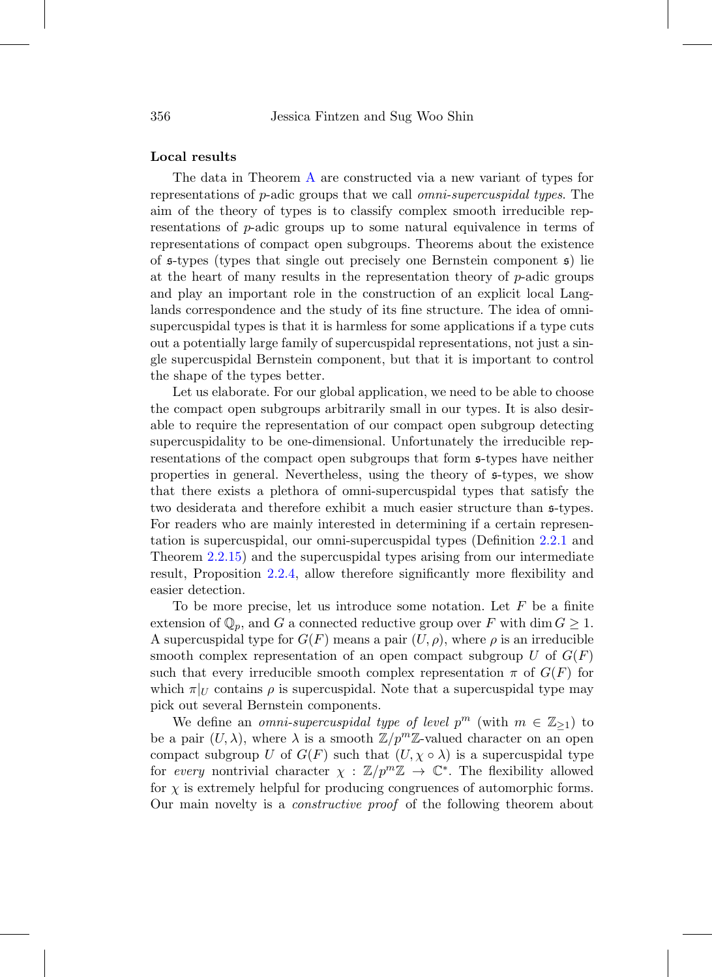## **Local results**

The data in Theorem [A](#page-2-0) are constructed via a new variant of types for representations of p-adic groups that we call omni-supercuspidal types. The aim of the theory of types is to classify complex smooth irreducible representations of p-adic groups up to some natural equivalence in terms of representations of compact open subgroups. Theorems about the existence of  $\mathfrak{s}$ -types (types that single out precisely one Bernstein component  $\mathfrak{s}$ ) lie at the heart of many results in the representation theory of  $p$ -adic groups and play an important role in the construction of an explicit local Langlands correspondence and the study of its fine structure. The idea of omnisupercuspidal types is that it is harmless for some applications if a type cuts out a potentially large family of supercuspidal representations, not just a single supercuspidal Bernstein component, but that it is important to control the shape of the types better.

Let us elaborate. For our global application, we need to be able to choose the compact open subgroups arbitrarily small in our types. It is also desirable to require the representation of our compact open subgroup detecting supercuspidality to be one-dimensional. Unfortunately the irreducible representations of the compact open subgroups that form s-types have neither properties in general. Nevertheless, using the theory of s-types, we show that there exists a plethora of omni-supercuspidal types that satisfy the two desiderata and therefore exhibit a much easier structure than s-types. For readers who are mainly interested in determining if a certain representation is supercuspidal, our omni-supercuspidal types (Definition [2.2.1](#page-24-1) and Theorem [2.2.15\)](#page-31-0) and the supercuspidal types arising from our intermediate result, Proposition [2.2.4,](#page-25-0) allow therefore significantly more flexibility and easier detection.

To be more precise, let us introduce some notation. Let  $F$  be a finite extension of  $\mathbb{Q}_p$ , and G a connected reductive group over F with dim  $G \geq 1$ . A supercuspidal type for  $G(F)$  means a pair  $(U, \rho)$ , where  $\rho$  is an irreducible smooth complex representation of an open compact subgroup U of  $G(F)$ such that every irreducible smooth complex representation  $\pi$  of  $G(F)$  for which  $\pi|_U$  contains  $\rho$  is supercuspidal. Note that a supercuspidal type may pick out several Bernstein components.

We define an *omni-supercuspidal type of level*  $p^m$  (with  $m \in \mathbb{Z}_{\geq 1}$ ) to be a pair  $(U, \lambda)$ , where  $\lambda$  is a smooth  $\mathbb{Z}/p^m\mathbb{Z}$ -valued character on an open compact subgroup U of  $G(F)$  such that  $(U, \chi \circ \lambda)$  is a supercuspidal type for every nontrivial character  $\chi : \mathbb{Z}/p^m \mathbb{Z} \to \mathbb{C}^*$ . The flexibility allowed for  $\chi$  is extremely helpful for producing congruences of automorphic forms. Our main novelty is a constructive proof of the following theorem about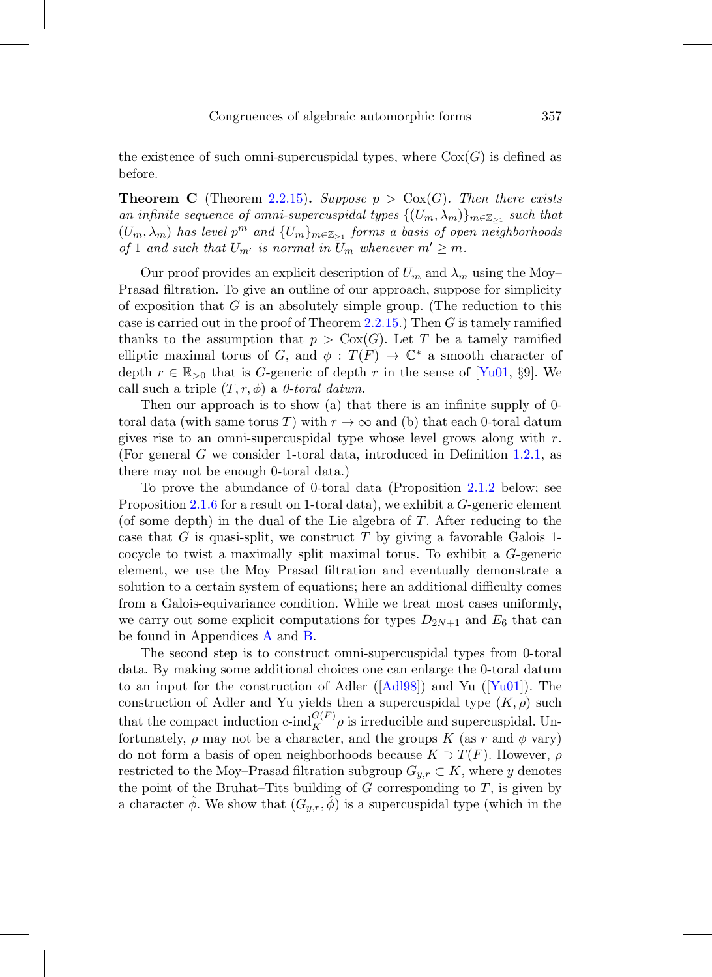the existence of such omni-supercuspidal types, where  $Cox(G)$  is defined as before.

<span id="page-6-0"></span>**Theorem C** (Theorem [2.2.15\)](#page-31-0). Suppose  $p > \text{Cox}(G)$ . Then there exists an infinite sequence of omni-supercuspidal types  $\{(U_m, \lambda_m)\}_{m \in \mathbb{Z}_{\geq 1}}$  such that  $(U_m, \lambda_m)$  has level  $p^m$  and  $\{U_m\}_{m \in \mathbb{Z}_{\geq 1}}$  forms a basis of open neighborhoods of 1 and such that  $U_{m'}$  is normal in  $U_m$  whenever  $m' \geq m$ .

Our proof provides an explicit description of  $U_m$  and  $\lambda_m$  using the Moy– Prasad filtration. To give an outline of our approach, suppose for simplicity of exposition that  $G$  is an absolutely simple group. (The reduction to this case is carried out in the proof of Theorem [2.2.15.](#page-31-0)) Then  $G$  is tamely ramified thanks to the assumption that  $p > \text{Cox}(G)$ . Let T be a tamely ramified elliptic maximal torus of G, and  $\phi: T(F) \to \mathbb{C}^*$  a smooth character of depth  $r \in \mathbb{R}_{>0}$  that is G-generic of depth r in the sense of  $\lbrack \text{Yu01}, \S 9 \rbrack$ . We call such a triple  $(T, r, \phi)$  a 0-toral datum.

Then our approach is to show (a) that there is an infinite supply of 0 toral data (with same torus T) with  $r \to \infty$  and (b) that each 0-toral datum gives rise to an omni-supercuspidal type whose level grows along with  $r$ . (For general G we consider 1-toral data, introduced in Definition [1.2.1,](#page-13-1) as there may not be enough 0-toral data.)

To prove the abundance of 0-toral data (Proposition [2.1.2](#page-18-0) below; see Proposition [2.1.6](#page-23-0) for a result on 1-toral data), we exhibit a G-generic element (of some depth) in the dual of the Lie algebra of T. After reducing to the case that G is quasi-split, we construct T by giving a favorable Galois 1cocycle to twist a maximally split maximal torus. To exhibit a G-generic element, we use the Moy–Prasad filtration and eventually demonstrate a solution to a certain system of equations; here an additional difficulty comes from a Galois-equivariance condition. While we treat most cases uniformly, we carry out some explicit computations for types  $D_{2N+1}$  and  $E_6$  that can be found in Appendices [A](#page-54-0) and [B.](#page-57-0)

The second step is to construct omni-supercuspidal types from 0-toral data. By making some additional choices one can enlarge the 0-toral datum to an input for the construction of Adler ( $\text{[Ad198]}$ ) and Yu ( $\text{[Yu01]}$  $\text{[Yu01]}$  $\text{[Yu01]}$ ). The construction of Adler and Yu yields then a supercuspidal type  $(K, \rho)$  such that the compact induction c-ind $_G^{G(F)} \rho$  is irreducible and supercuspidal. Unfortunately,  $\rho$  may not be a character, and the groups K (as r and  $\phi$  vary) do not form a basis of open neighborhoods because  $K \supset T(F)$ . However,  $\rho$ restricted to the Moy–Prasad filtration subgroup  $G_{y,r} \subset K$ , where y denotes the point of the Bruhat–Tits building of  $G$  corresponding to  $T$ , is given by a character  $\phi$ . We show that  $(G_{y,r}, \phi)$  is a supercuspidal type (which in the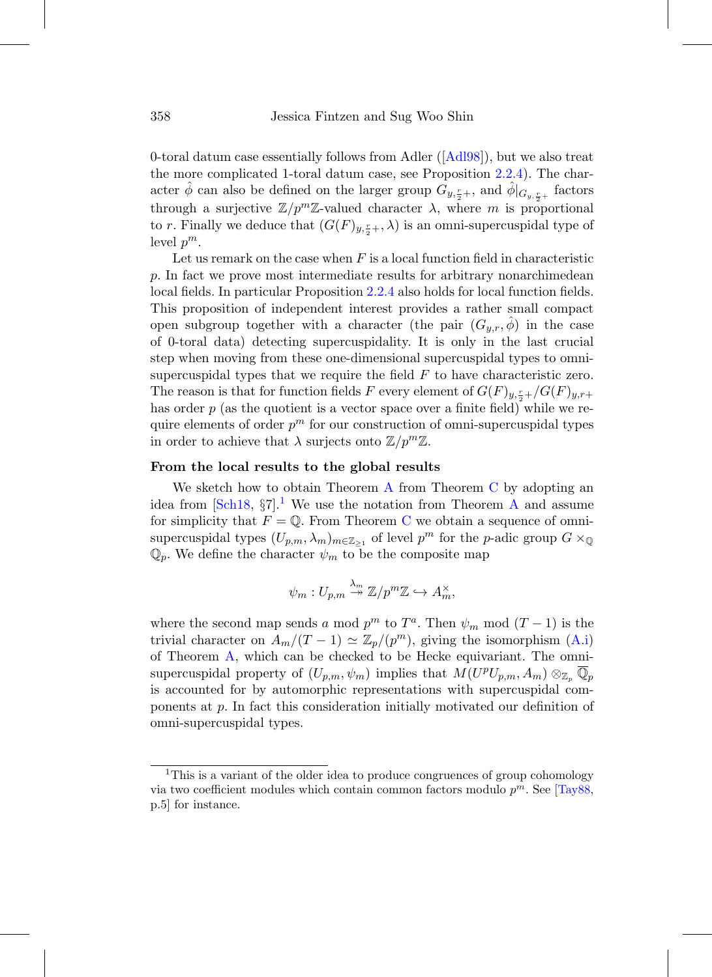0-toral datum case essentially follows from Adler ([\[Adl98](#page-74-1)]), but we also treat the more complicated 1-toral datum case, see Proposition [2.2.4\)](#page-25-0). The character  $\hat{\phi}$  can also be defined on the larger group  $\tilde{G}_{y,\frac{r}{2}+}$ , and  $\hat{\phi}|_{G_{y,\frac{r}{2}+}}$  factors through a surjective  $\mathbb{Z}/p^m\mathbb{Z}$ -valued character  $\lambda$ , where m is proportional to r. Finally we deduce that  $(G(F)_{y,\frac{r}{2}+},\lambda)$  is an omni-supercuspidal type of level  $p^m$ .

Let us remark on the case when  $F$  is a local function field in characteristic p. In fact we prove most intermediate results for arbitrary nonarchimedean local fields. In particular Proposition [2.2.4](#page-25-0) also holds for local function fields. This proposition of independent interest provides a rather small compact open subgroup together with a character (the pair  $(G_{y,r},\hat{\phi})$  in the case of 0-toral data) detecting supercuspidality. It is only in the last crucial step when moving from these one-dimensional supercuspidal types to omnisupercuspidal types that we require the field  $F$  to have characteristic zero. The reason is that for function fields F every element of  $G(F)_{y,\frac{r}{2}+}/G(F)_{y,r+}$ has order  $p$  (as the quotient is a vector space over a finite field) while we require elements of order  $p^m$  for our construction of omni-supercuspidal types in order to achieve that  $\lambda$  surjects onto  $\mathbb{Z}/p^m\mathbb{Z}$ .

## **From the local results to the global results**

We sketch how to obtain Theorem  $\overline{A}$  $\overline{A}$  $\overline{A}$  from Theorem  $\overline{C}$  $\overline{C}$  $\overline{C}$  by adopting an idea from  $\lceil \text{Sch18}, \S7 \rceil$  $\lceil \text{Sch18}, \S7 \rceil$  $\lceil \text{Sch18}, \S7 \rceil$ .<sup>1</sup> We use the notation from Theorem [A](#page-2-0) and assume for simplicity that  $F = \mathbb{Q}$ . From Theorem [C](#page-6-0) we obtain a sequence of omnisupercuspidal types  $(U_{p,m}, \lambda_m)_{m \in \mathbb{Z}_{\geq 1}}$  of level  $p^m$  for the p-adic group  $G \times_{\mathbb{Q}}$  $\mathbb{Q}_p$ . We define the character  $\psi_m$  to be the composite map

$$
\psi_m: U_{p,m} \stackrel{\lambda_m}{\twoheadrightarrow} \mathbb{Z}/p^m \mathbb{Z} \hookrightarrow A_m^{\times},
$$

where the second map sends a mod  $p^m$  to  $T^a$ . Then  $\psi_m$  mod  $(T-1)$  is the trivial character on  $A_m/(T-1) \simeq \mathbb{Z}_p/(p^m)$ , giving the isomorphism [\(A.i\)](#page-2-1) of Theorem [A,](#page-2-0) which can be checked to be Hecke equivariant. The omnisupercuspidal property of  $(U_{p,m}, \psi_m)$  implies that  $M(U^pU_{p,m}, A_m) \otimes_{\mathbb{Z}_p} \mathbb{Q}_p$ is accounted for by automorphic representations with supercuspidal components at p. In fact this consideration initially motivated our definition of omni-supercuspidal types.

<span id="page-7-0"></span><sup>&</sup>lt;sup>1</sup>This is a variant of the older idea to produce congruences of group cohomology via two coefficient modules which contain common factors modulo  $p^m$ . See [\[Tay88,](#page-77-1) p.5] for instance.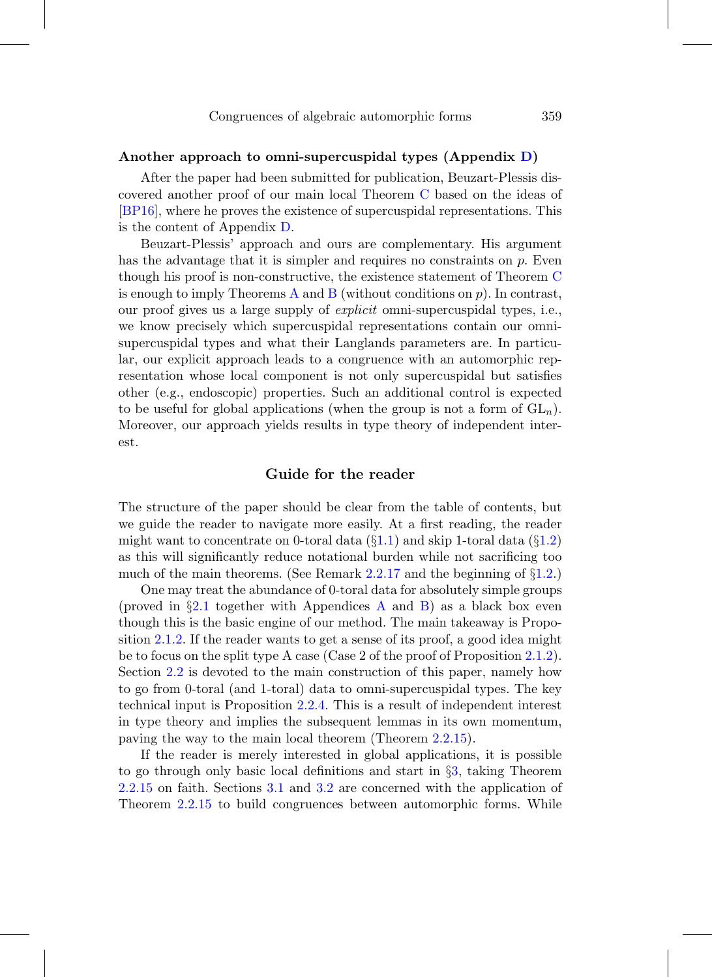## **Another approach to omni-supercuspidal types (Appendix [D\)](#page-67-0)**

After the paper had been submitted for publication, Beuzart-Plessis discovered another proof of our main local Theorem [C](#page-6-0) based on the ideas of [\[BP16\]](#page-74-2), where he proves the existence of supercuspidal representations. This is the content of Appendix [D.](#page-67-0)

Beuzart-Plessis' approach and ours are complementary. His argument has the advantage that it is simpler and requires no constraints on  $p$ . Even though his proof is non-constructive, the existence statement of Theorem [C](#page-6-0) is enough to imply Theorems [A](#page-2-0) and [B](#page-4-0) (without conditions on  $p$ ). In contrast, our proof gives us a large supply of explicit omni-supercuspidal types, i.e., we know precisely which supercuspidal representations contain our omnisupercuspidal types and what their Langlands parameters are. In particular, our explicit approach leads to a congruence with an automorphic representation whose local component is not only supercuspidal but satisfies other (e.g., endoscopic) properties. Such an additional control is expected to be useful for global applications (when the group is not a form of  $GL_n$ ). Moreover, our approach yields results in type theory of independent interest.

# **Guide for the reader**

<span id="page-8-0"></span>The structure of the paper should be clear from the table of contents, but we guide the reader to navigate more easily. At a first reading, the reader might want to concentrate on 0-toral data  $(\S1.1)$  $(\S1.1)$  and skip 1-toral data  $(\S1.2)$  $(\S1.2)$ as this will significantly reduce notational burden while not sacrificing too much of the main theorems. (See Remark [2.2.17](#page-31-1) and the beginning of  $\S1.2$ .)

One may treat the abundance of 0-toral data for absolutely simple groups (proved in  $\S 2.1$  $\S 2.1$  together with [A](#page-54-0)ppendices A and [B\)](#page-57-0) as a black box even though this is the basic engine of our method. The main takeaway is Proposition [2.1.2.](#page-18-0) If the reader wants to get a sense of its proof, a good idea might be to focus on the split type A case (Case 2 of the proof of Proposition [2.1.2\)](#page-18-0). Section [2.2](#page-24-0) is devoted to the main construction of this paper, namely how to go from 0-toral (and 1-toral) data to omni-supercuspidal types. The key technical input is Proposition [2.2.4.](#page-25-0) This is a result of independent interest in type theory and implies the subsequent lemmas in its own momentum, paving the way to the main local theorem (Theorem [2.2.15\)](#page-31-0).

If the reader is merely interested in global applications, it is possible to go through only basic local definitions and start in §[3,](#page-34-0) taking Theorem [2.2.15](#page-31-0) on faith. Sections [3.1](#page-35-0) and [3.2](#page-39-0) are concerned with the application of Theorem [2.2.15](#page-31-0) to build congruences between automorphic forms. While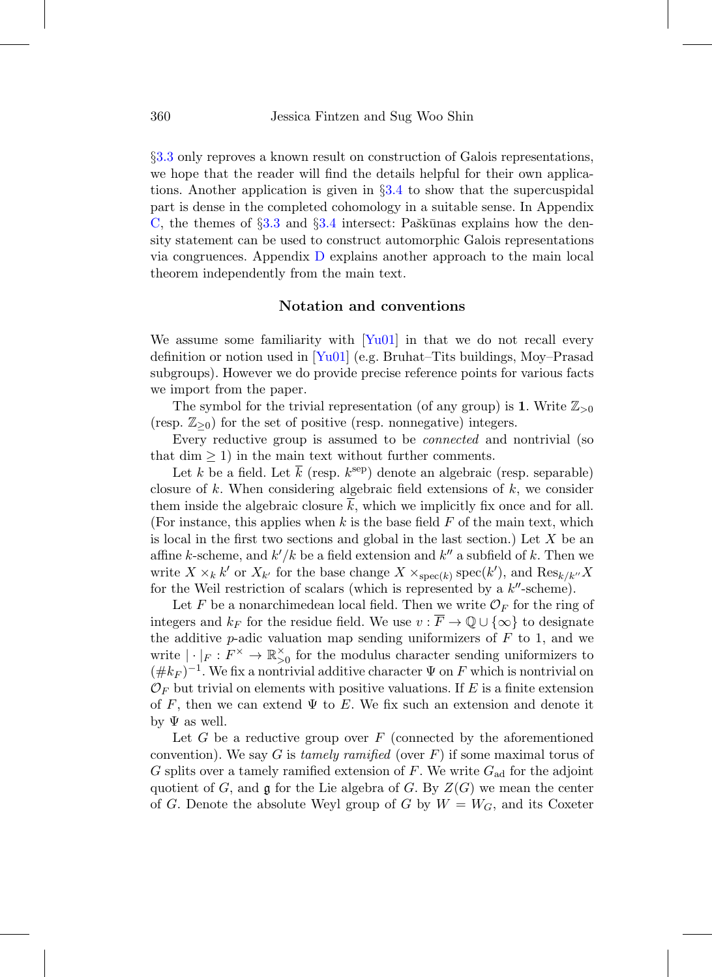§[3.3](#page-41-0) only reproves a known result on construction of Galois representations, we hope that the reader will find the details helpful for their own applications. Another application is given in §[3.4](#page-48-0) to show that the supercuspidal part is dense in the completed cohomology in a suitable sense. In Appendix [C,](#page-60-0) the themes of  $\S 3.3$  $\S 3.3$  and  $\S 3.4$  $\S 3.4$  intersect: Paškūnas explains how the density statement can be used to construct automorphic Galois representations via congruences. Appendix [D](#page-67-0) explains another approach to the main local theorem independently from the main text.

# **Notation and conventions**

<span id="page-9-0"></span>We assume some familiarity with  $[Yu01]$  in that we do not recall every definition or notion used in  $\lceil \text{Yu01} \rceil$  (e.g. Bruhat–Tits buildings, Moy–Prasad subgroups). However we do provide precise reference points for various facts we import from the paper.

The symbol for the trivial representation (of any group) is **1**. Write  $\mathbb{Z}_{>0}$ (resp.  $\mathbb{Z}_{\geq 0}$ ) for the set of positive (resp. nonnegative) integers.

Every reductive group is assumed to be *connected* and nontrivial (so that dim  $\geq$  1) in the main text without further comments.

Let k be a field. Let k (resp.  $k^{\text{sep}}$ ) denote an algebraic (resp. separable) closure of k. When considering algebraic field extensions of  $k$ , we consider them inside the algebraic closure  $k$ , which we implicitly fix once and for all. (For instance, this applies when k is the base field  $F$  of the main text, which is local in the first two sections and global in the last section.) Let  $X$  be an affine k-scheme, and  $k'/k$  be a field extension and  $k''$  a subfield of k. Then we write  $X \times_k k'$  or  $X_{k'}$  for the base change  $X \times_{\text{spec}(k)} \text{spec}(k')$ , and  $\text{Res}_{k/k''} X$ for the Weil restriction of scalars (which is represented by a  $k''$ -scheme).

Let F be a nonarchimedean local field. Then we write  $\mathcal{O}_F$  for the ring of integers and  $k_F$  for the residue field. We use  $v : \overline{F} \to \mathbb{Q} \cup \{\infty\}$  to designate the additive p-adic valuation map sending uniformizers of  $F$  to 1, and we write  $|\cdot|_F: F^{\times} \to \mathbb{R}_{>0}^{\times}$  for the modulus character sending uniformizers to  $(\#k_F)^{-1}$ . We fix a nontrivial additive character  $\Psi$  on F which is nontrivial on  $\mathcal{O}_F$  but trivial on elements with positive valuations. If E is a finite extension of F, then we can extend  $\Psi$  to E. We fix such an extension and denote it by  $\Psi$  as well.

Let  $G$  be a reductive group over  $F$  (connected by the aforementioned convention). We say G is tamely ramified (over  $F$ ) if some maximal torus of G splits over a tamely ramified extension of F. We write  $G_{ad}$  for the adjoint quotient of G, and  $\mathfrak g$  for the Lie algebra of G. By  $Z(G)$  we mean the center of G. Denote the absolute Weyl group of G by  $W = W_G$ , and its Coxeter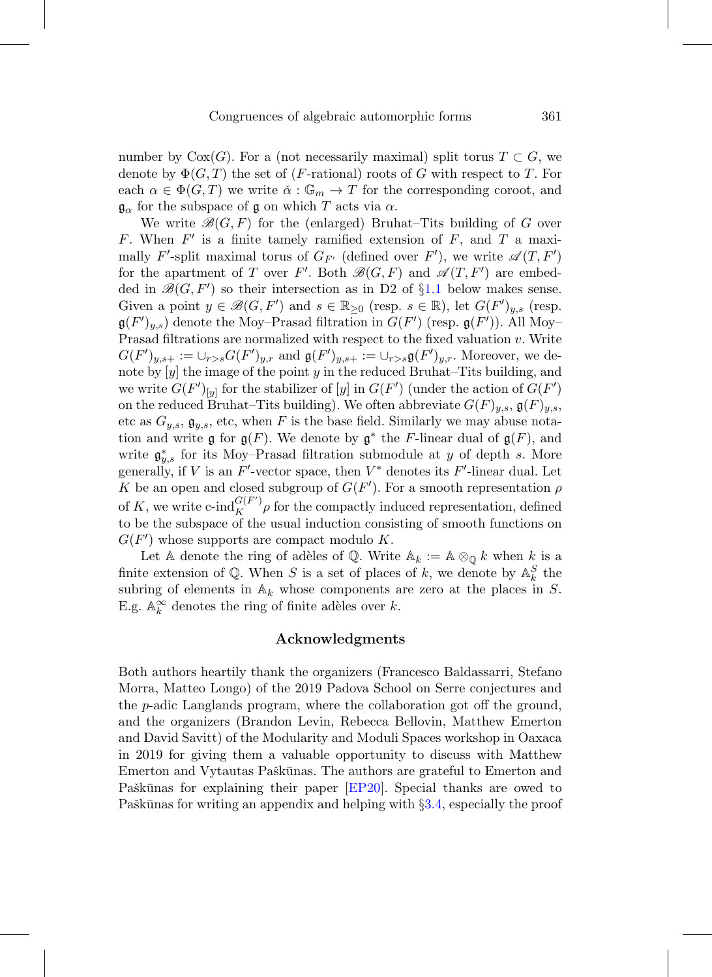number by  $Cox(G)$ . For a (not necessarily maximal) split torus  $T \subset G$ , we denote by  $\Phi(G, T)$  the set of (*F*-rational) roots of G with respect to T. For each  $\alpha \in \Phi(G,T)$  we write  $\check{\alpha}: \mathbb{G}_m \to T$  for the corresponding coroot, and  $\mathfrak{g}_{\alpha}$  for the subspace of g on which T acts via  $\alpha$ .

We write  $\mathcal{B}(G, F)$  for the (enlarged) Bruhat–Tits building of G over F. When  $F'$  is a finite tamely ramified extension of F, and T a maximally F'-split maximal torus of  $G_{F'}$  (defined over F'), we write  $\mathscr{A}(T, F')$ for the apartment of T over F'. Both  $\mathscr{B}(G,F)$  and  $\mathscr{A}(T,F')$  are embedded in  $\mathcal{B}(G, F')$  so their intersection as in D2 of §[1.1](#page-12-0) below makes sense. Given a point  $y \in \mathcal{B}(G, F')$  and  $s \in \mathbb{R}_{\geq 0}$  (resp.  $s \in \mathbb{R}$ ), let  $G(F')_{y,s}$  (resp.  $\mathfrak{g}(F')_{y,s}$  denote the Moy–Prasad filtration in  $G(F')$  (resp.  $\mathfrak{g}(F')$ ). All Moy– Prasad filtrations are normalized with respect to the fixed valuation v. Write  $G(F')_{y,s+} := \cup_{r>s} G(F')_{y,r}$  and  $\mathfrak{g}(F')_{y,s+} := \cup_{r>s} \mathfrak{g}(F')_{y,r}$ . Moreover, we denote by  $[y]$  the image of the point y in the reduced Bruhat–Tits building, and we write  $G(F')_{[y]}$  for the stabilizer of  $[y]$  in  $G(F')$  (under the action of  $G(F')$ on the reduced Bruhat–Tits building). We often abbreviate  $G(F)_{y,s}$ ,  $\mathfrak{g}(F)_{y,s}$ , etc as  $G_{y,s}$ ,  $\mathfrak{g}_{y,s}$ , etc, when F is the base field. Similarly we may abuse notation and write  $\mathfrak{g}$  for  $\mathfrak{g}(F)$ . We denote by  $\mathfrak{g}^*$  the F-linear dual of  $\mathfrak{g}(F)$ , and write  $\mathfrak{g}_{y,s}^*$  for its Moy–Prasad filtration submodule at y of depth s. More generally, if V is an  $F'$ -vector space, then  $V^*$  denotes its  $F'$ -linear dual. Let K be an open and closed subgroup of  $G(F')$ . For a smooth representation  $\rho$ of K, we write  $\text{c-ind}_{K}^{G(F')}$  for the compactly induced representation, defined to be the subspace of the usual induction consisting of smooth functions on  $G(F')$  whose supports are compact modulo K.

Let A denote the ring of adèles of Q. Write  $A_k := A \otimes_{\mathbb{Q}} k$  when k is a finite extension of  $\mathbb{Q}$ . When S is a set of places of k, we denote by  $\mathbb{A}_{k}^{S}$  the subring of elements in  $\mathbb{A}_k$  whose components are zero at the places in S. E.g.  $\mathbb{A}_{k}^{\infty}$  denotes the ring of finite adèles over k.

# **Acknowledgments**

<span id="page-10-0"></span>Both authors heartily thank the organizers (Francesco Baldassarri, Stefano Morra, Matteo Longo) of the 2019 Padova School on Serre conjectures and the p-adic Langlands program, where the collaboration got off the ground, and the organizers (Brandon Levin, Rebecca Bellovin, Matthew Emerton and David Savitt) of the Modularity and Moduli Spaces workshop in Oaxaca in 2019 for giving them a valuable opportunity to discuss with Matthew Emerton and Vytautas Paškūnas. The authors are grateful to Emerton and Paškūnas for explaining their paper [\[EP20\]](#page-75-0). Special thanks are owed to Paškūnas for writing an appendix and helping with  $\S 3.4$ , especially the proof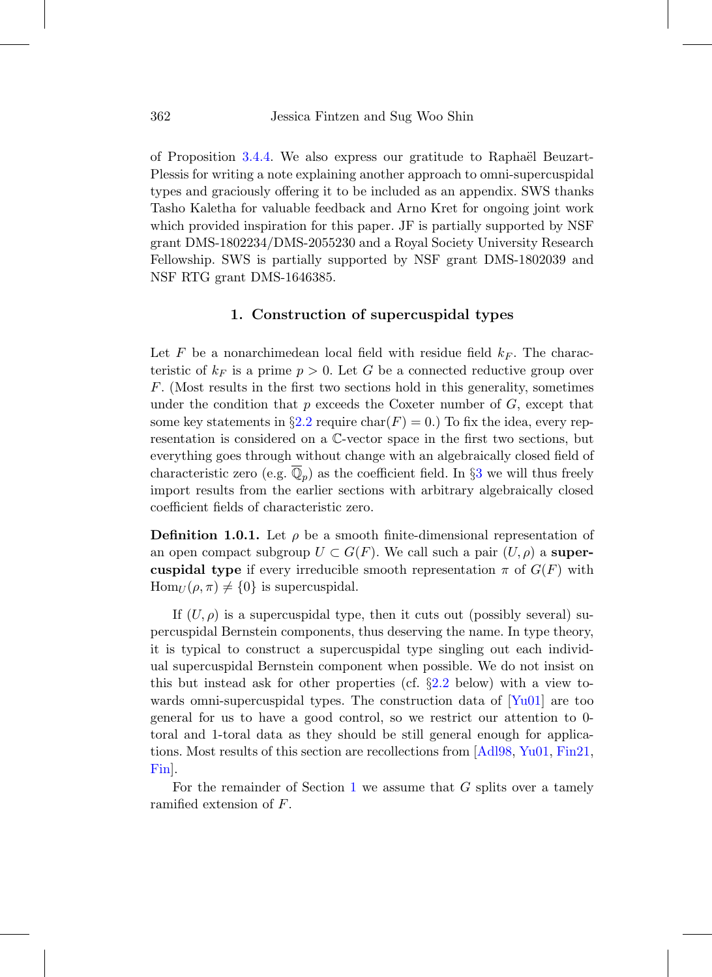of Proposition [3.4.4.](#page-50-0) We also express our gratitude to Raphaël Beuzart-Plessis for writing a note explaining another approach to omni-supercuspidal types and graciously offering it to be included as an appendix. SWS thanks Tasho Kaletha for valuable feedback and Arno Kret for ongoing joint work which provided inspiration for this paper. JF is partially supported by NSF grant DMS-1802234/DMS-2055230 and a Royal Society University Research Fellowship. SWS is partially supported by NSF grant DMS-1802039 and NSF RTG grant DMS-1646385.

# **1. Construction of supercuspidal types**

<span id="page-11-0"></span>Let F be a nonarchimedean local field with residue field  $k_F$ . The characteristic of  $k_F$  is a prime  $p > 0$ . Let G be a connected reductive group over F. (Most results in the first two sections hold in this generality, sometimes under the condition that  $p$  exceeds the Coxeter number of  $G$ , except that some key statements in §[2.2](#page-24-0) require char( $F$ ) = 0.) To fix the idea, every representation is considered on a C-vector space in the first two sections, but everything goes through without change with an algebraically closed field of characteristic zero (e.g.  $\mathbb{Q}_p$ ) as the coefficient field. In §[3](#page-34-0) we will thus freely import results from the earlier sections with arbitrary algebraically closed coefficient fields of characteristic zero.

**Definition 1.0.1.** Let  $\rho$  be a smooth finite-dimensional representation of an open compact subgroup  $U \subset G(F)$ . We call such a pair  $(U, \rho)$  a **supercuspidal type** if every irreducible smooth representation  $\pi$  of  $G(F)$  with  $\text{Hom}_U(\rho, \pi) \neq \{0\}$  is supercuspidal.

If  $(U, \rho)$  is a supercuspidal type, then it cuts out (possibly several) supercuspidal Bernstein components, thus deserving the name. In type theory, it is typical to construct a supercuspidal type singling out each individual supercuspidal Bernstein component when possible. We do not insist on this but instead ask for other properties (cf. §[2.2](#page-24-0) below) with a view towards omni-supercuspidal types. The construction data of  $[Yu01]$  are too general for us to have a good control, so we restrict our attention to 0 toral and 1-toral data as they should be still general enough for applications. Most results of this section are recollections from [\[Adl98](#page-74-1), [Yu01](#page-78-1), [Fin21](#page-76-1), [Fin\]](#page-75-4).

For the remainder of Section [1](#page-11-0) we assume that  $G$  splits over a tamely ramified extension of F.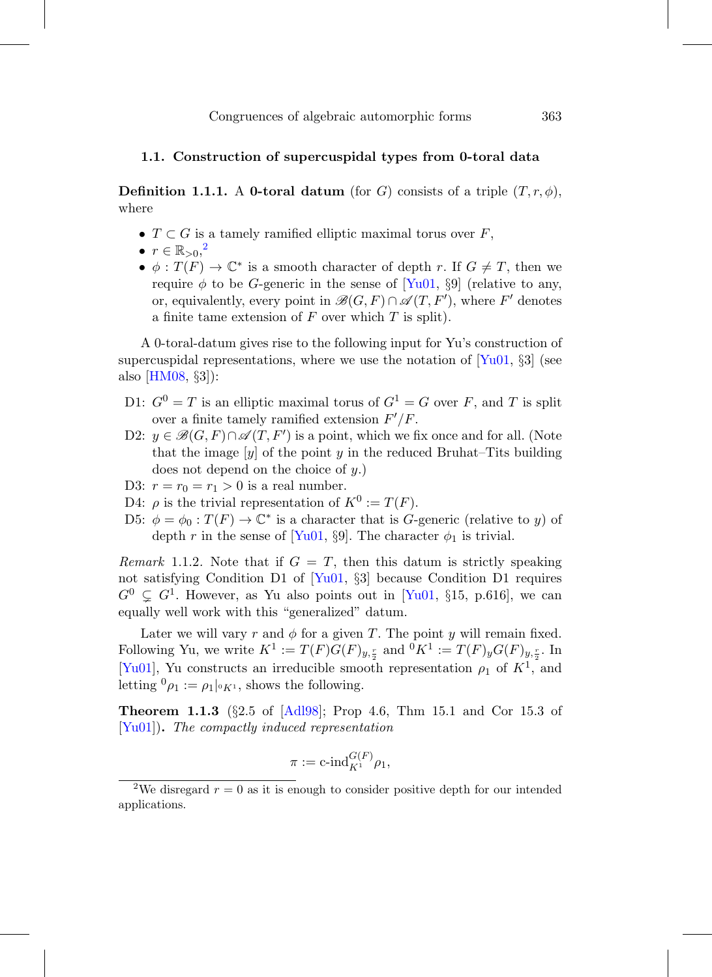## <span id="page-12-0"></span>**1.1. Construction of supercuspidal types from 0-toral data**

<span id="page-12-2"></span>**Definition 1.1.1.** A **0-toral datum** (for G) consists of a triple  $(T, r, \phi)$ , where

- $T \subset G$  is a tamely ramified elliptic maximal torus over  $F$ ,
- $\bullet\hspace{0.1cm}r\in \mathbb{R}_{>0},^2$  $\bullet\hspace{0.1cm}r\in \mathbb{R}_{>0},^2$
- $\phi: T(F) \to \mathbb{C}^*$  is a smooth character of depth r. If  $G \neq T$ , then we require  $\phi$  to be G-generic in the sense of [\[Yu01,](#page-78-1) §9] (relative to any, or, equivalently, every point in  $\mathscr{B}(G,F) \cap \mathscr{A}(T,F')$ , where  $F'$  denotes a finite tame extension of  $F$  over which  $T$  is split).

A 0-toral-datum gives rise to the following input for Yu's construction of supercuspidal representations, where we use the notation of  $[Yu01, \S3]$  $[Yu01, \S3]$  (see also [\[HM08,](#page-76-2) §3]):

- D1:  $G^0 = T$  is an elliptic maximal torus of  $G^1 = G$  over F, and T is split over a finite tamely ramified extension  $F'/F$ .
- D2:  $y \in \mathscr{B}(G,F) \cap \mathscr{A}(T,F')$  is a point, which we fix once and for all. (Note that the image  $[y]$  of the point y in the reduced Bruhat–Tits building does not depend on the choice of  $y$ .)
- D3:  $r = r_0 = r_1 > 0$  is a real number.
- D4:  $\rho$  is the trivial representation of  $K^0 := T(F)$ .
- D5:  $\phi = \phi_0 : T(F) \to \mathbb{C}^*$  is a character that is G-generic (relative to y) of depth r in the sense of [\[Yu01](#page-78-1), §9]. The character  $\phi_1$  is trivial.

Remark 1.1.2. Note that if  $G = T$ , then this datum is strictly speaking not satisfying Condition D1 of [\[Yu01](#page-78-1), §3] because Condition D1 requires  $G^0 \subsetneq G^1$ . However, as Yu also points out in [\[Yu01,](#page-78-1) §15, p.616], we can equally well work with this "generalized" datum.

Later we will vary r and  $\phi$  for a given T. The point y will remain fixed. Following Yu, we write  $K^1 := T(F)G(F)_{y,\frac{r}{2}}$  and  ${}^0K^1 := T(F)_yG(F)_{y,\frac{r}{2}}$ . In [\[Yu01](#page-78-1)], Yu constructs an irreducible smooth representation  $\rho_1$  of  $K^1$ , and letting  ${}^0\rho_1 := \rho_1|_{{}^0K^1}$ , shows the following.

**Theorem 1.1.3** (§2.5 of [\[Adl98\]](#page-74-1); Prop 4.6, Thm 15.1 and Cor 15.3 of [\[Yu01](#page-78-1)])**.** The compactly induced representation

$$
\pi:={\rm c\textrm{-}ind}_{K^1}^{G(F)}\rho_1,
$$

<span id="page-12-1"></span><sup>&</sup>lt;sup>2</sup>We disregard  $r = 0$  as it is enough to consider positive depth for our intended applications.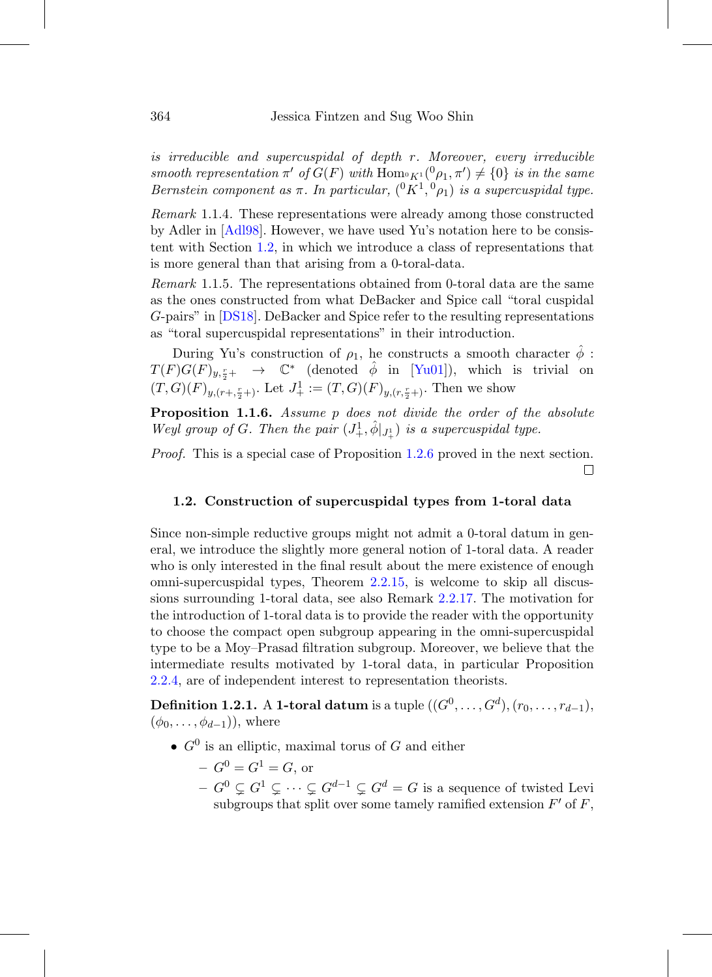is irreducible and supercuspidal of depth r. Moreover, every irreducible smooth representation  $\pi'$  of  $G(F)$  with  $\text{Hom}_{\mathfrak{C}F^1}(^0\rho_1, \pi') \neq \{0\}$  is in the same Bernstein component as  $\pi$ . In particular,  $({}^{0}K^{1}, {}^{0}\rho_{1})$  is a supercuspidal type.

Remark 1.1.4. These representations were already among those constructed by Adler in [\[Adl98\]](#page-74-1). However, we have used Yu's notation here to be consistent with Section [1.2,](#page-13-0) in which we introduce a class of representations that is more general than that arising from a 0-toral-data.

Remark 1.1.5. The representations obtained from 0-toral data are the same as the ones constructed from what DeBacker and Spice call "toral cuspidal G-pairs" in [\[DS18](#page-75-5)]. DeBacker and Spice refer to the resulting representations as "toral supercuspidal representations" in their introduction.

During Yu's construction of  $\rho_1$ , he constructs a smooth character  $\phi$ :  $T(F)G(F)_{y,\frac{r}{2}+} \rightarrow \mathbb{C}^*$  (denoted  $\hat{\phi}$  in [\[Yu01](#page-78-1)]), which is trivial on  $(T, G)(F)_{y,(r+, \frac{r}{2}+)}$ . Let  $J^1_+ := (T, G)(F)_{y,(r, \frac{r}{2}+)}$ . Then we show

<span id="page-13-2"></span>**Proposition 1.1.6.** Assume p does not divide the order of the absolute Weyl group of G. Then the pair  $(J^1_+, \hat{\phi}|_{J^1_+})$  is a supercuspidal type.

<span id="page-13-0"></span>Proof. This is a special case of Proposition [1.2.6](#page-15-0) proved in the next section.  $\Box$ 

## **1.2. Construction of supercuspidal types from 1-toral data**

Since non-simple reductive groups might not admit a 0-toral datum in general, we introduce the slightly more general notion of 1-toral data. A reader who is only interested in the final result about the mere existence of enough omni-supercuspidal types, Theorem [2.2.15,](#page-31-0) is welcome to skip all discussions surrounding 1-toral data, see also Remark [2.2.17.](#page-31-1) The motivation for the introduction of 1-toral data is to provide the reader with the opportunity to choose the compact open subgroup appearing in the omni-supercuspidal type to be a Moy–Prasad filtration subgroup. Moreover, we believe that the intermediate results motivated by 1-toral data, in particular Proposition [2.2.4,](#page-25-0) are of independent interest to representation theorists.

<span id="page-13-1"></span>**Definition 1.2.1.** A **1-toral datum** is a tuple  $((G^0, ..., G^d), (r_0, ..., r_{d-1}),$  $(\phi_0,\ldots,\phi_{d-1})$ ), where

- $G^0$  is an elliptic, maximal torus of G and either
	- $-G^{0} = G^{1} = G$ , or
	- $-G^0 \subsetneq G^1 \subsetneq \cdots \subsetneq G^{d-1} \subsetneq G^d = G$  is a sequence of twisted Levi subgroups that split over some tamely ramified extension  $F'$  of  $F$ ,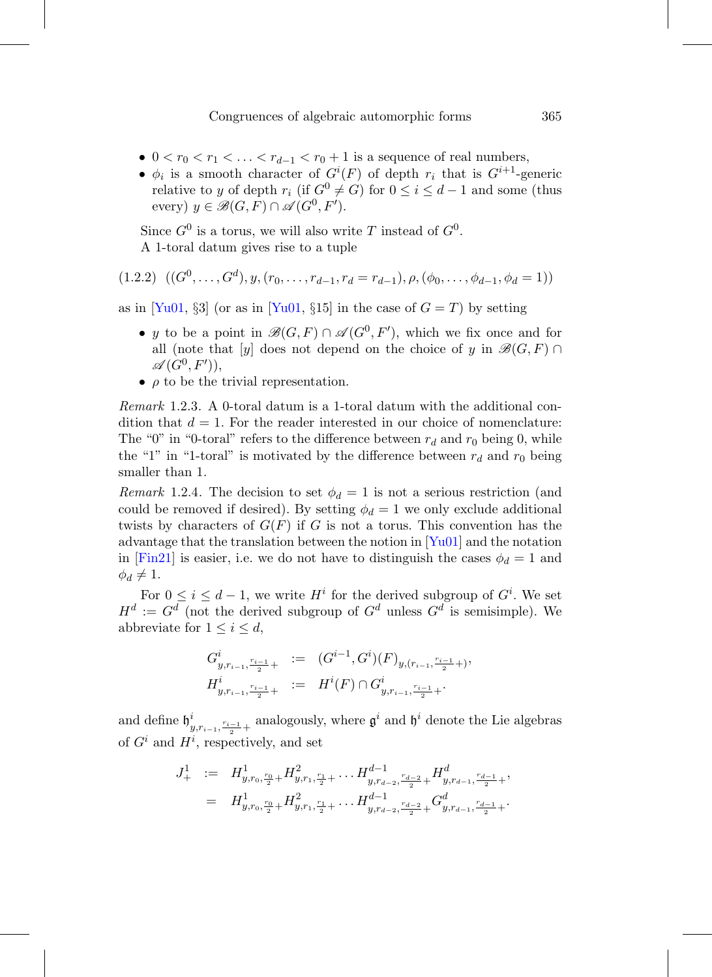- $0 < r_0 < r_1 < \ldots < r_{d-1} < r_0 + 1$  is a sequence of real numbers,
- $\phi_i$  is a smooth character of  $G^i(F)$  of depth  $r_i$  that is  $G^{i+1}$ -generic relative to y of depth  $r_i$  (if  $G^0 \neq G$ ) for  $0 \leq i \leq d-1$  and some (thus every)  $y \in \mathcal{B}(G,F) \cap \mathcal{A}(G^0,F').$

Since  $G^0$  is a torus, we will also write T instead of  $G^0$ . A 1-toral datum gives rise to a tuple

<span id="page-14-0"></span>
$$
(1.2.2) \ \ ((G^0, \ldots, G^d), y, (r_0, \ldots, r_{d-1}, r_d = r_{d-1}), \rho, (\phi_0, \ldots, \phi_{d-1}, \phi_d = 1))
$$

as in [\[Yu01](#page-78-1), §3] (or as in [\[Yu01,](#page-78-1) §15] in the case of  $G = T$ ) by setting

- y to be a point in  $\mathscr{B}(G,F) \cap \mathscr{A}(G^0,F')$ , which we fix once and for all (note that [y] does not depend on the choice of y in  $\mathscr{B}(G, F) \cap$  $\mathscr{A}(G^{0},F'))$
- $\rho$  to be the trivial representation.

Remark 1.2.3. A 0-toral datum is a 1-toral datum with the additional condition that  $d = 1$ . For the reader interested in our choice of nomenclature: The "0" in "0-toral" refers to the difference between  $r_d$  and  $r_0$  being 0, while the "1" in "1-toral" is motivated by the difference between  $r_d$  and  $r_0$  being smaller than 1.

Remark 1.2.4. The decision to set  $\phi_d = 1$  is not a serious restriction (and could be removed if desired). By setting  $\phi_d = 1$  we only exclude additional twists by characters of  $G(F)$  if G is not a torus. This convention has the advantage that the translation between the notion in  $[Yu01]$  $[Yu01]$  and the notation in [\[Fin21\]](#page-76-1) is easier, i.e. we do not have to distinguish the cases  $\phi_d = 1$  and  $\phi_d \neq 1$ .

For  $0 \leq i \leq d-1$ , we write  $H^i$  for the derived subgroup of  $G^i$ . We set  $H^d := G^d$  (not the derived subgroup of  $G^d$  unless  $G^d$  is semisimple). We abbreviate for  $1 \leq i \leq d$ ,

$$
G^i_{y,r_{i-1},\frac{r_{i-1}}{2}+} := (G^{i-1},G^i)(F)_{y,(r_{i-1},\frac{r_{i-1}}{2}+)},
$$
  

$$
H^i_{y,r_{i-1},\frac{r_{i-1}}{2}+} := H^i(F) \cap G^i_{y,r_{i-1},\frac{r_{i-1}}{2}+}.
$$

and define  $\mathfrak{h}^i_{y,r_{i-1},\frac{r_{i-1}}{2}+}$  analogously, where  $\mathfrak{g}^i$  and  $\mathfrak{h}^i$  denote the Lie algebras of  $G^i$  and  $H^i$ , respectively, and set

$$
J_+^1 := H^1_{y,r_0,\frac{r_0}{2}+} H^2_{y,r_1,\frac{r_1}{2}+} \dots H^{d-1}_{y,r_{d-2},\frac{r_{d-2}}{2}+} H^d_{y,r_{d-1},\frac{r_{d-1}}{2}+},
$$
  

$$
= H^1_{y,r_0,\frac{r_0}{2}+} H^2_{y,r_1,\frac{r_1}{2}+} \dots H^{d-1}_{y,r_{d-2},\frac{r_{d-2}}{2}+} G^d_{y,r_{d-1},\frac{r_{d-1}}{2}+}.
$$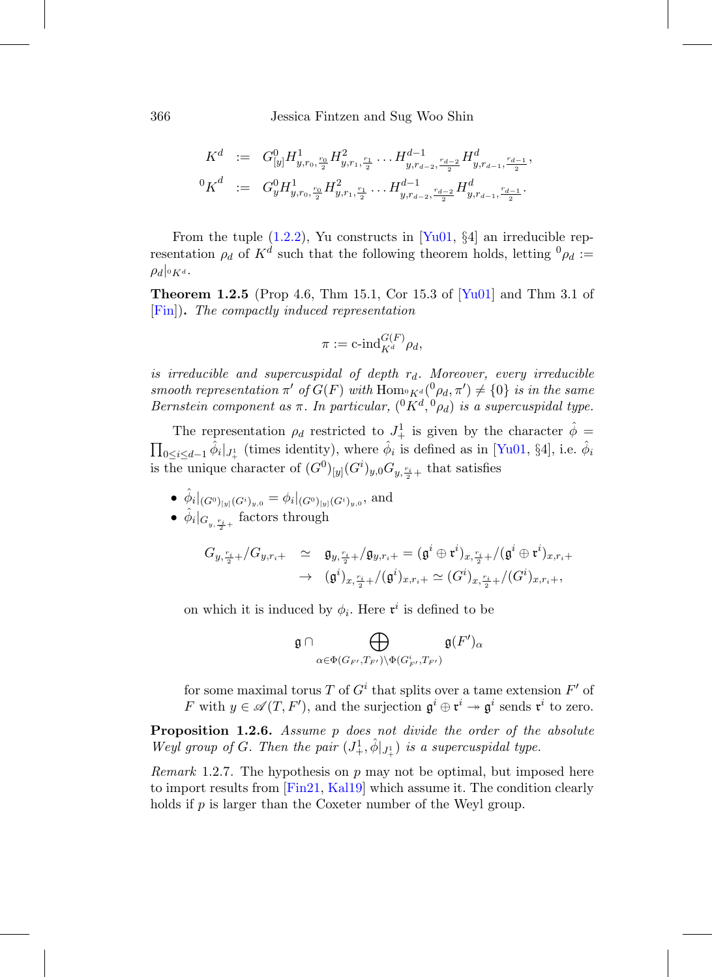$$
\begin{array}{rcl} K^d & := & G^0_{[y]} H^1_{y, r_0, \frac{r_0}{2}} H^2_{y, r_1, \frac{r_1}{2}} \ldots H^{d-1}_{y, r_{d-2}, \frac{r_{d-2}}{2}} H^d_{y, r_{d-1}, \frac{r_{d-1}}{2}},\\ & ^0K^d & := & G^0_y H^1_{y, r_0, \frac{r_0}{2}} H^2_{y, r_1, \frac{r_1}{2}} \ldots H^{d-1}_{y, r_{d-2}, \frac{r_{d-2}}{2}} H^d_{y, r_{d-1}, \frac{r_{d-1}}{2}}. \end{array}
$$

From the tuple  $(1.2.2)$ , Yu constructs in [\[Yu01](#page-78-1), §4] an irreducible representation  $\rho_d$  of  $K^d$  such that the following theorem holds, letting  ${}^0\rho_d$  :=  $\rho_d|_{^0K^d}.$ 

**Theorem 1.2.5** (Prop 4.6, Thm 15.1, Cor 15.3 of [\[Yu01\]](#page-78-1) and Thm 3.1 of [\[Fin\]](#page-75-4))**.** The compactly induced representation

$$
\pi := \mathrm{c}\text{-}\mathrm{ind}_{K^d}^{G(F)}\rho_d,
$$

is irreducible and supercuspidal of depth  $r_d$ . Moreover, every irreducible smooth representation  $\pi'$  of  $G(F)$  with  $\text{Hom}_{\mathfrak{K}^d}(^0\rho_d, \pi') \neq \{0\}$  is in the same Bernstein component as  $\pi$ . In particular,  $({}^0K^d, {}^0\rho_d)$  is a supercuspidal type.

The representation  $\rho_d$  restricted to  $J^1_+$  is given by the character  $\hat{\phi}$  =  $\prod_{0 \leq i \leq d-1} \hat{\phi}_i |_{J^1_+}$  (times identity), where  $\hat{\phi}_i$  is defined as in [\[Yu01,](#page-78-1) §4], i.e.  $\hat{\phi}_i$ is the unique character of  $(G^0)_{[y]}(G^i)_{y,0}G_{y,\frac{r_i}{2}+}$  that satisfies

• 
$$
\hat{\phi}_i|_{(G^0)_{[y]}(G^i)_{y,0}} = \phi_i|_{(G^0)_{[y]}(G^i)_{y,0}},
$$
 and

•  $\hat{\phi}_i|_{G_{y, \frac{r_i}{2}+}}$  factors through

$$
G_{y,\frac{r_i}{2}+}/G_{y,r_i+} \simeq \mathfrak{g}_{y,\frac{r_i}{2}+}/\mathfrak{g}_{y,r_i+} = (\mathfrak{g}^i \oplus \mathfrak{r}^i)_{x,\frac{r_i}{2}+}/(\mathfrak{g}^i \oplus \mathfrak{r}^i)_{x,r_i+} \to (\mathfrak{g}^i)_{x,\frac{r_i}{2}+}/(\mathfrak{g}^i)_{x,r_i+} \simeq (G^i)_{x,\frac{r_i}{2}+}/(G^i)_{x,r_i+},
$$

on which it is induced by  $\phi_i$ . Here  $\mathfrak{r}^i$  is defined to be

$$
\mathfrak{g}\cap \bigoplus_{\alpha\in \Phi(G_{F'},T_{F'})\backslash \Phi(G_{F'}^i,T_{F'})}\mathfrak{g}(F')_{\alpha}
$$

for some maximal torus T of  $G<sup>i</sup>$  that splits over a tame extension  $F'$  of F with  $y \in \mathscr{A}(T, F')$ , and the surjection  $\mathfrak{g}^i \oplus \mathfrak{r}^i \to \mathfrak{g}^i$  sends  $\mathfrak{r}^i$  to zero.

<span id="page-15-0"></span>**Proposition 1.2.6.** Assume p does not divide the order of the absolute Weyl group of G. Then the pair  $(J^1_+, \hat{\phi}|_{J^1_+})$  is a supercuspidal type.

*Remark* 1.2.7. The hypothesis on p may not be optimal, but imposed here to import results from [\[Fin21](#page-76-1), [Kal19](#page-76-3)] which assume it. The condition clearly holds if p is larger than the Coxeter number of the Weyl group.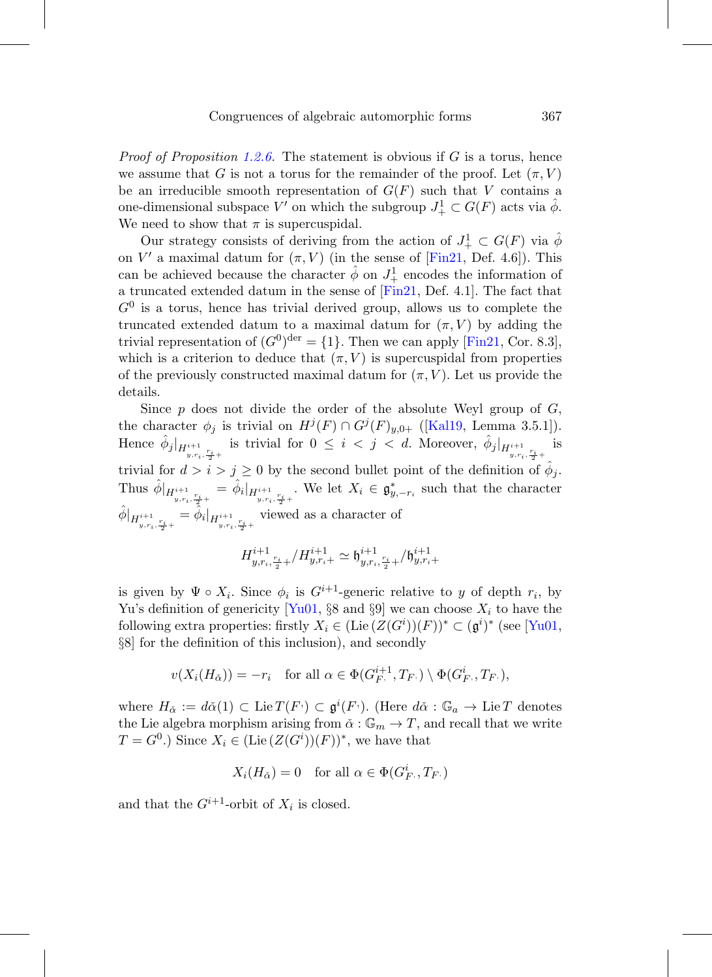*Proof of Proposition [1.2.6.](#page-15-0)* The statement is obvious if G is a torus, hence we assume that G is not a torus for the remainder of the proof. Let  $(\pi, V)$ be an irreducible smooth representation of  $G(F)$  such that V contains a one-dimensional subspace V' on which the subgroup  $J^1_+ \subset G(F)$  acts via  $\hat{\phi}$ . We need to show that  $\pi$  is supercuspidal.

Our strategy consists of deriving from the action of  $J^1_+ \subset G(F)$  via  $\hat{\phi}$ on  $V'$  a maximal datum for  $(\pi, V)$  (in the sense of [\[Fin21](#page-76-1), Def. 4.6]). This can be achieved because the character  $\hat{\phi}$  on  $J^1_+$  encodes the information of a truncated extended datum in the sense of [\[Fin21](#page-76-1), Def. 4.1]. The fact that  $G<sup>0</sup>$  is a torus, hence has trivial derived group, allows us to complete the truncated extended datum to a maximal datum for  $(\pi, V)$  by adding the trivial representation of  $(G^0)^{\text{der}} = \{1\}$ . Then we can apply [\[Fin21,](#page-76-1) Cor. 8.3], which is a criterion to deduce that  $(\pi, V)$  is supercuspidal from properties of the previously constructed maximal datum for  $(\pi, V)$ . Let us provide the details.

Since  $p$  does not divide the order of the absolute Weyl group of  $G$ , the character  $\phi_j$  is trivial on  $H^j(F) \cap G^j(F)_{y,0+}$  ([\[Kal19](#page-76-3), Lemma 3.5.1]). Hence  $\hat{\phi}_j|_{H^{i+1}_{y,r_i,\frac{r_i}{2}+}}$  is trivial for  $0 \leq i < j < d$ . Moreover,  $\hat{\phi}_j|_{H^{i+1}_{y,r_i,\frac{r_i}{2}+}}$ is trivial for  $d>i>j\geq 0$  by the second bullet point of the definition of  $\hat{\phi}_j$ . Thus  $\hat{\phi}|_{H^{i+1}_{y,r_i,\frac{r_i}{2}+}} = \hat{\phi}_i|_{H^{i+1}_{y,r_i,\frac{r_i}{2}+}}$ . We let  $X_i \in \mathfrak{g}_{y,-r_i}^*$  such that the character  $\hat{\phi}|_{H^{i+1}_{y,r_i, \frac{r_i}{2}+}} = \hat{\phi}_i|_{H^{i+1}_{y,r_i, \frac{r_i}{2}+}}$ viewed as a character of

$$
H^{i+1}_{y,r_i,\frac{r_i}{2}+}/H^{i+1}_{y,r_i+} \simeq \mathfrak{h}^{i+1}_{y,r_i,\frac{r_i}{2}+}/\mathfrak{h}^{i+1}_{y,r_i+}
$$

is given by  $\Psi \circ X_i$ . Since  $\phi_i$  is  $G^{i+1}$ -generic relative to y of depth  $r_i$ , by Yu's definition of genericity [\[Yu01](#page-78-1), §8 and §9] we can choose  $X_i$  to have the following extra properties: firstly  $X_i \in (Lie(Z(G^i))(F))^* \subset (\mathfrak{g}^i)^*$  (see [\[Yu01](#page-78-1), §8] for the definition of this inclusion), and secondly

$$
v(X_i(H_{\check{\alpha}})) = -r_i \quad \text{for all } \alpha \in \Phi(G_{F}^{i+1}, T_F) \setminus \Phi(G_{F}^i, T_F),
$$

where  $H_{\check{\alpha}} := d\check{\alpha}(1) \subset \text{Lie } T(F) \subset \mathfrak{g}^i(F)$ . (Here  $d\check{\alpha}: \mathbb{G}_a \to \text{Lie } T$  denotes the Lie algebra morphism arising from  $\check{\alpha}: \mathbb{G}_m \to T$ , and recall that we write  $T = G^0$ .) Since  $X_i \in (Lie(Z(G^i))(F))^*$ , we have that

$$
X_i(H_{\check{\alpha}}) = 0 \quad \text{for all } \alpha \in \Phi(G_F^i, T_F)
$$

and that the  $G^{i+1}$ -orbit of  $X_i$  is closed.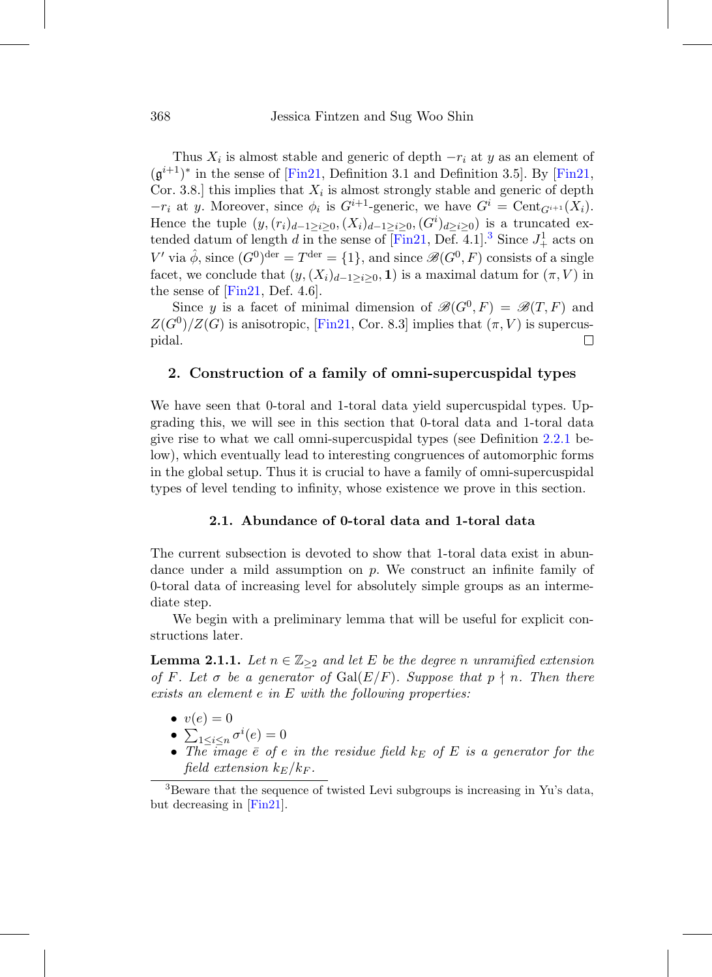Thus  $X_i$  is almost stable and generic of depth  $-r_i$  at y as an element of  $(g^{i+1})^*$  in the sense of [\[Fin21,](#page-76-1) Definition 3.1 and Definition 3.5]. By [\[Fin21](#page-76-1), Cor. 3.8.] this implies that  $X_i$  is almost strongly stable and generic of depth  $-r_i$  at y. Moreover, since  $\phi_i$  is  $G^{i+1}$ -generic, we have  $G^i = \text{Cent}_{G^{i+1}}(X_i)$ . Hence the tuple  $(y,(r_i)_{d-1\geq i\geq 0},(X_i)_{d-1\geq i\geq 0},(G^i)_{d\geq i\geq 0})$  is a truncated extended datum of length d in the sense of  $\overline{[Fin21, Def. 4.1]}$  $\overline{[Fin21, Def. 4.1]}$  $\overline{[Fin21, Def. 4.1]}$ <sup>[3](#page-17-2)</sup> Since  $J^1_+$  acts on V' via  $\hat{\phi}$ , since  $(G^0)^{\text{der}} = T^{\text{der}} = \{1\}$ , and since  $\mathscr{B}(G^0, F)$  consists of a single facet, we conclude that  $(y,(X_i)_{d-1>i>0}, 1)$  is a maximal datum for  $(\pi, V)$  in the sense of  $[Fin21, Def. 4.6]$  $[Fin21, Def. 4.6]$ .

Since y is a facet of minimal dimension of  $\mathscr{B}(G^0, F) = \mathscr{B}(T, F)$  and  $Z(G^0)/Z(G)$  is anisotropic, [\[Fin21,](#page-76-1) Cor. 8.3] implies that  $(\pi, V)$  is supercuspidal. 口

# <span id="page-17-0"></span>**2. Construction of a family of omni-supercuspidal types**

We have seen that 0-toral and 1-toral data yield supercuspidal types. Upgrading this, we will see in this section that 0-toral data and 1-toral data give rise to what we call omni-supercuspidal types (see Definition [2.2.1](#page-24-1) below), which eventually lead to interesting congruences of automorphic forms in the global setup. Thus it is crucial to have a family of omni-supercuspidal types of level tending to infinity, whose existence we prove in this section.

#### **2.1. Abundance of 0-toral data and 1-toral data**

<span id="page-17-1"></span>The current subsection is devoted to show that 1-toral data exist in abundance under a mild assumption on  $p$ . We construct an infinite family of 0-toral data of increasing level for absolutely simple groups as an intermediate step.

We begin with a preliminary lemma that will be useful for explicit constructions later.

<span id="page-17-3"></span>**Lemma 2.1.1.** Let  $n \in \mathbb{Z}_{\geq 2}$  and let E be the degree n unramified extension of F. Let  $\sigma$  be a generator of  $Gal(E/F)$ . Suppose that  $p \nmid n$ . Then there exists an element e in E with the following properties:

- $\bullet v(e)=0$
- $\sum_{1 \leq i \leq n} \sigma^i(e) = 0$
- The image  $\bar{e}$  of e in the residue field  $k_E$  of E is a generator for the field extension  $k_E/k_F$ .

<span id="page-17-2"></span><sup>3</sup>Beware that the sequence of twisted Levi subgroups is increasing in Yu's data, but decreasing in [\[Fin21](#page-76-1)].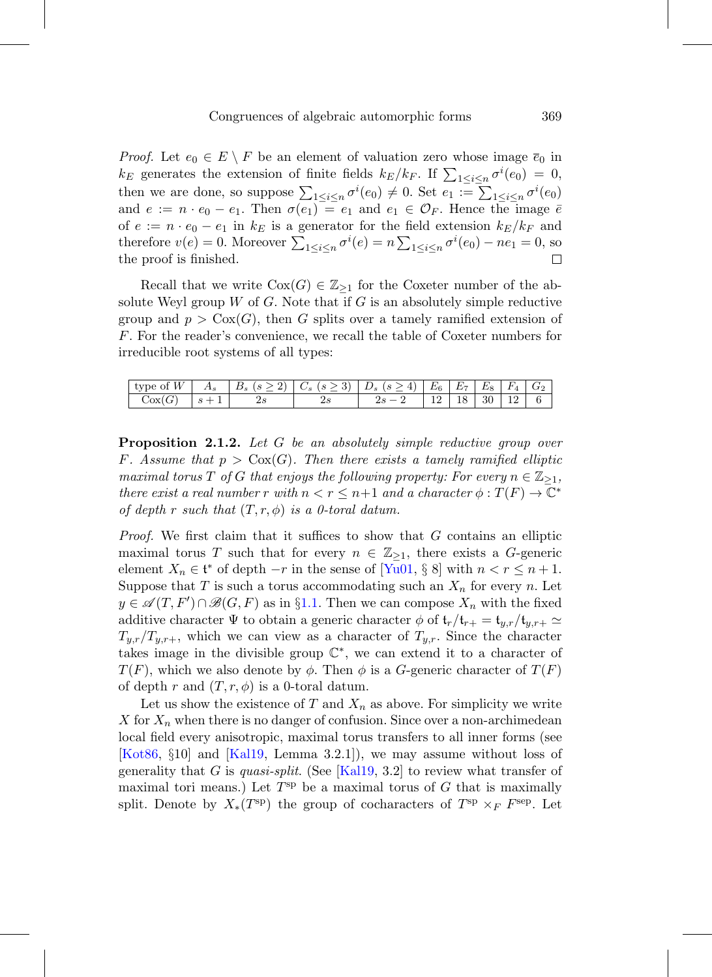*Proof.* Let  $e_0 \in E \setminus F$  be an element of valuation zero whose image  $\overline{e}_0$  in  $k_E$  generates the extension of finite fields  $k_E/k_F$ . If  $\sum_{1 \leq i \leq n} \sigma^i(e_0) = 0$ , then we are done, so suppose  $\sum_{1 \leq i \leq n} \sigma^i(e_0) \neq 0$ . Set  $e_1 := \sum_{1 \leq i \leq n} \sigma^i(e_0)$ and  $e := n \cdot e_0 - e_1$ . Then  $\sigma(e_1) = e_1$  and  $e_1 \in \mathcal{O}_F$ . Hence the image  $\bar{e}$ of  $e := n \cdot e_0 - e_1$  in  $k_E$  is a generator for the field extension  $k_E/k_F$  and therefore  $v(e) = 0$ . Moreover  $\sum_{1 \leq i \leq n} \sigma^{i}(e) = n \sum_{1 \leq i \leq n} \sigma^{i}(e_0) - ne_1 = 0$ , so the proof is finished. □

Recall that we write  $Cox(G) \in \mathbb{Z}_{\geq 1}$  for the Coxeter number of the absolute Weyl group W of G. Note that if G is an absolutely simple reductive group and  $p > \text{Cox}(G)$ , then G splits over a tamely ramified extension of F. For the reader's convenience, we recall the table of Coxeter numbers for irreducible root systems of all types:

| $  -$<br>W<br>tvpe of | $\Delta s$ | $\ddot{\phantom{0}}$<br>$\overline{\phantom{a}}$ | o.<br>↩        | $\overline{\phantom{a}}$ | $E_6$ | $E_{\tau}$<br>. . | Еs | $F_{4}$ | $\mathbf{u}^{\alpha}$ |
|-----------------------|------------|--------------------------------------------------|----------------|--------------------------|-------|-------------------|----|---------|-----------------------|
| $\sim$<br>Cox)        | O<br>ᅩ     | $\overline{\phantom{a}}$                         | $\overline{ }$ |                          | --    | $\check{ }$       | 30 | $\sim$  |                       |

<span id="page-18-0"></span>**Proposition 2.1.2.** Let G be an absolutely simple reductive group over F. Assume that  $p > \text{Cox}(G)$ . Then there exists a tamely ramified elliptic maximal torus T of G that enjoys the following property: For every  $n \in \mathbb{Z}_{\geq 1}$ , there exist a real number r with  $n < r \leq n+1$  and a character  $\phi : T(F) \to \mathbb{C}^*$ of depth r such that  $(T, r, \phi)$  is a 0-toral datum.

Proof. We first claim that it suffices to show that G contains an elliptic maximal torus T such that for every  $n \in \mathbb{Z}_{\geq 1}$ , there exists a G-generic element  $X_n \in \mathfrak{t}^*$  of depth  $-r$  in the sense of [\[Yu01,](#page-78-1) § 8] with  $n < r \leq n+1$ . Suppose that T is such a torus accommodating such an  $X_n$  for every n. Let  $y \in \mathscr{A}(T, F') \cap \mathscr{B}(G, F)$  as in §[1.1.](#page-12-0) Then we can compose  $X_n$  with the fixed additive character  $\Psi$  to obtain a generic character  $\phi$  of  $\mathfrak{t}_r/\mathfrak{t}_{r+} = \mathfrak{t}_{y,r}/\mathfrak{t}_{y,r+} \simeq$  $T_{y,r}/T_{y,r+}$ , which we can view as a character of  $T_{y,r}$ . Since the character takes image in the divisible group  $\mathbb{C}^*$ , we can extend it to a character of  $T(F)$ , which we also denote by  $\phi$ . Then  $\phi$  is a G-generic character of  $T(F)$ of depth r and  $(T, r, \phi)$  is a 0-toral datum.

Let us show the existence of T and  $X_n$  as above. For simplicity we write X for  $X_n$  when there is no danger of confusion. Since over a non-archimedean local field every anisotropic, maximal torus transfers to all inner forms (see [\[Kot86,](#page-76-4) §10] and [\[Kal19](#page-76-3), Lemma 3.2.1]), we may assume without loss of generality that G is quasi-split. (See [\[Kal19,](#page-76-3) 3.2] to review what transfer of maximal tori means.) Let  $T^{\text{sp}}$  be a maximal torus of G that is maximally split. Denote by  $X_*(T^{\text{sp}})$  the group of cocharacters of  $T^{\text{sp}} \times_F F^{\text{sep}}$ . Let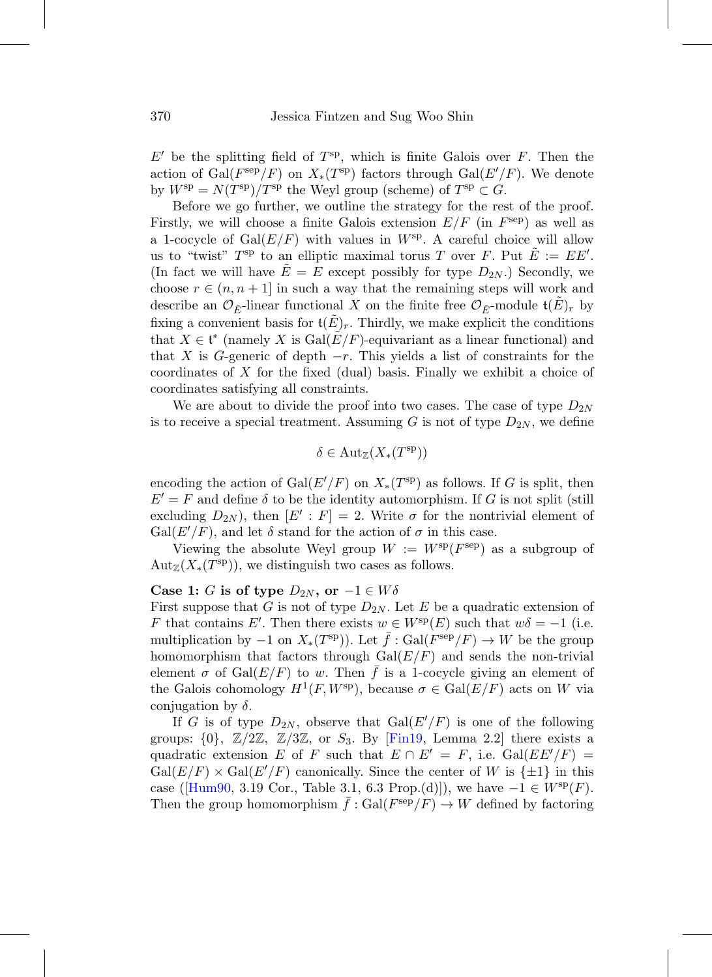$E'$  be the splitting field of  $T^{sp}$ , which is finite Galois over F. Then the action of  $Gal(F^{\text{sep}}/F)$  on  $X_*(T^{\text{sp}})$  factors through  $Gal(E'/F)$ . We denote by  $W^{\text{sp}} = N(T^{\text{sp}})/T^{\text{sp}}$  the Weyl group (scheme) of  $T^{\text{sp}} \subset G$ .

Before we go further, we outline the strategy for the rest of the proof. Firstly, we will choose a finite Galois extension  $E/F$  (in  $F<sup>sep</sup>$ ) as well as a 1-cocycle of  $Gal(E/F)$  with values in  $W^{sp}$ . A careful choice will allow us to "twist"  $T^{\text{sp}}$  to an elliptic maximal torus T over F. Put  $\tilde{E} := E E'$ . (In fact we will have  $\tilde{E} = E$  except possibly for type  $D_{2N}$ .) Secondly, we choose  $r \in (n, n+1]$  in such a way that the remaining steps will work and describe an  $\mathcal{O}_{\tilde{E}}$ -linear functional X on the finite free  $\mathcal{O}_{\tilde{E}}$ -module  $\mathfrak{t}(E)$ <sub>r</sub> by fixing a convenient basis for  $\mathfrak{t}(E)_r$ . Thirdly, we make explicit the conditions that  $X \in \mathfrak{t}^*$  (namely X is  $Gal(\tilde{E}/F)$ -equivariant as a linear functional) and that X is G-generic of depth  $-r$ . This yields a list of constraints for the coordinates of  $X$  for the fixed (dual) basis. Finally we exhibit a choice of coordinates satisfying all constraints.

We are about to divide the proof into two cases. The case of type  $D_{2N}$ is to receive a special treatment. Assuming G is not of type  $D_{2N}$ , we define

$$
\delta \in \mathrm{Aut}_{\mathbb{Z}}(X_*(T^{\rm sp}))
$$

encoding the action of  $Gal(E'/F)$  on  $X_*(T^{\text{sp}})$  as follows. If G is split, then  $E' = F$  and define  $\delta$  to be the identity automorphism. If G is not split (still excluding  $D_{2N}$ , then  $[E' : F] = 2$ . Write  $\sigma$  for the nontrivial element of  $Gal(E'/F)$ , and let  $\delta$  stand for the action of  $\sigma$  in this case.

Viewing the absolute Weyl group  $W := W^{\text{sp}}(F^{\text{sep}})$  as a subgroup of  $\text{Aut}_{\mathbb{Z}}(X_*(T^{\text{sp}}))$ , we distinguish two cases as follows.

#### **Case 1:** G is of type  $D_{2N}$ , or  $-1 \in W \delta$

First suppose that G is not of type  $D_{2N}$ . Let E be a quadratic extension of F that contains E'. Then there exists  $w \in W^{\text{sp}}(E)$  such that  $w\delta = -1$  (i.e. multiplication by  $-1$  on  $X_*(T^{\rm sp})$ ). Let  $f: Gal(F^{\rm sep}/F) \to W$  be the group homomorphism that factors through  $Gal(E/F)$  and sends the non-trivial element  $\sigma$  of Gal $(E/F)$  to w. Then f is a 1-cocycle giving an element of the Galois cohomology  $H^1(F, W^{\text{sp}})$ , because  $\sigma \in \text{Gal}(E/F)$  acts on W via conjugation by  $\delta$ .

If G is of type  $D_{2N}$ , observe that  $Gal(E'/F)$  is one of the following groups:  $\{0\}$ ,  $\mathbb{Z}/2\mathbb{Z}$ ,  $\mathbb{Z}/3\mathbb{Z}$ , or  $S_3$ . By [\[Fin19,](#page-76-5) Lemma 2.2] there exists a quadratic extension E of F such that  $E \cap E' = F$ , i.e.  $Gal(EE'/F) =$  $Gal(E/F) \times Gal(E'/F)$  canonically. Since the center of W is  $\{\pm 1\}$  in this case ( $[Hum90, 3.19$  $[Hum90, 3.19$  Cor., Table 3.1, 6.3 Prop.(d)), we have  $-1 \in W^{\rm sp}(F)$ . Then the group homomorphism  $f : \text{Gal}(F^{\text{sep}}/F) \to W$  defined by factoring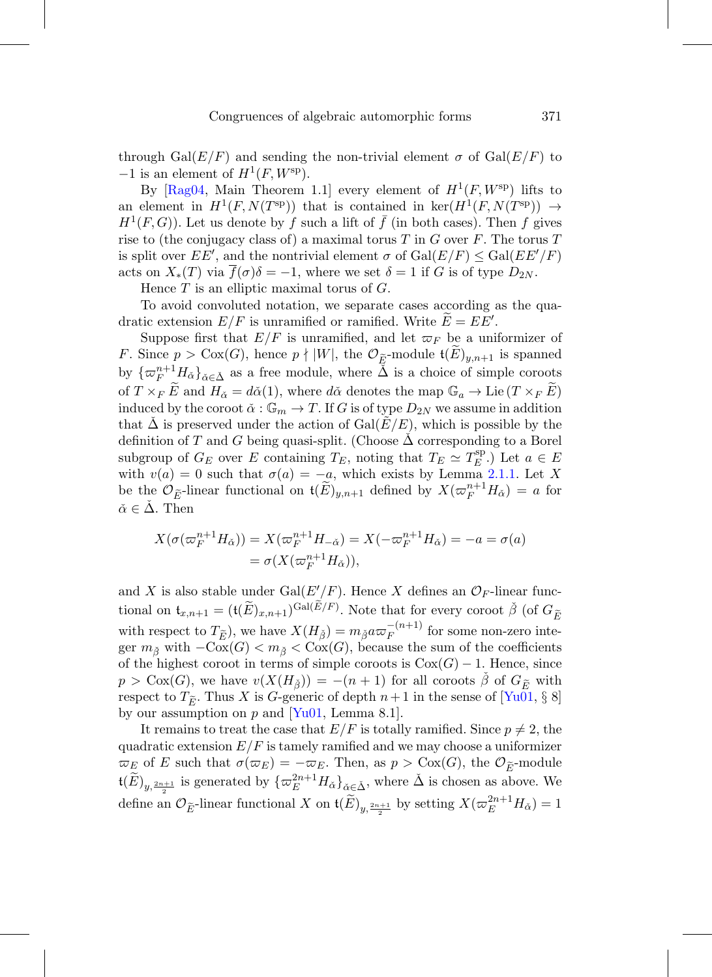through Gal( $E/F$ ) and sending the non-trivial element  $\sigma$  of Gal( $E/F$ ) to  $-1$  is an element of  $H^1(F, W^{\text{sp}})$ .

By  $[{\rm Rag04}, {\rm Main Theorem 1.1}]$  every element of  $H^1(F, W^{\rm sp})$  lifts to an element in  $H^1(F, N(T^{\text{sp}}))$  that is contained in ker $(H^1(F, N(T^{\text{sp}}))) \rightarrow$  $H^1(F, G)$ ). Let us denote by f such a lift of f (in both cases). Then f gives rise to (the conjugacy class of) a maximal torus T in G over  $F$ . The torus T is split over  $EE'$ , and the nontrivial element  $\sigma$  of  $Gal(E/F) \le Gal(EE'/F)$ acts on  $X_*(T)$  via  $f(\sigma)\delta = -1$ , where we set  $\delta = 1$  if G is of type  $D_{2N}$ .

Hence  $T$  is an elliptic maximal torus of  $G$ .

To avoid convoluted notation, we separate cases according as the quadratic extension  $E/F$  is unramified or ramified. Write  $E = EE'$ .

Suppose first that  $E/F$  is unramified, and let  $\varpi_F$  be a uniformizer of F. Since  $p > \text{Cox}(G)$ , hence  $p \nmid |W|$ , the  $\mathcal{O}_{\tilde{E}}$ -module  $\mathfrak{t}(E)_{y,n+1}$  is spanned by  $\{\varpi_F^{n+1} H_{\check{\alpha}}\}_{{\check{\alpha}} \in {\check{\Delta}}}$  as a free module, where  $\tilde{\check{\Delta}}$  is a choice of simple coroots of  $T \times_F E$  and  $H_{\alpha} = d\alpha(1)$ , where  $d\alpha$  denotes the map  $\mathbb{G}_a \to \text{Lie}(T \times_F E)$ induced by the coroot  $\check{\alpha}: \mathbb{G}_m \to T$ . If G is of type  $D_{2N}$  we assume in addition that  $\Delta$  is preserved under the action of  $Gal(E/E)$ , which is possible by the definition of T and G being quasi-split. (Choose  $\Delta$  corresponding to a Borel subgroup of  $G_E$  over E containing  $T_E$ , noting that  $T_E \simeq T_E^{\text{sp}}$ .) Let  $a \in E$ with  $v(a) = 0$  such that  $\sigma(a) = -a$ , which exists by Lemma [2.1.1.](#page-17-3) Let X be the  $\mathcal{O}_{\widetilde{E}}$ -linear functional on  $\mathfrak{t}(\widetilde{E})_{y,n+1}$  defined by  $X(\varpi_F^{n+1}H_{\check{\alpha}})=a$  for  $\check{\alpha} \in \Delta$ . Then

$$
X(\sigma(\varpi_F^{n+1}H_{\check{\alpha}})) = X(\varpi_F^{n+1}H_{-\check{\alpha}}) = X(-\varpi_F^{n+1}H_{\check{\alpha}}) = -a = \sigma(a)
$$
  
=  $\sigma(X(\varpi_F^{n+1}H_{\check{\alpha}})),$ 

and X is also stable under  $Gal(E'/F)$ . Hence X defines an  $\mathcal{O}_F$ -linear functional on  $\mathfrak{t}_{x,n+1} = (\mathfrak{t}(\widetilde{E})_{x,n+1})^{\mathrm{Gal}(\widetilde{E}/F)}$ . Note that for every coroot  $\check{\beta}$  (of  $G_{\widetilde{E}}$ with respect to  $T_{\tilde{E}}$ ), we have  $X(H_{\tilde{\beta}}) = m_{\tilde{\beta}} a \varpi_F^{-(n+1)}$  for some non-zero integer  $m_{\tilde{\beta}}$  with  $-\overline{\text{Cox}}(G) < m_{\tilde{\beta}} < \overline{\text{Cox}}(G)$ , because the sum of the coefficients of the highest coroot in terms of simple coroots is  $Cox(G) - 1$ . Hence, since  $p > \text{Cox}(G)$ , we have  $v(X(H_{\check{\beta}})) = -(n+1)$  for all coroots  $\check{\beta}$  of  $G_{\tilde{E}}$  with respect to  $T_{\tilde{E}}$ . Thus X is G-generic of depth  $n+1$  in the sense of  $[Yu01, \S 8]$  $[Yu01, \S 8]$ by our assumption on  $p$  and  $|Yu01$ , Lemma 8.1.

It remains to treat the case that  $E/F$  is totally ramified. Since  $p \neq 2$ , the quadratic extension  $E/F$  is tamely ramified and we may choose a uniformizer  $\overline{\omega}_E$  of E such that  $\sigma(\overline{\omega}_E) = -\overline{\omega}_E$ . Then, as  $p > \text{Cox}(G)$ , the  $\mathcal{O}_{\widetilde{E}}$ -module  $\mathfrak{t}(\widetilde{E})_{y,\frac{2n+1}{2}}$  is generated by  $\{\varpi_E^{2n+1}H_{\check{\alpha}}\}_{\check{\alpha}\in\check{\Delta}}$ , where  $\check{\Delta}$  is chosen as above. We define an  $\mathcal{O}_{\widetilde{E}}$ -linear functional X on  $\mathfrak{t}(\widetilde{E})_{y,\frac{2n+1}{2}}$  by setting  $X(\varpi_E^{2n+1}H_{\check{\alpha}})=1$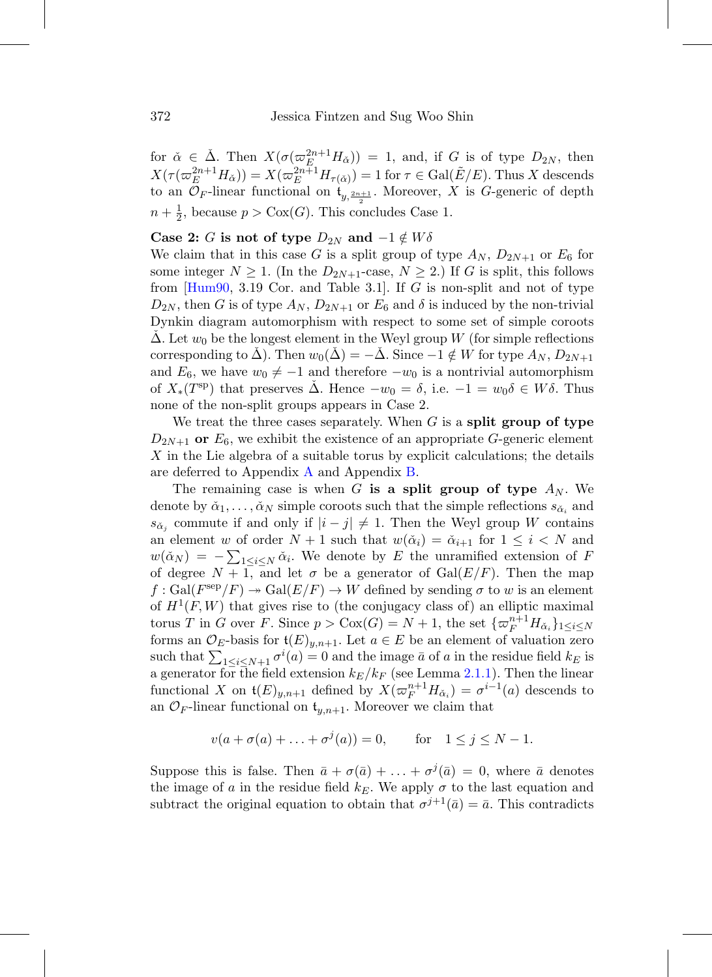for  $\check{\alpha} \in \check{\Delta}$ . Then  $X(\sigma(\varpi_E^{2n+1}H_{\check{\alpha}})) = 1$ , and, if G is of type  $D_{2N}$ , then  $X(\tau(\varpi_E^{2n+1}H_{\check{\alpha}})) = X(\varpi_E^{2n+1}H_{\tau(\check{\alpha})}) = 1$  for  $\tau \in \text{Gal}(\tilde{E}/E)$ . Thus X descends to an  $\mathcal{O}_F$ -linear functional on  $\mathfrak{t}_{y, \frac{2n+1}{2}}$ . Moreover, X is G-generic of depth  $n + \frac{1}{2}$ , because  $p > \text{Cox}(G)$ . This concludes Case 1.

#### **Case 2:** G is not of type  $D_{2N}$  and  $-1 \notin W \delta$

We claim that in this case G is a split group of type  $A_N$ ,  $D_{2N+1}$  or  $E_6$  for some integer  $N \geq 1$ . (In the  $D_{2N+1}$ -case,  $N \geq 2$ .) If G is split, this follows from  $[Hum90, 3.19]$  $[Hum90, 3.19]$  Cor. and Table 3.1. If G is non-split and not of type  $D_{2N}$ , then G is of type  $A_N$ ,  $D_{2N+1}$  or  $E_6$  and  $\delta$  is induced by the non-trivial Dynkin diagram automorphism with respect to some set of simple coroots  $\Delta$ . Let  $w_0$  be the longest element in the Weyl group W (for simple reflections corresponding to  $\Delta$ ). Then  $w_0(\Delta) = -\Delta$ . Since  $-1 \notin W$  for type  $A_N$ ,  $D_{2N+1}$ and  $E_6$ , we have  $w_0 \neq -1$  and therefore  $-w_0$  is a nontrivial automorphism of  $X_*(T^{\text{sp}})$  that preserves  $\Delta$ . Hence  $-w_0 = \delta$ , i.e.  $-1 = w_0 \delta \in W \delta$ . Thus none of the non-split groups appears in Case 2.

We treat the three cases separately. When G is a **split group of type**  $D_{2N+1}$  or  $E_6$ , we exhibit the existence of an appropriate G-generic element X in the Lie algebra of a suitable torus by explicit calculations; the details are deferred to Appendix [A](#page-54-0) and Appendix [B.](#page-57-0)

The remaining case is when G is a split group of type  $A_N$ . We denote by  $\check{\alpha}_1,\ldots,\check{\alpha}_N$  simple coroots such that the simple reflections  $s_{\check{\alpha}_i}$  and  $s_{\alpha_i}$  commute if and only if  $|i-j| \neq 1$ . Then the Weyl group W contains an element w of order  $N + 1$  such that  $w(\check{\alpha}_i) = \check{\alpha}_{i+1}$  for  $1 \leq i \leq N$  and  $w(\check{\alpha}_N) = -\sum_{1 \leq i \leq N} \check{\alpha}_i$ . We denote by E the unramified extension of F of degree  $N + 1$ , and let  $\sigma$  be a generator of Gal( $E/F$ ). Then the map  $f: Gal(F<sup>sep</sup>/F) \rightarrow Gal(E/F) \rightarrow W$  defined by sending  $\sigma$  to w is an element of  $H^1(F, W)$  that gives rise to (the conjugacy class of) an elliptic maximal torus T in G over F. Since  $p > \text{Cox}(G) = N + 1$ , the set  $\{\varpi_F^{n+1} H_{\check{\alpha}_i}\}_{1 \leq i \leq N}$ forms an  $\mathcal{O}_E$ -basis for  $\mathfrak{t}(E)_{y,n+1}$ . Let  $a \in E$  be an element of valuation zero such that  $\sum_{1 \leq i \leq N+1} \sigma^i(a) = 0$  and the image  $\bar{a}$  of a in the residue field  $k_E$  is a generator for the field extension  $k_E/k_F$  (see Lemma [2.1.1\)](#page-17-3). Then the linear functional X on  $\mathfrak{t}(E)_{y,n+1}$  defined by  $X(\varpi_F^{n+1}H_{\check{\alpha}_i}) = \sigma^{i-1}(a)$  descends to an  $\mathcal{O}_F$ -linear functional on  $\mathfrak{t}_{u,n+1}$ . Moreover we claim that

$$
v(a + \sigma(a) + ... + \sigma^{j}(a)) = 0
$$
, for  $1 \le j \le N - 1$ .

Suppose this is false. Then  $\bar{a} + \sigma(\bar{a}) + \ldots + \sigma^{j}(\bar{a}) = 0$ , where  $\bar{a}$  denotes the image of a in the residue field  $k_E$ . We apply  $\sigma$  to the last equation and subtract the original equation to obtain that  $\sigma^{j+1}(\bar{a})=\bar{a}$ . This contradicts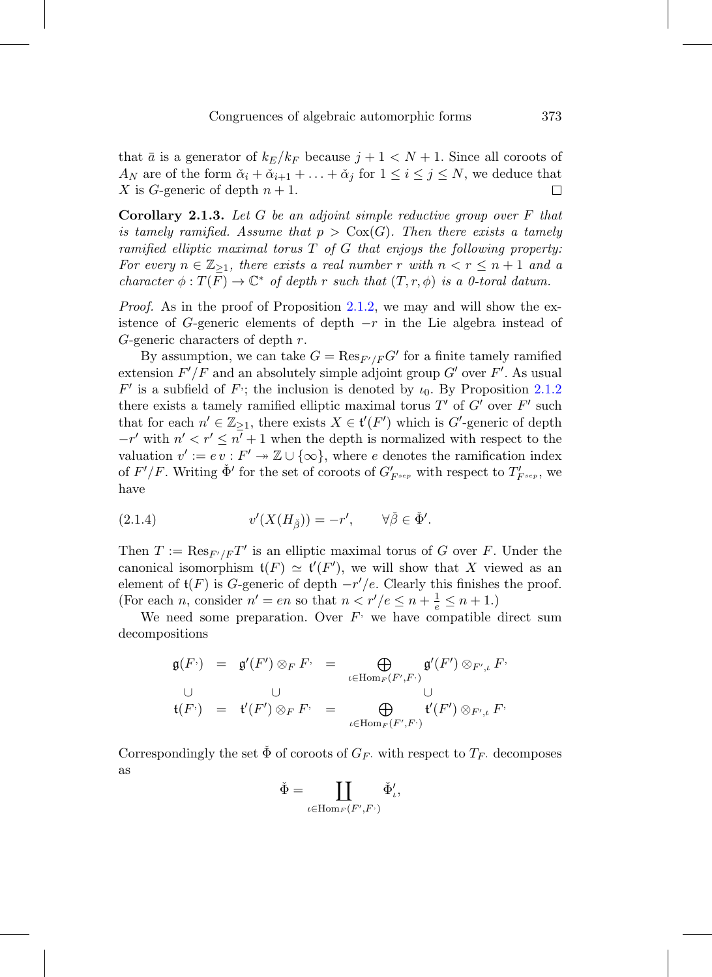that  $\bar{a}$  is a generator of  $k_E/k_F$  because  $j+1 < N+1$ . Since all coroots of  $A_N$  are of the form  $\check{\alpha}_i + \check{\alpha}_{i+1} + \ldots + \check{\alpha}_j$  for  $1 \leq i \leq j \leq N$ , we deduce that X is G-generic of depth  $n + 1$ . □

<span id="page-22-1"></span>**Corollary 2.1.3.** Let G be an adjoint simple reductive group over F that is tamely ramified. Assume that  $p > \text{Cox}(G)$ . Then there exists a tamely ramified elliptic maximal torus  $T$  of  $G$  that enjoys the following property: For every  $n \in \mathbb{Z}_{\geq 1}$ , there exists a real number r with  $n < r \leq n+1$  and a character  $\phi: T(F) \to \mathbb{C}^*$  of depth r such that  $(T, r, \phi)$  is a 0-toral datum.

Proof. As in the proof of Proposition [2.1.2,](#page-18-0) we may and will show the existence of G-generic elements of depth  $-r$  in the Lie algebra instead of G-generic characters of depth  $r$ .

By assumption, we can take  $G = \text{Res}_{F'/F} G'$  for a finite tamely ramified extension  $F'/F$  and an absolutely simple adjoint group  $G'$  over  $F'$ . As usual  $F'$  is a subfield of  $F$ ; the inclusion is denoted by  $\iota_0$ . By Proposition [2.1.2](#page-18-0) there exists a tamely ramified elliptic maximal torus  $T'$  of  $G'$  over  $F'$  such that for each  $n' \in \mathbb{Z}_{\geq 1}$ , there exists  $X \in \mathfrak{t}'(F')$  which is G'-generic of depth  $-r'$  with  $n' < r' \leq n' + 1$  when the depth is normalized with respect to the valuation  $v' := ev : F' \to \mathbb{Z} \cup \{\infty\}$ , where e denotes the ramification index of  $F'/F$ . Writing  $\check{\Phi}'$  for the set of coroots of  $G'_{F^{sep}}$  with respect to  $T'_{F^{sep}}$ , we have

<span id="page-22-0"></span>(2.1.4) 
$$
v'(X(H_{\tilde{\beta}})) = -r', \qquad \forall \tilde{\beta} \in \check{\Phi}'.
$$

Then  $T := \text{Res}_{F'/F} T'$  is an elliptic maximal torus of G over F. Under the canonical isomorphism  $\mathfrak{t}(F) \simeq \mathfrak{t}'(F')$ , we will show that X viewed as an element of  $\mathfrak{t}(F)$  is G-generic of depth  $-r'/e$ . Clearly this finishes the proof. (For each *n*, consider  $n' = en$  so that  $n < r'/e \le n + \frac{1}{e} \le n + 1$ .)

We need some preparation. Over  $F<sup>l</sup>$  we have compatible direct sum decompositions

$$
\mathfrak{g}(F) = \mathfrak{g}'(F') \otimes_F F = \bigoplus_{\iota \in \text{Hom}_F(F',F')} \mathfrak{g}'(F') \otimes_{F',\iota} F
$$
\n
$$
\cup \qquad \qquad \cup
$$
\n
$$
\mathfrak{t}(F') = \mathfrak{t}'(F') \otimes_F F = \bigoplus_{\iota \in \text{Hom}_F(F',F')} \mathfrak{t}'(F') \otimes_{F',\iota} F
$$

Correspondingly the set  $\check{\Phi}$  of coroots of  $G_F$ , with respect to  $T_F$ , decomposes as

$$
\check{\Phi} = \coprod_{\iota \in \operatorname{Hom}_F(F',F\cdot)} \check{\Phi}'_{\iota},
$$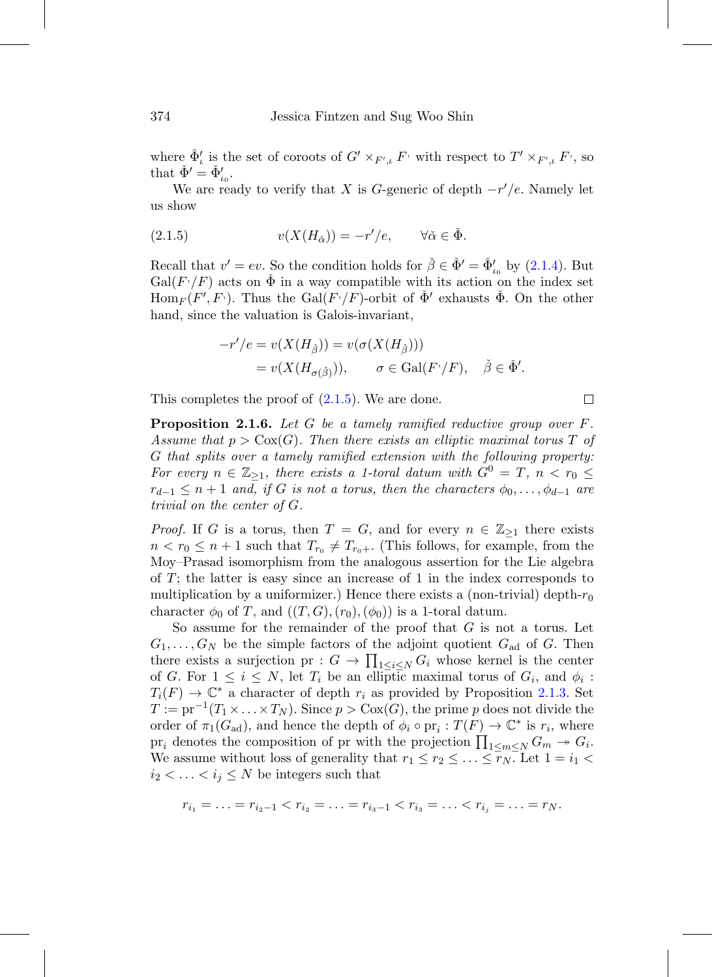where  $\check{\Phi}'_t$  is the set of coroots of  $G' \times_{F',\iota} F$ , with respect to  $T' \times_{F',\iota} F$ , so that  $\check{\Phi}' = \check{\Phi}'_{\iota_0}$ .

We are ready to verify that X is G-generic of depth  $-r'/e$ . Namely let us show

<span id="page-23-1"></span>(2.1.5) 
$$
v(X(H_{\check{\alpha}})) = -r'/e, \quad \forall \check{\alpha} \in \check{\Phi}.
$$

Recall that  $v' = ev$ . So the condition holds for  $\check{\beta} \in \check{\Phi}' = \check{\Phi}'_{t_0}$  by [\(2.1.4\)](#page-22-0). But  $Gal(F'/F)$  acts on  $\check{\Phi}$  in a way compatible with its action on the index set  $\text{Hom}_F(F',F)$ . Thus the Gal(F $\gamma$ /F)-orbit of  $\check{\Phi}'$  exhausts  $\check{\Phi}$ . On the other hand, since the valuation is Galois-invariant,

$$
-r'/e = v(X(H_{\check{\beta}})) = v(\sigma(X(H_{\check{\beta}})))
$$
  
=  $v(X(H_{\sigma(\check{\beta}}))), \quad \sigma \in Gal(F'/F), \quad \check{\beta} \in \check{\Phi}'.$ 

This completes the proof of  $(2.1.5)$ . We are done.

<span id="page-23-0"></span>**Proposition 2.1.6.** Let G be a tamely ramified reductive group over F. Assume that  $p > \text{Cox}(G)$ . Then there exists an elliptic maximal torus T of G that splits over a tamely ramified extension with the following property: For every  $n \in \mathbb{Z}_{\geq 1}$ , there exists a 1-toral datum with  $G^0 = T$ ,  $n < r_0 \leq$  $r_{d-1} \leq n+1$  and, if G is not a torus, then the characters  $\phi_0, \ldots, \phi_{d-1}$  are trivial on the center of G.

*Proof.* If G is a torus, then  $T = G$ , and for every  $n \in \mathbb{Z}_{\geq 1}$  there exists  $n < r_0 \leq n+1$  such that  $T_{r_0} \neq T_{r_0+}$ . (This follows, for example, from the Moy–Prasad isomorphism from the analogous assertion for the Lie algebra of T; the latter is easy since an increase of 1 in the index corresponds to multiplication by a uniformizer.) Hence there exists a (non-trivial) depth- $r_0$ character  $\phi_0$  of T, and  $((T,G),(r_0),(\phi_0))$  is a 1-toral datum.

So assume for the remainder of the proof that  $G$  is not a torus. Let  $G_1,\ldots,G_N$  be the simple factors of the adjoint quotient  $G_{ad}$  of G. Then there exists a surjection pr :  $G \to \prod_{1 \leq i \leq N} G_i$  whose kernel is the center of G. For  $1 \leq i \leq N$ , let  $T_i$  be an elliptic maximal torus of  $G_i$ , and  $\phi_i$ :  $T_i(F) \to \mathbb{C}^*$  a character of depth  $r_i$  as provided by Proposition [2.1.3.](#page-22-1) Set  $T := pr^{-1}(T_1 \times \ldots \times T_N)$ . Since  $p > \text{Cox}(G)$ , the prime p does not divide the order of  $\pi_1(G_{ad})$ , and hence the depth of  $\phi_i \circ pr_i : T(F) \to \mathbb{C}^*$  is  $r_i$ , where pr<sub>i</sub> denotes the composition of pr with the projection  $\prod_{1 \le m \le N} G_m \to G_i$ . We assume without loss of generality that  $r_1 \le r_2 \le \ldots \le \overline{r_N}$ . Let  $1 = i_1 <$  $i_2 < \ldots < i_j \leq N$  be integers such that

$$
r_{i_1}=\ldots=r_{i_2-1}
$$

 $\Box$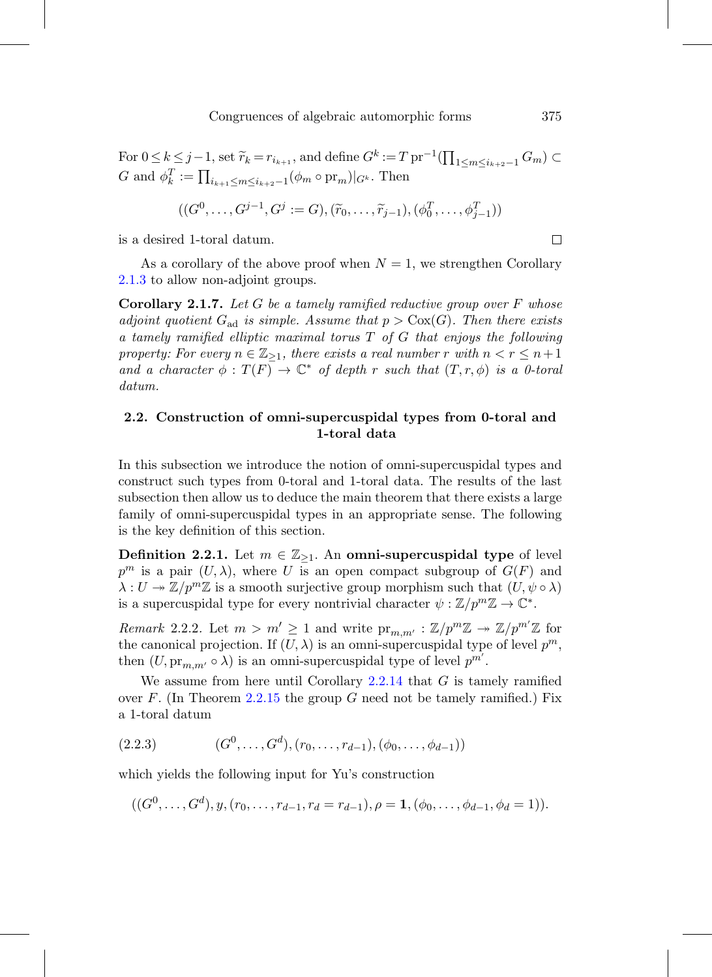$$
((G^0, \ldots, G^{j-1}, G^j := G), (\tilde{r}_0, \ldots, \tilde{r}_{j-1}), (\phi_0^T, \ldots, \phi_{j-1}^T))
$$

is a desired 1-toral datum.

As a corollary of the above proof when  $N = 1$ , we strengthen Corollary [2.1.3](#page-22-1) to allow non-adjoint groups.

**Corollary 2.1.7.** Let G be a tamely ramified reductive group over F whose adjoint quotient  $G_{ad}$  is simple. Assume that  $p > \text{Cox}(G)$ . Then there exists a tamely ramified elliptic maximal torus T of G that enjoys the following property: For every  $n \in \mathbb{Z}_{\geq 1}$ , there exists a real number r with  $n < r \leq n+1$ and a character  $\phi: T(F) \to \mathbb{C}^*$  of depth r such that  $(T, r, \phi)$  is a 0-toral datum.

# <span id="page-24-0"></span>**2.2. Construction of omni-supercuspidal types from 0-toral and 1-toral data**

In this subsection we introduce the notion of omni-supercuspidal types and construct such types from 0-toral and 1-toral data. The results of the last subsection then allow us to deduce the main theorem that there exists a large family of omni-supercuspidal types in an appropriate sense. The following is the key definition of this section.

<span id="page-24-1"></span>**Definition 2.2.1.** Let  $m \in \mathbb{Z}_{\geq 1}$ . An **omni-supercuspidal type** of level  $p^m$  is a pair  $(U, \lambda)$ , where U is an open compact subgroup of  $G(F)$  and  $\lambda: U \twoheadrightarrow \mathbb{Z}/p^m\mathbb{Z}$  is a smooth surjective group morphism such that  $(U, \psi \circ \lambda)$ is a supercuspidal type for every nontrivial character  $\psi : \mathbb{Z}/p^m \mathbb{Z} \to \mathbb{C}^*$ .

<span id="page-24-3"></span>Remark 2.2.2. Let  $m > m' \geq 1$  and write  $\text{pr}_{m,m'} : \mathbb{Z}/p^m \mathbb{Z} \to \mathbb{Z}/p^{m'} \mathbb{Z}$  for the canonical projection. If  $(U, \lambda)$  is an omni-supercuspidal type of level  $p^m$ , then  $(U, \mathrm{pr}_{m,m'} \circ \lambda)$  is an omni-supercuspidal type of level  $p^{m'}$ .

We assume from here until Corollary  $2.2.14$  that G is tamely ramified over F. (In Theorem [2.2.15](#page-31-0) the group G need not be tamely ramified.) Fix a 1-toral datum

<span id="page-24-2"></span>
$$
(2.2.3) \qquad (G^0, \ldots, G^d), (r_0, \ldots, r_{d-1}), (\phi_0, \ldots, \phi_{d-1}))
$$

which yields the following input for Yu's construction

$$
((G^0,\ldots,G^d),y,(r_0,\ldots,r_{d-1},r_d=r_{d-1}),\rho=\mathbf{1},(\phi_0,\ldots,\phi_{d-1},\phi_d=1)).
$$

 $\Box$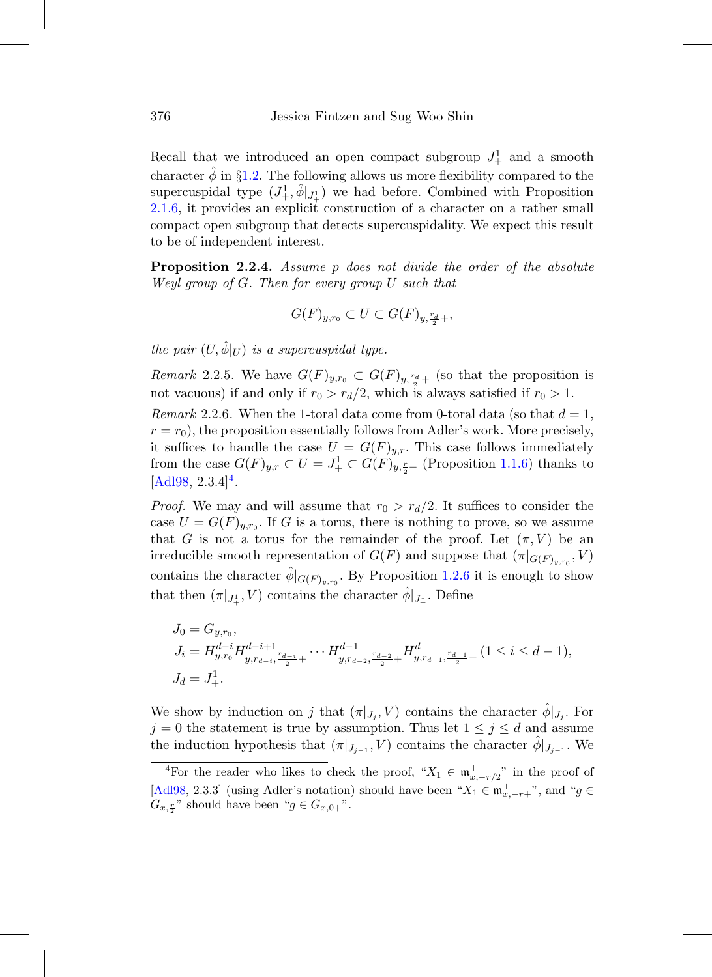Recall that we introduced an open compact subgroup  $J^1_+$  and a smooth character  $\hat{\phi}$  in §[1.2.](#page-13-0) The following allows us more flexibility compared to the supercuspidal type  $(J^1_+, \hat{\phi}|_{J^1_+})$  we had before. Combined with Proposition [2.1.6,](#page-23-0) it provides an explicit construction of a character on a rather small compact open subgroup that detects supercuspidality. We expect this result to be of independent interest.

<span id="page-25-0"></span>**Proposition 2.2.4.** Assume p does not divide the order of the absolute Weyl group of G. Then for every group U such that

$$
G(F)_{y,r_0} \subset U \subset G(F)_{y,\frac{r_d}{2}+},
$$

the pair  $(U, \hat{\phi}|_U)$  is a supercuspidal type.

*Remark* 2.2.5. We have  $G(F)_{y,r_0} \subset G(F)_{y,\frac{r_d}{2}+}$  (so that the proposition is not vacuous) if and only if  $r_0 > r_d/2$ , which is always satisfied if  $r_0 > 1$ .

Remark 2.2.6. When the 1-toral data come from 0-toral data (so that  $d = 1$ ,  $r = r_0$ , the proposition essentially follows from Adler's work. More precisely, it suffices to handle the case  $U = G(F)_{y,r}$ . This case follows immediately from the case  $G(F)_{y,r} \subset U = J^1_+ \subset G(F)_{y,\frac{r}{2}+}$  (Proposition [1.1.6\)](#page-13-2) thanks to  $[Ad198, 2.3.4]<sup>4</sup>.$  $[Ad198, 2.3.4]<sup>4</sup>.$  $[Ad198, 2.3.4]<sup>4</sup>.$ 

*Proof.* We may and will assume that  $r_0 > r_d/2$ . It suffices to consider the case  $U = G(F)_{u,r_0}$ . If G is a torus, there is nothing to prove, so we assume that G is not a torus for the remainder of the proof. Let  $(\pi, V)$  be an irreducible smooth representation of  $G(F)$  and suppose that  $(\pi|_{G(F)_{y,r_0}}, V)$ contains the character  $\hat{\phi}|_{G(F)_{y,r_0}}$ . By Proposition [1.2.6](#page-15-0) it is enough to show that then  $(\pi|_{J^1_+}, V)$  contains the character  $\hat{\phi}|_{J^1_+}$ . Define

$$
J_0 = G_{y,r_0},
$$
  
\n
$$
J_i = H_{y,r_0}^{d-i} H_{y,r_{d-i},\frac{r_{d-i}}{2}+}^{d-i+1} \cdots H_{y,r_{d-2},\frac{r_{d-2}}{2}+}^{d-1} H_{y,r_{d-1},\frac{r_{d-1}}{2}+}^d (1 \le i \le d-1),
$$
  
\n
$$
J_d = J_+^1.
$$

We show by induction on j that  $(\pi|_{J_i}, V)$  contains the character  $\hat{\phi}|_{J_i}$ . For  $j = 0$  the statement is true by assumption. Thus let  $1 \leq j \leq d$  and assume the induction hypothesis that  $(\pi|_{J_{i-1}}, V)$  contains the character  $\phi|_{J_{i-1}}$ . We

<span id="page-25-1"></span><sup>&</sup>lt;sup>4</sup>For the reader who likes to check the proof, " $X_1 \in \mathfrak{m}^{\perp}_{x,-r/2}$ " in the proof of [\[Adl98](#page-74-1), 2.3.3] (using Adler's notation) should have been " $X_1 \in \mathfrak{m}^{\perp}_{x,-r+}$ ", and " $g \in$  $G_{x, \frac{r}{2}}$ " should have been " $g \in G_{x,0+}$ ".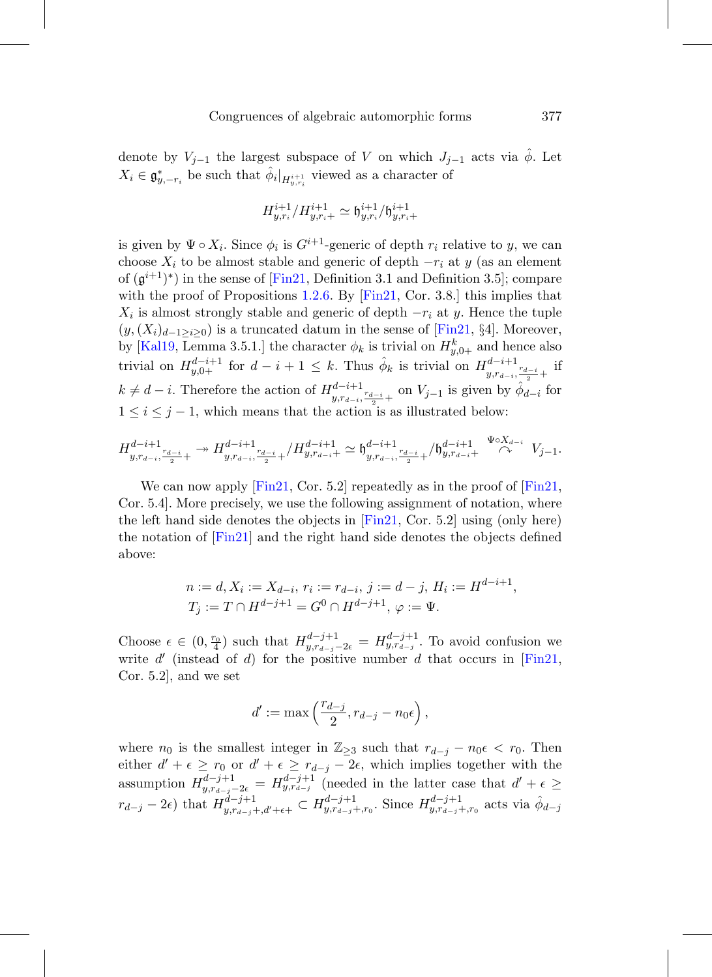denote by  $V_{j-1}$  the largest subspace of V on which  $J_{j-1}$  acts via  $\hat{\phi}$ . Let  $X_i \in \mathfrak{g}_{y,-r_i}^*$  be such that  $\hat{\phi}_i|_{H^{i+1}_{y,r_i}}$  viewed as a character of

$$
H^{i+1}_{y,r_i}/H^{i+1}_{y,r_i+} \simeq \mathfrak{h}^{i+1}_{y,r_i}/\mathfrak{h}^{i+1}_{y,r_i+}
$$

is given by  $\Psi \circ X_i$ . Since  $\phi_i$  is  $G^{i+1}$ -generic of depth  $r_i$  relative to y, we can choose  $X_i$  to be almost stable and generic of depth  $-r_i$  at y (as an element of  $(\mathfrak{g}^{i+1})^*$ ) in the sense of [\[Fin21,](#page-76-1) Definition 3.1 and Definition 3.5]; compare with the proof of Propositions [1.2.6.](#page-15-0) By [\[Fin21,](#page-76-1) Cor. 3.8.] this implies that  $X_i$  is almost strongly stable and generic of depth  $-r_i$  at y. Hence the tuple  $(y,(X_i)_{d-1>i>0})$  is a truncated datum in the sense of [\[Fin21,](#page-76-1) §4]. Moreover, by [\[Kal19](#page-76-3), Lemma 3.5.1.] the character  $\phi_k$  is trivial on  $H_{y,0+}^k$  and hence also trivial on  $H_{y,0+}^{d-i+1}$  for  $d-i+1 \leq k$ . Thus  $\hat{\phi}_k$  is trivial on  $H_{y,r_{d-i},\frac{r_{d-i}}{2}+}^{d-i+1}$  if  $k \neq d-i$ . Therefore the action of  $H^{d-i+1}_{y,r_{d-i},\frac{r_{d-i}}{2}+}$  on  $V_{j-1}$  is given by  $\hat{\phi}_{d-i}$  for  $1 \leq i \leq j-1$ , which means that the action is as illustrated below:

$$
H_{y,r_{d-i},\frac{r_{d-i}}{2}+}^{d-i+1} \twoheadrightarrow H_{y,r_{d-i},\frac{r_{d-i}}{2}+}^{d-i+1}/H_{y,r_{d-i},\frac{r_{d-i}}{2}+}^{d-i+1} \simeq \mathfrak{h}_{y,r_{d-i},\frac{r_{d-i}}{2}+}^{d-i+1}/\mathfrak{h}_{y,r_{d-i},\frac{\Psi\circ X_{d-i}}{\curvearrowright}}^{d-i+1} V_{j-1}.
$$

We can now apply  $[Fin21, Cor. 5.2]$  $[Fin21, Cor. 5.2]$  repeatedly as in the proof of  $[Fin21,$  $[Fin21,$ Cor. 5.4]. More precisely, we use the following assignment of notation, where the left hand side denotes the objects in [\[Fin21,](#page-76-1) Cor. 5.2] using (only here) the notation of [\[Fin21](#page-76-1)] and the right hand side denotes the objects defined above:

$$
n := d, X_i := X_{d-i}, r_i := r_{d-i}, j := d-j, H_i := H^{d-i+1},
$$
  
\n
$$
T_j := T \cap H^{d-j+1} = G^0 \cap H^{d-j+1}, \varphi := \Psi.
$$

Choose  $\epsilon \in (0, \frac{r_0}{4})$  such that  $H_{y, r_{d-j}-2\epsilon}^{d-j+1} = H_{y, r_{d-j}}^{d-j+1}$ . To avoid confusion we write  $d'$  (instead of d) for the positive number d that occurs in [\[Fin21](#page-76-1), Cor. 5.2], and we set

$$
d' := \max\left(\frac{r_{d-j}}{2}, r_{d-j} - n_0\epsilon\right),
$$

where  $n_0$  is the smallest integer in  $\mathbb{Z}_{\geq 3}$  such that  $r_{d-j} - n_0 \epsilon < r_0$ . Then either  $d' + \epsilon \geq r_0$  or  $d' + \epsilon \geq r_{d-j} - 2\epsilon$ , which implies together with the assumption  $H_{y,r_{d-j}-2\epsilon}^{d-j+1} = H_{y,r_{d-j}}^{d-j+1}$  (needed in the latter case that  $d' + \epsilon \geq$  $r_{d-j} - 2\epsilon$ ) that  $H^{d-j+1}_{y,r_{d-j}+,d'+\epsilon+} \subset H^{d-j+1}_{y,r_{d-j}+,r_0}$ . Since  $H^{d-j+1}_{y,r_{d-j}+,r_0}$  acts via  $\hat{\phi}_{d-j}$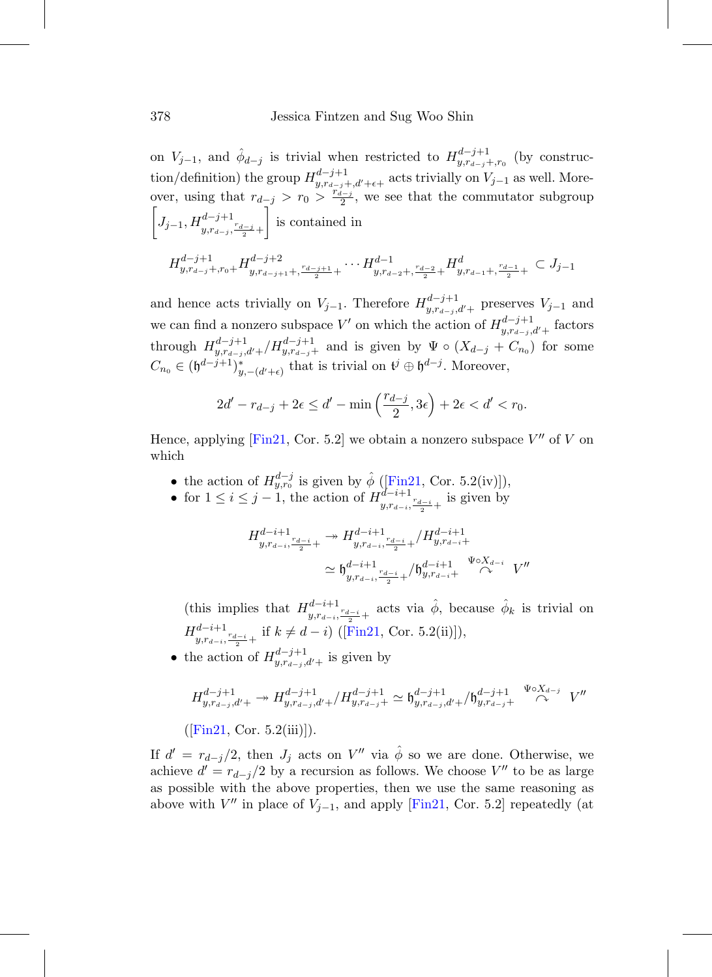on  $V_{j-1}$ , and  $\hat{\phi}_{d-j}$  is trivial when restricted to  $H^{d-j+1}_{y,r_{d-j}+,r_0}$  (by construction/definition) the group  $H_{y,r_{d-j}+d'+\epsilon+}^{d-j+1}$  acts trivially on  $V_{j-1}$  as well. Moreover, using that  $r_{d-j} > r_0 > \frac{r_{d-j}}{2}$ , we see that the commutator subgroup  $\left[ J_{j-1}, H^{d-j+1}_{y,r_{d-j}, \frac{r_{d-j}}{2}+} \right]$ is contained in

$$
H_{y,r_{d-j}+,r_0+}^{d-j+1}H_{y,r_{d-j+1}+, \frac{r_{d-j+1}}{2}+}^{d-j+2}\cdots H_{y,r_{d-2}+, \frac{r_{d-2}}{2}+}^{d-1}H_{y,r_{d-1}+, \frac{r_{d-1}}{2}+}^{d}\subset J_{j-1}
$$

and hence acts trivially on  $V_{j-1}$ . Therefore  $H_{y,r_{d-j},d'+}^{d-j+1}$  preserves  $V_{j-1}$  and we can find a nonzero subspace V' on which the action of  $H_{y,r_{d-j},d'+}^{d-j+1}$  factors through  $H_{y,r_{d-j},d'+}^{d-j+1}/H_{y,r_{d-j}+}^{d-j+1}$  and is given by  $\Psi \circ (X_{d-j} + C_{n_0})$  for some  $C_{n_0} \in (\mathfrak{h}^{d-j+1})_{y,-(d'+\epsilon)}^*$  that is trivial on  $\mathfrak{t}^j \oplus \mathfrak{h}^{d-j}$ . Moreover,

$$
2d' - r_{d-j} + 2\epsilon \le d' - \min\left(\frac{r_{d-j}}{2}, 3\epsilon\right) + 2\epsilon < d' < r_0.
$$

Hence, applying [\[Fin21](#page-76-1), Cor. 5.2] we obtain a nonzero subspace  $V''$  of V on which

- the action of  $H_{y,r_0}^{d-j}$  is given by  $\hat{\phi}$  ([\[Fin21,](#page-76-1) Cor. 5.2(iv)]),
- for  $1 \leq i \leq j-1$ , the action of  $H^{d-i+1}_{y,r_{d-i},\frac{r_{d-i}}{2}+}$  is given by

$$
H_{y,r_{d-i},\frac{r_{d-i}}{2}+}^{d-i+1} \rightarrow H_{y,r_{d-i},\frac{r_{d-i}}{2}+}^{d-i+1} / H_{y,r_{d-i},\frac{r_{d-i}}{2}+}^{d-i+1} / H_{y,r_{d-i},\frac{r_{d-i}}{2}+}^{d-i+1} / \mathfrak{h}_{y,r_{d-i},\frac{r_{d-i}}{\sqrt{\Delta}}}^{d-i+1} V''
$$

(this implies that  $H_{y,r_{d-i},\frac{r_{d-i}}{2}+}^{d-i+1}$  acts via  $\hat{\phi}$ , because  $\hat{\phi}_k$  is trivial on  $H_{y,r_{d-i},\frac{r_{d-i}}{2}+}^{d-i+1}$  if  $k \neq d-i$ ) ([\[Fin21,](#page-76-1) Cor. 5.2(ii)]),

• the action of  $H_{y,r_{d-j},d'+}^{d-j+1}$  is given by

$$
H_{y,r_{d-j},d'+}^{d-j+1} \to H_{y,r_{d-j},d'+}^{d-j+1} / H_{y,r_{d-j}+}^{d-j+1} \simeq \mathfrak{h}_{y,r_{d-j},d'+}^{d-j+1} / \mathfrak{h}_{y,r_{d-j}+}^{d-j+1} \overset{\Psi \circ X_{d-j}}{\curvearrowright} V''
$$

 $([Fin21, Cor. 5.2(iii)]).$  $([Fin21, Cor. 5.2(iii)]).$  $([Fin21, Cor. 5.2(iii)]).$ 

If  $d' = r_{d-j}/2$ , then  $J_j$  acts on  $V''$  via  $\hat{\phi}$  so we are done. Otherwise, we achieve  $d' = r_{d-j}/2$  by a recursion as follows. We choose V'' to be as large as possible with the above properties, then we use the same reasoning as above with  $V''$  in place of  $V_{j-1}$ , and apply [\[Fin21](#page-76-1), Cor. 5.2] repeatedly (at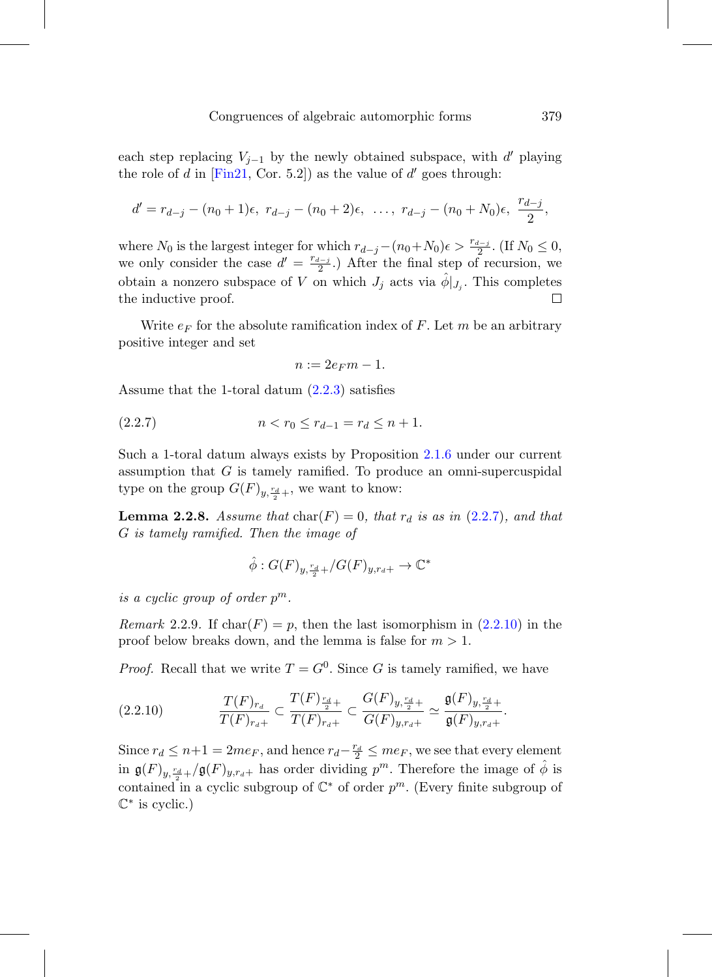each step replacing  $V_{j-1}$  by the newly obtained subspace, with d' playing the role of d in [\[Fin21](#page-76-1), Cor. 5.2]) as the value of  $d'$  goes through:

$$
d' = r_{d-j} - (n_0 + 1)\epsilon, \ r_{d-j} - (n_0 + 2)\epsilon, \ \ldots, \ r_{d-j} - (n_0 + N_0)\epsilon, \ \frac{r_{d-j}}{2},
$$

where  $N_0$  is the largest integer for which  $r_{d-j} - (n_0 + N_0)\epsilon > \frac{r_{d-j}}{2}$ . (If  $N_0 \le 0$ , we only consider the case  $d' = \frac{r_{d-j}}{2}$ .) After the final step of recursion, we obtain a nonzero subspace of V on which  $J_j$  acts via  $\phi|_{J_i}$ . This completes the inductive proof.  $\Box$ 

Write  $e_F$  for the absolute ramification index of F. Let m be an arbitrary positive integer and set

<span id="page-28-0"></span>
$$
n := 2e_F m - 1.
$$

Assume that the 1-toral datum [\(2.2.3\)](#page-24-2) satisfies

$$
(2.2.7) \t\t n < r_0 \le r_{d-1} = r_d \le n+1.
$$

Such a 1-toral datum always exists by Proposition [2.1.6](#page-23-0) under our current assumption that  $G$  is tamely ramified. To produce an omni-supercuspidal type on the group  $G(F)_{y, \frac{r_d}{2}+}$ , we want to know:

**Lemma 2.2.8.** Assume that  $char(F)=0$ , that  $r_d$  is as in [\(2.2.7\)](#page-28-0), and that G is tamely ramified. Then the image of

$$
\hat{\phi}: G(F)_{y, \frac{r_d}{2}+}/G(F)_{y, r_d+} \to \mathbb{C}^*
$$

is a cyclic group of order  $p^m$ .

*Remark* 2.2.9. If  $char(F) = p$ , then the last isomorphism in  $(2.2.10)$  in the proof below breaks down, and the lemma is false for  $m > 1$ .

*Proof.* Recall that we write  $T = G^0$ . Since G is tamely ramified, we have

<span id="page-28-1"></span>
$$
(2.2.10) \t\t T(F)_{r_d} \t T(F)_{r_{d+1}} \t T(F)_{r_{d+1}} \t T(F)_{r_{d+1}} \t T(F)_{r_{d+1}} \t T(F)_{r_{d+1}} \t T(F)_{r_{d+1}} \t T(F)_{r_{d+1}}.
$$

Since  $r_d \leq n+1 = 2me_F$ , and hence  $r_d - \frac{r_d}{2} \leq me_F$ , we see that every element in  $\mathfrak{g}(F)_{y,\frac{r_d}{2}+}/\mathfrak{g}(F)_{y,r_d+}$  has order dividing  $p^m$ . Therefore the image of  $\hat{\phi}$  is contained in a cyclic subgroup of  $\mathbb{C}^*$  of order  $p^m$ . (Every finite subgroup of  $\mathbb{C}^*$  is cyclic.)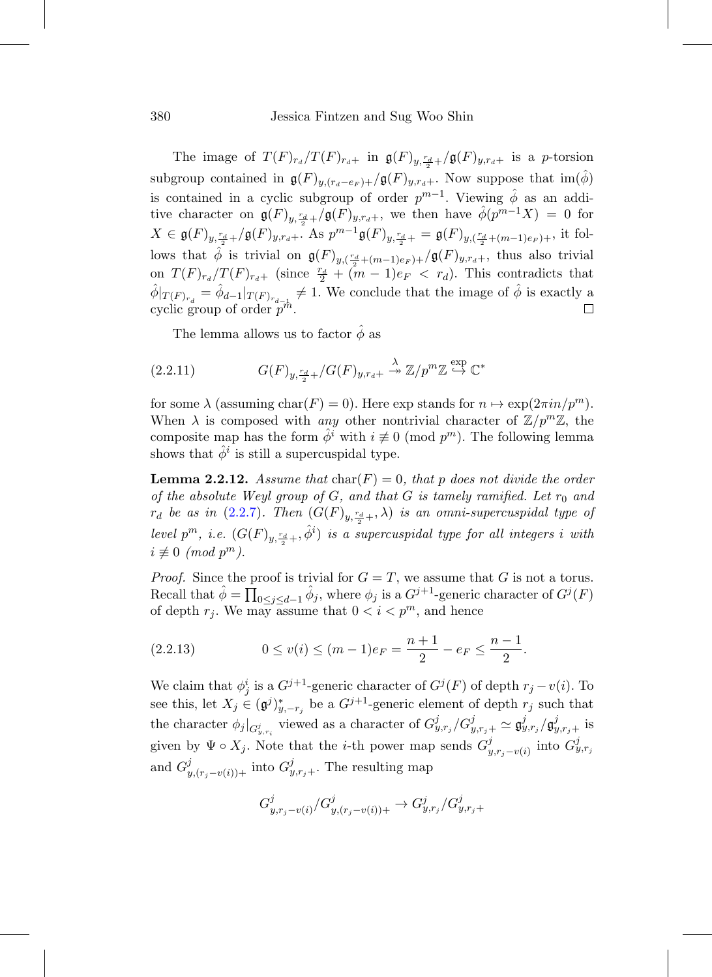The image of  $T(F)_{r_d}/T(F)_{r_d+}$  in  $\mathfrak{g}(F)_{y,\frac{r_d}{2}+}/\mathfrak{g}(F)_{y,r_d+}$  is a p-torsion subgroup contained in  $\mathfrak{g}(F)_{y,(r_d-e_F)+}/\mathfrak{g}(F)_{y,r_d+}$ . Now suppose that  $\text{im}(\hat{\phi})$ is contained in a cyclic subgroup of order  $p^{m-1}$ . Viewing  $\hat{\phi}$  as an additive character on  $\mathfrak{g}(F)_{y,\frac{r_d}{2}+}/\mathfrak{g}(F)_{y,r_d+}$ , we then have  $\hat{\phi}(p^{m-1}X) = 0$  for  $X \in \mathfrak{g}(F)_{y,\frac{r_d}{2}+}/\mathfrak{g}(F)_{y,r_d+}.$  As  $p^{m-1}\mathfrak{g}(F)_{y,\frac{r_d}{2}+} = \mathfrak{g}(F)_{y,(\frac{r_d}{2}+(m-1)e_F)+},$  it follows that  $\hat{\phi}$  is trivial on  $\mathfrak{g}(F)_{y,(\frac{r_d}{2}+(m-1)e_F)+}/\mathfrak{g}(F)_{y,r_d+}$ , thus also trivial on  $T(F)_{r_d}/T(F)_{r_d+}$  (since  $\frac{r_d}{2} + (m-1)e_F < r_d$ ). This contradicts that  $\hat{\phi}|_{T(F)_{r_d}} = \hat{\phi}_{d-1}|_{T(F)_{r_{d-1}}} \neq 1.$  We conclude that the image of  $\hat{\phi}$  is exactly a cyclic group of order  $p^m$ .

<span id="page-29-1"></span>The lemma allows us to factor  $\phi$  as

(2.2.11) 
$$
G(F)_{y,\frac{r_d}{2}+}/G(F)_{y,r_d+} \stackrel{\lambda}{\twoheadrightarrow} \mathbb{Z}/p^m\mathbb{Z} \stackrel{\exp}{\hookrightarrow} \mathbb{C}^*
$$

for some  $\lambda$  (assuming char(F) = 0). Here exp stands for  $n \mapsto \exp(2\pi i n/p^m)$ . When  $\lambda$  is composed with any other nontrivial character of  $\mathbb{Z}/p^m\mathbb{Z}$ , the composite map has the form  $\phi^i$  with  $i \not\equiv 0 \pmod{p^m}$ . The following lemma shows that  $\phi^i$  is still a supercuspidal type.

<span id="page-29-2"></span>**Lemma 2.2.12.** Assume that  $char(F)=0$ , that p does not divide the order of the absolute Weyl group of  $G$ , and that  $G$  is tamely ramified. Let  $r_0$  and  $r_d$  be as in  $(2.2.7)$ . Then  $(G(F)_{y,\frac{r_d}{2}+\varepsilon},\lambda)$  is an omni-supercuspidal type of level  $p^m$ , i.e.  $(G(F)_{y, \frac{r_d}{2} +}, \hat{\phi}^i)$  is a supercuspidal type for all integers i with  $i \not\equiv 0 \pmod{p^m}$ .

*Proof.* Since the proof is trivial for  $G = T$ , we assume that G is not a torus. Recall that  $\hat{\phi} = \prod_{0 \leq j \leq d-1} \hat{\phi}_j$ , where  $\phi_j$  is a  $G^{j+1}$ -generic character of  $G^j(F)$ of depth  $r_j$ . We may assume that  $0 < i < p^m$ , and hence

<span id="page-29-0"></span>
$$
(2.2.13) \t 0 \le v(i) \le (m-1)e_F = \frac{n+1}{2} - e_F \le \frac{n-1}{2}.
$$

We claim that  $\phi_j^i$  is a  $G^{j+1}$ -generic character of  $G^j(F)$  of depth  $r_j - v(i)$ . To see this, let  $X_j \in (\mathfrak{g}^j)_{y,-r_j}^*$  be a  $G^{j+1}$ -generic element of depth  $r_j$  such that the character  $\phi_j|_{G_{y,r_i}^j}$  viewed as a character of  $G_{y,r_j}^j/G_{y,r_j+}^j \simeq \mathfrak{g}_{y,r_j}^j/\mathfrak{g}_{y,r_j+}^j$  is given by  $\Psi \circ X_j$ . Note that the *i*-th power map sends  $G^j_{y,r_j-v(i)}$  into  $G^j_{y,r_j}$ and  $G_{y,(r_j-v(i))+}^{j}$  into  $G_{y,r_j+}^{j}$ . The resulting map

$$
G_{y,r_j-v(i)}^j/G_{y,(r_j-v(i))+}^j \to G_{y,r_j}^j/G_{y,r_j+}^j
$$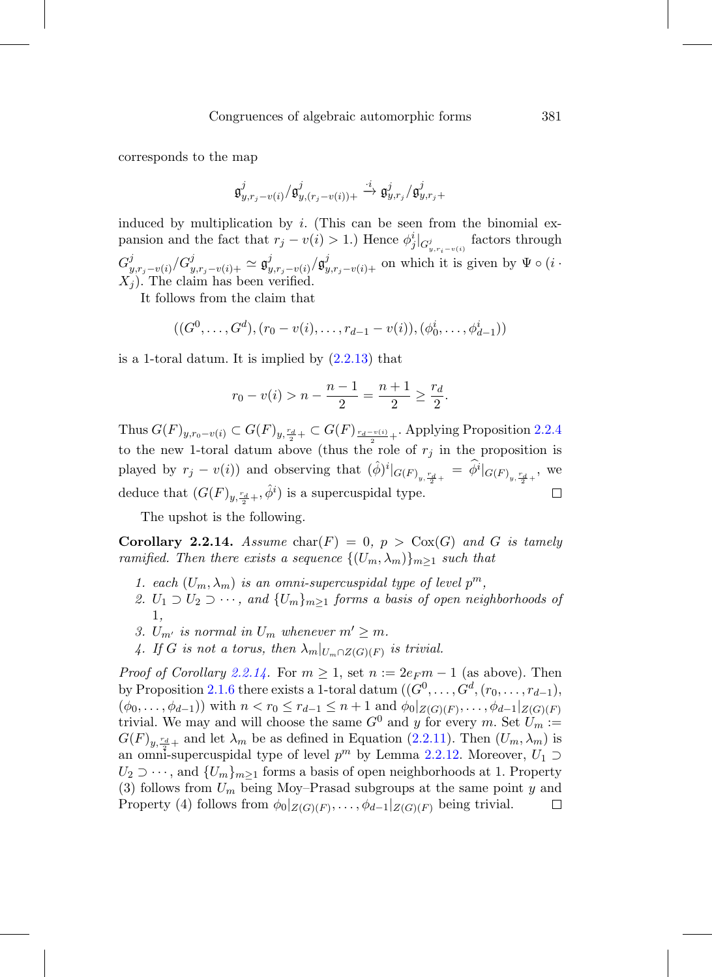corresponds to the map

$$
\mathfrak{g}^j_{y,r_j-v(i)}/\mathfrak{g}^j_{y,(r_j-v(i))+}\overset{\cdot i}{\to}\mathfrak{g}^j_{y,r_j}/\mathfrak{g}^j_{y,r_j+}
$$

induced by multiplication by  $i$ . (This can be seen from the binomial expansion and the fact that  $r_j - v(i) > 1$ .) Hence  $\phi_j^i|_{G_{y,r_i - v(i)}^j}$  factors through  $G_{y,r_j-v(i)}^j/G_{y,r_j-v(i)+}^j \simeq \mathfrak{g}_{y,r_j-v(i)}^j/\mathfrak{g}_{y,r_j-v(i)+}^j$  on which it is given by  $\Psi \circ (i \cdot$  $X_i$ ). The claim has been verified.

It follows from the claim that

$$
((G^0, ..., G^d), (r_0 - v(i), ..., r_{d-1} - v(i)), (\phi_0^i, ..., \phi_{d-1}^i))
$$

is a 1-toral datum. It is implied by [\(2.2.13\)](#page-29-0) that

$$
r_0 - v(i) > n - \frac{n-1}{2} = \frac{n+1}{2} \ge \frac{r_d}{2}.
$$

Thus  $G(F)_{y,r_0-v(i)} \subset G(F)_{y,\frac{r_d}{2}+} \subset G(F)_{\frac{r_d-v(i)}{2}+}$ . Applying Proposition [2.2.4](#page-25-0) to the new 1-toral datum above (thus the role of  $r_i$  in the proposition is played by  $r_j - v(i)$  and observing that  $(\hat{\phi})^i|_{G(F)_{y,\frac{rd}{2}+}} = \hat{\phi}^i|_{G(F)_{y,\frac{rd}{2}+}}$ , we deduce that  $(G(F)_{y, \frac{r_d}{2}+}, \hat{\phi}^i)$  is a supercuspidal type.  $\Box$ 

The upshot is the following.

<span id="page-30-0"></span>**Corollary 2.2.14.** Assume char(F) = 0,  $p > \text{Cox}(G)$  and G is tamely ramified. Then there exists a sequence  $\{(U_m, \lambda_m)\}_{m\geq 1}$  such that

- 1. each  $(U_m, \lambda_m)$  is an omni-supercuspidal type of level  $p^m$ ,
- 2.  $U_1 \supset U_2 \supset \cdots$ , and  $\{U_m\}_{m\geq 1}$  forms a basis of open neighborhoods of 1,
- 3.  $U_{m'}$  is normal in  $U_m$  whenever  $m' \geq m$ .
- 4. If G is not a torus, then  $\lambda_m|_{U_m \cap Z(G)(F)}$  is trivial.

*Proof of Corollary [2.2.14.](#page-30-0)* For  $m \geq 1$ , set  $n := 2e_F m - 1$  (as above). Then by Proposition [2.1.6](#page-23-0) there exists a 1-toral datum  $((G^0,\ldots,\hat{G}^d,(r_0,\ldots,r_{d-1}),$  $(\phi_0,\ldots,\phi_{d-1})$ ) with  $n < r_0 \leq r_{d-1} \leq n+1$  and  $\phi_0|_{Z(G)(F)},\ldots,\phi_{d-1}|_{Z(G)(F)}$ trivial. We may and will choose the same  $G^0$  and y for every m. Set  $U_m :=$  $G(F)_{y,\frac{r_d}{2}+}$  and let  $\lambda_m$  be as defined in Equation [\(2.2.11\)](#page-29-1). Then  $(U_m, \lambda_m)$  is an omni-supercuspidal type of level  $p^m$  by Lemma [2.2.12.](#page-29-2) Moreover,  $U_1 \supset$  $U_2 \supset \cdots$ , and  $\{U_m\}_{m>1}$  forms a basis of open neighborhoods at 1. Property (3) follows from  $U_m$  being Moy–Prasad subgroups at the same point y and Property (4) follows from  $\phi_0|_{Z(G)(F)},\ldots,\phi_{d-1}|_{Z(G)(F)}$  being trivial.  $\Box$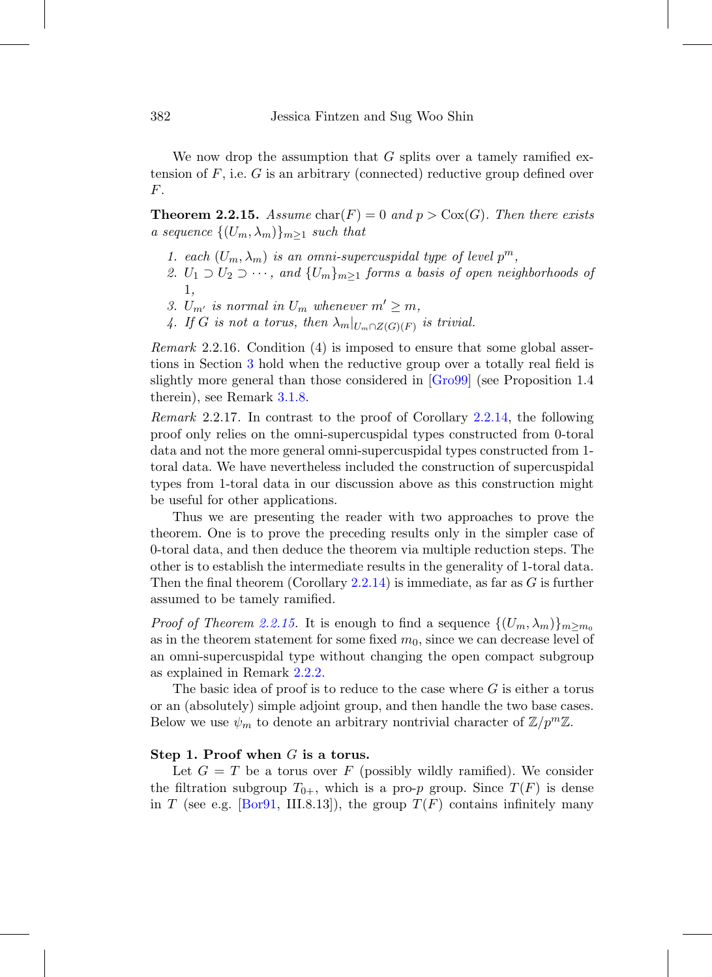We now drop the assumption that  $G$  splits over a tamely ramified extension of  $F$ , i.e.  $G$  is an arbitrary (connected) reductive group defined over F.

<span id="page-31-0"></span>**Theorem 2.2.15.** Assume char(F) = 0 and  $p > \text{Cox}(G)$ . Then there exists a sequence  $\{(U_m, \lambda_m)\}_{m\geq 1}$  such that

- 1. each  $(U_m, \lambda_m)$  is an omni-supercuspidal type of level  $p^m$ ,
- 2.  $U_1 \supset U_2 \supset \cdots$ , and  $\{U_m\}_{m\geq 1}$  forms a basis of open neighborhoods of 1,
- 3.  $U_{m'}$  is normal in  $U_m$  whenever  $m' \geq m$ ,
- 4. If G is not a torus, then  $\lambda_m|_{U_m \cap Z(G)(F)}$  is trivial.

Remark 2.2.16. Condition (4) is imposed to ensure that some global assertions in Section [3](#page-34-0) hold when the reductive group over a totally real field is slightly more general than those considered in [\[Gro99](#page-76-7)] (see Proposition 1.4 therein), see Remark [3.1.8.](#page-38-0)

<span id="page-31-1"></span>Remark 2.2.17. In contrast to the proof of Corollary [2.2.14,](#page-30-0) the following proof only relies on the omni-supercuspidal types constructed from 0-toral data and not the more general omni-supercuspidal types constructed from 1 toral data. We have nevertheless included the construction of supercuspidal types from 1-toral data in our discussion above as this construction might be useful for other applications.

Thus we are presenting the reader with two approaches to prove the theorem. One is to prove the preceding results only in the simpler case of 0-toral data, and then deduce the theorem via multiple reduction steps. The other is to establish the intermediate results in the generality of 1-toral data. Then the final theorem (Corollary [2.2.14\)](#page-30-0) is immediate, as far as  $G$  is further assumed to be tamely ramified.

*Proof of Theorem [2.2.15.](#page-31-0)* It is enough to find a sequence  $\{(U_m, \lambda_m)\}_{m>m_0}$ as in the theorem statement for some fixed  $m_0$ , since we can decrease level of an omni-supercuspidal type without changing the open compact subgroup as explained in Remark [2.2.2.](#page-24-3)

The basic idea of proof is to reduce to the case where  $G$  is either a torus or an (absolutely) simple adjoint group, and then handle the two base cases. Below we use  $\psi_m$  to denote an arbitrary nontrivial character of  $\mathbb{Z}/p^m\mathbb{Z}$ .

#### **Step 1. Proof when** G **is a torus.**

Let  $G = T$  be a torus over F (possibly wildly ramified). We consider the filtration subgroup  $T_{0+}$ , which is a pro-p group. Since  $T(F)$  is dense in T (see e.g. [\[Bor91,](#page-74-3) III.8.13]), the group  $T(F)$  contains infinitely many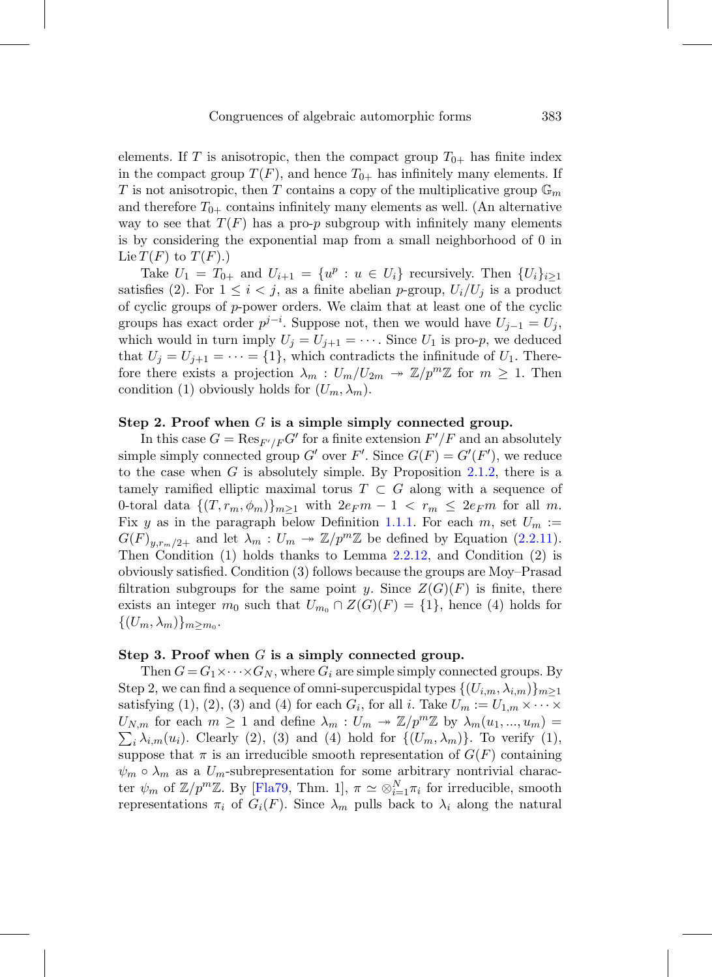elements. If T is anisotropic, then the compact group  $T_{0+}$  has finite index in the compact group  $T(F)$ , and hence  $T_{0+}$  has infinitely many elements. If T is not anisotropic, then T contains a copy of the multiplicative group  $\mathbb{G}_m$ and therefore  $T_{0+}$  contains infinitely many elements as well. (An alternative way to see that  $T(F)$  has a pro-p subgroup with infinitely many elements is by considering the exponential map from a small neighborhood of 0 in Lie  $T(F)$  to  $T(F)$ .)

Take  $U_1 = T_{0+}$  and  $U_{i+1} = \{u^p : u \in U_i\}$  recursively. Then  $\{U_i\}_{i\geq 1}$ satisfies (2). For  $1 \leq i < j$ , as a finite abelian p-group,  $U_i/U_j$  is a product of cyclic groups of p-power orders. We claim that at least one of the cyclic groups has exact order  $p^{j-i}$ . Suppose not, then we would have  $U_{j-1} = U_j$ , which would in turn imply  $U_j = U_{j+1} = \cdots$ . Since  $U_1$  is pro-p, we deduced that  $U_j = U_{j+1} = \cdots = \{1\}$ , which contradicts the infinitude of  $U_1$ . Therefore there exists a projection  $\lambda_m: U_m/U_{2m} \to \mathbb{Z}/p^m\mathbb{Z}$  for  $m \geq 1$ . Then condition (1) obviously holds for  $(U_m, \lambda_m)$ .

# **Step 2. Proof when** G **is a simple simply connected group.**

In this case  $G = \text{Res}_{F'/F} G'$  for a finite extension  $F'/F$  and an absolutely simple simply connected group G' over F'. Since  $G(F) = G'(F')$ , we reduce to the case when  $G$  is absolutely simple. By Proposition [2.1.2,](#page-18-0) there is a tamely ramified elliptic maximal torus  $T \subset G$  along with a sequence of 0-toral data  $\{(T,r_m,\phi_m)\}_{m\geq 1}$  with  $2e_F m - 1 < r_m \leq 2e_F m$  for all m. Fix y as in the paragraph below Definition [1.1.1.](#page-12-2) For each m, set  $U_m :=$  $G(F)_{y,r_m/2+}$  and let  $\lambda_m: U_m \twoheadrightarrow \mathbb{Z}/p^m\mathbb{Z}$  be defined by Equation [\(2.2.11\)](#page-29-1). Then Condition (1) holds thanks to Lemma [2.2.12,](#page-29-2) and Condition (2) is obviously satisfied. Condition (3) follows because the groups are Moy–Prasad filtration subgroups for the same point y. Since  $Z(G)(F)$  is finite, there exists an integer  $m_0$  such that  $U_{m_0} \cap Z(G)(F) = \{1\}$ , hence (4) holds for  $\{(U_m, \lambda_m)\}_{m \geq m_0}$ .

#### **Step 3. Proof when** G **is a simply connected group.**

Then  $G = G_1 \times \cdots \times G_N$ , where  $G_i$  are simple simply connected groups. By Step 2, we can find a sequence of omni-supercuspidal types  $\{(U_{i,m}, \lambda_{i,m})\}_{m\geq 1}$ satisfying (1), (2), (3) and (4) for each  $G_i$ , for all i. Take  $U_m := U_{1,m} \times \cdots \times$  $U_{N,m}$  for each  $m \geq 1$  and define  $\lambda_m : U_m \to \mathbb{Z}/p^m\mathbb{Z}$  by  $\lambda_m(u_1, ..., u_m) =$  $\sum_i \lambda_{i,m}(u_i)$ . Clearly (2), (3) and (4) hold for  $\{(U_m, \lambda_m)\}\$ . To verify (1), suppose that  $\pi$  is an irreducible smooth representation of  $G(F)$  containing  $\psi_m \circ \lambda_m$  as a  $U_m$ -subrepresentation for some arbitrary nontrivial character  $\psi_m$  of  $\mathbb{Z}/p^m\mathbb{Z}$ . By [\[Fla79](#page-76-8), Thm. 1],  $\pi \simeq \otimes_{i=1}^N \pi_i$  for irreducible, smooth representations  $\pi_i$  of  $G_i(F)$ . Since  $\lambda_m$  pulls back to  $\lambda_i$  along the natural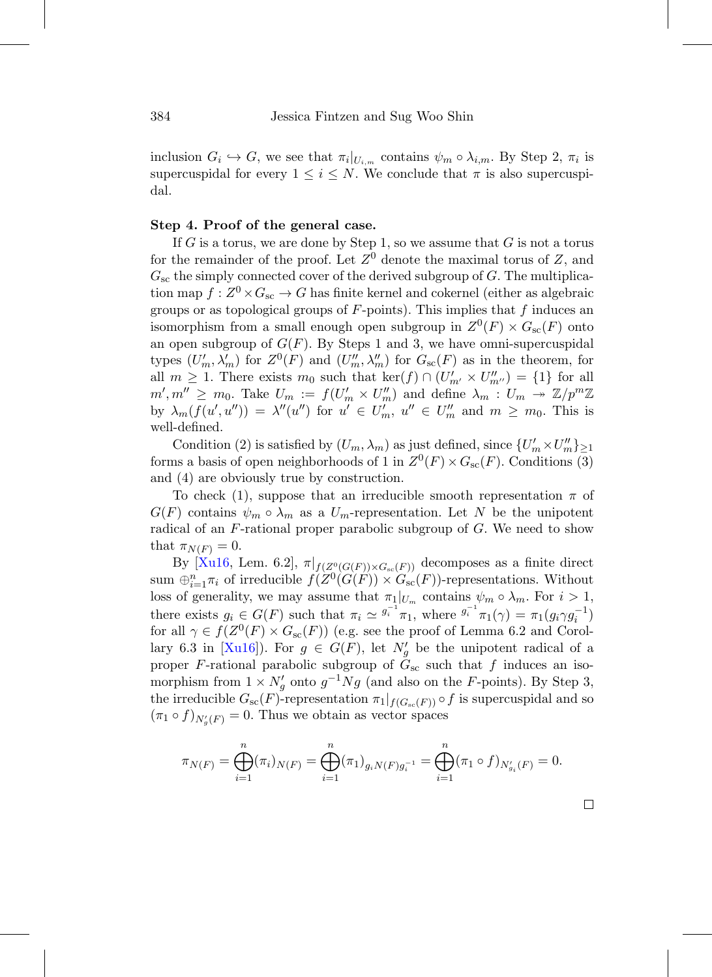inclusion  $G_i \hookrightarrow G$ , we see that  $\pi_i|_{U_{i,m}}$  contains  $\psi_m \circ \lambda_{i,m}$ . By Step 2,  $\pi_i$  is supercuspidal for every  $1 \leq i \leq N$ . We conclude that  $\pi$  is also supercuspidal.

# **Step 4. Proof of the general case.**

If G is a torus, we are done by Step 1, so we assume that  $G$  is not a torus for the remainder of the proof. Let  $Z^0$  denote the maximal torus of Z, and  $G_{\text{sc}}$  the simply connected cover of the derived subgroup of  $G$ . The multiplication map  $f: Z^0 \times G_{\text{sc}} \to G$  has finite kernel and cokernel (either as algebraic groups or as topological groups of  $F$ -points). This implies that  $f$  induces an isomorphism from a small enough open subgroup in  $Z^0(F) \times G_{\rm sc}(F)$  onto an open subgroup of  $G(F)$ . By Steps 1 and 3, we have omni-supercuspidal types  $(U'_m, \lambda'_m)$  for  $Z^0(F)$  and  $(U''_m, \lambda''_m)$  for  $G_{\rm sc}(F)$  as in the theorem, for all  $m \geq 1$ . There exists  $m_0$  such that  $\ker(f) \cap (U'_{m'} \times U''_{m''}) = \{1\}$  for all  $m', m'' \ge m_0$ . Take  $U_m := f(U'_m \times U''_m)$  and define  $\lambda_m : U_m \to \mathbb{Z}/p^m\mathbb{Z}$ by  $\lambda_m(f(u', u'')) = \lambda''(u'')$  for  $u' \in U'_m$ ,  $u'' \in U''_m$  and  $m \geq m_0$ . This is well-defined.

Condition (2) is satisfied by  $(U_m, \lambda_m)$  as just defined, since  $\{U'_m \times U''_m\}_{n=1}^N$ forms a basis of open neighborhoods of 1 in  $Z^0(F) \times G_{\rm sc}(F)$ . Conditions (3) and (4) are obviously true by construction.

To check (1), suppose that an irreducible smooth representation  $\pi$  of  $G(F)$  contains  $\psi_m \circ \lambda_m$  as a  $U_m$ -representation. Let N be the unipotent radical of an F-rational proper parabolic subgroup of G. We need to show that  $\pi_{N(F)} = 0$ .

By [\[Xu16,](#page-78-2) Lem. 6.2],  $\pi|_{f(Z^0(G(F)) \times G_{sc}(F))}$  decomposes as a finite direct sum  $\bigoplus_{i=1}^n \pi_i$  of irreducible  $f(Z^0(G(F)) \times G_{\text{sc}}(F))$ -representations. Without loss of generality, we may assume that  $\pi_1|_{U_m}$  contains  $\psi_m \circ \lambda_m$ . For  $i > 1$ , there exists  $g_i \in G(F)$  such that  $\pi_i \simeq \frac{g_i^{-1}}{\pi_1}$ , where  $\frac{g_i^{-1}}{\pi_1}(\gamma) = \pi_1(g_i \gamma g_i^{-1})$ for all  $\gamma \in f(Z^0(F) \times G_{\rm sc}(F))$  (e.g. see the proof of Lemma 6.2 and Corol-lary 6.3 in [\[Xu16\]](#page-78-2)). For  $g \in G(F)$ , let  $N'_g$  be the unipotent radical of a proper F-rational parabolic subgroup of  $\tilde{G}_{\rm sc}$  such that f induces an isomorphism from  $1 \times N_g'$  onto  $g^{-1}Ng$  (and also on the F-points). By Step 3, the irreducible  $G_{\rm sc}(F)$ -representation  $\pi_1|_{f(G_{\rm sc}(F))} \circ f$  is supercuspidal and so  $(\pi_1 \circ f)_{N'_g(F)} = 0$ . Thus we obtain as vector spaces

$$
\pi_{N(F)} = \bigoplus_{i=1}^{n} (\pi_i)_{N(F)} = \bigoplus_{i=1}^{n} (\pi_1)_{g_i N(F) g_i^{-1}} = \bigoplus_{i=1}^{n} (\pi_1 \circ f)_{N'_{g_i}(F)} = 0.
$$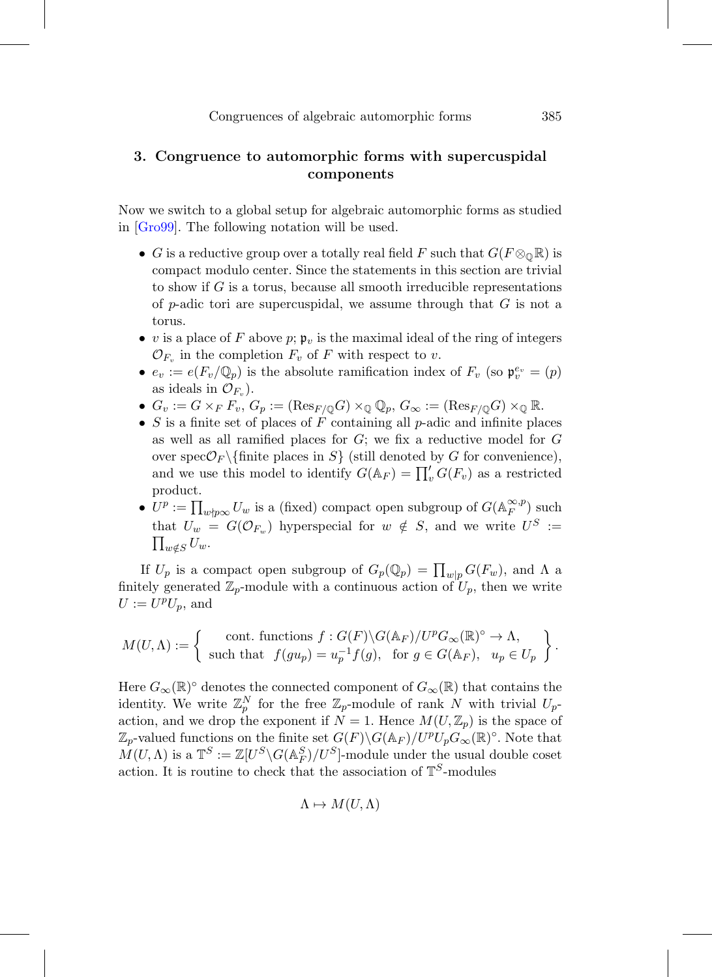# <span id="page-34-0"></span>**3. Congruence to automorphic forms with supercuspidal components**

Now we switch to a global setup for algebraic automorphic forms as studied in [\[Gro99\]](#page-76-7). The following notation will be used.

- G is a reductive group over a totally real field F such that  $G(F \otimes_{\mathbb{Q}} \mathbb{R})$  is compact modulo center. Since the statements in this section are trivial to show if  $G$  is a torus, because all smooth irreducible representations of p-adic tori are supercuspidal, we assume through that  $G$  is not a torus.
- v is a place of F above  $p$ ;  $\mathfrak{p}_v$  is the maximal ideal of the ring of integers  $\mathcal{O}_{F_v}$  in the completion  $F_v$  of F with respect to v.
- $e_v := e(F_v/\mathbb{Q}_p)$  is the absolute ramification index of  $F_v$  (so  $\mathfrak{p}_v^{e_v} = (p)$ ) as ideals in  $\mathcal{O}_{F_n}$ ).
- $G_v := G \times_F F_v$ ,  $G_p := (\text{Res}_{F/\mathbb{Q}} G) \times_{\mathbb{Q}} \mathbb{Q}_p$ ,  $G_{\infty} := (\text{Res}_{F/\mathbb{Q}} G) \times_{\mathbb{Q}} \mathbb{R}$ .
- S is a finite set of places of F containing all  $p$ -adic and infinite places as well as all ramified places for  $G$ ; we fix a reductive model for  $G$ over spec $\mathcal{O}_F \backslash \{\text{finite places in } S\}$  (still denoted by G for convenience), and we use this model to identify  $G(\mathbb{A}_F) = \prod_v G(F_v)$  as a restricted product.
- $U^p := \prod_{w \nmid p \infty} U_w$  is a (fixed) compact open subgroup of  $G(\mathbb{A}_F^{\infty,p})$  such that  $U_w = G(\mathcal{O}_{F_w})$  hyperspecial for  $w \notin S$ , and we write  $U^S :=$  $\prod_{w \notin S} U_w.$

If  $U_p$  is a compact open subgroup of  $G_p(\mathbb{Q}_p) = \prod_{w|p} G(F_w)$ , and  $\Lambda$  a finitely generated  $\mathbb{Z}_p$ -module with a continuous action of  $U_p$ , then we write  $U := U^p U_p$ , and

$$
M(U,\Lambda) := \left\{ \begin{array}{c} \text{cont. functions } f : G(F) \backslash G(\mathbb{A}_F) / U^p G_{\infty}(\mathbb{R})^{\circ} \to \Lambda, \\ \text{such that } f(gu_p) = u_p^{-1} f(g), \text{ for } g \in G(\mathbb{A}_F), u_p \in U_p \end{array} \right\}.
$$

Here  $G_{\infty}(\mathbb{R})^{\circ}$  denotes the connected component of  $G_{\infty}(\mathbb{R})$  that contains the identity. We write  $\mathbb{Z}_p^N$  for the free  $\mathbb{Z}_p$ -module of rank N with trivial  $U_p$ action, and we drop the exponent if  $N = 1$ . Hence  $M(U, \mathbb{Z}_p)$  is the space of  $\mathbb{Z}_p$ -valued functions on the finite set  $G(F) \backslash G(\mathbb{A}_F) / U^p U_p G_{\infty}(\mathbb{R})^{\circ}$ . Note that  $M(U, \Lambda)$  is a  $\mathbb{T}^S := \mathbb{Z}[U^S \backslash G(\mathbb{A}_F^S)/U^S]$ -module under the usual double coset action. It is routine to check that the association of  $\mathbb{T}^S$ -modules

$$
\Lambda \mapsto M(U, \Lambda)
$$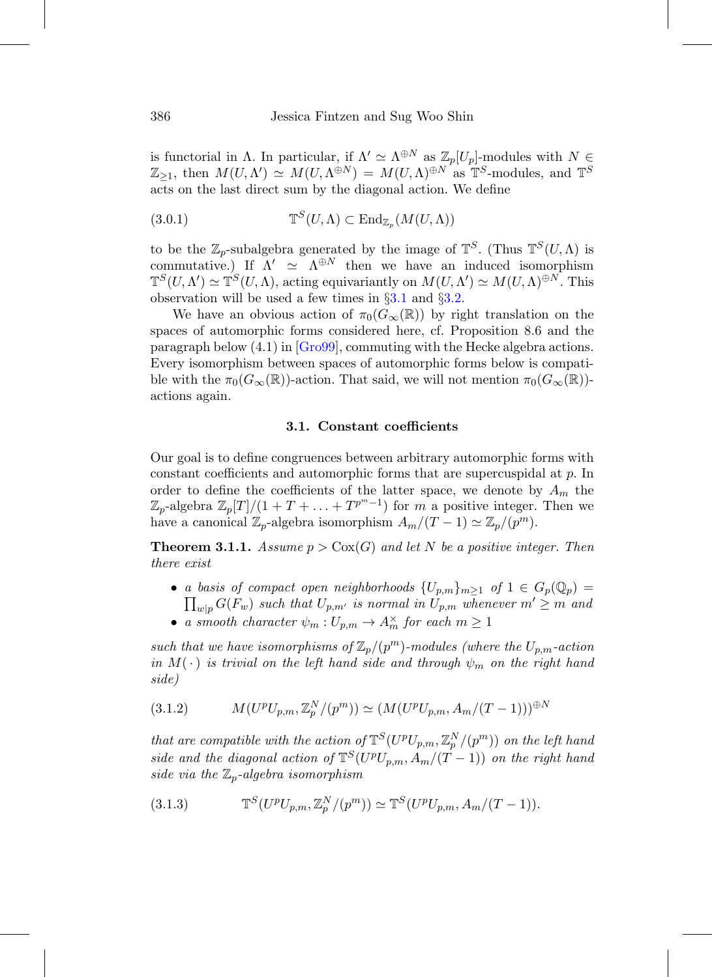is functorial in Λ. In particular, if  $\Lambda' \simeq \Lambda^{\oplus N}$  as  $\mathbb{Z}_p[U_p]$ -modules with  $N \in$  $\mathbb{Z}_{\geq 1}$ , then  $M(U, \Lambda^{\circ}) \simeq M(U, \Lambda^{\oplus N}) = M(U, \Lambda)^{\oplus N}$  as  $\mathbb{T}^S$ -modules, and  $\mathbb{T}^S$ acts on the last direct sum by the diagonal action. We define

(3.0.1) 
$$
\mathbb{T}^S(U,\Lambda) \subset \text{End}_{\mathbb{Z}_p}(M(U,\Lambda))
$$

to be the  $\mathbb{Z}_p$ -subalgebra generated by the image of  $\mathbb{T}^S$ . (Thus  $\mathbb{T}^S(U,\Lambda)$  is commutative.) If  $\Lambda' \simeq \Lambda^{\oplus N}$  then we have an induced isomorphism  $\mathbb{T}^S(U, \Lambda') \simeq \mathbb{T}^S(U, \Lambda)$ , acting equivariantly on  $M(U, \Lambda') \simeq M(U, \Lambda)^{\oplus N}$ . This observation will be used a few times in §[3.1](#page-35-0) and §[3.2.](#page-39-0)

We have an obvious action of  $\pi_0(G_{\infty}(\mathbb{R}))$  by right translation on the spaces of automorphic forms considered here, cf. Proposition 8.6 and the paragraph below (4.1) in [\[Gro99](#page-76-7)], commuting with the Hecke algebra actions. Every isomorphism between spaces of automorphic forms below is compatible with the  $\pi_0(G_\infty(\mathbb{R}))$ -action. That said, we will not mention  $\pi_0(G_\infty(\mathbb{R}))$ actions again.

#### **3.1. Constant coefficients**

<span id="page-35-0"></span>Our goal is to define congruences between arbitrary automorphic forms with constant coefficients and automorphic forms that are supercuspidal at p. In order to define the coefficients of the latter space, we denote by  $A_m$  the  $\mathbb{Z}_p$ -algebra  $\mathbb{Z}_p[T]/(1+T+\ldots+T^{p^m-1})$  for m a positive integer. Then we have a canonical  $\mathbb{Z}_p$ -algebra isomorphism  $A_m/(T-1) \simeq \mathbb{Z}_p/(p^m)$ .

<span id="page-35-1"></span>**Theorem 3.1.1.** Assume  $p > \text{Cox}(G)$  and let N be a positive integer. Then there exist

- a basis of compact open neighborhoods  $\{U_{p,m}\}_{m\geq 1}$  of  $1 \in G_p(\mathbb{Q}_p) =$  $\prod _{w|p} G(F_w)$  such that  $U_{p,m'}$  is normal in  $U_{p,m}$  whenever  $m' \geq m$  and
- a smooth character  $\psi_m: U_{p,m} \to A_m^{\times}$  for each  $m \geq 1$

such that we have isomorphisms of  $\mathbb{Z}_p/(p^m)$ -modules (where the  $U_{p,m}$ -action in  $M(\cdot)$  is trivial on the left hand side and through  $\psi_m$  on the right hand side)

$$
(3.1.2) \t\t M(U^p U_{p,m}, \mathbb{Z}_p^N/(p^m)) \simeq (M(U^p U_{p,m}, A_m/(T-1)))^{\oplus N}
$$

that are compatible with the action of  $\mathbb{T}^S(U^pU_{p,m}, \mathbb{Z}_p^N/(p^m))$  on the left hand side and the diagonal action of  $\mathbb{T}^{S}(U^{p}U_{p,m}, A_{m}/(T-1))$  on the right hand side via the  $\mathbb{Z}_p$ -algebra isomorphism

(3.1.3) 
$$
\mathbb{T}^S(U^p U_{p,m}, \mathbb{Z}_p^N/(p^m)) \simeq \mathbb{T}^S(U^p U_{p,m}, A_m/(T-1)).
$$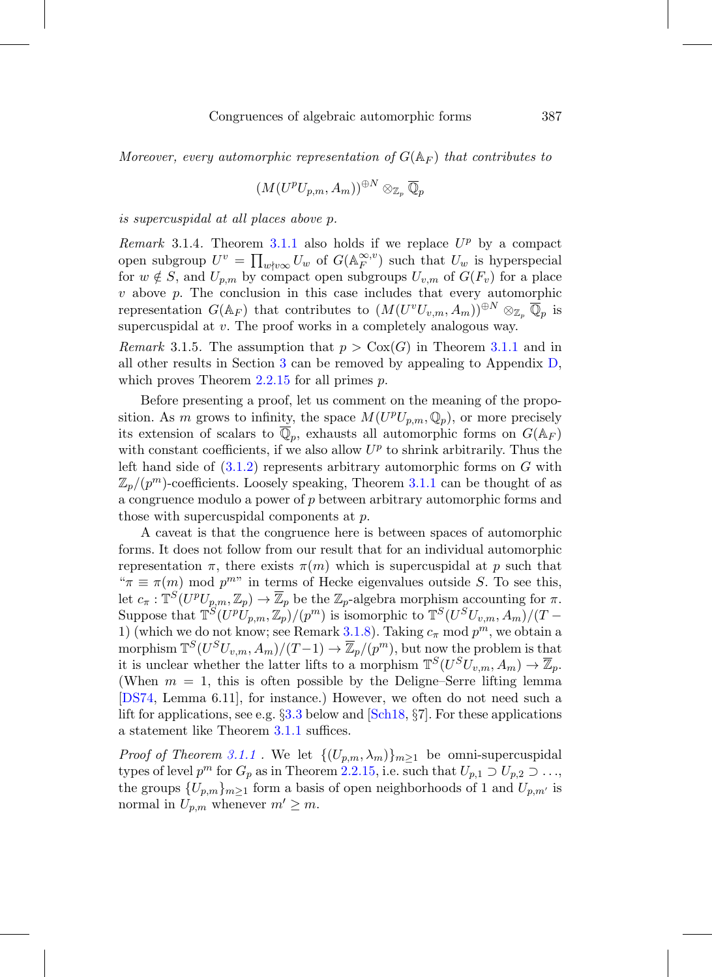Moreover, every automorphic representation of  $G(\mathbb{A}_F)$  that contributes to

$$
(M(U^pU_{p,m},A_m))^{\oplus N}\otimes_{\mathbb{Z}_p}\overline{\mathbb{Q}}_p
$$

is supercuspidal at all places above p.

Remark 3.1.4. Theorem [3.1.1](#page-35-0) also holds if we replace  $U^p$  by a compact open subgroup  $U^v = \prod_{w \nmid v \infty} U_w$  of  $G(\mathbb{A}_F^{\infty,v})$  such that  $U_w$  is hyperspecial for  $w \notin S$ , and  $U_{p,m}$  by compact open subgroups  $U_{v,m}$  of  $G(F_v)$  for a place  $v$  above  $p$ . The conclusion in this case includes that every automorphic representation  $G(\mathbb{A}_F)$  that contributes to  $(M(U^vU_{v,m}, A_m))^{\oplus N} \otimes_{\mathbb{Z}_p} \overline{\mathbb{Q}}_p$  is supercuspidal at v. The proof works in a completely analogous way.

<span id="page-36-0"></span>*Remark* 3.1.5. The assumption that  $p > \text{Cox}(G)$  in Theorem [3.1.1](#page-35-0) and in all other results in Section [3](#page-34-0) can be removed by appealing to Appendix [D,](#page-67-0) which proves Theorem [2.2.15](#page-31-0) for all primes  $p$ .

Before presenting a proof, let us comment on the meaning of the proposition. As m grows to infinity, the space  $M(U^pU_{p,m}, \mathbb{Q}_p)$ , or more precisely its extension of scalars to  $\overline{\mathbb{Q}}_p$ , exhausts all automorphic forms on  $G(\mathbb{A}_F)$ with constant coefficients, if we also allow  $U^p$  to shrink arbitrarily. Thus the left hand side of  $(3.1.2)$  represents arbitrary automorphic forms on G with  $\mathbb{Z}_p/(p^m)$ -coefficients. Loosely speaking, Theorem [3.1.1](#page-35-0) can be thought of as a congruence modulo a power of p between arbitrary automorphic forms and those with supercuspidal components at p.

A caveat is that the congruence here is between spaces of automorphic forms. It does not follow from our result that for an individual automorphic representation  $\pi$ , there exists  $\pi(m)$  which is supercuspidal at p such that " $\pi \equiv \pi(m)$  mod  $p^{m}$ " in terms of Hecke eigenvalues outside S. To see this, let  $c_{\pi}$ :  $\mathbb{T}^{S}(U^{p}U_{p,m}, \mathbb{Z}_{p}) \to \overline{\mathbb{Z}}_{p}$  be the  $\mathbb{Z}_{p}$ -algebra morphism accounting for  $\pi$ . Suppose that  $\mathbb{T}^{S'(Up}U_{p,m},\mathbb{Z}_p)'(p^m)$  is isomorphic to  $\mathbb{T}^{S}(U^{S}U_{v,m},A_m)'(T -$ 1) (which we do not know; see Remark [3.1.8\)](#page-38-0). Taking  $c_{\pi}$  mod  $p^m$ , we obtain a morphism  $\mathbb{T}^{S}(U^{S}U_{v,m}, A_{m})/(T-1) \to \overline{\mathbb{Z}}_{p}/(p^{m}),$  but now the problem is that it is unclear whether the latter lifts to a morphism  $\mathbb{T}^{S}(U^{S}U_{v,m}, A_{m}) \to \overline{\mathbb{Z}}_{p}$ . (When  $m = 1$ , this is often possible by the Deligne–Serre lifting lemma [\[DS74](#page-75-0), Lemma 6.11], for instance.) However, we often do not need such a lift for applications, see e.g.  $\S 3.3$  $\S 3.3$  below and [\[Sch18,](#page-77-0)  $\S 7$ ]. For these applications a statement like Theorem [3.1.1](#page-35-0) suffices.

*Proof of Theorem [3.1.1](#page-35-0)*. We let  $\{(U_{p,m}, \lambda_m)\}_{m>1}$  be omni-supercuspidal types of level  $p^m$  for  $G_p$  as in Theorem [2.2.15,](#page-31-0) i.e. such that  $U_{p,1} \supset U_{p,2} \supset \ldots$ , the groups  ${U_{p,m}}_{m\geq 1}$  form a basis of open neighborhoods of 1 and  $U_{p,m'}$  is normal in  $U_{p,m}$  whenever  $m' \geq m$ .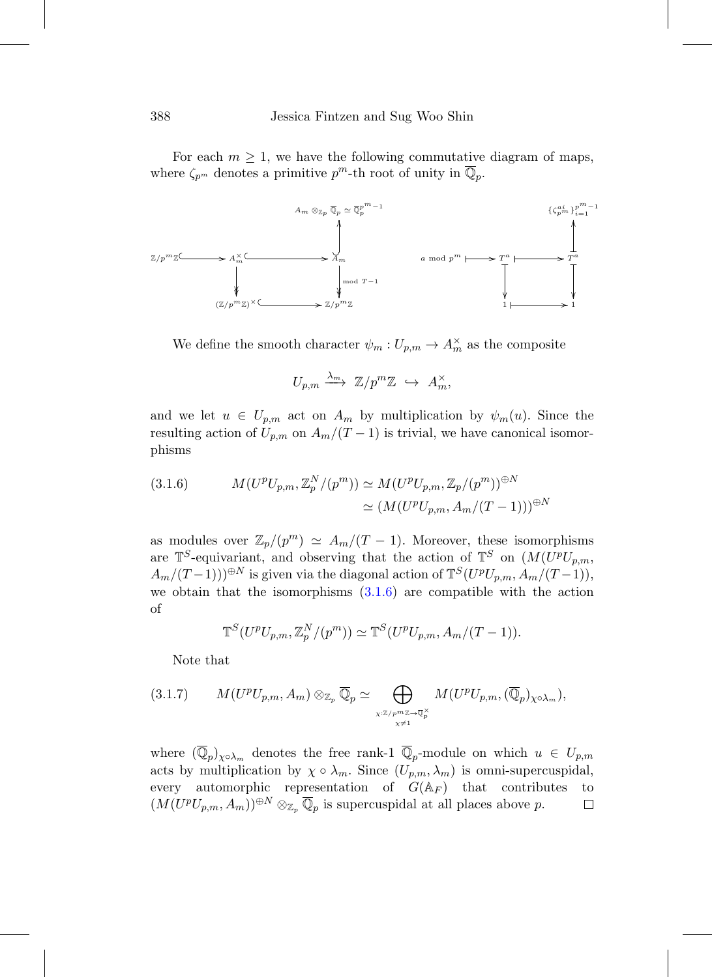For each  $m \geq 1$ , we have the following commutative diagram of maps, where  $\zeta_{p^m}$  denotes a primitive  $p^m$ -th root of unity in  $\mathbb{Q}_p$ .



We define the smooth character  $\psi_m: U_{p,m} \to A_m^{\times}$  as the composite

$$
U_{p,m} \xrightarrow{\lambda_m} \mathbb{Z}/p^m \mathbb{Z} \hookrightarrow A_m^{\times},
$$

and we let  $u \in U_{p,m}$  act on  $A_m$  by multiplication by  $\psi_m(u)$ . Since the resulting action of  $U_{p,m}$  on  $A_m/(T-1)$  is trivial, we have canonical isomorphisms

<span id="page-37-0"></span>(3.1.6) 
$$
M(U^p U_{p,m}, \mathbb{Z}_p^N/(p^m)) \simeq M(U^p U_{p,m}, \mathbb{Z}_p/(p^m))^{\oplus N}
$$

$$
\simeq (M(U^p U_{p,m}, A_m/(T-1)))^{\oplus N}
$$

as modules over  $\mathbb{Z}_p/(p^m) \simeq A_m/(T-1)$ . Moreover, these isomorphisms are  $\mathbb{T}^S$ -equivariant, and observing that the action of  $\mathbb{T}^S$  on  $(M(U^pU_{p,m},$  $A_m/(T-1))$ <sup>⊕N</sup> is given via the diagonal action of  $\mathbb{T}^S(U^pU_{p,m}, \mathring{A}_m/(T-1)),$ we obtain that the isomorphisms  $(3.1.6)$  are compatible with the action of

$$
\mathbb{T}^S(U^pU_{p,m}, \mathbb{Z}_p^N/(p^m)) \simeq \mathbb{T}^S(U^pU_{p,m}, A_m/(T-1)).
$$

Note that

$$
(3.1.7) \qquad M(U^pU_{p,m},A_m)\otimes_{\mathbb{Z}_p}\overline{\mathbb{Q}}_p\simeq \bigoplus_{\chi:\mathbb{Z}/p^m\mathbb{Z}\to\overline{\mathbb{Q}}_p^{\times} \atop \chi\neq 1}M(U^pU_{p,m},(\overline{\mathbb{Q}}_p)_{\chi\circ\lambda_m}),
$$

where  $(\overline{\mathbb{Q}}_p)_{\chi \circ \lambda_m}$  denotes the free rank-1  $\overline{\mathbb{Q}}_p$ -module on which  $u \in U_{p,m}$ acts by multiplication by  $\chi \circ \lambda_m$ . Since  $(U_{p,m}, \lambda_m)$  is omni-supercuspidal, every automorphic representation of  $G(\mathbb{A}_F)$  that contributes to  $(M(U^pU_{p,m}, A_m))^{\oplus N}\otimes_{\mathbb{Z}_p}\overline{\mathbb{Q}}_p$  is supercuspidal at all places above p.  $\Box$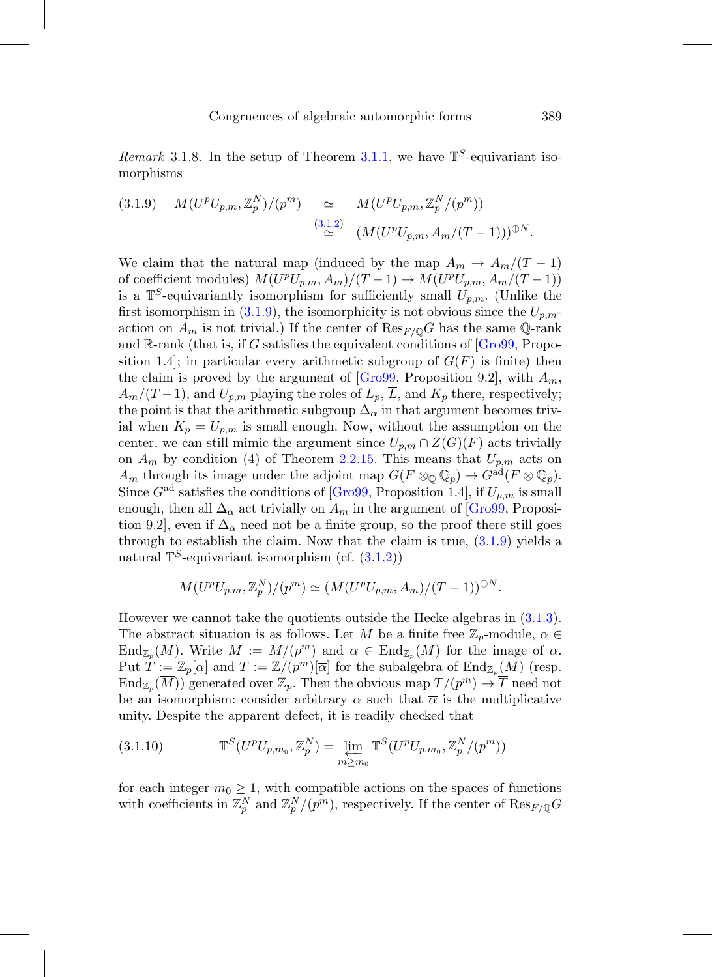<span id="page-38-0"></span>Remark 3.1.8. In the setup of Theorem [3.1.1,](#page-35-0) we have  $\mathbb{T}^S$ -equivariant isomorphisms

<span id="page-38-1"></span>
$$
(3.1.9) \quad M(U^p U_{p,m}, \mathbb{Z}_p^N) / (p^m) \quad \simeq \quad M(U^p U_{p,m}, \mathbb{Z}_p^N / (p^m))
$$
\n
$$
\simeq \quad \simeq \quad \simeq \quad (M(U^p U_{p,m}, A_m / (T-1)))^{\oplus N}.
$$

We claim that the natural map (induced by the map  $A_m \to A_m/(T-1)$ ) of coefficient modules)  $M(U^pU_{p,m}, A_m)/(T-1) \rightarrow M(U^pU_{p,m}, A_m/(T-1))$ is a  $\mathbb{T}^S$ -equivariantly isomorphism for sufficiently small  $U_{p,m}$ . (Unlike the first isomorphism in [\(3.1.9\)](#page-38-1), the isomorphicity is not obvious since the  $U_{p,m}$ action on  $A_m$  is not trivial.) If the center of  $\text{Res}_{F/O}G$  has the same Q-rank and  $\mathbb{R}$ -rank (that is, if G satisfies the equivalent conditions of  $\lbrack \text{Gro99}, \text{Prop}$ sition 1.4]; in particular every arithmetic subgroup of  $G(F)$  is finite) then the claim is proved by the argument of  $[Gro99, Proposition 9.2]$  $[Gro99, Proposition 9.2]$ , with  $A_m$ ,  $A_m/(T-1)$ , and  $U_{p,m}$  playing the roles of  $L_p$ ,  $\overline{L}$ , and  $K_p$  there, respectively; the point is that the arithmetic subgroup  $\Delta_{\alpha}$  in that argument becomes trivial when  $K_p = U_{p,m}$  is small enough. Now, without the assumption on the center, we can still mimic the argument since  $U_{p,m} \cap Z(G)(F)$  acts trivially on  $A_m$  by condition (4) of Theorem [2.2.15.](#page-31-0) This means that  $U_{p,m}$  acts on  $A_m$  through its image under the adjoint map  $G(F \otimes_{\mathbb{Q}} \mathbb{Q}_p) \to G^{ad}(F \otimes \mathbb{Q}_p)$ . Since  $G<sup>ad</sup>$  satisfies the conditions of  $[Gro99,$  Proposition 1.4, if  $U_{p,m}$  is small enough, then all  $\Delta_{\alpha}$  act trivially on  $A_m$  in the argument of [\[Gro99](#page-76-0), Proposition 9.2], even if  $\Delta_{\alpha}$  need not be a finite group, so the proof there still goes through to establish the claim. Now that the claim is true,  $(3.1.9)$  yields a natural  $\mathbb{T}^S$ -equivariant isomorphism (cf.  $(3.1.2)$ )

$$
M(U^pU_{p,m}, \mathbb{Z}_p^N)/(p^m) \simeq (M(U^pU_{p,m}, A_m)/(T-1))^{\oplus N}.
$$

However we cannot take the quotients outside the Hecke algebras in [\(3.1.3\)](#page-35-2). The abstract situation is as follows. Let M be a finite free  $\mathbb{Z}_p$ -module,  $\alpha \in$  $\text{End}_{\mathbb{Z}_p}(M)$ . Write  $\overline{M} := M/(p^m)$  and  $\overline{\alpha} \in \text{End}_{\mathbb{Z}_p}(\overline{M})$  for the image of  $\alpha$ . Put  $T := \mathbb{Z}_p[\alpha]$  and  $\overline{T} := \mathbb{Z}/(p^m)[\overline{\alpha}]$  for the subalgebra of  $\text{End}_{\mathbb{Z}_p}(M)$  (resp.  $\text{End}_{\mathbb{Z}_p}(\overline{M}))$  generated over  $\mathbb{Z}_p$ . Then the obvious map  $T/(p^m) \to \overline{T}$  need not be an isomorphism: consider arbitrary  $\alpha$  such that  $\overline{\alpha}$  is the multiplicative unity. Despite the apparent defect, it is readily checked that

<span id="page-38-2"></span>(3.1.10) 
$$
\mathbb{T}^S(U^p U_{p,m_0}, \mathbb{Z}_p^N) = \lim_{m \ge m_0} \mathbb{T}^S(U^p U_{p,m_0}, \mathbb{Z}_p^N/(p^m))
$$

for each integer  $m_0 \geq 1$ , with compatible actions on the spaces of functions with coefficients in  $\mathbb{Z}_p^N$  and  $\mathbb{Z}_p^N/(p^m)$ , respectively. If the center of  $\mathrm{Res}_{F/\mathbb{Q}}G$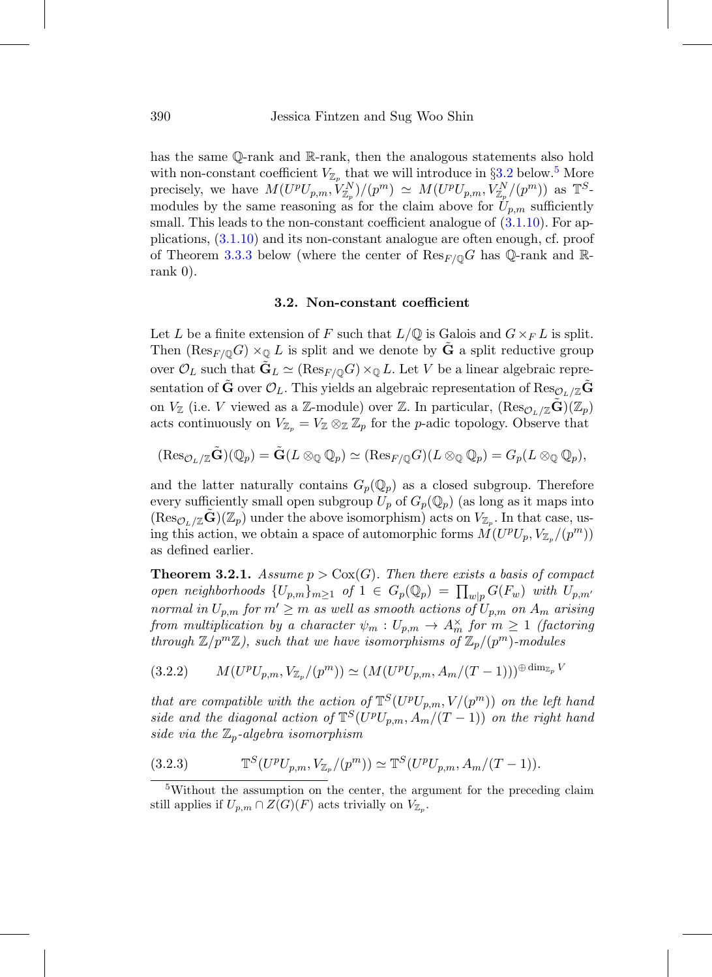has the same Q-rank and R-rank, then the analogous statements also hold with non-constant coefficient  $V_{\mathbb{Z}_p}$  that we will introduce in §[3.2](#page-39-0) below.<sup>[5](#page-39-1)</sup> More precisely, we have  $M(U^pU_{p,m}, V^N_{\mathbb{Z}_p})/(p^m) \simeq M(U^pU_{p,m}, V^N_{\mathbb{Z}_p}/(p^m))$  as  $\mathbb{T}^S$ modules by the same reasoning as for the claim above for  $U_{p,m}$  sufficiently small. This leads to the non-constant coefficient analogue of  $(3.1.10)$ . For applications, [\(3.1.10\)](#page-38-2) and its non-constant analogue are often enough, cf. proof of Theorem [3.3.3](#page-42-0) below (where the center of  $\text{Res}_{F/\mathbb{Q}}G$  has Q-rank and Rrank 0).

#### **3.2. Non-constant coefficient**

<span id="page-39-0"></span>Let L be a finite extension of F such that  $L/\mathbb{Q}$  is Galois and  $G\times_F L$  is split. Then  $(\text{Res}_{F/\mathbb{Q}}G) \times_{\mathbb{Q}} L$  is split and we denote by **G** a split reductive group over  $\mathcal{O}_L$  such that  $\tilde{\mathbf{G}}_L \simeq (\text{Res}_{F/\mathbb{Q}} G) \times_{\mathbb{Q}} L$ . Let V be a linear algebraic representation of  $\tilde{G}$  over  $\mathcal{O}_L$ . This yields an algebraic representation of Res<sub> $\mathcal{O}_L/\mathbb{Z}$  $\tilde{G}$ </sub> on  $V_{\mathbb{Z}}$  (i.e. V viewed as a Z-module) over Z. In particular,  $(\text{Res}_{\mathcal{O}_L/\mathbb{Z}}\mathbf{G})(\mathbb{Z}_p)$ acts continuously on  $V_{\mathbb{Z}_p} = V_{\mathbb{Z}} \otimes_{\mathbb{Z}} \mathbb{Z}_p$  for the *p*-adic topology. Observe that

$$
(\text{Res}_{\mathcal{O}_L/\mathbb{Z}}\tilde{\mathbf{G}})(\mathbb{Q}_p)=\tilde{\mathbf{G}}(L\otimes_{\mathbb{Q}}\mathbb{Q}_p)\simeq (\text{Res}_{F/\mathbb{Q}}G)(L\otimes_{\mathbb{Q}}\mathbb{Q}_p)=G_p(L\otimes_{\mathbb{Q}}\mathbb{Q}_p),
$$

and the latter naturally contains  $G_p(\mathbb{Q}_p)$  as a closed subgroup. Therefore every sufficiently small open subgroup  $U_p$  of  $G_p(\mathbb{Q}_p)$  (as long as it maps into  $(\text{Res}_{\mathcal{O}_L/\mathbb{Z}}\mathbf{G})(\mathbb{Z}_p)$  under the above isomorphism) acts on  $V_{\mathbb{Z}_p}$ . In that case, using this action, we obtain a space of automorphic forms  $M(U^pU_p, V_{\mathbb{Z}_p}/(p^m))$ as defined earlier.

<span id="page-39-2"></span>**Theorem 3.2.1.** Assume  $p > \text{Cox}(G)$ . Then there exists a basis of compact open neighborhoods  $\{U_{p,m}\}_{m\geq 1}$  of  $1 \in G_p(\mathbb{Q}_p) = \prod_{w|p} G(F_w)$  with  $U_{p,m'}$ normal in  $U_{p,m}$  for  $m' \ge m$  as well as smooth actions of  $U_{p,m}$  on  $A_m$  arising from multiplication by a character  $\psi_m: U_{p,m} \to A_m^{\times}$  for  $m \geq 1$  (factoring through  $\mathbb{Z}/p^m\mathbb{Z}$ ), such that we have isomorphisms of  $\mathbb{Z}_p/(p^m)$ -modules

<span id="page-39-3"></span>
$$
(3.2.2) \qquad M(U^p U_{p,m}, V_{\mathbb{Z}_p}/(p^m)) \simeq (M(U^p U_{p,m}, A_m/(T-1)))^{\oplus \dim_{\mathbb{Z}_p} V}
$$

that are compatible with the action of  $\mathbb{T}^{S}(U^{p}U_{p,m},V/(p^{m}))$  on the left hand side and the diagonal action of  $\mathbb{T}^{S}(U^{p}U_{n,m}, A_{m}/(T-1))$  on the right hand side via the  $\mathbb{Z}_p$ -algebra isomorphism

(3.2.3) 
$$
\mathbb{T}^S(U^pU_{p,m}, V_{\mathbb{Z}_p}/(p^m)) \simeq \mathbb{T}^S(U^pU_{p,m}, A_m/(T-1)).
$$

<span id="page-39-1"></span><sup>&</sup>lt;sup>5</sup>Without the assumption on the center, the argument for the preceding claim still applies if  $U_{p,m} \cap Z(G)(F)$  acts trivially on  $V_{\mathbb{Z}_p}$ .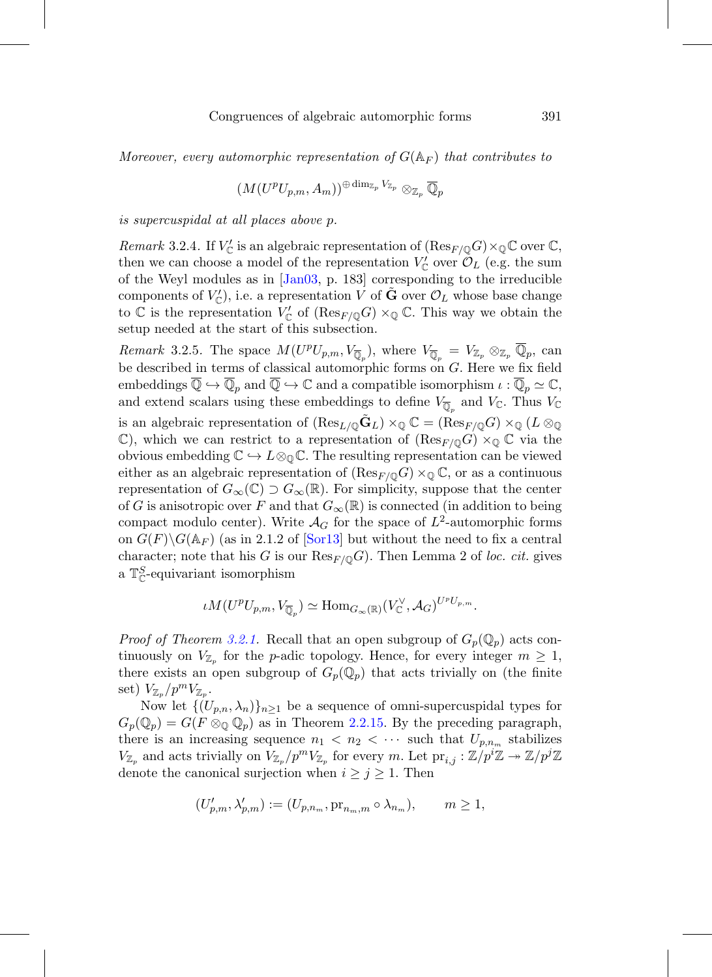Moreover, every automorphic representation of  $G(\mathbb{A}_F)$  that contributes to

$$
(M(U^pU_{p,m},A_m))^{\oplus\dim_{\mathbb{Z}_p}V_{\mathbb{Z}_p}}\otimes_{\mathbb{Z}_p}\overline{\mathbb{Q}}_p
$$

is supercuspidal at all places above p.

<span id="page-40-0"></span>Remark 3.2.4. If  $V'_{\mathbb{C}}$  is an algebraic representation of  $(\text{Res}_{F/\mathbb{Q}}G)\times_{\mathbb{Q}}\mathbb{C}$  over  $\mathbb{C}$ , then we can choose a model of the representation  $V'_{\mathbb{C}}$  over  $\mathcal{O}_L$  (e.g. the sum of the Weyl modules as in [\[Jan03](#page-76-1), p. 183] corresponding to the irreducible components of  $V_{\mathbb{C}}'$ ), i.e. a representation V of  $\tilde{G}$  over  $\mathcal{O}_L$  whose base change to  $\mathbb C$  is the representation  $V'_{\mathbb C}$  of  $(\text{Res}_{F/\mathbb Q}G)\times_{\mathbb Q}\mathbb C$ . This way we obtain the setup needed at the start of this subsection.

<span id="page-40-1"></span>Remark 3.2.5. The space  $M(U^pU_{p,m}, V_{\overline{\mathbb{Q}}_p})$ , where  $V_{\overline{\mathbb{Q}}_p} = V_{\mathbb{Z}_p} \otimes_{\mathbb{Z}_p} \overline{\mathbb{Q}}_p$ , can be described in terms of classical automorphic forms on G. Here we fix field embeddings  $\overline{\mathbb{Q}} \hookrightarrow \overline{\mathbb{Q}}_p$  and  $\overline{\mathbb{Q}} \hookrightarrow \mathbb{C}$  and a compatible isomorphism  $\iota : \overline{\mathbb{Q}}_p \simeq \mathbb{C}$ , and extend scalars using these embeddings to define  $V_{\overline{\mathbb{Q}}_p}$  and  $V_{\mathbb{C}}$ . Thus  $V_{\mathbb{C}}$ is an algebraic representation of  $(\text{Res}_{L/\mathbb{Q}}\tilde{\mathbf{G}}_L)\times_{\mathbb{Q}}\mathbb{C} = (\text{Res}_{F/\mathbb{Q}}G)\times_{\mathbb{Q}}(L\otimes_{\mathbb{Q}}$  $\mathbb{C}$ ), which we can restrict to a representation of  $(\text{Res}_{F/\mathbb{O}}G) \times_{\mathbb{O}} \mathbb{C}$  via the obvious embedding  $\mathbb{C} \hookrightarrow L \otimes_{\mathbb{Q}} \mathbb{C}$ . The resulting representation can be viewed either as an algebraic representation of  $(\text{Res}_{F/\mathbb{Q}}G) \times_{\mathbb{Q}} \mathbb{C}$ , or as a continuous representation of  $G_{\infty}(\mathbb{C}) \supset G_{\infty}(\mathbb{R})$ . For simplicity, suppose that the center of G is anisotropic over F and that  $G_{\infty}(\mathbb{R})$  is connected (in addition to being compact modulo center). Write  $\mathcal{A}_G$  for the space of  $L^2$ -automorphic forms on  $G(F)\backslash G(\mathbb{A}_F)$  (as in 2.1.2 of  $\lceil \text{Sor13} \rceil$  but without the need to fix a central character; note that his G is our  $\text{Res}_{F/\mathbb{Q}}G$ ). Then Lemma 2 of loc. cit. gives a  $\mathbb{T}^S_{\mathbb{C}}$ -equivariant isomorphism

$$
\iota M(U^p U_{p,m}, V_{\overline{\mathbb{Q}}_p}) \simeq \text{Hom}_{G_{\infty}(\mathbb{R})}(V^{\vee}_{\mathbb{C}}, \mathcal{A}_G)^{U^p U_{p,m}}.
$$

*Proof of Theorem [3.2.1.](#page-39-2)* Recall that an open subgroup of  $G_p(\mathbb{Q}_p)$  acts continuously on  $V_{\mathbb{Z}_p}$  for the *p*-adic topology. Hence, for every integer  $m \geq 1$ , there exists an open subgroup of  $G_p(\mathbb{Q}_p)$  that acts trivially on (the finite set)  $V_{\mathbb{Z}_p}/p^mV_{\mathbb{Z}_p}$ .

Now let  $\{(U_{p,n}, \lambda_n)\}_{n\geq 1}$  be a sequence of omni-supercuspidal types for  $G_p(\mathbb{Q}_p) = G(F \otimes_{\mathbb{Q}} \mathbb{Q}_p)$  as in Theorem [2.2.15.](#page-31-0) By the preceding paragraph, there is an increasing sequence  $n_1 < n_2 < \cdots$  such that  $U_{p,n_m}$  stabilizes  $V_{\mathbb{Z}_p}$  and acts trivially on  $V_{\mathbb{Z}_p}/p^mV_{\mathbb{Z}_p}$  for every m. Let  $\text{pr}_{i,j} : \mathbb{Z}/p^i\mathbb{Z} \to \mathbb{Z}/p^j\mathbb{Z}$ denote the canonical surjection when  $i \geq j \geq 1$ . Then

$$
(U'_{p,m}, \lambda'_{p,m}) := (U_{p,n_m}, \mathrm{pr}_{n_m,m} \circ \lambda_{n_m}), \qquad m \ge 1,
$$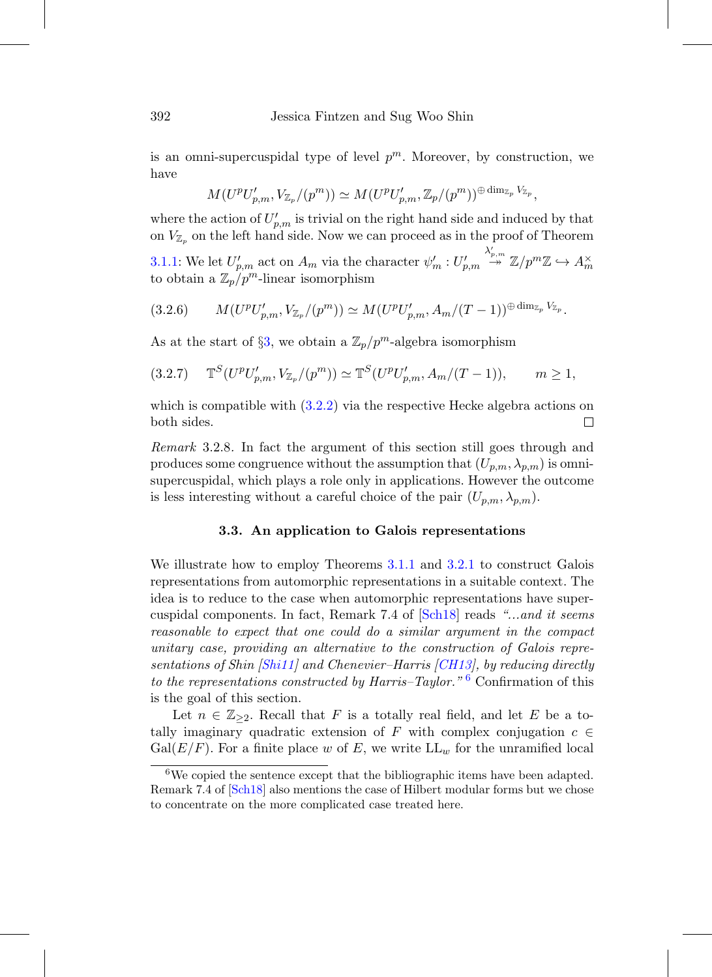is an omni-supercuspidal type of level  $p^m$ . Moreover, by construction, we have

$$
M(U^p U'_{p,m}, V_{\mathbb{Z}_p}/(p^m)) \simeq M(U^p U'_{p,m}, \mathbb{Z}_p/(p^m))^{\oplus \dim_{\mathbb{Z}_p} V_{\mathbb{Z}_p}},
$$

where the action of  $U'_{p,m}$  is trivial on the right hand side and induced by that on  $V_{\mathbb{Z}_p}$  on the left hand side. Now we can proceed as in the proof of Theorem

[3.1.1:](#page-35-0) We let  $U'_{p,m}$  act on  $A_m$  via the character  $\psi'_m: U'_{p,m}$  $\stackrel{\lambda'_{p,m}}{\twoheadrightarrow} \mathbb{Z}/p^m\mathbb{Z} \hookrightarrow A_m^\times$ to obtain a  $\mathbb{Z}_p/p^m$ -linear isomorphism

$$
(3.2.6) \qquad M(U^p U'_{p,m}, V_{\mathbb{Z}_p}/(p^m)) \simeq M(U^p U'_{p,m}, A_m/(T-1))^{\oplus \dim_{\mathbb{Z}_p} V_{\mathbb{Z}_p}}.
$$

As at the start of §[3,](#page-34-0) we obtain a  $\mathbb{Z}_p/p^m$ -algebra isomorphism

$$
(3.2.7) \quad \mathbb{T}^S(U^p U'_{p,m}, V_{\mathbb{Z}_p}/(p^m)) \simeq \mathbb{T}^S(U^p U'_{p,m}, A_m/(T-1)), \qquad m \ge 1,
$$

which is compatible with  $(3.2.2)$  via the respective Hecke algebra actions on both sides.  $\Box$ 

Remark 3.2.8. In fact the argument of this section still goes through and produces some congruence without the assumption that  $(U_{p,m}, \lambda_{p,m})$  is omnisupercuspidal, which plays a role only in applications. However the outcome is less interesting without a careful choice of the pair  $(U_{p,m}, \lambda_{p,m})$ .

### **3.3. An application to Galois representations**

<span id="page-41-0"></span>We illustrate how to employ Theorems [3.1.1](#page-35-0) and [3.2.1](#page-39-2) to construct Galois representations from automorphic representations in a suitable context. The idea is to reduce to the case when automorphic representations have supercuspidal components. In fact, Remark 7.4 of [\[Sch18\]](#page-77-0) reads "...and it seems reasonable to expect that one could do a similar argument in the compact unitary case, providing an alternative to the construction of Galois repre-sentations of Shin [\[Shi11\]](#page-77-2) and Chenevier–Harris [\[CH13](#page-74-0)], by reducing directly to the representations constructed by Harris–Taylor."<sup>[6](#page-41-1)</sup> Confirmation of this is the goal of this section.

Let  $n \in \mathbb{Z}_{\geq 2}$ . Recall that F is a totally real field, and let E be a totally imaginary quadratic extension of F with complex conjugation  $c \in$  $Gal(E/F)$ . For a finite place w of E, we write  $LL_w$  for the unramified local

<span id="page-41-1"></span><sup>6</sup>We copied the sentence except that the bibliographic items have been adapted. Remark 7.4 of [\[Sch18](#page-77-0)] also mentions the case of Hilbert modular forms but we chose to concentrate on the more complicated case treated here.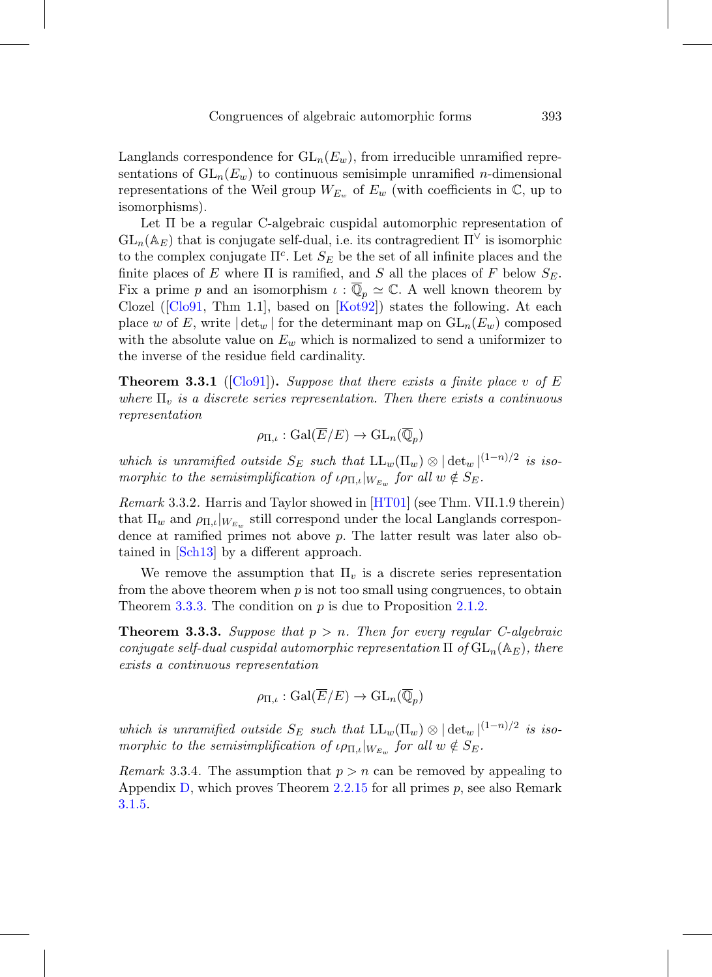Langlands correspondence for  $GL_n(E_w)$ , from irreducible unramified representations of  $GL_n(E_w)$  to continuous semisimple unramified *n*-dimensional representations of the Weil group  $W_{E_w}$  of  $E_w$  (with coefficients in  $\mathbb{C}$ , up to isomorphisms).

Let Π be a regular C-algebraic cuspidal automorphic representation of  $GL_n(\mathbb{A}_E)$  that is conjugate self-dual, i.e. its contragredient  $\Pi^{\vee}$  is isomorphic to the complex conjugate  $\Pi^c$ . Let  $S_E$  be the set of all infinite places and the finite places of E where  $\Pi$  is ramified, and S all the places of F below  $S_E$ . Fix a prime p and an isomorphism  $\iota : \overline{\mathbb{Q}}_p \simeq \mathbb{C}$ . A well known theorem by Clozel ( $[Clo91, Thm 1.1]$  $[Clo91, Thm 1.1]$ , based on  $[Kot92]$  $[Kot92]$ ) states the following. At each place w of E, write  $|\det_w|$  for the determinant map on  $GL_n(E_w)$  composed with the absolute value on  $E_w$  which is normalized to send a uniformizer to the inverse of the residue field cardinality.

<span id="page-42-1"></span>**Theorem 3.3.1** ( $\text{[Clo91]}$  $\text{[Clo91]}$  $\text{[Clo91]}$ ). Suppose that there exists a finite place v of E where  $\Pi_v$  is a discrete series representation. Then there exists a continuous representation

$$
\rho_{\Pi,\iota} : \operatorname{Gal}(\overline{E}/E) \to \operatorname{GL}_n(\overline{\mathbb{Q}}_p)
$$

which is unramified outside  $S_E$  such that  $LL_w(\Pi_w) \otimes |\det_w|^{(1-n)/2}$  is isomorphic to the semisimplification of  $\iota \rho_{\Pi,\iota}|_{W_{E_w}}$  for all  $w \notin S_E$ .

Remark 3.3.2. Harris and Taylor showed in [\[HT01](#page-76-3)] (see Thm. VII.1.9 therein) that  $\Pi_w$  and  $\rho_{\Pi,\iota}|_{W_{E_w}}$  still correspond under the local Langlands correspondence at ramified primes not above  $p$ . The latter result was later also obtained in [\[Sch13\]](#page-77-3) by a different approach.

We remove the assumption that  $\Pi_v$  is a discrete series representation from the above theorem when  $p$  is not too small using congruences, to obtain Theorem [3.3.3.](#page-42-0) The condition on  $p$  is due to Proposition [2.1.2.](#page-18-0)

<span id="page-42-0"></span>**Theorem 3.3.3.** Suppose that  $p > n$ . Then for every regular C-algebraic conjugate self-dual cuspidal automorphic representation  $\Pi$  of  $GL_n(\mathbb{A}_E)$ , there exists a continuous representation

$$
\rho_{\Pi,\iota} : \operatorname{Gal}(\overline{E}/E) \to \operatorname{GL}_n(\overline{\mathbb{Q}}_p)
$$

which is unramified outside  $S_E$  such that  $LL_w(\Pi_w) \otimes |\det_w|^{(1-n)/2}$  is isomorphic to the semisimplification of  $\iota \rho_{\Pi,\iota}|_{W_{E_w}}$  for all  $w \notin S_E$ .

*Remark* 3.3.4. The assumption that  $p > n$  can be removed by appealing to Appendix [D,](#page-67-0) which proves Theorem [2.2.15](#page-31-0) for all primes  $p$ , see also Remark [3.1.5.](#page-36-0)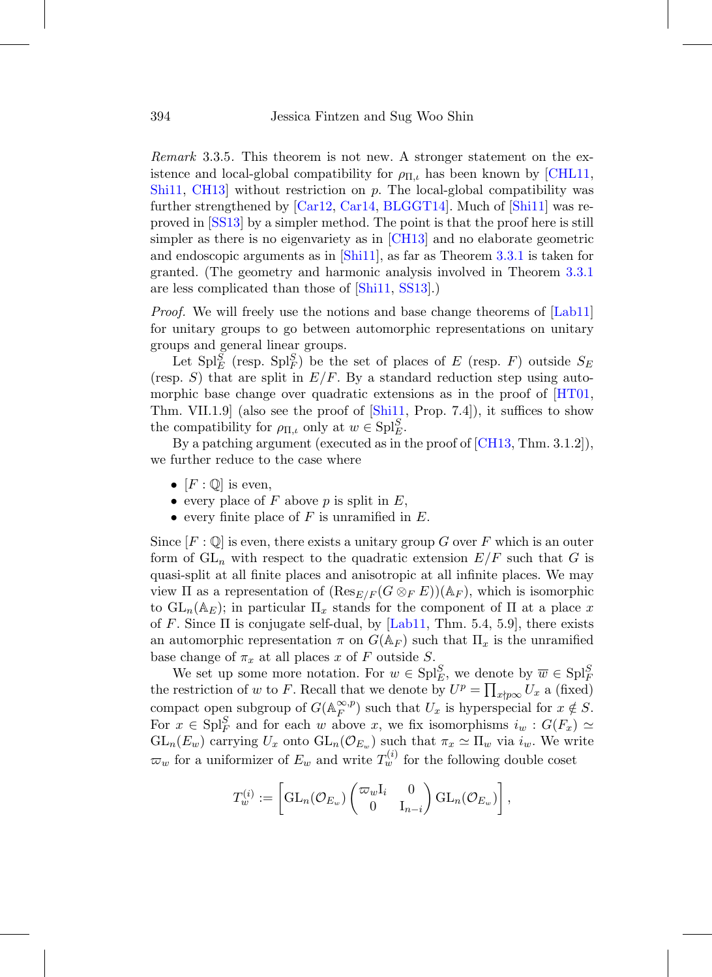Remark 3.3.5. This theorem is not new. A stronger statement on the existence and local-global compatibility for  $\rho_{\Pi,\iota}$  has been known by [\[CHL11](#page-75-2), [Shi11,](#page-77-2) [CH13](#page-74-0)] without restriction on p. The local-global compatibility was further strengthened by [\[Car12,](#page-74-1) [Car14,](#page-74-2) [BLGGT14](#page-74-3)]. Much of [\[Shi11\]](#page-77-2) was reproved in [\[SS13](#page-77-4)] by a simpler method. The point is that the proof here is still simpler as there is no eigenvariety as in [\[CH13\]](#page-74-0) and no elaborate geometric and endoscopic arguments as in [\[Shi11](#page-77-2)], as far as Theorem [3.3.1](#page-42-1) is taken for granted. (The geometry and harmonic analysis involved in Theorem [3.3.1](#page-42-1) are less complicated than those of [\[Shi11](#page-77-2), [SS13\]](#page-77-4).)

*Proof.* We will freely use the notions and base change theorems of [\[Lab11](#page-77-5)] for unitary groups to go between automorphic representations on unitary groups and general linear groups.

Let  $\text{Spl}_E^S$  (resp.  $\text{Spl}_F^S$ ) be the set of places of E (resp. F) outside  $S_E$ (resp. S) that are split in  $E/F$ . By a standard reduction step using automorphic base change over quadratic extensions as in the proof of  $[HT01,$  $[HT01,$ Thm. VII.1.9] (also see the proof of [\[Shi11,](#page-77-2) Prop. 7.4]), it suffices to show the compatibility for  $\rho_{\Pi,\iota}$  only at  $w \in \mathrm{Spl}_{E}^S$ .

By a patching argument (executed as in the proof of [\[CH13](#page-74-0), Thm. 3.1.2]), we further reduce to the case where

- $[F: \mathbb{Q}]$  is even,
- every place of F above p is split in  $E$ ,
- every finite place of  $F$  is unramified in  $E$ .

Since  $[F: \mathbb{Q}]$  is even, there exists a unitary group G over F which is an outer form of  $GL_n$  with respect to the quadratic extension  $E/F$  such that G is quasi-split at all finite places and anisotropic at all infinite places. We may view  $\Pi$  as a representation of  $(\text{Res}_{E/F}(G \otimes_F E))(\mathbb{A}_F)$ , which is isomorphic to  $GL_n(\mathbb{A}_E)$ ; in particular  $\Pi_x$  stands for the component of  $\Pi$  at a place x of F. Since  $\Pi$  is conjugate self-dual, by [\[Lab11,](#page-77-5) Thm. 5.4, 5.9], there exists an automorphic representation  $\pi$  on  $G(\mathbb{A}_F)$  such that  $\Pi_x$  is the unramified base change of  $\pi_x$  at all places x of F outside S.

We set up some more notation. For  $w \in \text{Spl}_{E}^S$ , we denote by  $\overline{w} \in \text{Spl}_{F}^S$ the restriction of w to F. Recall that we denote by  $U^p = \prod_{x \nmid p\infty} U_x$  a (fixed) compact open subgroup of  $G(\mathbb{A}_F^{\infty,p})$  such that  $U_x$  is hyperspecial for  $x \notin S$ . For  $x \in \text{Spl}_F^S$  and for each w above x, we fix isomorphisms  $i_w : G(F_x) \simeq$  $GL_n(E_w)$  carrying  $U_x$  onto  $GL_n(\mathcal{O}_{E_w})$  such that  $\pi_x \simeq \Pi_w$  via  $i_w$ . We write  $\varpi_w$  for a uniformizer of  $E_w$  and write  $T_w^{(i)}$  for the following double coset

$$
T_w^{(i)} := \left[\operatorname{GL}_n(\mathcal{O}_{E_w}) \begin{pmatrix} \varpi_w \mathrm{I}_i & 0 \\ 0 & \mathrm{I}_{n-i} \end{pmatrix} \operatorname{GL}_n(\mathcal{O}_{E_w}) \right],
$$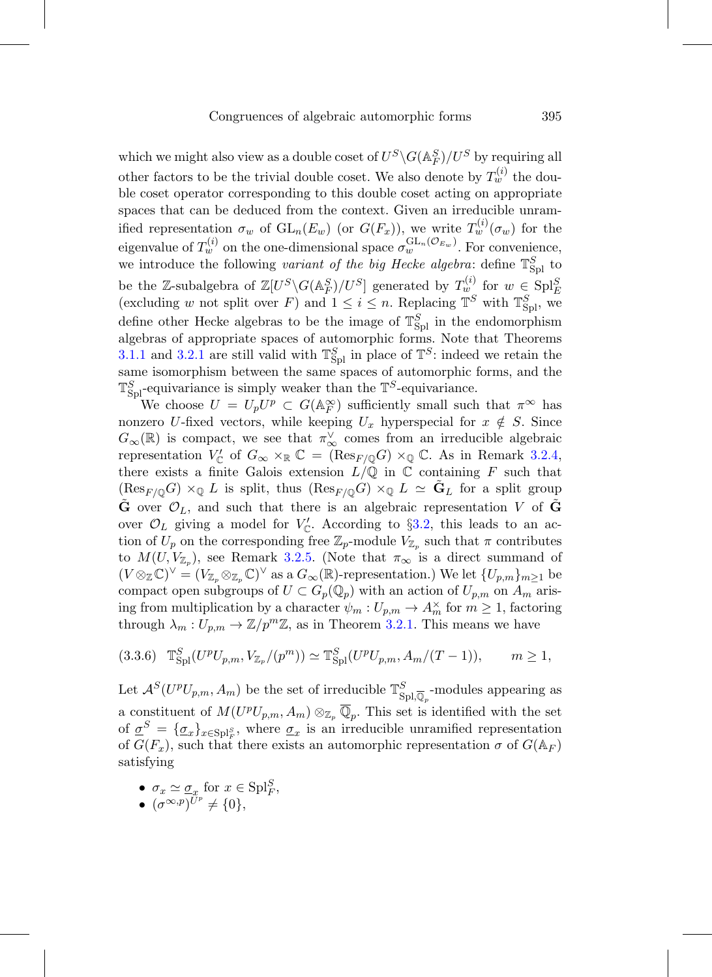which we might also view as a double coset of  $U^S \backslash G(\mathbb{A}_F^S)/U^S$  by requiring all other factors to be the trivial double coset. We also denote by  $T_w^{(i)}$  the double coset operator corresponding to this double coset acting on appropriate spaces that can be deduced from the context. Given an irreducible unramified representation  $\sigma_w$  of  $GL_n(E_w)$  (or  $G(F_x)$ ), we write  $T_w^{(i)}(\sigma_w)$  for the eigenvalue of  $T_w^{(i)}$  on the one-dimensional space  $\sigma_w^{\text{GL}_n(\mathcal{O}_{E_w})}$ . For convenience, we introduce the following *variant of the big Hecke algebra*: define  $\mathbb{T}_{\text{Spl}}^S$  to be the Z-subalgebra of  $\mathbb{Z}[U^S \backslash G(\mathbb{A}_F^S)/U^S]$  generated by  $T_w^{(i)}$  for  $w \in \text{Spl}_{E}^S$  (excluding w not split over  $F$ ) and  $1 \le i \le n$ . Replacing  $\mathbb{T}^S$  with  $\mathbb{T}_{\text{Spl}}^S$ , we define other Hecke algebras to be the image of  $\mathbb{T}_{\text{Spl}}^S$  in the endomorphism algebras of appropriate spaces of automorphic forms. Note that Theorems [3.1.1](#page-35-0) and [3.2.1](#page-39-2) are still valid with  $\mathbb{T}_{\text{Spl}}^S$  in place of  $\mathbb{T}^S$ : indeed we retain the same isomorphism between the same spaces of automorphic forms, and the  $\mathbb{T}_{\text{Spl}}^S$ -equivariance is simply weaker than the  $\mathbb{T}^S$ -equivariance.

We choose  $U = U_p U^p \subset G(\mathbb{A}_F^{\infty})$  sufficiently small such that  $\pi^{\infty}$  has nonzero U-fixed vectors, while keeping  $U_x$  hyperspecial for  $x \notin S$ . Since  $G_{\infty}(\mathbb{R})$  is compact, we see that  $\pi_{\infty}^{\vee}$  comes from an irreducible algebraic representation  $V_{\mathbb{C}}'$  of  $G_{\infty} \times_{\mathbb{R}} \mathbb{C} = (\text{Res}_{F/\mathbb{Q}}G) \times_{\mathbb{Q}} \mathbb{C}$ . As in Remark [3.2.4,](#page-40-0) there exists a finite Galois extension  $L/\mathbb{Q}$  in  $\mathbb C$  containing F such that  $(\text{Res}_{F/\mathbb{Q}}G) \times_{\mathbb{Q}} L$  is split, thus  $(\text{Res}_{F/\mathbb{Q}}G) \times_{\mathbb{Q}} L \simeq \mathbf{G}_L$  for a split group **G** over  $\mathcal{O}_L$ , and such that there is an algebraic representation V of **G** over  $\mathcal{O}_L$  giving a model for  $V'_\mathbb{C}$ . According to §[3.2,](#page-39-0) this leads to an action of  $U_p$  on the corresponding free  $\mathbb{Z}_p$ -module  $V_{\mathbb{Z}_p}$  such that  $\pi$  contributes to  $M(U, V_{\mathbb{Z}_p})$ , see Remark [3.2.5.](#page-40-1) (Note that  $\pi_{\infty}$  is a direct summand of  $(V \otimes_{\mathbb{Z}} \mathbb{C})^{\vee} = (V_{\mathbb{Z}_p} \otimes_{\mathbb{Z}_p} \mathbb{C})^{\vee}$  as a  $G_{\infty}(\mathbb{R})$ -representation.) We let  $\{U_{p,m}\}_{m \geq 1}$  be compact open subgroups of  $U \subset G_p(\mathbb{Q}_p)$  with an action of  $U_{p,m}$  on  $A_m$  arising from multiplication by a character  $\psi_m: U_{p,m} \to A_m^{\times}$  for  $m \geq 1$ , factoring through  $\lambda_m: U_{p,m} \to \mathbb{Z}/p^m\mathbb{Z}$ , as in Theorem [3.2.1.](#page-39-2) This means we have

<span id="page-44-0"></span>
$$
(3.3.6) \quad T_{\text{Spl}}^S(U^pU_{p,m}, V_{\mathbb{Z}_p}/(p^m)) \simeq T_{\text{Spl}}^S(U^pU_{p,m}, A_m/(T-1)), \qquad m \ge 1,
$$

Let  $\mathcal{A}^S(U^pU_{p,m}, A_m)$  be the set of irreducible  $\mathbb{T}_{\text{Spl},\overline{\mathbb{Q}}_p}^S$ -modules appearing as a constituent of  $M(U^pU_{p,m}, A_m) \otimes_{\mathbb{Z}_p} \overline{\mathbb{Q}}_p$ . This set is identified with the set of  $\sigma^S = {\{\sigma_x\}}_{x \in \text{Spl}_F^S}$ , where  $\sigma_x$  is an irreducible unramified representation of  $G(F_x)$ , such that there exists an automorphic representation  $\sigma$  of  $G(\mathbb{A}_F)$ satisfying

- $\sigma_x \simeq \underline{\sigma}_x$  for  $x \in {\rm Spl}_F^S$ ,
- $\bullet \ \ (\sigma^{\infty,p})^{U^p} \neq \{0\},$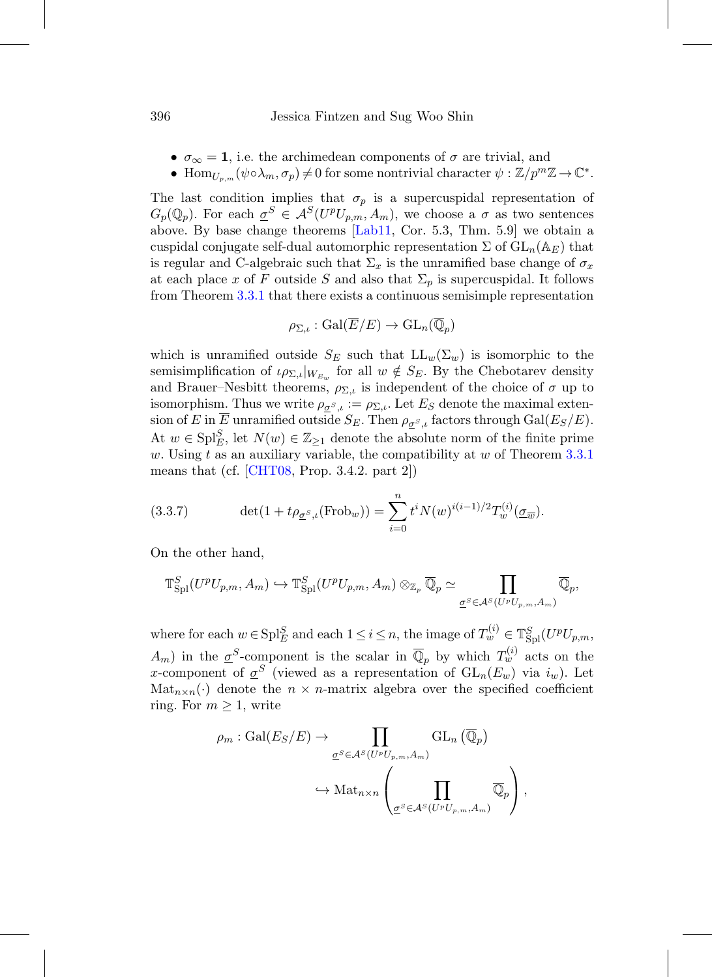- $\sigma_{\infty} = 1$ , i.e. the archimedean components of  $\sigma$  are trivial, and
- Hom $_{U_{p,m}}(\psi \circ \lambda_m, \sigma_p) \neq 0$  for some nontrivial character  $\psi : \mathbb{Z}/p^m \mathbb{Z} \to \mathbb{C}^*$ .

The last condition implies that  $\sigma_p$  is a supercuspidal representation of  $G_p(\mathbb{Q}_p)$ . For each  $\sigma^S \in \mathcal{A}^S(U^pU_{n,m}, A_m)$ , we choose a  $\sigma$  as two sentences above. By base change theorems [\[Lab11,](#page-77-5) Cor. 5.3, Thm. 5.9] we obtain a cuspidal conjugate self-dual automorphic representation  $\Sigma$  of  $GL_n(\mathbb{A}_E)$  that is regular and C-algebraic such that  $\Sigma_x$  is the unramified base change of  $\sigma_x$ at each place x of F outside S and also that  $\Sigma_p$  is supercuspidal. It follows from Theorem [3.3.1](#page-42-1) that there exists a continuous semisimple representation

$$
\rho_{\Sigma,\iota} : \mathrm{Gal}(\overline{E}/E) \to \mathrm{GL}_n(\overline{\mathbb{Q}}_p)
$$

which is unramified outside  $S_E$  such that  $LL_w(\Sigma_w)$  is isomorphic to the semisimplification of  $\iota_{\rho_{\Sigma,\iota}}|_{W_{E_w}}$  for all  $w \notin S_E$ . By the Chebotarev density and Brauer–Nesbitt theorems,  $\rho_{\Sigma,\iota}$  is independent of the choice of  $\sigma$  up to isomorphism. Thus we write  $\rho_{\sigma s,\iota} := \rho_{\Sigma,\iota}$ . Let  $E_S$  denote the maximal extension of E in  $\overline{E}$  unramified outside  $S_E$ . Then  $\rho_{\sigma^S, l}$  factors through Gal( $E_S/E$ ). At  $w \in \text{Spl}_{E}^S$ , let  $N(w) \in \mathbb{Z}_{\geq 1}$  denote the absolute norm of the finite prime w. Using t as an auxiliary variable, the compatibility at w of Theorem  $3.3.1$ means that (cf.  $[CHT08, Prop. 3.4.2. part 2]$  $[CHT08, Prop. 3.4.2. part 2]$ )

<span id="page-45-0"></span>(3.3.7) 
$$
\det(1 + t\rho_{\underline{\sigma}^S, \iota}(\text{Frob}_w)) = \sum_{i=0}^n t^i N(w)^{i(i-1)/2} T_w^{(i)}(\underline{\sigma}_{\overline{w}}).
$$

On the other hand,

$$
\mathbb{T}_{\text{Spl}}^S(U^pU_{p,m},A_m)\hookrightarrow \mathbb{T}_{\text{Spl}}^S(U^pU_{p,m},A_m)\otimes_{\mathbb{Z}_p}\overline{\mathbb{Q}}_p\simeq \prod_{\underline{\sigma}^S\in\mathcal{A}^S(U^pU_{p,m},A_m)}\overline{\mathbb{Q}}_p,
$$

where for each  $w \in \text{Spl}_{E}^S$  and each  $1 \leq i \leq n$ , the image of  $T_w^{(i)} \in \mathbb{T}_{\text{Spl}}^S(U^pU_{p,m},$  $A_m$ ) in the  $\underline{\sigma}^S$ -component is the scalar in  $\overline{\mathbb{Q}}_p$  by which  $T_w^{(i)}$  acts on the x-component of  $\underline{\sigma}^S$  (viewed as a representation of  $GL_n(E_w)$  via  $i_w$ ). Let  $\text{Mat}_{n\times n}(\cdot)$  denote the  $n \times n$ -matrix algebra over the specified coefficient ring. For  $m \geq 1$ , write

$$
\rho_m: \mathrm{Gal}(E_S/E) \to \prod_{\underline{\sigma}^S \in \mathcal{A}^S(U^pU_{p,m}, A_m)} \mathrm{GL}_n(\overline{\mathbb{Q}}_p)
$$

$$
\hookrightarrow \mathrm{Mat}_{n \times n} \left( \prod_{\underline{\sigma}^S \in \mathcal{A}^S(U^pU_{p,m}, A_m)} \overline{\mathbb{Q}}_p \right),
$$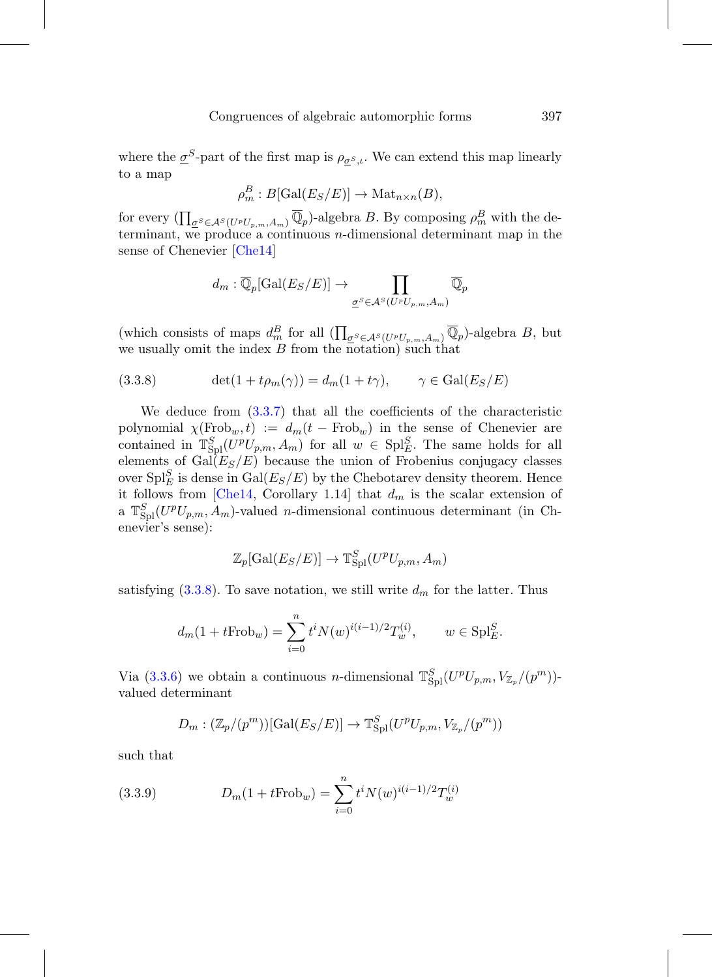where the  $\underline{\sigma}^S$ -part of the first map is  $\rho_{\underline{\sigma}^S,t}$ . We can extend this map linearly to a map

$$
\rho_m^B : B[\text{Gal}(E_S/E)] \to \text{Mat}_{n \times n}(B),
$$

for every  $(\prod_{\underline{\sigma}^S \in \mathcal{A}^S(U^pU_{p,m}, A_m)} \overline{\mathbb{Q}}_p)$ -algebra B. By composing  $\rho_m^B$  with the determinant, we produce a continuous  $n$ -dimensional determinant map in the sense of Chenevier [\[Che14](#page-74-4)]

$$
d_m: \overline{\mathbb{Q}}_p[\text{Gal}(E_S/E)] \to \prod_{\underline{\sigma}^S \in \mathcal{A}^S(U^pU_{p,m}, A_m)} \overline{\mathbb{Q}}_p
$$

(which consists of maps  $d_m^B$  for all  $(\prod_{\sigma^S \in \mathcal{A}^S(U^pU_{p,m}, A_m)} \overline{\mathbb{Q}}_p)$ -algebra B, but we usually omit the index  $B$  from the notation) such that

<span id="page-46-0"></span>(3.3.8) 
$$
\det(1 + t\rho_m(\gamma)) = d_m(1 + t\gamma), \qquad \gamma \in \text{Gal}(E_S/E)
$$

We deduce from [\(3.3.7\)](#page-45-0) that all the coefficients of the characteristic polynomial  $\chi(\text{Frob}_w, t) := d_m(t - \text{Frob}_w)$  in the sense of Chenevier are contained in  $\mathbb{T}_{\text{Spl}}^S(U^pU_{p,m}, A_m)$  for all  $w \in \text{Spl}_{E}^S$ . The same holds for all elements of  $Gal(E_S/E)$  because the union of Frobenius conjugacy classes over  $\text{Spl}_{E}^S$  is dense in  $\text{Gal}(E_S/E)$  by the Chebotarev density theorem. Hence it follows from [\[Che14,](#page-74-4) Corollary 1.14] that  $d_m$  is the scalar extension of a  $\mathbb{T}_{\text{Spl}}^S(U^pU_{p,m}, A_m)$ -valued *n*-dimensional continuous determinant (in Chenevier's sense):

$$
\mathbb{Z}_p[\text{Gal}(E_S/E)] \to \mathbb{T}_{\text{Spl}}^S(U^pU_{p,m}, A_m)
$$

satisfying  $(3.3.8)$ . To save notation, we still write  $d_m$  for the latter. Thus

$$
d_m(1 + tFrob_w) = \sum_{i=0}^n t^i N(w)^{i(i-1)/2} T_w^{(i)}, \qquad w \in \text{Spl}_E^S.
$$

Via [\(3.3.6\)](#page-44-0) we obtain a continuous *n*-dimensional  $\mathbb{T}_{\text{Spl}}^S(U^pU_{p,m}, V_{\mathbb{Z}_p}/(p^m))$ valued determinant

<span id="page-46-1"></span>
$$
D_m: (\mathbb{Z}_p/(p^m))[\text{Gal}(E_S/E)] \to \mathbb{T}_{\text{Spl}}^S(U^pU_{p,m}, V_{\mathbb{Z}_p}/(p^m))
$$

such that

(3.3.9) 
$$
D_m(1 + tFrob_w) = \sum_{i=0}^n t^i N(w)^{i(i-1)/2} T_w^{(i)}
$$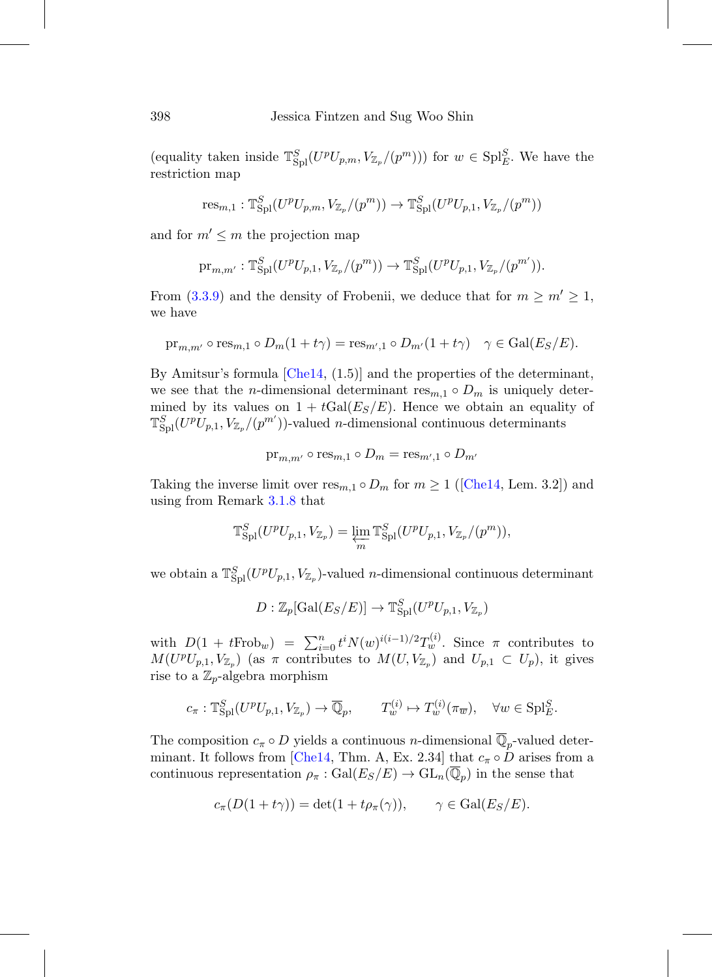(equality taken inside  $\mathbb{T}_{\text{Spl}}^S(U^pU_{p,m},V_{\mathbb{Z}_p}/(p^m)))$  for  $w \in \text{Spl}_{E}^S$ . We have the restriction map

$$
\text{res}_{m,1}: \mathbb{T}_{\text{Spl}}^S(U^pU_{p,m}, V_{\mathbb{Z}_p}/(p^m)) \to \mathbb{T}_{\text{Spl}}^S(U^pU_{p,1}, V_{\mathbb{Z}_p}/(p^m))
$$

and for  $m' \leq m$  the projection map

$$
\mathrm{pr}_{m,m'}: \mathbb{T}_{\text{Spl}}^S(U^pU_{p,1},V_{\mathbb{Z}_p}/(p^m)) \to \mathbb{T}_{\text{Spl}}^S(U^pU_{p,1},V_{\mathbb{Z}_p}/(p^{m'})).
$$

From  $(3.3.9)$  and the density of Frobenii, we deduce that for  $m \ge m' \ge 1$ , we have

$$
\mathrm{pr}_{m,m'} \circ \mathrm{res}_{m,1} \circ D_m(1+t\gamma) = \mathrm{res}_{m',1} \circ D_{m'}(1+t\gamma) \quad \gamma \in \mathrm{Gal}(E_S/E).
$$

By Amitsur's formula  $[Che14, (1.5)]$  $[Che14, (1.5)]$  and the properties of the determinant, we see that the *n*-dimensional determinant  $res_{m,1} \circ D_m$  is uniquely determined by its values on  $1 + tGal(E_S/E)$ . Hence we obtain an equality of  $\mathbb{T}_{\text{Spl}}^S(U^pU_{p,1},V_{\mathbb{Z}_p}/(p^{m'}))$ -valued *n*-dimensional continuous determinants

$$
\operatorname{pr}_{m,m'} \circ \operatorname{res}_{m,1} \circ D_m = \operatorname{res}_{m',1} \circ D_{m'}
$$

Taking the inverse limit over  $res_{m,1} \circ D_m$  for  $m \geq 1$  ([\[Che14,](#page-74-4) Lem. 3.2]) and using from Remark [3.1.8](#page-38-0) that

$$
\mathbb{T}_{\text{Spl}}^S(U^pU_{p,1},V_{\mathbb{Z}_p})=\varprojlim_m \mathbb{T}_{\text{Spl}}^S(U^pU_{p,1},V_{\mathbb{Z}_p}/(p^m)),
$$

we obtain a  $\mathbb{T}_{\text{Spl}}^S(U^pU_{p,1},V_{\mathbb{Z}_p})$ -valued *n*-dimensional continuous determinant

$$
D: \mathbb{Z}_p[\text{Gal}(E_S/E)] \to \mathbb{T}_{\text{Spl}}^S(U^pU_{p,1}, V_{\mathbb{Z}_p})
$$

with  $D(1 + tFrob_w) = \sum_{i=0}^{n} t^i N(w)^{i(i-1)/2} T_w^{(i)}$ . Since  $\pi$  contributes to  $M(U^pU_{p,1}, V_{\mathbb{Z}_p})$  (as  $\pi$  contributes to  $M(U, V_{\mathbb{Z}_p})$  and  $U_{p,1} \subset U_p$ ), it gives rise to a  $\mathbb{Z}_p$ -algebra morphism

$$
c_{\pi}: \mathbb{T}_{\text{Spl}}^S(U^p U_{p,1}, V_{\mathbb{Z}_p}) \to \overline{\mathbb{Q}}_p, \qquad T_w^{(i)} \mapsto T_w^{(i)}(\pi_{\overline{w}}), \quad \forall w \in \text{Spl}_{E}^S.
$$

The composition  $c_{\pi} \circ D$  yields a continuous *n*-dimensional  $\overline{\mathbb{Q}}_p$ -valued deter-minant. It follows from [\[Che14](#page-74-4), Thm. A, Ex. 2.34] that  $c_{\pi} \circ D$  arises from a continuous representation  $\rho_{\pi} : Gal(E_S/E) \to GL_n(\overline{\mathbb{Q}}_p)$  in the sense that

$$
c_{\pi}(D(1+t\gamma)) = \det(1+t\rho_{\pi}(\gamma)), \qquad \gamma \in \text{Gal}(E_S/E).
$$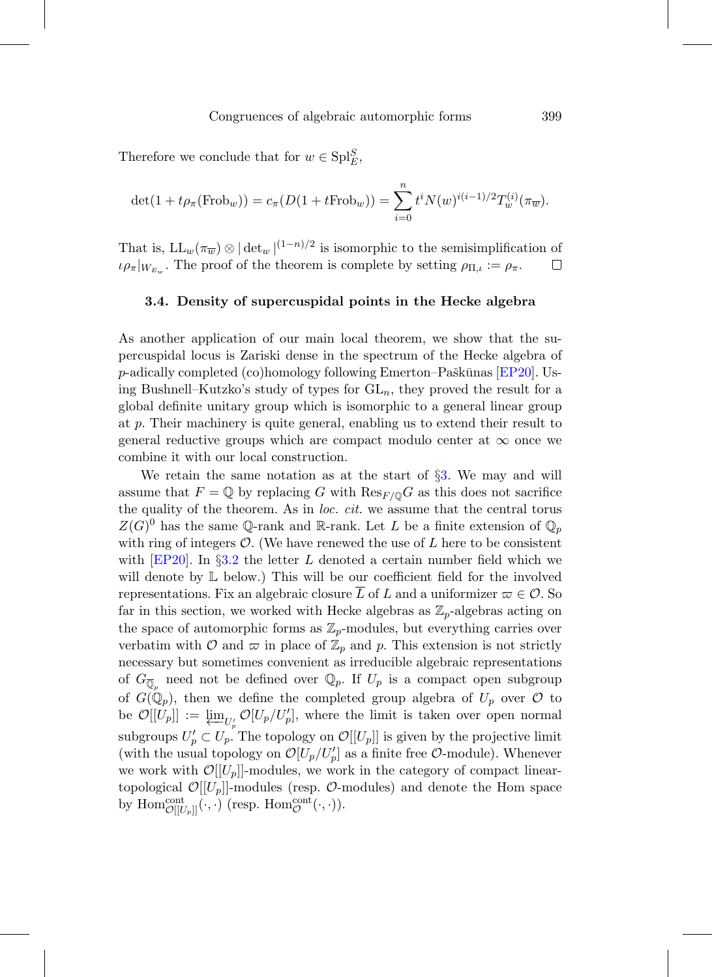Therefore we conclude that for  $w \in \text{Spl}_{E}^S$ ,

$$
\det(1 + t\rho_{\pi}(\text{Frob}_w)) = c_{\pi}(D(1 + t\text{Frob}_w)) = \sum_{i=0}^{n} t^i N(w)^{i(i-1)/2} T_w^{(i)}(\pi_{\overline{w}}).
$$

That is,  $LL_w(\pi_{\overline{w}}) \otimes |\det_w|^{(1-n)/2}$  is isomorphic to the semisimplification of  $\iota \rho_{\pi}|_{W_{E_{\infty}}}$ . The proof of the theorem is complete by setting  $\rho_{\Pi,\iota} := \rho_{\pi}$ .  $\Box$ 

### **3.4. Density of supercuspidal points in the Hecke algebra**

As another application of our main local theorem, we show that the supercuspidal locus is Zariski dense in the spectrum of the Hecke algebra of  $p$ -adically completed (co)homology following Emerton–Paškūnas [\[EP20\]](#page-75-4). Using Bushnell–Kutzko's study of types for  $GL_n$ , they proved the result for a global definite unitary group which is isomorphic to a general linear group at p. Their machinery is quite general, enabling us to extend their result to general reductive groups which are compact modulo center at  $\infty$  once we combine it with our local construction.

We retain the same notation as at the start of §[3.](#page-34-0) We may and will assume that  $F = \mathbb{Q}$  by replacing G with  $\text{Res}_{F/\mathbb{Q}}G$  as this does not sacrifice the quality of the theorem. As in loc. cit. we assume that the central torus  $Z(G)^0$  has the same Q-rank and R-rank. Let L be a finite extension of  $\mathbb{Q}_p$ with ring of integers  $\mathcal{O}$ . (We have renewed the use of L here to be consistent with  $[EP20]$ . In §[3.2](#page-39-0) the letter L denoted a certain number field which we will denote by  $\mathbb L$  below.) This will be our coefficient field for the involved representations. Fix an algebraic closure  $\overline{L}$  of L and a uniformizer  $\varpi \in \mathcal{O}$ . So far in this section, we worked with Hecke algebras as  $\mathbb{Z}_p$ -algebras acting on the space of automorphic forms as  $\mathbb{Z}_p$ -modules, but everything carries over verbatim with  $\mathcal O$  and  $\varpi$  in place of  $\mathbb{Z}_p$  and p. This extension is not strictly necessary but sometimes convenient as irreducible algebraic representations of  $G_{\overline{\mathbb{Q}}_p}$  need not be defined over  $\mathbb{Q}_p$ . If  $U_p$  is a compact open subgroup of  $G(\mathbb{Q}_p)$ , then we define the completed group algebra of  $U_p$  over  $\mathcal O$  to be  $\mathcal{O}[[U_p]] := \varprojlim_{U_p'} \mathcal{O}[U_p/U_p'],$  where the limit is taken over open normal subgroups  $U_p' \subset U_p$ . The topology on  $\mathcal{O}[[U_p]]$  is given by the projective limit (with the usual topology on  $\mathcal{O}[U_p/U_p']$  as a finite free  $\mathcal{O}\text{-module}$ ). Whenever we work with  $\mathcal{O}[[U_p]]$ -modules, we work in the category of compact lineartopological  $\mathcal{O}[[U_p]]$ -modules (resp.  $\mathcal{O}$ -modules) and denote the Hom space by  $\mathrm{Hom}^{\mathrm{cont}}_{\mathcal{O}[[U_p]]}(\cdot,\cdot)$  (resp.  $\mathrm{Hom}^{\mathrm{cont}}_{\mathcal{O}}(\cdot,\cdot)$ ).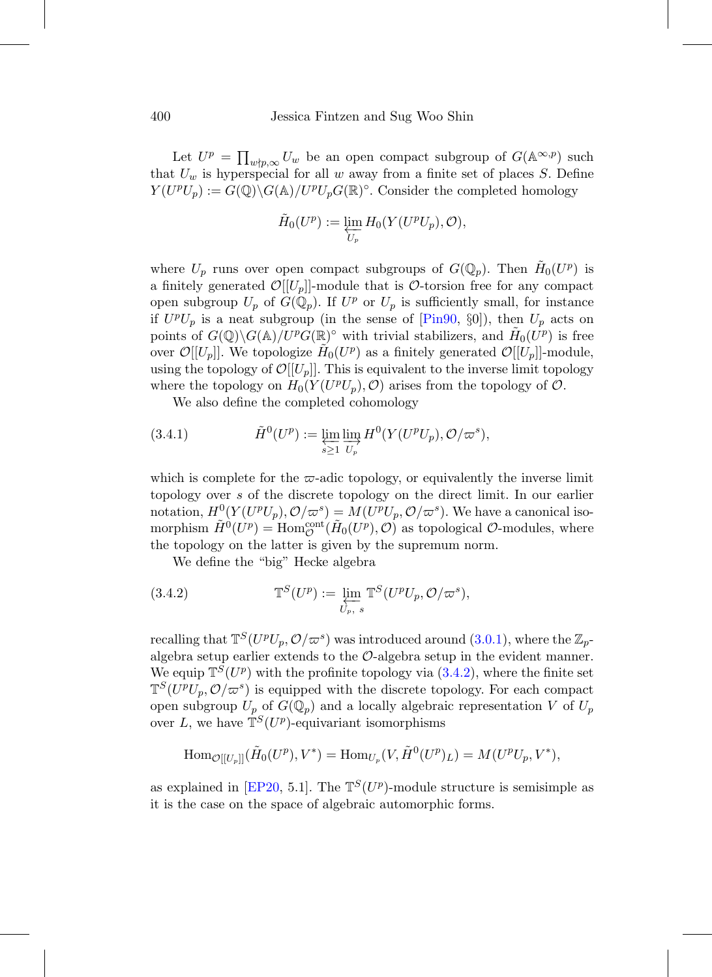Let  $U^p = \prod_{w \nmid p, \infty} U_w$  be an open compact subgroup of  $G(\mathbb{A}^{\infty, p})$  such that  $U_w$  is hyperspecial for all w away from a finite set of places S. Define  $Y(U^pU_p) := G(\mathbb{Q}) \backslash G(\mathbb{A})/U^pU_pG(\mathbb{R})^{\circ}$ . Consider the completed homology

$$
\tilde{H}_0(U^p) := \varprojlim_{U_p} H_0(Y(U^p U_p), \mathcal{O}),
$$

where  $U_p$  runs over open compact subgroups of  $G(\mathbb{Q}_p)$ . Then  $\tilde{H}_0(U^p)$  is a finitely generated  $\mathcal{O}[[U_p]]$ -module that is  $\mathcal{O}$ -torsion free for any compact open subgroup  $U_p$  of  $G(\mathbb{Q}_p)$ . If  $U^p$  or  $U_p$  is sufficiently small, for instance if  $U^pU_p$  is a neat subgroup (in the sense of [\[Pin90](#page-77-6), §0]), then  $U_p$  acts on points of  $G(\mathbb{Q})\backslash G(\mathbb{A})/U^pG(\mathbb{R})^{\circ}$  with trivial stabilizers, and  $\tilde{H}_0(U^p)$  is free over  $\mathcal{O}[[U_p]]$ . We topologize  $H_0(U^p)$  as a finitely generated  $\mathcal{O}[[U_p]]$ -module, using the topology of  $\mathcal{O}[[U_p]]$ . This is equivalent to the inverse limit topology where the topology on  $H_0(Y(U^pU_p), \mathcal{O})$  arises from the topology of  $\mathcal{O}$ .

We also define the completed cohomology

(3.4.1) 
$$
\tilde{H}^0(U^p) := \varprojlim_{s \ge 1} \varinjlim_{U_p} H^0(Y(U^p U_p), \mathcal{O}/\varpi^s),
$$

which is complete for the  $\varpi$ -adic topology, or equivalently the inverse limit topology over s of the discrete topology on the direct limit. In our earlier notation,  $H^0(Y(U^pU_p), \mathcal{O}/\varpi^s) = M(U^pU_p, \mathcal{O}/\varpi^s)$ . We have a canonical isomorphism  $\tilde{H}^0(U^p) = \text{Hom}_{\mathcal{O}}^{\text{cont}}(\tilde{H}_0(U^p), \mathcal{O})$  as topological  $\mathcal{O}$ -modules, where the topology on the latter is given by the supremum norm.

<span id="page-49-0"></span>We define the "big" Hecke algebra

(3.4.2) 
$$
\mathbb{T}^S(U^p) := \varprojlim_{U_p, s} \mathbb{T}^S(U^p U_p, \mathcal{O}/\varpi^s),
$$

recalling that  $\mathbb{T}^S(U^pU_p, \mathcal{O}/\varpi^s)$  was introduced around [\(3.0.1\)](#page-35-3), where the  $\mathbb{Z}_p$ algebra setup earlier extends to the O-algebra setup in the evident manner. We equip  $\mathbb{T}^{S}(U^{p})$  with the profinite topology via  $(3.4.2)$ , where the finite set  $\mathbb{T}^{S}(U^{p}U_{p},\mathcal{O}/\varpi^{s})$  is equipped with the discrete topology. For each compact open subgroup  $U_p$  of  $G(\mathbb{Q}_p)$  and a locally algebraic representation V of  $U_p$ over L, we have  $\mathbb{T}^{S}(U^p)$ -equivariant isomorphisms

$$
\operatorname{Hom}_{\mathcal{O}[[U_p]]}(\tilde{H}_0(U^p), V^*) = \operatorname{Hom}_{U_p}(V, \tilde{H}^0(U^p)_L) = M(U^p U_p, V^*),
$$

as explained in [\[EP20,](#page-75-4) 5.1]. The  $\mathbb{T}^{S}(U^p)$ -module structure is semisimple as it is the case on the space of algebraic automorphic forms.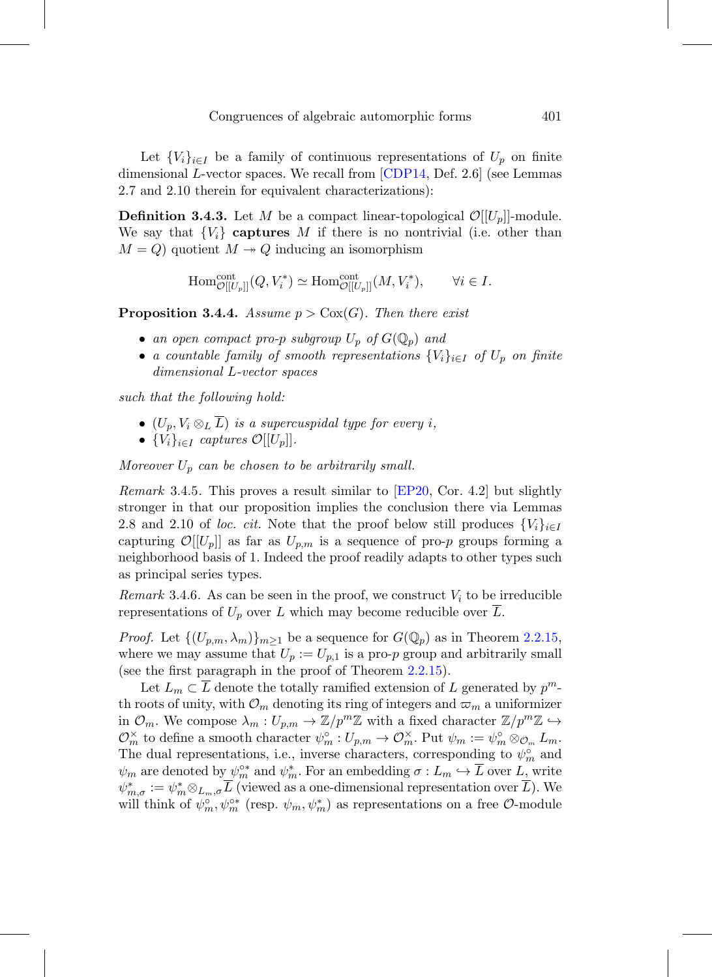Let  ${V_i}_{i\in I}$  be a family of continuous representations of  $U_p$  on finite dimensional L-vector spaces. We recall from  $\text{CDP14}$ , Def. 2.6 (see Lemmas 2.7 and 2.10 therein for equivalent characterizations):

**Definition 3.4.3.** Let M be a compact linear-topological  $\mathcal{O}[[U_p]]$ -module. We say that  ${V_i}$  **captures** M if there is no nontrivial (i.e. other than  $M = Q$ ) quotient  $M \rightarrow Q$  inducing an isomorphism

$$
\mathrm{Hom}^{\mathrm{cont}}_{\mathcal{O}[[U_p]]}(Q,V_i^*)\simeq \mathrm{Hom}^{\mathrm{cont}}_{\mathcal{O}[[U_p]]}(M,V_i^*), \qquad \forall i\in I.
$$

<span id="page-50-0"></span>**Proposition 3.4.4.** Assume  $p > \text{Cox}(G)$ . Then there exist

- an open compact pro-p subgroup  $U_p$  of  $G(\mathbb{Q}_p)$  and
- a countable family of smooth representations  ${V_i}_{i \in I}$  of  $U_p$  on finite dimensional L-vector spaces

such that the following hold:

- $(U_p, V_i \otimes_L \overline{L})$  is a supercuspidal type for every i,
- $\{V_i\}_{i\in I}$  captures  $\mathcal{O}[[U_p]]$ .

Moreover  $U_p$  can be chosen to be arbitrarily small.

*Remark* 3.4.5. This proves a result similar to  $EP20$ , Cor. 4.2 but slightly stronger in that our proposition implies the conclusion there via Lemmas 2.8 and 2.10 of loc. cit. Note that the proof below still produces  $\{V_i\}_{i\in I}$ capturing  $\mathcal{O}[[U_p]]$  as far as  $U_{p,m}$  is a sequence of pro-p groups forming a neighborhood basis of 1. Indeed the proof readily adapts to other types such as principal series types.

Remark 3.4.6. As can be seen in the proof, we construct  $V_i$  to be irreducible representations of  $U_p$  over L which may become reducible over L.

*Proof.* Let  $\{(U_{p,m}, \lambda_m)\}_{m\geq 1}$  be a sequence for  $G(\mathbb{Q}_p)$  as in Theorem [2.2.15,](#page-31-0) where we may assume that  $U_p := U_{p,1}$  is a pro-p group and arbitrarily small (see the first paragraph in the proof of Theorem [2.2.15\)](#page-31-0).

Let  $L_m \subset L$  denote the totally ramified extension of L generated by  $p^m$ th roots of unity, with  $\mathcal{O}_m$  denoting its ring of integers and  $\varpi_m$  a uniformizer in  $\mathcal{O}_m$ . We compose  $\lambda_m: U_{p,m} \to \mathbb{Z}/p^m\mathbb{Z}$  with a fixed character  $\mathbb{Z}/p^m\mathbb{Z} \hookrightarrow$  $\mathcal{O}_m^{\times}$  to define a smooth character  $\psi_m^{\circ}: U_{p,m} \to \mathcal{O}_m^{\times}$ . Put  $\psi_m := \psi_m^{\circ} \otimes_{\mathcal{O}_m} L_m$ . The dual representations, i.e., inverse characters, corresponding to  $\psi_m^{\circ}$  and  $\psi_m$  are denoted by  $\psi_m^{\circ*}$  and  $\psi_m^*$ . For an embedding  $\sigma: L_m \hookrightarrow L$  over L, write  $\psi_{m,\sigma}^* := \psi_m^* \otimes_{L_m,\sigma} L$  (viewed as a one-dimensional representation over L). We will think of  $\psi_m^{\circ}$ ,  $\psi_m^{\circ*}$  (resp.  $\psi_m, \psi_m^*$ ) as representations on a free  $\mathcal{O}$ -module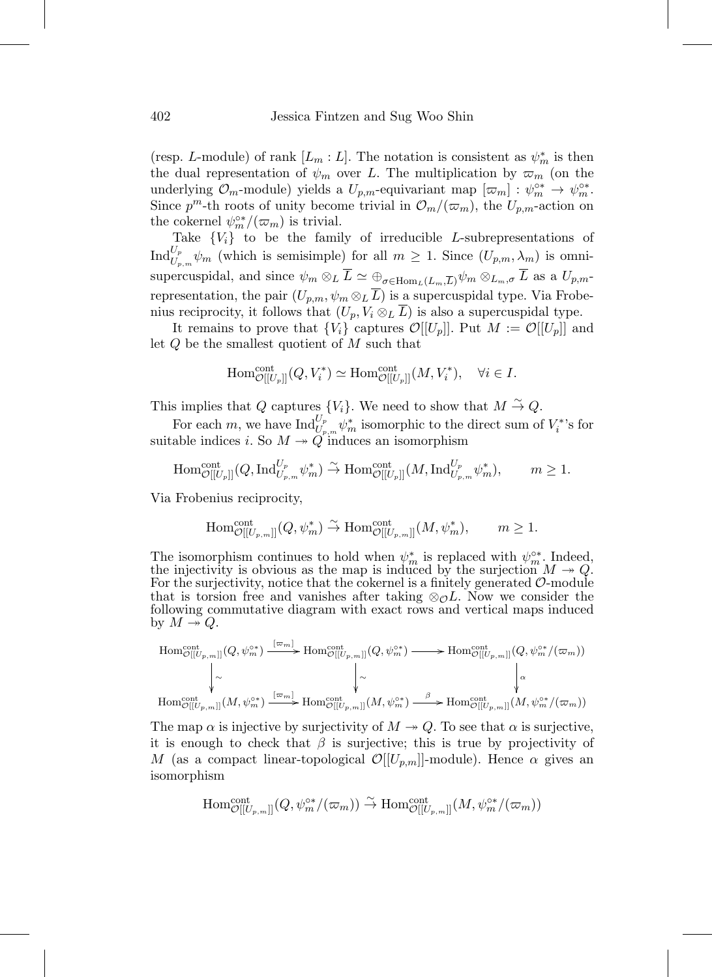(resp. L-module) of rank  $[L_m: L]$ . The notation is consistent as  $\psi_m^*$  is then the dual representation of  $\psi_m$  over L. The multiplication by  $\varpi_m$  (on the underlying  $\mathcal{O}_m$ -module) yields a  $U_{p,m}$ -equivariant map  $[\varpi_m] : \psi_m^{\circ*} \to \psi_m^{\circ*}$ . Since  $p^m$ -th roots of unity become trivial in  $\mathcal{O}_m/(\varpi_m)$ , the  $U_{p,m}$ -action on the cokernel  $\psi_m^{\circ*}/(\varpi_m)$  is trivial.

Take  ${V_i}$  to be the family of irreducible L-subrepresentations of  $\text{Ind}_{U_{p,m}}^{U_p} \psi_m$  (which is semisimple) for all  $m \geq 1$ . Since  $(U_{p,m}, \lambda_m)$  is omnisupercuspidal, and since  $\psi_m \otimes_L \overline{L} \simeq \bigoplus_{\sigma \in \text{Hom}_L(L_m,\overline{L})} \psi_m \otimes_{L_m,\sigma} \overline{L}$  as a  $U_{p,m}$ representation, the pair  $(U_{p,m}, \psi_m \otimes_L \overline{L})$  is a supercuspidal type. Via Frobenius reciprocity, it follows that  $(U_p, V_i \otimes_L \overline{L})$  is also a supercuspidal type.

It remains to prove that  ${V_i}$  captures  $\mathcal{O}[[U_p]]$ . Put  $M := \mathcal{O}[[U_p]]$  and let Q be the smallest quotient of M such that

$$
\operatorname{Hom}^{\operatorname{cont}}_{\mathcal{O}[[U_p]]}(Q, V_i^*) \simeq \operatorname{Hom}^{\operatorname{cont}}_{\mathcal{O}[[U_p]]}(M, V_i^*), \quad \forall i \in I.
$$

This implies that Q captures  $\{V_i\}$ . We need to show that  $M \stackrel{\sim}{\rightarrow} Q$ .

For each m, we have  $\text{Ind}_{U_{p,m}}^{U_p} \psi_m^*$  isomorphic to the direct sum of  $V_i^{*}$ 's for suitable indices *i*. So  $M \rightarrow Q$  induces an isomorphism

$$
\text{Hom}^{\text{cont}}_{\mathcal{O}[[U_p]]}(Q, \text{Ind}_{U_{p,m}}^{U_p} \psi_m^*) \xrightarrow{\sim} \text{Hom}^{\text{cont}}_{\mathcal{O}[[U_p]]}(M, \text{Ind}_{U_{p,m}}^{U_p} \psi_m^*), \qquad m \ge 1.
$$

Via Frobenius reciprocity,

$$
\mathrm{Hom}^{\mathrm{cont}}_{\mathcal{O}[[U_{p,m}]]}(Q, \psi_m^*) \stackrel{\sim}{\to} \mathrm{Hom}^{\mathrm{cont}}_{\mathcal{O}[[U_{p,m}]]}(M, \psi_m^*), \qquad m \geq 1.
$$

The isomorphism continues to hold when  $\psi_m^*$  is replaced with  $\psi_m^{\circ*}$ . Indeed, the injectivity is obvious as the map is induced by the surjection  $M \to Q$ .<br>For the surjectivity, notice that the cokernel is a finitely generated O-module that is torsion free and vanishes after taking  $\otimes_{\mathcal{O}} L$ . Now we consider the following commutative diagram with exact rows and vertical maps induced by  $M \rightarrow Q$ .

$$
\begin{array}{ccc}\n\text{Hom}^{\text{cont}}_{\mathcal{O}[[U_{p,m}]]}(Q, \psi_m^{\circ*}) \xrightarrow{[\varpi_{m}]} \text{Hom}^{\text{cont}}_{\mathcal{O}[[U_{p,m}]]}(Q, \psi_m^{\circ*}) \longrightarrow \text{Hom}^{\text{cont}}_{\mathcal{O}[[U_{p,m}]]}(Q, \psi_m^{\circ*}/(\varpi_m)) \\
\downarrow^{\sim} & \downarrow^{\sim} & \downarrow^{\sim} & \downarrow^{\sim} \\
\text{Hom}^{\text{cont}}_{\mathcal{O}[[U_{p,m}]]}(M, \psi_m^{\circ*}) \xrightarrow{[\varpi_{m}]} \text{Hom}^{\text{cont}}_{\mathcal{O}[[U_{p,m}]]}(M, \psi_m^{\circ*}) \xrightarrow{\beta} \text{Hom}^{\text{cont}}_{\mathcal{O}[[U_{p,m}]]}(M, \psi_m^{\circ*}/(\varpi_m))\n\end{array}
$$

The map  $\alpha$  is injective by surjectivity of  $M \to Q$ . To see that  $\alpha$  is surjective, it is enough to check that  $\beta$  is surjective; this is true by projectivity of M (as a compact linear-topological  $\mathcal{O}[[U_{p,m}]]$ -module). Hence  $\alpha$  gives an isomorphism

$$
\mathrm{Hom}^{\mathrm{cont}}_{\mathcal{O}[[U_{p,m}]]}(Q, \psi_m^{\circ*}/(\varpi_m)) \stackrel{\sim}{\rightarrow} \mathrm{Hom}^{\mathrm{cont}}_{\mathcal{O}[[U_{p,m}]]}(M, \psi_m^{\circ*}/(\varpi_m))
$$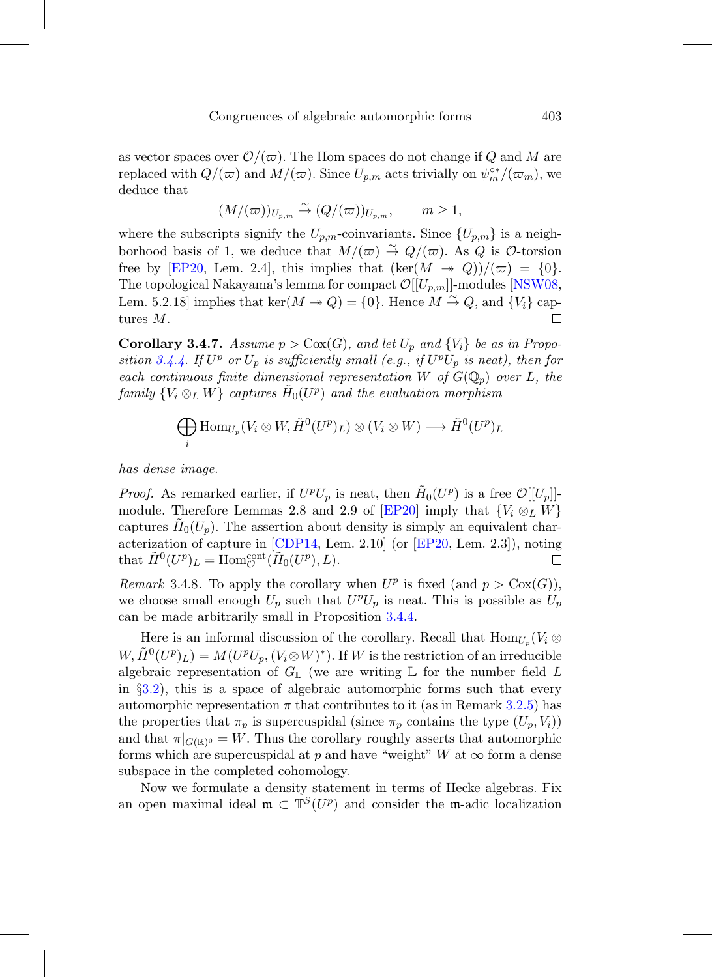as vector spaces over  $\mathcal{O}/(\varpi)$ . The Hom spaces do not change if Q and M are replaced with  $Q/(\varpi)$  and  $M/(\varpi)$ . Since  $U_{p,m}$  acts trivially on  $\psi_m^{\circ*}/(\varpi_m)$ , we deduce that

$$
(M/(\varpi))_{U_{p,m}} \stackrel{\sim}{\to} (Q/(\varpi))_{U_{p,m}}, \qquad m \ge 1,
$$

where the subscripts signify the  $U_{p,m}$ -coinvariants. Since  $\{U_{p,m}\}$  is a neighborhood basis of 1, we deduce that  $M/(\varpi) \stackrel{\sim}{\to} Q/(\varpi)$ . As Q is  $\mathcal{O}\text{-torsion}$ free by [\[EP20,](#page-75-4) Lem. 2.4], this implies that  $(\ker(M \to Q))/(\varpi) = \{0\}.$ The topological Nakayama's lemma for compact  $\mathcal{O}[[U_{p,m}]]$ -modules [\[NSW08](#page-77-7), Lem. 5.2.18] implies that  $\ker(M \to Q) = \{0\}$ . Hence  $M \stackrel{\sim}{\to} Q$ , and  $\{V_i\}$  captures M. П

<span id="page-52-0"></span>**Corollary 3.4.7.** Assume  $p > \text{Cox}(G)$ , and let  $U_p$  and  $\{V_i\}$  be as in Propo-sition [3.4.4.](#page-50-0) If  $U^p$  or  $U_p$  is sufficiently small (e.g., if  $U^pU_p$  is neat), then for each continuous finite dimensional representation W of  $G(\mathbb{Q}_p)$  over L, the family  ${V_i \otimes_L W}$  captures  $H_0(U^p)$  and the evaluation morphism

$$
\bigoplus_i \text{Hom}_{U_p}(V_i \otimes W, \tilde{H}^0(U^p)_L) \otimes (V_i \otimes W) \longrightarrow \tilde{H}^0(U^p)_L
$$

has dense image.

*Proof.* As remarked earlier, if  $U^pU_p$  is neat, then  $\tilde{H}_0(U^p)$  is a free  $\mathcal{O}[[U_p]]$ -module. Therefore Lemmas 2.8 and 2.9 of [\[EP20](#page-75-4)] imply that  $\{V_i \otimes_L W\}$ captures  $H_0(U_p)$ . The assertion about density is simply an equivalent characterization of capture in [\[CDP14,](#page-75-5) Lem. 2.10] (or [\[EP20,](#page-75-4) Lem. 2.3]), noting that  $\widetilde{H}^0(U^p)_L = \text{Hom}_{\mathcal{O}}^{\text{cont}}(\widetilde{H}_0(U^p), L).$  $\Box$ 

Remark 3.4.8. To apply the corollary when  $U^p$  is fixed (and  $p > \text{Cox}(G)$ ), we choose small enough  $U_p$  such that  $U^pU_p$  is neat. This is possible as  $U_p$ can be made arbitrarily small in Proposition [3.4.4.](#page-50-0)

Here is an informal discussion of the corollary. Recall that  $\text{Hom}_{U_p}(V_i \otimes$  $W, H^0(U^p)_L$  =  $M(U^pU_p, (V_i \otimes W)^*)$ . If W is the restriction of an irreducible algebraic representation of  $G_{\mathbb{L}}$  (we are writing  $\mathbb{L}$  for the number field L in §[3.2\)](#page-39-0), this is a space of algebraic automorphic forms such that every automorphic representation  $\pi$  that contributes to it (as in Remark [3.2.5\)](#page-40-1) has the properties that  $\pi_p$  is supercuspidal (since  $\pi_p$  contains the type  $(U_p, V_i)$ ) and that  $\pi|_{G(\mathbb{R})^0} = W$ . Thus the corollary roughly asserts that automorphic forms which are supercuspidal at p and have "weight" W at  $\infty$  form a dense subspace in the completed cohomology.

Now we formulate a density statement in terms of Hecke algebras. Fix an open maximal ideal  $\mathfrak{m} \subset \mathbb{T}^S(U^p)$  and consider the m-adic localization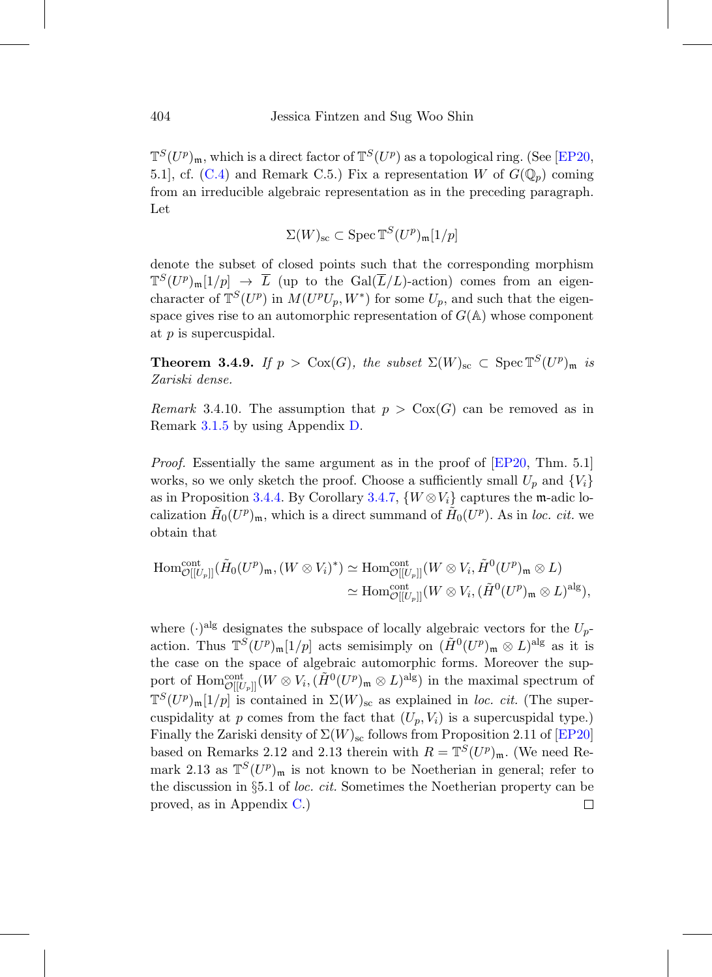$\mathbb{T}^{S}(U^{p})_{\mathfrak{m}}$ , which is a direct factor of  $\mathbb{T}^{S}(U^{p})$  as a topological ring. (See [\[EP20](#page-75-4), 5.1, cf. [\(C.4\)](#page-63-0) and Remark C.5.) Fix a representation W of  $G(\mathbb{Q}_p)$  coming from an irreducible algebraic representation as in the preceding paragraph. Let

$$
\Sigma(W)_{\rm sc} \subset \operatorname{Spec} \mathbb{T}^S(U^p)_{\mathfrak{m}}[1/p]
$$

denote the subset of closed points such that the corresponding morphism  $\mathbb{T}^{S}(U^p)_{\mathfrak{m}}[1/p] \to \overline{L}$  (up to the Gal( $\overline{L}/L$ )-action) comes from an eigencharacter of  $\mathbb{T}^{S}(U^{p})$  in  $M(U^{p}U_{p}, W^{*})$  for some  $U_{p}$ , and such that the eigenspace gives rise to an automorphic representation of  $G(\mathbb{A})$  whose component at p is supercuspidal.

**Theorem 3.4.9.** If  $p > \text{Cox}(G)$ , the subset  $\Sigma(W)_{\text{sc}} \subset \text{Spec } \mathbb{T}^S(U^p)_{\mathfrak{m}}$  is Zariski dense.

Remark 3.4.10. The assumption that  $p > \text{Cox}(G)$  can be removed as in Remark [3.1.5](#page-36-0) by using Appendix [D.](#page-67-0)

*Proof.* Essentially the same argument as in the proof of [\[EP20,](#page-75-4) Thm. 5.1] works, so we only sketch the proof. Choose a sufficiently small  $U_p$  and  $\{V_i\}$ as in Proposition [3.4.4.](#page-50-0) By Corollary [3.4.7,](#page-52-0)  $\{W \otimes V_i\}$  captures the m-adic localization  $H_0(U^p)_{\mathfrak{m}}$ , which is a direct summand of  $H_0(U^p)$ . As in loc. cit. we obtain that

$$
\begin{split} \text{Hom}^{\text{cont}}_{\mathcal{O}[[U_p]]}(\tilde{H}_0(U^p)_{\mathfrak{m}},(W \otimes V_i)^*) &\simeq \text{Hom}^{\text{cont}}_{\mathcal{O}[[U_p]]}(W \otimes V_i, \tilde{H}^0(U^p)_{\mathfrak{m}} \otimes L) \\ &\simeq \text{Hom}^{\text{cont}}_{\mathcal{O}[[U_p]]}(W \otimes V_i, (\tilde{H}^0(U^p)_{\mathfrak{m}} \otimes L)^{\text{alg}}), \end{split}
$$

where  $(\cdot)^{alg}$  designates the subspace of locally algebraic vectors for the  $U_p$ action. Thus  $\mathbb{T}^S(U^p)_{\mathfrak{m}}[1/p]$  acts semisimply on  $(H^0(U^p)_{\mathfrak{m}} \otimes L)^{\text{alg}}$  as it is the case on the space of algebraic automorphic forms. Moreover the support of  $\text{Hom}^{\text{cont}}_{\mathcal{O}[[U_p]]}(W \otimes V_i, (\tilde{H}^0(U^p)_\mathfrak{m} \otimes L)^{\text{alg}})$  in the maximal spectrum of  $\mathbb{T}^{S}(U^{p})_{\mathfrak{m}}[1/p]$  is contained in  $\Sigma(W)_{\rm sc}$  as explained in loc. cit. (The supercuspidality at p comes from the fact that  $(U_p, V_i)$  is a supercuspidal type.) Finally the Zariski density of  $\Sigma(W)_{\rm sc}$  follows from Proposition 2.11 of [\[EP20](#page-75-4)] based on Remarks 2.12 and 2.13 therein with  $R = \mathbb{T}^{S}(U^p)_{\mathfrak{m}}$ . (We need Remark 2.13 as  $\mathbb{T}^{S}(U^p)_{\mathfrak{m}}$  is not known to be Noetherian in general; refer to the discussion in §5.1 of loc. cit. Sometimes the Noetherian property can be proved, as in Appendix [C.](#page-60-0))□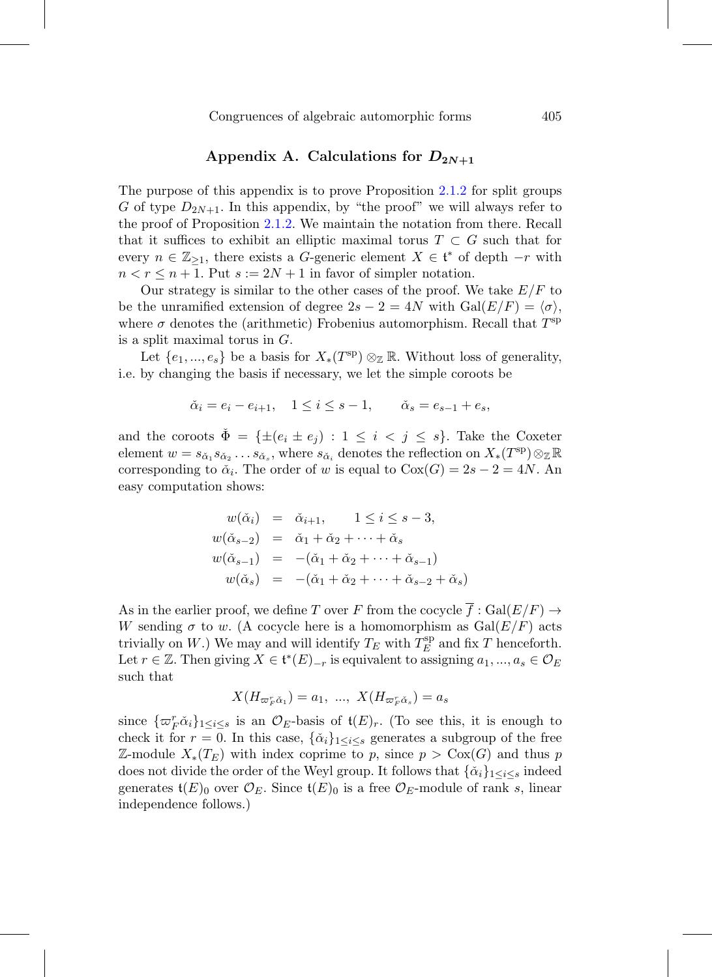### Appendix A. Calculations for  $D_{2N+1}$

The purpose of this appendix is to prove Proposition [2.1.2](#page-18-0) for split groups G of type  $D_{2N+1}$ . In this appendix, by "the proof" we will always refer to the proof of Proposition [2.1.2.](#page-18-0) We maintain the notation from there. Recall that it suffices to exhibit an elliptic maximal torus  $T \subset G$  such that for every  $n \in \mathbb{Z}_{\geq 1}$ , there exists a G-generic element  $X \in \mathfrak{t}^*$  of depth  $-r$  with  $n < r \leq n+1$ . Put  $s := 2N + 1$  in favor of simpler notation.

Our strategy is similar to the other cases of the proof. We take  $E/F$  to be the unramified extension of degree  $2s - 2 = 4N$  with  $Gal(E/F) = \langle \sigma \rangle$ , where  $\sigma$  denotes the (arithmetic) Frobenius automorphism. Recall that  $T^{sp}$ is a split maximal torus in  $G$ .

Let  $\{e_1, ..., e_s\}$  be a basis for  $X_*(T^{\rm sp}) \otimes_{\mathbb{Z}} \mathbb{R}$ . Without loss of generality, i.e. by changing the basis if necessary, we let the simple coroots be

$$
\check{\alpha}_i = e_i - e_{i+1}, \quad 1 \leq i \leq s-1, \qquad \check{\alpha}_s = e_{s-1} + e_s,
$$

and the coroots  $\Phi = {\pm(e_i \pm e_j) : 1 \leq i \leq j \leq s}$ . Take the Coxeter element  $w = s_{\check{\alpha}_1} s_{\check{\alpha}_2} \ldots s_{\check{\alpha}_s}$ , where  $s_{\check{\alpha}_i}$  denotes the reflection on  $X_*(T^{\text{sp}}) \otimes_{\mathbb{Z}} \mathbb{R}$ corresponding to  $\check{\alpha}_i$ . The order of w is equal to  $Cox(G)=2s-2=4N$ . An easy computation shows:

$$
w(\check{\alpha}_i) = \check{\alpha}_{i+1}, \quad 1 \le i \le s-3,
$$
  
\n
$$
w(\check{\alpha}_{s-2}) = \check{\alpha}_1 + \check{\alpha}_2 + \dots + \check{\alpha}_s
$$
  
\n
$$
w(\check{\alpha}_{s-1}) = -(\check{\alpha}_1 + \check{\alpha}_2 + \dots + \check{\alpha}_{s-1})
$$
  
\n
$$
w(\check{\alpha}_s) = -(\check{\alpha}_1 + \check{\alpha}_2 + \dots + \check{\alpha}_{s-2} + \check{\alpha}_s)
$$

As in the earlier proof, we define T over F from the cocycle  $\overline{f} : \text{Gal}(E/F) \to$ W sending  $\sigma$  to w. (A cocycle here is a homomorphism as  $Gal(E/F)$  acts trivially on W.) We may and will identify  $T_E$  with  $T_E^{\text{sp}}$  and fix T henceforth. Let  $r \in \mathbb{Z}$ . Then giving  $X \in \mathfrak{t}^*(E)_{-r}$  is equivalent to assigning  $a_1, ..., a_s \in \mathcal{O}_E$ such that

$$
X(H_{\varpi_F^r\check{\alpha}_1}) = a_1, \ \ldots, \ X(H_{\varpi_F^r\check{\alpha}_s}) = a_s
$$

since  $\{\varpi_F^r\check{\alpha}_i\}_{1\leq i\leq s}$  is an  $\mathcal{O}_E$ -basis of  $\mathfrak{t}(E)_r$ . (To see this, it is enough to check it for  $r = 0$ . In this case,  $\{\check{\alpha}_i\}_{1 \leq i \leq s}$  generates a subgroup of the free Z-module  $X_*(T_E)$  with index coprime to p, since  $p > \text{Cox}(G)$  and thus p does not divide the order of the Weyl group. It follows that  $\{\check{\alpha}_i\}_{1 \leq i \leq s}$  indeed generates  $\mathfrak{t}(E)_0$  over  $\mathcal{O}_E$ . Since  $\mathfrak{t}(E)_0$  is a free  $\mathcal{O}_E$ -module of rank s, linear independence follows.)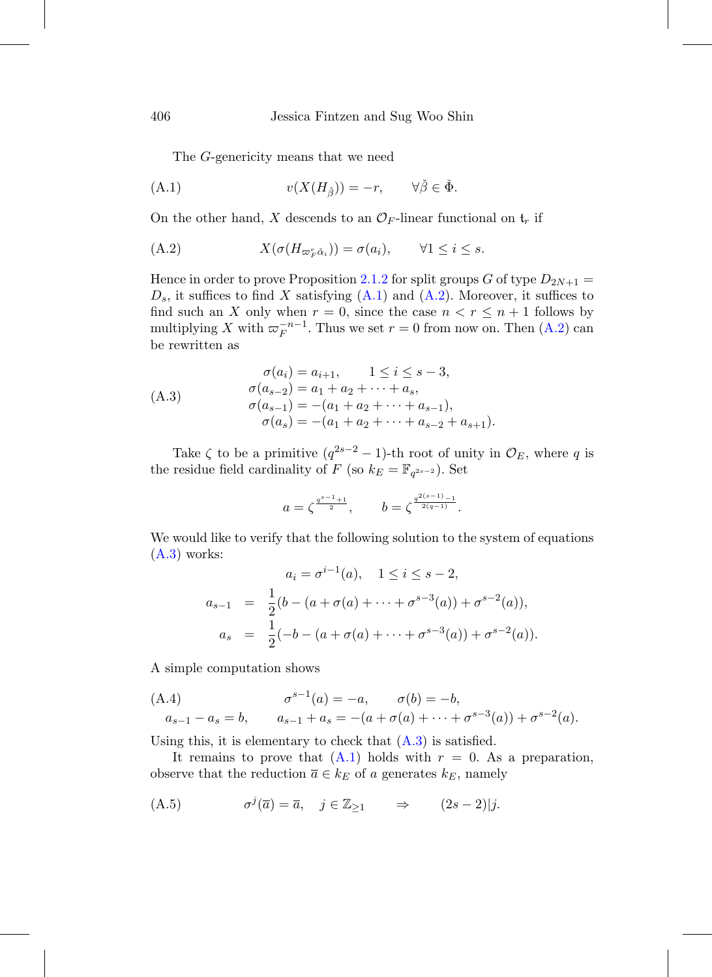<span id="page-55-0"></span>The G-genericity means that we need

(A.1) 
$$
v(X(H_{\tilde{\beta}})) = -r, \qquad \forall \tilde{\beta} \in \check{\Phi}.
$$

On the other hand, X descends to an  $\mathcal{O}_F$ -linear functional on  $\mathfrak{t}_r$  if

<span id="page-55-1"></span>(A.2) 
$$
X(\sigma(H_{\varpi_F^r\check{\alpha}_i})) = \sigma(a_i), \qquad \forall 1 \leq i \leq s.
$$

Hence in order to prove Proposition [2.1.2](#page-18-0) for split groups G of type  $D_{2N+1}$  =  $D_s$ , it suffices to find X satisfying  $(A.1)$  and  $(A.2)$ . Moreover, it suffices to find such an X only when  $r = 0$ , since the case  $n < r \leq n + 1$  follows by multiplying X with  $\varpi_F^{-n-1}$ . Thus we set  $r = 0$  from now on. Then  $(A.2)$  can be rewritten as

<span id="page-55-2"></span>
$$
\sigma(a_i) = a_{i+1}, \qquad 1 \le i \le s-3,
$$
  
\n
$$
\sigma(a_{s-2}) = a_1 + a_2 + \dots + a_s,
$$
  
\n
$$
\sigma(a_{s-1}) = -(a_1 + a_2 + \dots + a_{s-1}),
$$
  
\n
$$
\sigma(a_s) = -(a_1 + a_2 + \dots + a_{s-2} + a_{s+1}).
$$

Take  $\zeta$  to be a primitive  $(q^{2s-2}-1)$ -th root of unity in  $\mathcal{O}_E$ , where q is the residue field cardinality of F (so  $k_E = \mathbb{F}_{q^{2s-2}}$ ). Set

$$
a=\zeta^{\frac{q^{s-1}+1}{2}},\qquad b=\zeta^{\frac{q^{2(s-1)}-1}{2(q-1)}}.
$$

We would like to verify that the following solution to the system of equations  $(A.3)$  works:

<span id="page-55-3"></span>
$$
a_i = \sigma^{i-1}(a), \quad 1 \le i \le s-2,
$$
  
\n
$$
a_{s-1} = \frac{1}{2}(b - (a + \sigma(a) + \dots + \sigma^{s-3}(a)) + \sigma^{s-2}(a)),
$$
  
\n
$$
a_s = \frac{1}{2}(-b - (a + \sigma(a) + \dots + \sigma^{s-3}(a)) + \sigma^{s-2}(a)).
$$

A simple computation shows

(A.4) 
$$
\sigma^{s-1}(a) = -a, \qquad \sigma(b) = -b, a_{s-1} - a_s = b, \qquad a_{s-1} + a_s = -(a + \sigma(a) + \dots + \sigma^{s-3}(a)) + \sigma^{s-2}(a).
$$

Using this, it is elementary to check that  $(A.3)$  is satisfied.

It remains to prove that  $(A.1)$  holds with  $r = 0$ . As a preparation, observe that the reduction  $\overline{a} \in k_E$  of a generates  $k_E$ , namely

<span id="page-55-4"></span>(A.5) 
$$
\sigma^j(\overline{a}) = \overline{a}, \quad j \in \mathbb{Z}_{\geq 1} \qquad \Rightarrow \qquad (2s - 2)|j.
$$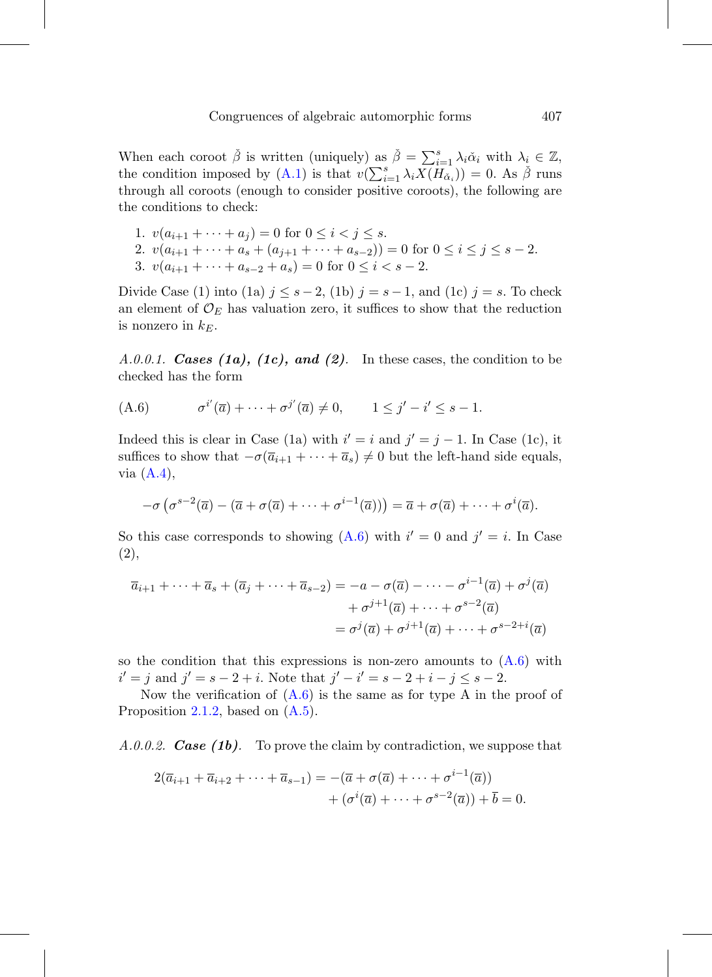When each coroot  $\check{\beta}$  is written (uniquely) as  $\check{\beta} = \sum_{i=1}^s \lambda_i \check{\alpha}_i$  with  $\lambda_i \in \mathbb{Z}$ , the condition imposed by [\(A.1\)](#page-55-0) is that  $v(\sum_{i=1}^{s} \lambda_i X(H_{\alpha_i})) = 0$ . As  $\check{\beta}$  runs through all coroots (enough to consider positive coroots), the following are the conditions to check:

1. 
$$
v(a_{i+1} + \cdots + a_j) = 0
$$
 for  $0 \le i < j \le s$ .  
\n2.  $v(a_{i+1} + \cdots + a_s + (a_{j+1} + \cdots + a_{s-2})) = 0$  for  $0 \le i \le j \le s-2$ .  
\n3.  $v(a_{i+1} + \cdots + a_{s-2} + a_s) = 0$  for  $0 \le i < s-2$ .

Divide Case (1) into (1a)  $j \leq s-2$ , (1b)  $j = s-1$ , and (1c)  $j = s$ . To check an element of  $\mathcal{O}_E$  has valuation zero, it suffices to show that the reduction is nonzero in  $k_E$ .

A.0.0.1. **Cases (1a), (1c), and (2)**. In these cases, the condition to be checked has the form

<span id="page-56-0"></span>(A.6) 
$$
\sigma^{i'}(\overline{a}) + \cdots + \sigma^{j'}(\overline{a}) \neq 0, \qquad 1 \leq j' - i' \leq s - 1.
$$

Indeed this is clear in Case (1a) with  $i' = i$  and  $j' = j - 1$ . In Case (1c), it suffices to show that  $-\sigma(\overline{a}_{i+1} + \cdots + \overline{a}_s) \neq 0$  but the left-hand side equals, via  $(A.4)$ ,

$$
-\sigma\left(\sigma^{s-2}(\overline{a})-(\overline{a}+\sigma(\overline{a})+\cdots+\sigma^{i-1}(\overline{a}))\right)=\overline{a}+\sigma(\overline{a})+\cdots+\sigma^i(\overline{a}).
$$

So this case corresponds to showing  $(A.6)$  with  $i' = 0$  and  $j' = i$ . In Case (2),

$$
\overline{a}_{i+1} + \dots + \overline{a}_s + (\overline{a}_j + \dots + \overline{a}_{s-2}) = -a - \sigma(\overline{a}) - \dots - \sigma^{i-1}(\overline{a}) + \sigma^j(\overline{a})
$$

$$
+ \sigma^{j+1}(\overline{a}) + \dots + \sigma^{s-2}(\overline{a})
$$

$$
= \sigma^j(\overline{a}) + \sigma^{j+1}(\overline{a}) + \dots + \sigma^{s-2+i}(\overline{a})
$$

so the condition that this expressions is non-zero amounts to  $(A.6)$  with  $i' = j$  and  $j' = s - 2 + i$ . Note that  $j' - i' = s - 2 + i - j \leq s - 2$ .

Now the verification of  $(A.6)$  is the same as for type A in the proof of Proposition [2.1.2,](#page-18-0) based on [\(A.5\)](#page-55-4).

A.0.0.2. *Case (1b)*. To prove the claim by contradiction, we suppose that

$$
2(\overline{a}_{i+1} + \overline{a}_{i+2} + \cdots + \overline{a}_{s-1}) = -(\overline{a} + \sigma(\overline{a}) + \cdots + \sigma^{i-1}(\overline{a})) + (\sigma^i(\overline{a}) + \cdots + \sigma^{s-2}(\overline{a})) + \overline{b} = 0.
$$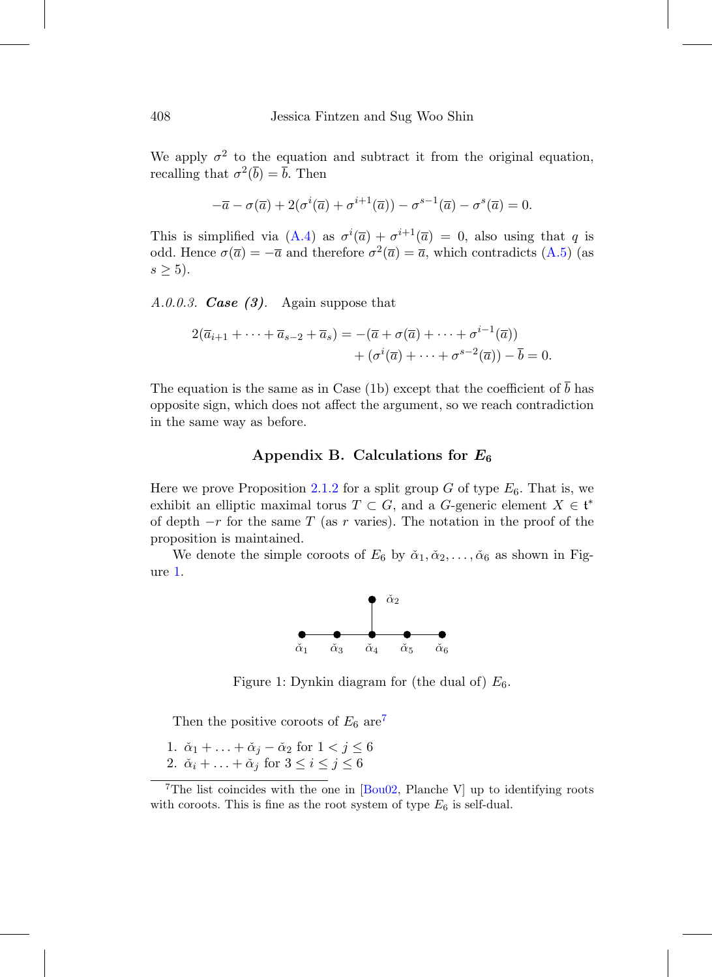We apply  $\sigma^2$  to the equation and subtract it from the original equation, recalling that  $\sigma^2(\overline{b}) = \overline{b}$ . Then

$$
-\overline{a} - \sigma(\overline{a}) + 2(\sigma^i(\overline{a}) + \sigma^{i+1}(\overline{a})) - \sigma^{s-1}(\overline{a}) - \sigma^s(\overline{a}) = 0.
$$

This is simplified via  $(A.4)$  as  $\sigma^{i}(\overline{a}) + \sigma^{i+1}(\overline{a}) = 0$ , also using that q is odd. Hence  $\sigma(\overline{a}) = -\overline{a}$  and therefore  $\sigma^2(\overline{a}) = \overline{a}$ , which contradicts [\(A.5\)](#page-55-4) (as  $s \geq 5$ ).

A.0.0.3. *Case (3)*. Again suppose that

$$
2(\overline{a}_{i+1} + \dots + \overline{a}_{s-2} + \overline{a}_s) = -(\overline{a} + \sigma(\overline{a}) + \dots + \sigma^{i-1}(\overline{a}))
$$

$$
+ (\sigma^i(\overline{a}) + \dots + \sigma^{s-2}(\overline{a})) - \overline{b} = 0.
$$

The equation is the same as in Case (1b) except that the coefficient of  $\overline{b}$  has opposite sign, which does not affect the argument, so we reach contradiction in the same way as before.

# **Appendix B. Calculations for** *E***<sup>6</sup>**

Here we prove Proposition [2.1.2](#page-18-0) for a split group G of type  $E_6$ . That is, we exhibit an elliptic maximal torus  $T \subset G$ , and a G-generic element  $X \in \mathfrak{t}^*$ of depth  $-r$  for the same T (as r varies). The notation in the proof of the proposition is maintained.

We denote the simple coroots of  $E_6$  by  $\check{\alpha}_1, \check{\alpha}_2, \ldots, \check{\alpha}_6$  as shown in Figure [1.](#page-57-0)



<span id="page-57-0"></span>Figure 1: Dynkin diagram for (the dual of)  $E_6$ .

Then the positive coroots of  $E_6$  are<sup>[7](#page-57-1)</sup>

1.  $\check{\alpha}_1 + \ldots + \check{\alpha}_j - \check{\alpha}_2$  for  $1 < j \leq 6$ 2.  $\check{\alpha}_i + \ldots + \check{\alpha}_j$  for  $3 \leq i \leq j \leq 6$ 

<span id="page-57-1"></span><sup>&</sup>lt;sup>7</sup>The list coincides with the one in  $[Bu02, Planche V]$  up to identifying roots with coroots. This is fine as the root system of type  $E_6$  is self-dual.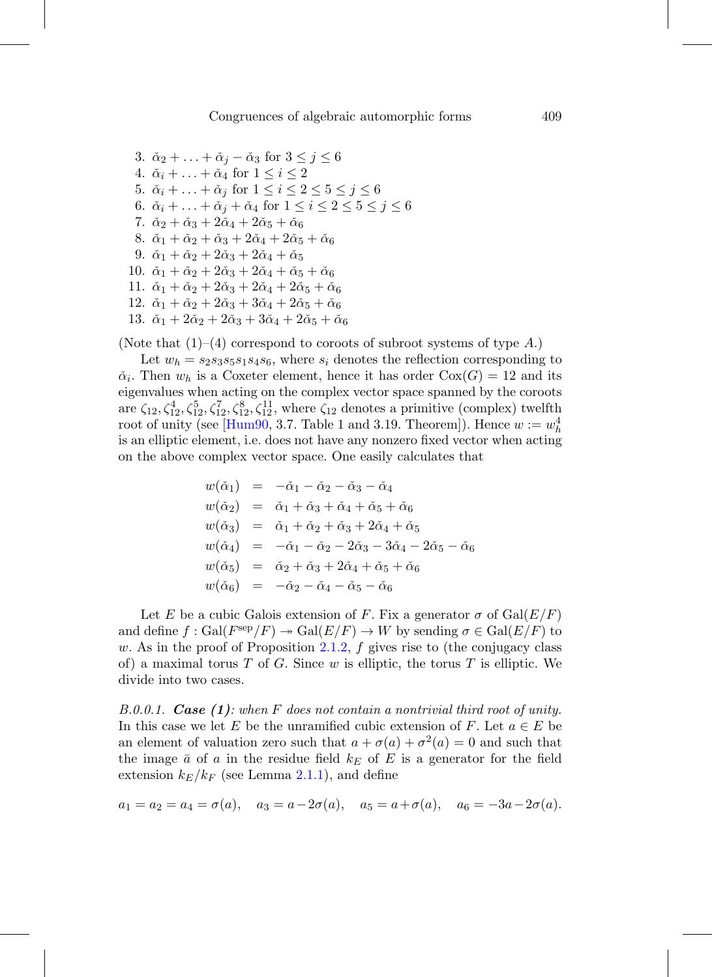3.  $\check{\alpha}_2 + \ldots + \check{\alpha}_j - \check{\alpha}_3$  for  $3 \leq j \leq 6$ 4.  $\check{\alpha}_i + \ldots + \check{\alpha}_4$  for  $1 \leq i \leq 2$ 5.  $\check{\alpha}_i + \ldots + \check{\alpha}_j$  for  $1 \leq i \leq 2 \leq 5 \leq j \leq 6$ 6.  $\check{\alpha}_i + \ldots + \check{\alpha}_j + \check{\alpha}_4$  for  $1 \leq i \leq 2 \leq 5 \leq j \leq 6$ 7.  $\check{\alpha}_2 + \check{\alpha}_3 + 2\check{\alpha}_4 + 2\check{\alpha}_5 + \check{\alpha}_6$ 8.  $\check{\alpha}_1 + \check{\alpha}_2 + \check{\alpha}_3 + 2\check{\alpha}_4 + 2\check{\alpha}_5 + \check{\alpha}_6$ 9.  $\check{\alpha}_1 + \check{\alpha}_2 + 2\check{\alpha}_3 + 2\check{\alpha}_4 + \check{\alpha}_5$ 10.  $\check{\alpha}_1 + \check{\alpha}_2 + 2\check{\alpha}_3 + 2\check{\alpha}_4 + \check{\alpha}_5 + \check{\alpha}_6$ 11.  $\check{\alpha}_1 + \check{\alpha}_2 + 2\check{\alpha}_3 + 2\check{\alpha}_4 + 2\check{\alpha}_5 + \check{\alpha}_6$ 12.  $\check{\alpha}_1 + \check{\alpha}_2 + 2\check{\alpha}_3 + 3\check{\alpha}_4 + 2\check{\alpha}_5 + \check{\alpha}_6$ 13.  $\check{\alpha}_1 + 2\check{\alpha}_2 + 2\check{\alpha}_3 + 3\check{\alpha}_4 + 2\check{\alpha}_5 + \check{\alpha}_6$ 

(Note that  $(1)–(4)$  correspond to coroots of subroot systems of type A.)

Let  $w_h = s_2 s_3 s_5 s_1 s_4 s_6$ , where  $s_i$  denotes the reflection corresponding to  $\check{\alpha}_i$ . Then  $w_h$  is a Coxeter element, hence it has order  $Cox(G) = 12$  and its eigenvalues when acting on the complex vector space spanned by the coroots are  $\zeta_{12}, \zeta_{12}^4, \zeta_{12}^5, \zeta_{12}^7, \zeta_{12}^8, \zeta_{12}^{11}$ , where  $\zeta_{12}$  denotes a primitive (complex) twelfth root of unity (see [\[Hum90](#page-76-4), 3.7. Table 1 and 3.19. Theorem]). Hence  $w := w_h^4$ is an elliptic element, i.e. does not have any nonzero fixed vector when acting on the above complex vector space. One easily calculates that

$$
w(\check{\alpha}_1) = -\check{\alpha}_1 - \check{\alpha}_2 - \check{\alpha}_3 - \check{\alpha}_4 \nw(\check{\alpha}_2) = \check{\alpha}_1 + \check{\alpha}_3 + \check{\alpha}_4 + \check{\alpha}_5 + \check{\alpha}_6 \nw(\check{\alpha}_3) = \check{\alpha}_1 + \check{\alpha}_2 + \check{\alpha}_3 + 2\check{\alpha}_4 + \check{\alpha}_5 \nw(\check{\alpha}_4) = -\check{\alpha}_1 - \check{\alpha}_2 - 2\check{\alpha}_3 - 3\check{\alpha}_4 - 2\check{\alpha}_5 - \check{\alpha}_6 \nw(\check{\alpha}_5) = \check{\alpha}_2 + \check{\alpha}_3 + 2\check{\alpha}_4 + \check{\alpha}_5 + \check{\alpha}_6 \nw(\check{\alpha}_6) = -\check{\alpha}_2 - \check{\alpha}_4 - \check{\alpha}_5 - \check{\alpha}_6
$$

Let E be a cubic Galois extension of F. Fix a generator  $\sigma$  of  $Gal(E/F)$ and define  $f : \text{Gal}(F^{\text{sep}}/F) \to \text{Gal}(E/F) \to W$  by sending  $\sigma \in \text{Gal}(E/F)$  to w. As in the proof of Proposition [2.1.2,](#page-18-0)  $f$  gives rise to (the conjugacy class of) a maximal torus T of G. Since w is elliptic, the torus T is elliptic. We divide into two cases.

B.0.0.1. *Case (1)*: when F does not contain a nontrivial third root of unity. In this case we let E be the unramified cubic extension of F. Let  $a \in E$  be an element of valuation zero such that  $a + \sigma(a) + \sigma^2(a) = 0$  and such that the image  $\bar{a}$  of a in the residue field  $k_E$  of E is a generator for the field extension  $k_E/k_F$  (see Lemma [2.1.1\)](#page-17-0), and define

$$
a_1 = a_2 = a_4 = \sigma(a), \quad a_3 = a - 2\sigma(a), \quad a_5 = a + \sigma(a), \quad a_6 = -3a - 2\sigma(a).
$$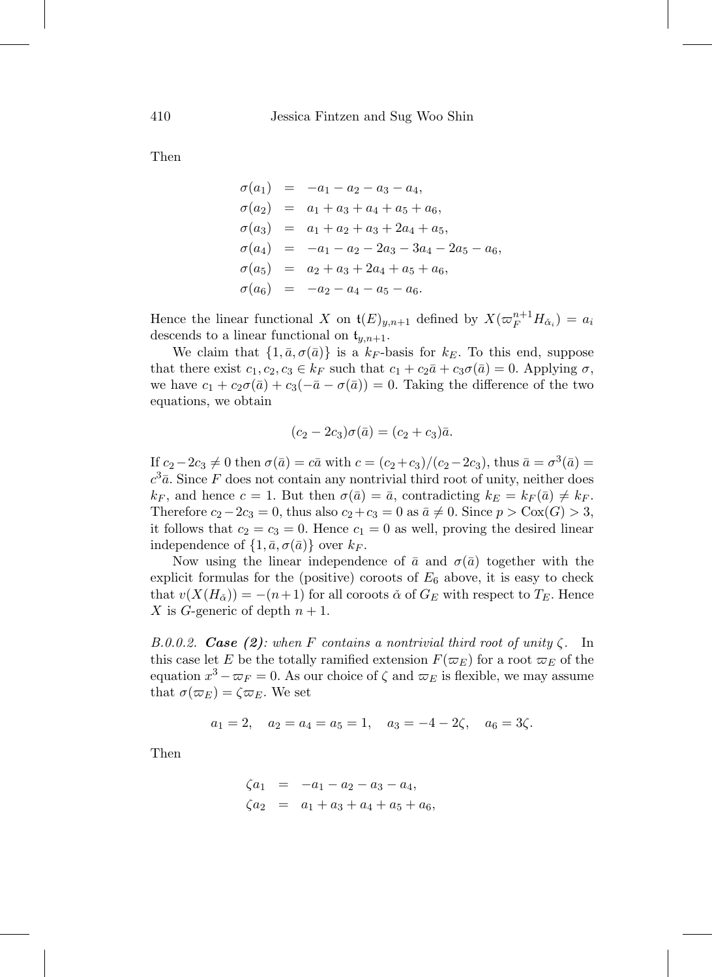Then

$$
\sigma(a_1) = -a_1 - a_2 - a_3 - a_4,
$$
  
\n
$$
\sigma(a_2) = a_1 + a_3 + a_4 + a_5 + a_6,
$$
  
\n
$$
\sigma(a_3) = a_1 + a_2 + a_3 + 2a_4 + a_5,
$$
  
\n
$$
\sigma(a_4) = -a_1 - a_2 - 2a_3 - 3a_4 - 2a_5 - a_6,
$$
  
\n
$$
\sigma(a_5) = a_2 + a_3 + 2a_4 + a_5 + a_6,
$$
  
\n
$$
\sigma(a_6) = -a_2 - a_4 - a_5 - a_6.
$$

Hence the linear functional X on  $\mathfrak{t}(E)_{y,n+1}$  defined by  $X(\varpi_F^{n+1}H_{\check{\alpha}_i})=a_i$ descends to a linear functional on  $t_{y,n+1}$ .

We claim that  $\{1,\bar{a},\sigma(\bar{a})\}$  is a  $k_F$ -basis for  $k_E$ . To this end, suppose that there exist  $c_1, c_2, c_3 \in k_F$  such that  $c_1 + c_2\bar{a} + c_3\sigma(\bar{a}) = 0$ . Applying  $\sigma$ , we have  $c_1 + c_2\sigma(\bar{a}) + c_3(-\bar{a}-\sigma(\bar{a})) = 0$ . Taking the difference of the two equations, we obtain

$$
(c_2 - 2c_3)\sigma(\bar{a}) = (c_2 + c_3)\bar{a}.
$$

If  $c_2-2c_3\neq 0$  then  $\sigma(\bar{a})=c\bar{a}$  with  $c=(c_2+c_3)/(c_2-2c_3)$ , thus  $\bar{a}=\sigma^3(\bar{a})=$  $c^3\bar{a}$ . Since F does not contain any nontrivial third root of unity, neither does  $k_F$ , and hence  $c = 1$ . But then  $\sigma(\bar{a}) = \bar{a}$ , contradicting  $k_E = k_F (\bar{a}) \neq k_F$ . Therefore  $c_2-2c_3=0$ , thus also  $c_2+c_3=0$  as  $\bar{a}\neq 0$ . Since  $p > \text{Cox}(G) > 3$ , it follows that  $c_2 = c_3 = 0$ . Hence  $c_1 = 0$  as well, proving the desired linear independence of  $\{1,\bar{a},\sigma(\bar{a})\}$  over  $k_F$ .

Now using the linear independence of  $\bar{a}$  and  $\sigma(\bar{a})$  together with the explicit formulas for the (positive) coroots of  $E_6$  above, it is easy to check that  $v(X(H_{\alpha})) = -(n+1)$  for all coroots  $\alpha$  of  $G_E$  with respect to  $T_E$ . Hence X is G-generic of depth  $n + 1$ .

B.0.0.2. **Case (2)**: when F contains a nontrivial third root of unity  $\zeta$ . In this case let E be the totally ramified extension  $F(\varpi_E)$  for a root  $\varpi_E$  of the equation  $x^3 - \varpi_F = 0$ . As our choice of  $\zeta$  and  $\varpi_E$  is flexible, we may assume that  $\sigma(\varpi_E) = \zeta \varpi_E$ . We set

$$
a_1 = 2
$$
,  $a_2 = a_4 = a_5 = 1$ ,  $a_3 = -4 - 2\zeta$ ,  $a_6 = 3\zeta$ .

Then

$$
\zeta a_1 = -a_1 - a_2 - a_3 - a_4,\n\zeta a_2 = a_1 + a_3 + a_4 + a_5 + a_6,
$$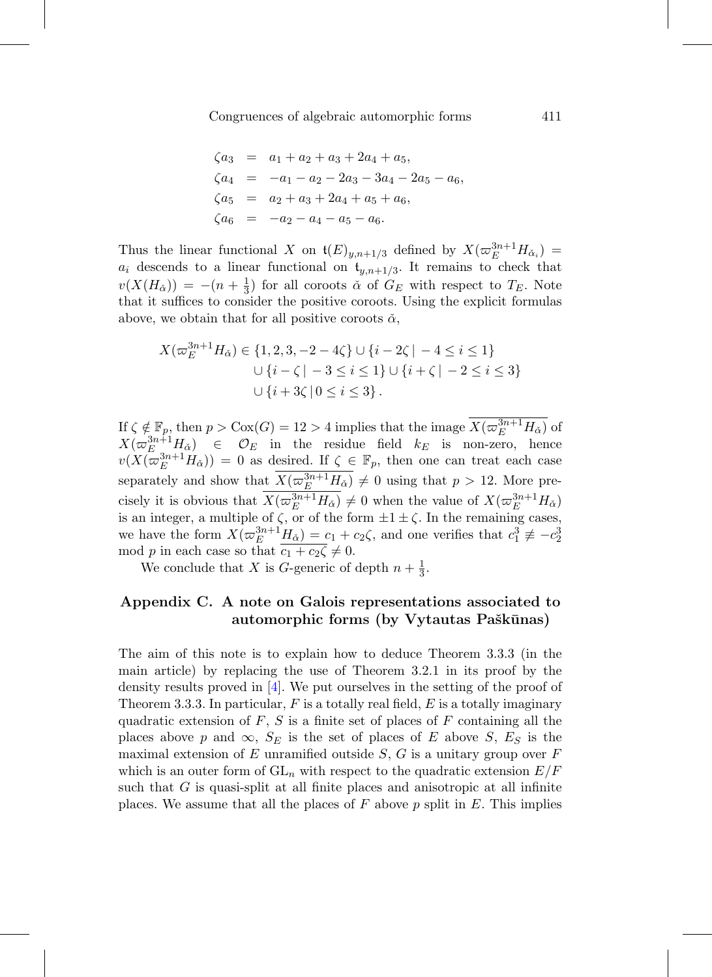$$
\zeta a_3 = a_1 + a_2 + a_3 + 2a_4 + a_5,
$$
  
\n
$$
\zeta a_4 = -a_1 - a_2 - 2a_3 - 3a_4 - 2a_5 - a_6,
$$
  
\n
$$
\zeta a_5 = a_2 + a_3 + 2a_4 + a_5 + a_6,
$$
  
\n
$$
\zeta a_6 = -a_2 - a_4 - a_5 - a_6.
$$

Thus the linear functional X on  $\mathfrak{t}(E)_{y,n+1/3}$  defined by  $X(\varpi_E^{3n+1}H_{\check{\alpha}_i})=$  $a_i$  descends to a linear functional on  $t_{y,n+1/3}$ . It remains to check that  $v(X(H_{\alpha})) = -(n + \frac{1}{3})$  for all coroots  $\alpha$  of  $G_E$  with respect to  $T_E$ . Note that it suffices to consider the positive coroots. Using the explicit formulas above, we obtain that for all positive coroots  $\check{\alpha}$ ,

$$
X(\varpi_E^{3n+1} H_{\check{\alpha}}) \in \{1, 2, 3, -2 - 4\zeta\} \cup \{i - 2\zeta \mid -4 \le i \le 1\}
$$
  

$$
\cup \{i - \zeta \mid -3 \le i \le 1\} \cup \{i + \zeta \mid -2 \le i \le 3\}
$$
  

$$
\cup \{i + 3\zeta \mid 0 \le i \le 3\}.
$$

If  $\zeta \notin \mathbb{F}_p$ , then  $p > \text{Cox}(G) = 12 > 4$  implies that the image  $X(\varpi_E^{3n+1} H_{\check{\alpha}})$  of  $X(\varpi_E^{3n+1}H_{\alpha}) \in \mathcal{O}_E$  in the residue field  $k_E$  is non-zero, hence  $v(X(\overline{\omega}_{E}^{3n+1}H_{\alpha}))=0$  as desired. If  $\zeta \in \mathbb{F}_{p}$ , then one can treat each case separately and show that  $\overline{X(\varpi_E^{3n+1}H_{\check{\alpha}})} \neq 0$  using that  $p > 12$ . More precisely it is obvious that  $X(\varpi_E^{3n+1}H_{\check{\alpha}}) \neq 0$  when the value of  $X(\varpi_E^{3n+1}H_{\check{\alpha}})$ is an integer, a multiple of  $\zeta$ , or of the form  $\pm 1 \pm \zeta$ . In the remaining cases, we have the form  $X(\varpi_E^{3n+1}H_{\check{\alpha}}) = c_1 + c_2\zeta$ , and one verifies that  $c_1^3 \not\equiv -c_2^3$ mod p in each case so that  $\overline{c_1 + c_2 \zeta} \neq 0$ .

We conclude that X is G-generic of depth  $n + \frac{1}{3}$ .

## <span id="page-60-0"></span>**Appendix C. A note on Galois representations associated to** automorphic forms (by Vytautas Paškūnas)

The aim of this note is to explain how to deduce Theorem 3.3.3 (in the main article) by replacing the use of Theorem 3.2.1 in its proof by the density results proved in [\[4\]](#page-66-0). We put ourselves in the setting of the proof of Theorem 3.3.3. In particular,  $F$  is a totally real field,  $E$  is a totally imaginary quadratic extension of  $F, S$  is a finite set of places of  $F$  containing all the places above p and  $\infty$ ,  $S_E$  is the set of places of E above S,  $E_S$  is the maximal extension of  $E$  unramified outside  $S$ ,  $G$  is a unitary group over  $F$ which is an outer form of  $GL_n$  with respect to the quadratic extension  $E/F$ such that G is quasi-split at all finite places and anisotropic at all infinite places. We assume that all the places of  $F$  above  $p$  split in  $E$ . This implies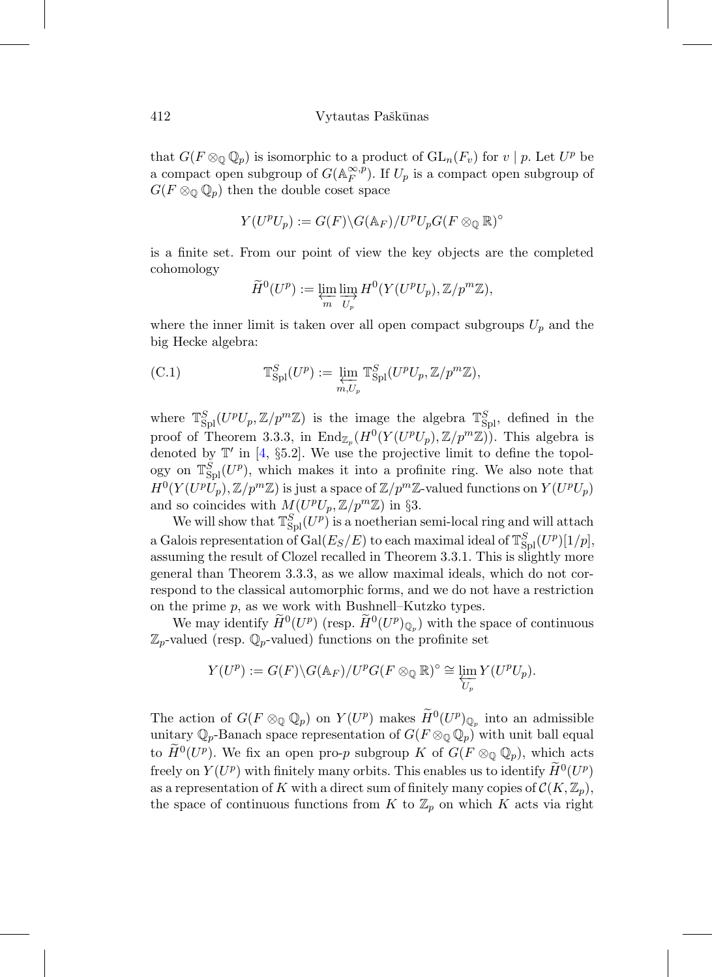that  $G(F \otimes_{\mathbb{Q}} \mathbb{Q}_p)$  is isomorphic to a product of  $GL_n(F_v)$  for  $v \mid p$ . Let  $U^p$  be a compact open subgroup of  $G(\mathbb{A}_F^{\infty,\tilde{p}})$ . If  $U_p$  is a compact open subgroup of  $G(F \otimes_{\mathbb{Q}} \mathbb{Q}_p)$  then the double coset space

$$
Y(U^pU_p) := G(F) \backslash G(\mathbb{A}_F) / U^pU_pG(F \otimes_{\mathbb{Q}} \mathbb{R})^\circ
$$

is a finite set. From our point of view the key objects are the completed cohomology

<span id="page-61-0"></span>
$$
\widetilde{H}^0(U^p) := \varprojlim_m \varinjlim_{U_p} H^0(Y(U^p U_p), \mathbb{Z}/p^m \mathbb{Z}),
$$

where the inner limit is taken over all open compact subgroups  $U_p$  and the big Hecke algebra:

(C.1) 
$$
\mathbb{T}_{\text{Spl}}^S(U^p) := \varprojlim_{m,U_p} \mathbb{T}_{\text{Spl}}^S(U^p U_p, \mathbb{Z}/p^m \mathbb{Z}),
$$

where  $\mathbb{T}_{\text{Spl}}^S(U^pU_p,\mathbb{Z}/p^m\mathbb{Z})$  is the image the algebra  $\mathbb{T}_{\text{Spl}}^S$ , defined in the proof of Theorem 3.3.3, in  $\text{End}_{\mathbb{Z}_n}(H^0(Y(U^pU_p), \mathbb{Z}/p^m\mathbb{Z}))$ . This algebra is denoted by  $\mathbb{T}'$  in [\[4](#page-66-0), §5.2]. We use the projective limit to define the topology on  $\mathbb{T}_{\text{Spl}}^S(U^p)$ , which makes it into a profinite ring. We also note that  $H^0(Y(U^pU_p), \mathbb{Z}/p^m\mathbb{Z})$  is just a space of  $\mathbb{Z}/p^m\mathbb{Z}$ -valued functions on  $Y(U^pU_p)$ and so coincides with  $M(U^pU_p, \mathbb{Z}/p^m\mathbb{Z})$  in §3.

We will show that  $\mathbb{T}_{\text{Spl}}^S(U^p)$  is a noetherian semi-local ring and will attach a Galois representation of  $\operatorname{Gal}(E_S/E)$  to each maximal ideal of  $\mathbb{T}_{\operatorname{Spl}}^S(U^p)[1/p],$ assuming the result of Clozel recalled in Theorem 3.3.1. This is slightly more general than Theorem 3.3.3, as we allow maximal ideals, which do not correspond to the classical automorphic forms, and we do not have a restriction on the prime  $p$ , as we work with Bushnell–Kutzko types.

We may identify  $\widetilde{H}^0(U^p)$  (resp.  $\widetilde{H}^0(U^p)_{\mathbb{Q}_p}$ ) with the space of continuous  $\mathbb{Z}_p$ -valued (resp.  $\mathbb{Q}_p$ -valued) functions on the profinite set

$$
Y(U^p) := G(F) \backslash G(\mathbb{A}_F) / U^p G(F \otimes_{\mathbb{Q}} \mathbb{R})^{\circ} \cong \varprojlim_{U_p} Y(U^p U_p).
$$

The action of  $G(F \otimes_{\mathbb{Q}} \mathbb{Q}_p)$  on  $Y(U^p)$  makes  $\widetilde{H}^0(U^p)_{\mathbb{Q}_p}$  into an admissible unitary  $\mathbb{Q}_p$ -Banach space representation of  $G(F \otimes_{\mathbb{Q}} \mathbb{Q}_p)$  with unit ball equal to  $\widetilde{H}^0(U^p)$ . We fix an open pro-p subgroup K of  $G(F \otimes_{\mathbb{Q}} \mathbb{Q}_p)$ , which acts freely on  $Y(U^p)$  with finitely many orbits. This enables us to identify  $\widetilde{H}^0(U^p)$ as a representation of K with a direct sum of finitely many copies of  $\mathcal{C}(K,\mathbb{Z}_p)$ , the space of continuous functions from K to  $\mathbb{Z}_p$  on which K acts via right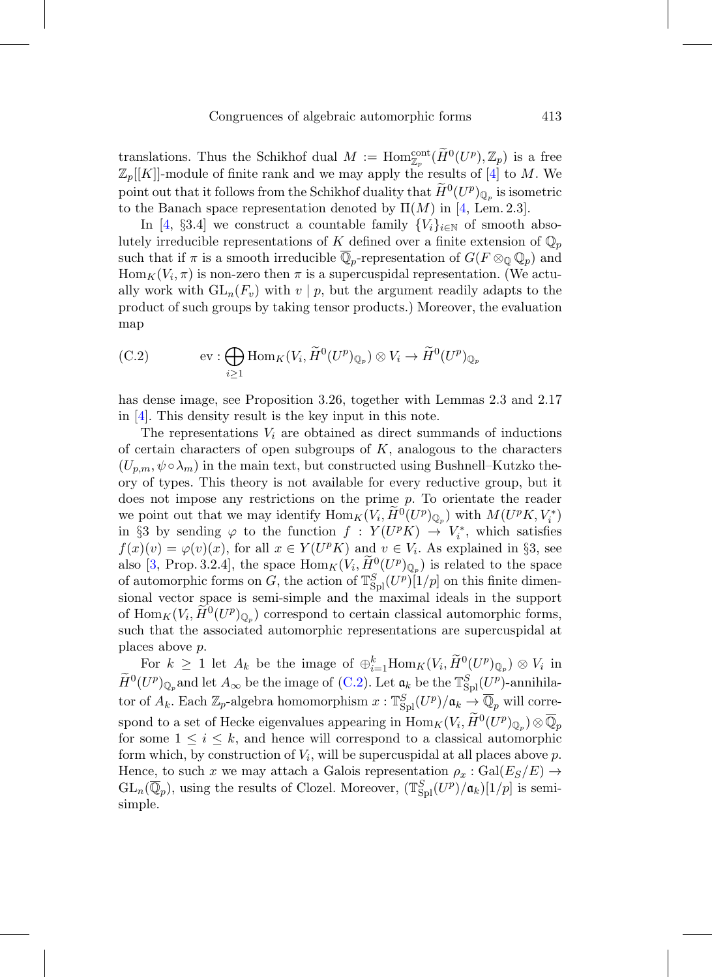translations. Thus the Schikhof dual  $M := \text{Hom}_{\mathbb{Z}_p}^{\text{cont}}(\widetilde{H}^0(U^p), \mathbb{Z}_p)$  is a free  $\mathbb{Z}_p[[K]]$ -module of finite rank and we may apply the results of [\[4](#page-66-0)] to M. We point out that it follows from the Schikhof duality that  $\widetilde{H}^0(U^p)_{\mathbb{Q}_p}$  is isometric to the Banach space representation denoted by  $\Pi(M)$  in [\[4](#page-66-0), Lem. 2.3].

In [\[4](#page-66-0), §3.4] we construct a countable family  ${V_i}_{i \in \mathbb{N}}$  of smooth absolutely irreducible representations of K defined over a finite extension of  $\mathbb{Q}_p$ such that if  $\pi$  is a smooth irreducible  $\mathbb{Q}_p$ -representation of  $G(F \otimes_{\mathbb{Q}} \mathbb{Q}_p)$  and  $\text{Hom}_K(V_i, \pi)$  is non-zero then  $\pi$  is a supercuspidal representation. (We actually work with  $GL_n(F_v)$  with  $v \mid p$ , but the argument readily adapts to the product of such groups by taking tensor products.) Moreover, the evaluation map

<span id="page-62-0"></span>(C.2) 
$$
\text{ev}: \bigoplus_{i \geq 1} \text{Hom}_K(V_i, \widetilde{H}^0(U^p)_{\mathbb{Q}_p}) \otimes V_i \to \widetilde{H}^0(U^p)_{\mathbb{Q}_p}
$$

has dense image, see Proposition 3.26, together with Lemmas 2.3 and 2.17 in [\[4](#page-66-0)]. This density result is the key input in this note.

The representations  $V_i$  are obtained as direct summands of inductions of certain characters of open subgroups of  $K$ , analogous to the characters  $(U_{p,m}, \psi \circ \lambda_m)$  in the main text, but constructed using Bushnell–Kutzko theory of types. This theory is not available for every reductive group, but it does not impose any restrictions on the prime p. To orientate the reader we point out that we may identify  $\text{Hom}_K(V_i, \widetilde{H}^0(U^p)_{\mathbb{Q}_p})$  with  $M(U^pK, V_i^*)$ in §3 by sending  $\varphi$  to the function  $f: Y(U^p K) \to V_i^*$ , which satisfies  $f(x)(v) = \varphi(v)(x)$ , for all  $x \in Y(U^p K)$  and  $v \in V_i$ . As explained in §3, see also [\[3,](#page-66-1) Prop. 3.2.4], the space  $\text{Hom}_K(V_i, \widetilde{H}^0(U^p)_{\mathbb{Q}_n})$  is related to the space of automorphic forms on G, the action of  $\mathbb{T}_{\text{Spl}}^S(U^p)[1/p]$  on this finite dimensional vector space is semi-simple and the maximal ideals in the support of  $\text{Hom}_K(V_i, H^0(U^p)_{\mathbb{Q}_p})$  correspond to certain classical automorphic forms, such that the associated automorphic representations are supercuspidal at places above p.

For  $k \geq 1$  let  $A_k$  be the image of  $\bigoplus_{i=1}^k \text{Hom}_K(V_i, \widetilde{H}^0(U^p)_{\mathbb{Q}_p}) \otimes V_i$  in  $\widetilde{H}^0(U^p)_{\mathbb{Q}_p}$  and let  $A_{\infty}$  be the image of [\(C.2\)](#page-62-0). Let  $\mathfrak{a}_k$  be the  $\mathbb{T}_{\text{Spl}}^S(\underline{U}^p)$ -annihilator of  $A_k$ . Each  $\mathbb{Z}_p$ -algebra homomorphism  $x: \mathbb{T}_{\text{Spl}}^S(U^p)/\mathfrak{a}_k \to \overline{\mathbb{Q}}_p$  will correspond to a set of Hecke eigenvalues appearing in  $\mathrm{Hom}_K(V_i, \widetilde{H}^0(U^p)_{\mathbb{Q}_p}) \otimes \overline{\mathbb{Q}}_p$ for some  $1 \leq i \leq k$ , and hence will correspond to a classical automorphic form which, by construction of  $V_i$ , will be supercuspidal at all places above p. Hence, to such x we may attach a Galois representation  $\rho_x : \text{Gal}(E_S/E) \rightarrow$  $GL_n(\overline{\mathbb{Q}}_p)$ , using the results of Clozel. Moreover,  $(\mathbb{T}_{\text{Spl}}^{S}(U^p)/\mathfrak{a}_k)[1/p]$  is semisimple.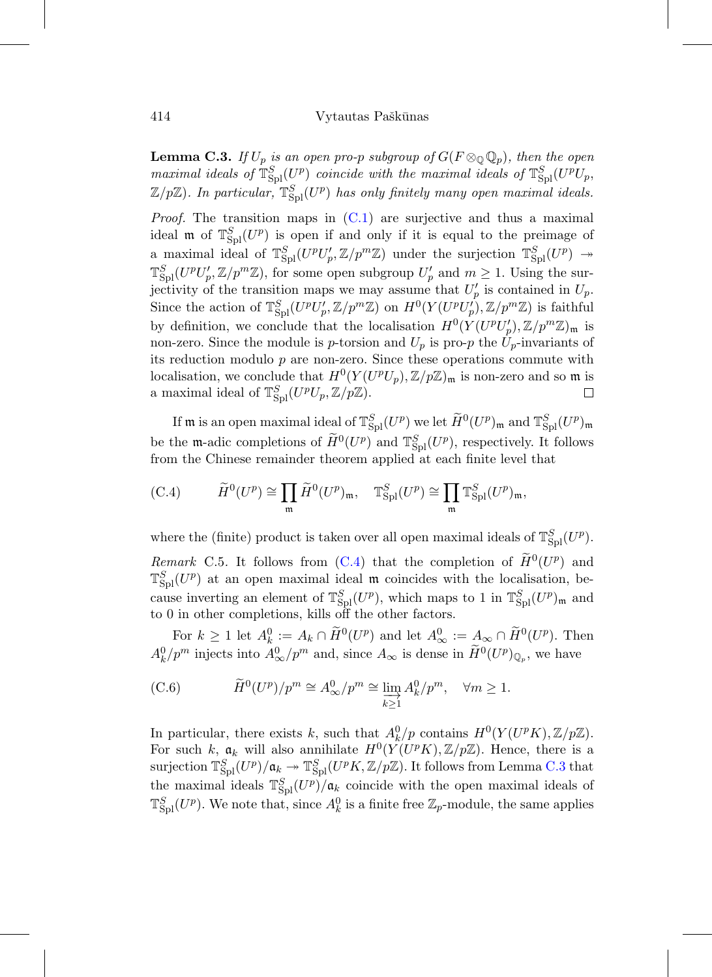<span id="page-63-1"></span>**Lemma C.3.** If  $U_p$  is an open pro-p subgroup of  $G(F \otimes_{\mathbb{Q}} \mathbb{Q}_p)$ , then the open maximal ideals of  $\mathbb{T}_{\text{Spl}}^S(U^p)$  coincide with the maximal ideals of  $\mathbb{T}_{\text{Spl}}^S(U^pU_p)$ ,  $\mathbb{Z}/p\mathbb{Z}$ ). In particular,  $\mathbb{T}_{\text{Spl}}^S(U^p)$  has only finitely many open maximal ideals.

*Proof.* The transition maps in  $(C.1)$  are surjective and thus a maximal ideal  $\mathfrak{m}$  of  $\mathbb{T}_{\text{Spl}}^S(U^p)$  is open if and only if it is equal to the preimage of a maximal ideal of  $\mathbb{T}_{\text{Spl}}^S(U^pU_p',\mathbb{Z}/p^m\mathbb{Z})$  under the surjection  $\mathbb{T}_{\text{Spl}}^S(U^p) \to$  $\mathbb{T}_{\text{Spl}}^S(U^pU'_p,\mathbb{Z}/p^m\mathbb{Z})$ , for some open subgroup  $U'_p$  and  $m\geq 1$ . Using the surjectivity of the transition maps we may assume that  $U_p'$  is contained in  $U_p$ . Since the action of  $\mathbb{T}_{\text{Spl}}^S(U^pU_p',\mathbb{Z}/p^m\mathbb{Z})$  on  $H^0(Y(U^pU_p'),\mathbb{Z}/p^m\mathbb{Z})$  is faithful by definition, we conclude that the localisation  $H^0(Y(U^pU'_p), \mathbb{Z}/p^m\mathbb{Z})_{\mathfrak{m}}$  is non-zero. Since the module is p-torsion and  $U_p$  is pro-p the  $U_p$ -invariants of its reduction modulo  $p$  are non-zero. Since these operations commute with localisation, we conclude that  $H^0(Y(U^pU_p), \mathbb{Z}/p\mathbb{Z})_{\mathfrak{m}}$  is non-zero and so  $\mathfrak{m}$  is a maximal ideal of  $\mathbb{T}_{\text{Spl}}^S(U^pU_p,\mathbb{Z}/p\mathbb{Z}).$  $\Box$ 

If **m** is an open maximal ideal of  $\mathbb{T}_{\text{Spl}}^S(U^p)$  we let  $\widetilde{H}^0(U^p)_{\mathfrak{m}}$  and  $\mathbb{T}_{\text{Spl}}^S(U^p)_{\mathfrak{m}}$ be the **m**-adic completions of  $\widetilde{H}^0(U^p)$  and  $\mathbb{T}_{\text{Spl}}^S(U^p)$ , respectively. It follows from the Chinese remainder theorem applied at each finite level that

<span id="page-63-0"></span>(C.4) 
$$
\widetilde{H}^0(U^p) \cong \prod_{\mathfrak{m}} \widetilde{H}^0(U^p)_{\mathfrak{m}}, \quad \mathbb{T}_{\text{Spl}}^S(U^p) \cong \prod_{\mathfrak{m}} \mathbb{T}_{\text{Spl}}^S(U^p)_{\mathfrak{m}},
$$

where the (finite) product is taken over all open maximal ideals of  $\mathbb{T}_{\text{Spl}}^S(U^p)$ . Remark C.5. It follows from [\(C.4\)](#page-63-0) that the completion of  $\widetilde{H}^0(U^p)$  and  $\mathbb{T}_{\text{Spl}}^S(U^p)$  at an open maximal ideal  $\mathfrak{m}$  coincides with the localisation, because inverting an element of  $\mathbb{T}_{\text{Spl}}^S(U^p)$ , which maps to 1 in  $\mathbb{T}_{\text{Spl}}^S(U^p)_{\mathfrak{m}}$  and to 0 in other completions, kills off the other factors.

For  $k \geq 1$  let  $A_k^0 := A_k \cap \widetilde{H}^0(U^p)$  and let  $A_\infty^0 := A_\infty \cap \widetilde{H}^0(U^p)$ . Then  $A_k^0/p^m$  injects into  $A_\infty^0/p^m$  and, since  $A_\infty$  is dense in  $\widetilde{H}^0(U^p)_{\mathbb{Q}_p}$ , we have

<span id="page-63-2"></span>(C.6) 
$$
\widetilde{H}^0(U^p)/p^m \cong A^0_{\infty}/p^m \cong \varinjlim_{k \ge 1} A^0_k/p^m, \quad \forall m \ge 1.
$$

In particular, there exists k, such that  $A_k^0/p$  contains  $H^0(Y(U^pK), \mathbb{Z}/p\mathbb{Z})$ . For such k,  $a_k$  will also annihilate  $H^0(Y(U^pK),\mathbb{Z}/p\mathbb{Z})$ . Hence, there is a surjection  $\mathbb{T}_{\text{Spl}}^S(U^p)/\mathfrak{a}_k \twoheadrightarrow \mathbb{T}_{\text{Spl}}^S(U^pK,\mathbb{Z}/p\mathbb{Z})$ . It follows from Lemma [C.3](#page-63-1) that the maximal ideals  $\mathbb{T}_{\text{Spl}}^S(U^p)/\mathfrak{a}_k$  coincide with the open maximal ideals of  $\mathbb{T}_{\text{Spl}}^S(U^p)$ . We note that, since  $A_k^0$  is a finite free  $\mathbb{Z}_p$ -module, the same applies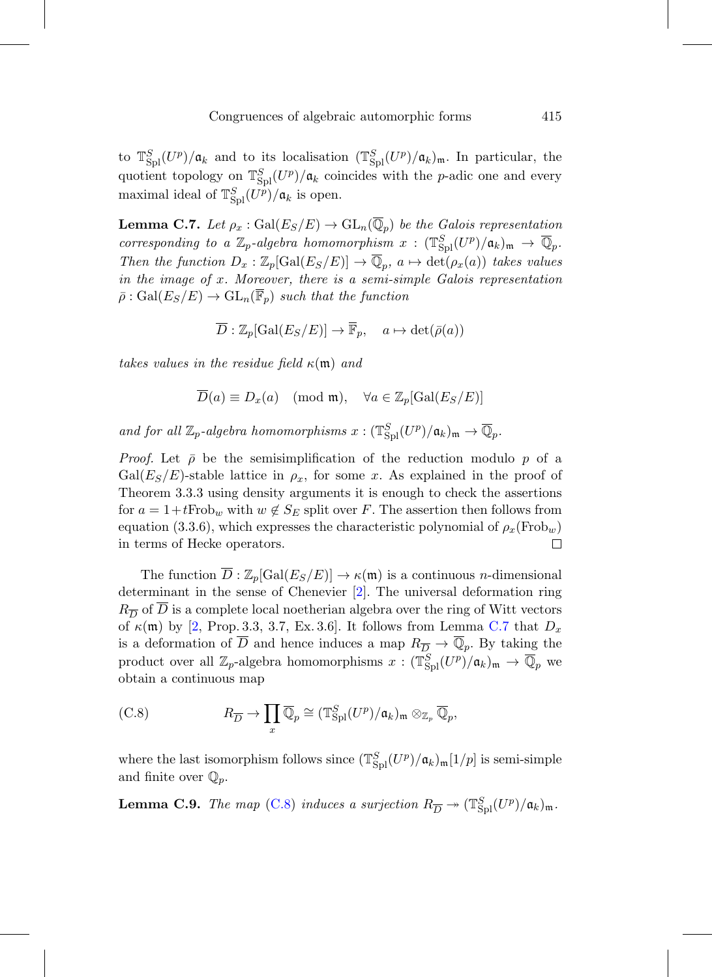to  $\mathbb{T}_{\text{Spl}}^S(U^p)/\mathfrak{a}_k$  and to its localisation  $(\mathbb{T}_{\text{Spl}}^S(U^p)/\mathfrak{a}_k)_{\mathfrak{m}}$ . In particular, the quotient topology on  $\mathbb{T}_{\text{Spl}}^S(U^p)/\mathfrak{a}_k$  coincides with the *p*-adic one and every maximal ideal of  $\mathbb{T}_{\text{Spl}}^S(U^p)/\mathfrak{a}_k$  is open.

<span id="page-64-0"></span>**Lemma C.7.** Let  $\rho_x : \text{Gal}(E_S/E) \to \text{GL}_n(\overline{\mathbb{Q}}_p)$  be the Galois representation corresponding to a  $\mathbb{Z}_p$ -algebra homomorphism  $x: (\mathbb{T}_{\text{Spl}}^S(U^p)/\mathfrak{a}_k)_{\mathfrak{m}} \to \overline{\mathbb{Q}}_p$ . Then the function  $D_x : \mathbb{Z}_p[\text{Gal}(E_S/E)] \to \overline{\mathbb{Q}}_p$ ,  $a \mapsto \text{det}(\rho_x(a))$  takes values in the image of x. Moreover, there is a semi-simple Galois representation  $\bar{\rho}: Gal(E_S/E) \to GL_n(\overline{\mathbb{F}}_p)$  such that the function

$$
\overline{D} : \mathbb{Z}_p[\text{Gal}(E_S/E)] \to \overline{\mathbb{F}}_p, \quad a \mapsto \det(\overline{\rho}(a))
$$

takes values in the residue field  $\kappa(\mathfrak{m})$  and

$$
\overline{D}(a) \equiv D_x(a) \pmod{\mathfrak{m}}, \quad \forall a \in \mathbb{Z}_p[\text{Gal}(E_S/E)]
$$

and for all  $\mathbb{Z}_p$ -algebra homomorphisms  $x: (\mathbb{T}_{\text{Spl}}^S(U^p)/\mathfrak{a}_k)_{\mathfrak{m}} \to \overline{\mathbb{Q}}_p$ .

*Proof.* Let  $\bar{\rho}$  be the semisimplification of the reduction modulo p of a  $Gal(E_S/E)$ -stable lattice in  $\rho_x$ , for some x. As explained in the proof of Theorem 3.3.3 using density arguments it is enough to check the assertions for  $a = 1+t$  Frob<sub>w</sub> with  $w \notin S_E$  split over F. The assertion then follows from equation (3.3.6), which expresses the characteristic polynomial of  $\rho_x(\text{Frob}_w)$ in terms of Hecke operators.  $\Box$ 

The function  $\overline{D} : \mathbb{Z}_p[\text{Gal}(E_S/E)] \to \kappa(\mathfrak{m})$  is a continuous *n*-dimensional determinant in the sense of Chenevier [\[2](#page-66-2)]. The universal deformation ring  $R_{\overline{D}}$  of  $\overline{D}$  is a complete local noetherian algebra over the ring of Witt vectors of  $\kappa(\mathfrak{m})$  by [\[2,](#page-66-2) Prop. 3.3, 3.7, Ex. 3.6]. It follows from Lemma [C.7](#page-64-0) that  $D_x$ is a deformation of  $\overline{D}$  and hence induces a map  $R_{\overline{D}} \to \overline{\mathbb{Q}}_p$ . By taking the product over all  $\mathbb{Z}_p$ -algebra homomorphisms  $x: (\mathbb{T}_{\text{Spl}}^S(U^p)/\mathfrak{a}_k)_{\mathfrak{m}} \to \overline{\mathbb{Q}}_p$  we obtain a continuous map

<span id="page-64-1"></span>(C.8) 
$$
R_{\overline{D}} \to \prod_x \overline{\mathbb{Q}}_p \cong (\mathbb{T}_{\text{Spl}}^S(U^p)/\mathfrak{a}_k)_{\mathfrak{m}} \otimes_{\mathbb{Z}_p} \overline{\mathbb{Q}}_p,
$$

where the last isomorphism follows since  $(\mathbb{T}_{\text{Spl}}^S(U^p)/\mathfrak{a}_k)_{\mathfrak{m}}[1/p]$  is semi-simple and finite over  $\mathbb{Q}_p$ .

<span id="page-64-2"></span>**Lemma C.9.** The map [\(C.8\)](#page-64-1) induces a surjection  $R_{\overline{D}} \to (\mathbb{T}_{\text{Spl}}^S(U^p)/\mathfrak{a}_k)_{\mathfrak{m}}$ .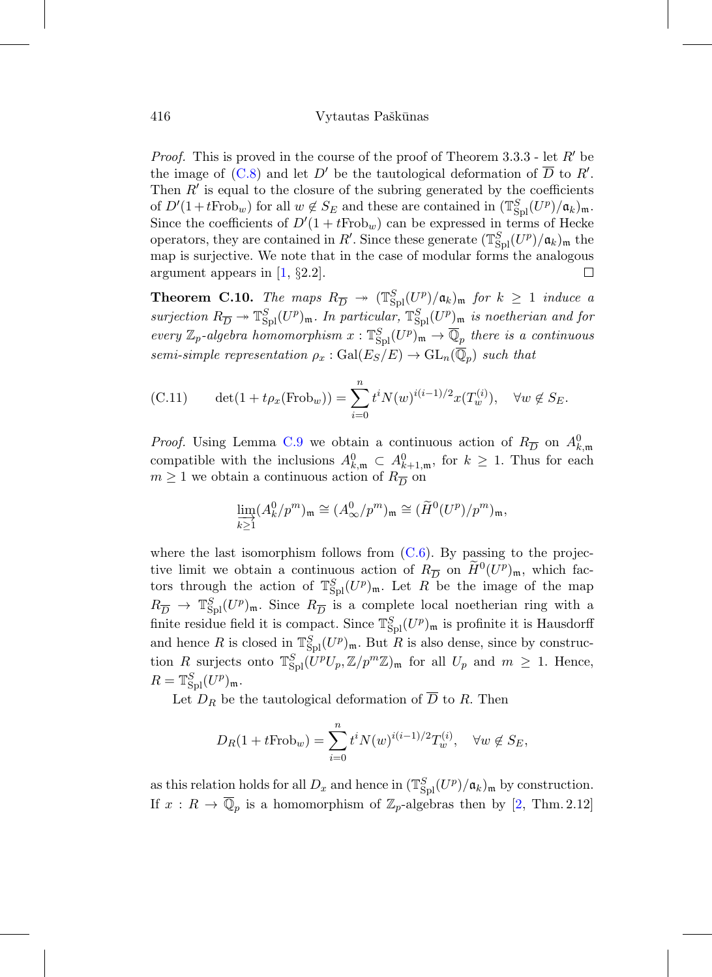*Proof.* This is proved in the course of the proof of Theorem  $3.3.3$  - let  $R'$  be the image of  $(C.8)$  and let D' be the tautological deformation of D to R'. Then  $R'$  is equal to the closure of the subring generated by the coefficients of  $D'(1+tFrob_w)$  for all  $w \notin S_E$  and these are contained in  $(\mathbb{T}_{\text{Spl}}^S(U^p)/\mathfrak{a}_k)_{\mathfrak{m}}$ . Since the coefficients of  $D'(1 + tFrob_w)$  can be expressed in terms of Hecke operators, they are contained in R'. Since these generate  $(\mathbb{T}_{\text{Spl}}^S(U^p)/\mathfrak{a}_k)_{\mathfrak{m}}$  the map is surjective. We note that in the case of modular forms the analogous argument appears in [\[1](#page-66-3), §2.2].  $\Box$ 

**Theorem C.10.** The maps  $R_{\overline{D}} \rightarrow (\mathbb{T}_{\text{Spl}}^S(U^p)/\mathfrak{a}_k)_{\mathfrak{m}}$  for  $k \geq 1$  induce a surjection  $R_{\overline{D}} \to \mathbb{T}_{\text{Spl}}^S(U^p)_{\mathfrak{m}}$ . In particular,  $\mathbb{T}_{\text{Spl}}^S(U^p)_{\mathfrak{m}}$  is noetherian and for every  $\mathbb{Z}_p$ -algebra homomorphism  $x: \mathbb{T}_{\text{Spl}}^S(U^p)_{\mathfrak{m}} \to \overline{\mathbb{Q}}_p$  there is a continuous semi-simple representation  $\rho_x : \text{Gal}(E_S/E) \to \text{GL}_n(\overline{\mathbb{Q}}_p)$  such that

<span id="page-65-0"></span>(C.11) 
$$
\det(1 + t\rho_x(\text{Frob}_w)) = \sum_{i=0}^n t^i N(w)^{i(i-1)/2} x(T_w^{(i)}), \quad \forall w \notin S_E.
$$

*Proof.* Using Lemma [C.9](#page-64-2) we obtain a continuous action of  $R_{\overline{D}}$  on  $A_{k,m}^0$ compatible with the inclusions  $A_{k,m}^0 \subset A_{k+1,m}^0$ , for  $k \geq 1$ . Thus for each  $m \geq 1$  we obtain a continuous action of  $R_{\overline{D}}$  on

$$
\varinjlim_{k\geq 1} (A_k^0/p^m)_{\mathfrak{m}} \cong (A_\infty^0/p^m)_{\mathfrak{m}} \cong (\widetilde{H}^0(U^p)/p^m)_{\mathfrak{m}},
$$

where the last isomorphism follows from  $(C.6)$ . By passing to the projective limit we obtain a continuous action of  $R_{\overline{D}}$  on  $\widetilde{H}^0(U^p)_{\mathfrak{m}}$ , which factors through the action of  $\mathbb{T}_{\text{Spl}}^S(U^p)_{\mathfrak{m}}$ . Let R be the image of the map  $R_{\overline{D}} \to \mathbb{S}_{\text{spl}}^S(U^p)_{\mathfrak{m}}$ . Since  $R_{\overline{D}}$  is a complete local noetherian ring with a finite residue field it is compact. Since  $\mathbb{T}_{\text{Spl}}^S(U^p)_{\mathfrak{m}}$  is profinite it is Hausdorff and hence R is closed in  $\mathbb{T}_{\text{Spl}}^S(U^p)_{\mathfrak{m}}$ . But R is also dense, since by construction R surjects onto  $\mathbb{T}_{\text{Spl}}^S(U^pU_p,\mathbb{Z}/p^m\mathbb{Z})_{\mathfrak{m}}$  for all  $U_p$  and  $m\geq 1$ . Hence,  $R = \mathbb{T}_{\text{Spl}}^S(U^p)_{\mathfrak{m}}.$ 

Let  $D_R$  be the tautological deformation of  $\overline{D}$  to R. Then

$$
D_R(1 + tFrob_w) = \sum_{i=0}^n t^i N(w)^{i(i-1)/2} T_w^{(i)}, \quad \forall w \notin S_E,
$$

as this relation holds for all  $D_x$  and hence in  $(\mathbb{T}_{\text{Spl}}^S(U^p)/\mathfrak{a}_k)_{\mathfrak{m}}$  by construction. If  $x: R \to \overline{\mathbb{Q}}_p$  is a homomorphism of  $\mathbb{Z}_p$ -algebras then by [\[2](#page-66-2), Thm. 2.12]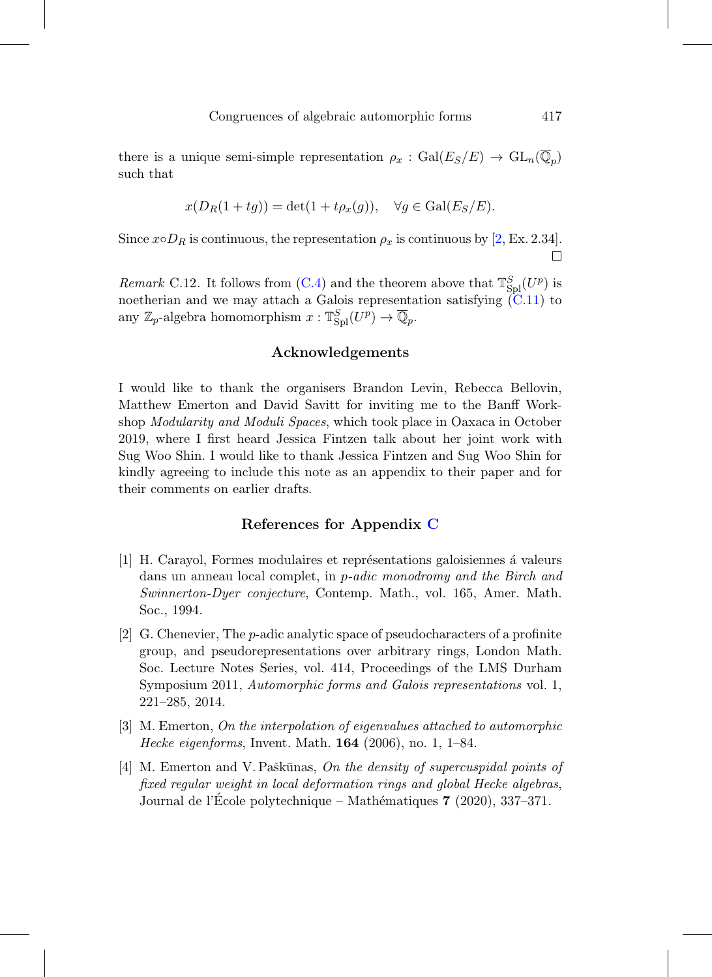there is a unique semi-simple representation  $\rho_x : \text{Gal}(E_S/E) \to \text{GL}_n(\overline{\mathbb{Q}}_n)$ such that

$$
x(D_R(1+tg)) = \det(1 + t\rho_x(g)), \quad \forall g \in \text{Gal}(E_S/E).
$$

Since  $x \circ D_R$  is continuous, the representation  $\rho_x$  is continuous by [\[2,](#page-66-2) Ex. 2.34].  $\Box$ 

*Remark* C.12. It follows from [\(C.4\)](#page-63-0) and the theorem above that  $\mathbb{T}_{\text{Spl}}^S(U^p)$  is noetherian and we may attach a Galois representation satisfying  $(C.11)$  to any  $\mathbb{Z}_p$ -algebra homomorphism  $x: \mathbb{T}_{\text{Spl}}^S(U^p) \to \overline{\mathbb{Q}}_p$ .

### **Acknowledgements**

I would like to thank the organisers Brandon Levin, Rebecca Bellovin, Matthew Emerton and David Savitt for inviting me to the Banff Workshop Modularity and Moduli Spaces, which took place in Oaxaca in October 2019, where I first heard Jessica Fintzen talk about her joint work with Sug Woo Shin. I would like to thank Jessica Fintzen and Sug Woo Shin for kindly agreeing to include this note as an appendix to their paper and for their comments on earlier drafts.

### **References for Appendix [C](#page-60-0)**

- <span id="page-66-3"></span>[1] H. Carayol, Formes modulaires et représentations galoisiennes à valeurs dans un anneau local complet, in *p-adic monodromy and the Birch and* Swinnerton-Dyer conjecture, Contemp. Math., vol. 165, Amer. Math. Soc., 1994.
- <span id="page-66-2"></span>[2] G. Chenevier, The p-adic analytic space of pseudocharacters of a profinite group, and pseudorepresentations over arbitrary rings, London Math. Soc. Lecture Notes Series, vol. 414, Proceedings of the LMS Durham Symposium 2011, Automorphic forms and Galois representations vol. 1, 221–285, 2014.
- <span id="page-66-1"></span>[3] M. Emerton, On the interpolation of eigenvalues attached to automorphic Hecke eigenforms, Invent. Math. **164** (2006), no. 1, 1–84.
- <span id="page-66-0"></span>[4] M. Emerton and V. Paškūnas, On the density of supercuspidal points of fixed regular weight in local deformation rings and global Hecke algebras, Journal de l'École polytechnique – Mathématiques **7** (2020), 337–371.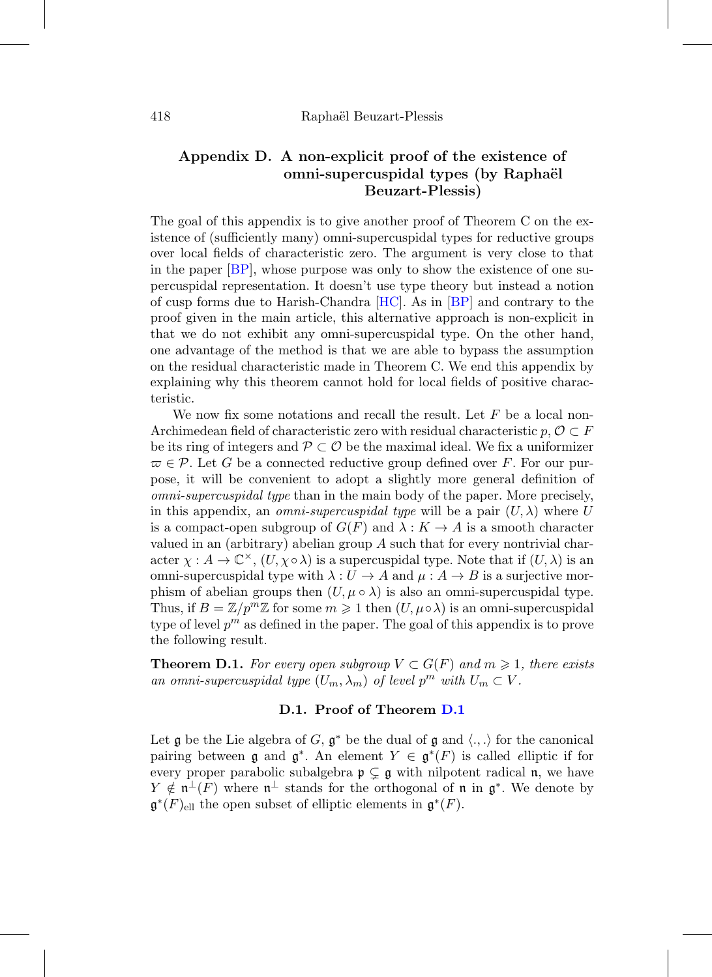## <span id="page-67-0"></span>**Appendix D. A non-explicit proof of the existence of omni-supercuspidal types (by Rapha¨el Beuzart-Plessis)**

The goal of this appendix is to give another proof of Theorem C on the existence of (sufficiently many) omni-supercuspidal types for reductive groups over local fields of characteristic zero. The argument is very close to that in the paper [\[BP\]](#page-73-0), whose purpose was only to show the existence of one supercuspidal representation. It doesn't use type theory but instead a notion of cusp forms due to Harish-Chandra [\[HC\]](#page-73-1). As in [\[BP\]](#page-73-0) and contrary to the proof given in the main article, this alternative approach is non-explicit in that we do not exhibit any omni-supercuspidal type. On the other hand, one advantage of the method is that we are able to bypass the assumption on the residual characteristic made in Theorem C. We end this appendix by explaining why this theorem cannot hold for local fields of positive characteristic.

We now fix some notations and recall the result. Let  $F$  be a local non-Archimedean field of characteristic zero with residual characteristic  $p, \mathcal{O} \subset F$ be its ring of integers and  $\mathcal{P} \subset \mathcal{O}$  be the maximal ideal. We fix a uniformizer  $\varpi \in \mathcal{P}$ . Let G be a connected reductive group defined over F. For our purpose, it will be convenient to adopt a slightly more general definition of omni-supercuspidal type than in the main body of the paper. More precisely, in this appendix, an *omni-supercuspidal type* will be a pair  $(U, \lambda)$  where U is a compact-open subgroup of  $G(F)$  and  $\lambda : K \to A$  is a smooth character valued in an (arbitrary) abelian group  $A$  such that for every nontrivial character  $\chi : A \to \mathbb{C}^{\times}$ ,  $(U, \chi \circ \lambda)$  is a supercuspidal type. Note that if  $(U, \lambda)$  is an omni-supercuspidal type with  $\lambda: U \to A$  and  $\mu: A \to B$  is a surjective morphism of abelian groups then  $(U, \mu \circ \lambda)$  is also an omni-supercuspidal type. Thus, if  $B = \mathbb{Z}/p^m\mathbb{Z}$  for some  $m \geq 1$  then  $(U, \mu \circ \lambda)$  is an omni-supercuspidal type of level  $p^m$  as defined in the paper. The goal of this appendix is to prove the following result.

<span id="page-67-1"></span>**Theorem D.1.** For every open subgroup  $V \subset G(F)$  and  $m \geq 1$ , there exists an omni-supercuspidal type  $(U_m, \lambda_m)$  of level  $p^m$  with  $U_m \subset V$ .

### **D.1. Proof of Theorem [D.1](#page-67-1)**

Let g be the Lie algebra of G,  $\mathfrak{g}^*$  be the dual of g and  $\langle ., . \rangle$  for the canonical pairing between g and  $\mathfrak{g}^*$ . An element  $Y \in \mathfrak{g}^*(F)$  is called elliptic if for every proper parabolic subalgebra  $\mathfrak{p} \subsetneq \mathfrak{g}$  with nilpotent radical  $\mathfrak{n}$ , we have  $Y \notin \mathfrak{n}^{\perp}(F)$  where  $\mathfrak{n}^{\perp}$  stands for the orthogonal of  $\mathfrak{n}$  in  $\mathfrak{g}^*$ . We denote by  $\mathfrak{g}^*(F)_{\text{ell}}$  the open subset of elliptic elements in  $\mathfrak{g}^*(F)$ .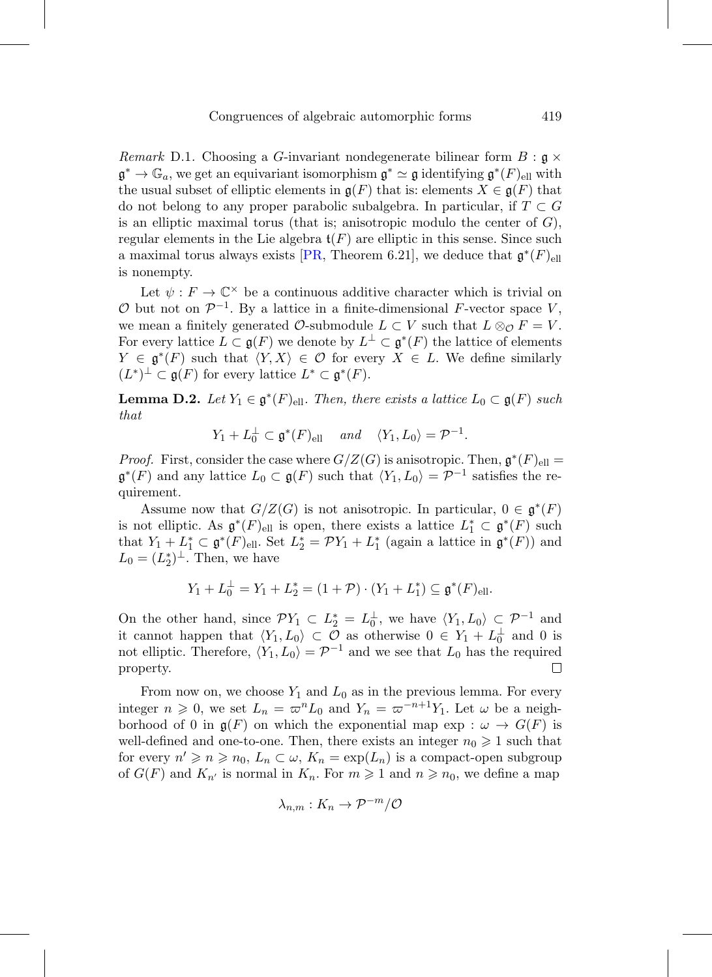*Remark* D.1. Choosing a G-invariant nondegenerate bilinear form  $B : \mathfrak{g} \times$  $\mathfrak{g}^* \to \mathbb{G}_a$ , we get an equivariant isomorphism  $\mathfrak{g}^* \simeq \mathfrak{g}$  identifying  $\mathfrak{g}^*(F)_{\text{ell}}$  with the usual subset of elliptic elements in  $\mathfrak{g}(F)$  that is: elements  $X \in \mathfrak{g}(F)$  that do not belong to any proper parabolic subalgebra. In particular, if  $T \subset G$ is an elliptic maximal torus (that is; anisotropic modulo the center of  $G$ ), regular elements in the Lie algebra  $\mathfrak{t}(F)$  are elliptic in this sense. Since such a maximal torus always exists [\[PR,](#page-74-6) Theorem 6.21], we deduce that  $\mathfrak{g}^*(F)_{\text{ell}}$ is nonempty.

Let  $\psi : F \to \mathbb{C}^\times$  be a continuous additive character which is trivial on  $\mathcal O$  but not on  $\mathcal P^{-1}$ . By a lattice in a finite-dimensional F-vector space V, we mean a finitely generated  $\mathcal{O}\text{-submodule } L \subset V$  such that  $L \otimes_{\mathcal{O}} F = V$ . For every lattice  $L \subset \mathfrak{g}(F)$  we denote by  $L^{\perp} \subset \mathfrak{g}^*(F)$  the lattice of elements  $Y \in \mathfrak{g}^*(F)$  such that  $\langle Y, X \rangle \in \mathcal{O}$  for every  $X \in L$ . We define similarly  $(L^*)^{\perp} \subset \mathfrak{g}(F)$  for every lattice  $L^* \subset \mathfrak{g}^*(F)$ .

**Lemma D.2.** Let  $Y_1 \in \mathfrak{g}^*(F)_{\text{ell}}$ . Then, there exists a lattice  $L_0 \subset \mathfrak{g}(F)$  such that

 $Y_1 + L_0^{\perp} \subset \mathfrak{g}^*(F)_{\text{ell}} \quad \text{and} \quad \langle Y_1, L_0 \rangle = \mathcal{P}^{-1}.$ 

*Proof.* First, consider the case where  $G/Z(G)$  is anisotropic. Then,  $\mathfrak{g}^*(F)_{\text{ell}} =$  $\mathfrak{g}^*(F)$  and any lattice  $L_0 \subset \mathfrak{g}(F)$  such that  $\langle Y_1, L_0 \rangle = \mathcal{P}^{-1}$  satisfies the requirement.

Assume now that  $G/Z(G)$  is not anisotropic. In particular,  $0 \in \mathfrak{g}^*(F)$ is not elliptic. As  $\mathfrak{g}^*(F)_{\text{ell}}$  is open, there exists a lattice  $L_1^* \subset \mathfrak{g}^*(F)$  such that  $Y_1 + L_1^* \subset \mathfrak{g}^*(F)_{\text{ell}}$ . Set  $L_2^* = \mathcal{P}Y_1 + L_1^*$  (again a lattice in  $\mathfrak{g}^*(F)$ ) and  $L_0 = (L_2^*)^{\perp}$ . Then, we have

$$
Y_1 + L_0^{\perp} = Y_1 + L_2^* = (1 + \mathcal{P}) \cdot (Y_1 + L_1^*) \subseteq \mathfrak{g}^*(F)_{\text{ell}}.
$$

On the other hand, since  $\mathcal{P}Y_1 \subset L_2^* = L_0^{\perp}$ , we have  $\langle Y_1, L_0 \rangle \subset \mathcal{P}^{-1}$  and it cannot happen that  $\langle Y_1, L_0 \rangle \subset \mathcal{O}$  as otherwise  $0 \in Y_1 + L_0^{\perp}$  and 0 is not elliptic. Therefore,  $\langle Y_1, L_0 \rangle = \mathcal{P}^{-1}$  and we see that  $L_0$  has the required property.  $\Box$ 

From now on, we choose  $Y_1$  and  $L_0$  as in the previous lemma. For every integer  $n \geq 0$ , we set  $L_n = \varpi^n L_0$  and  $Y_n = \varpi^{-n+1} Y_1$ . Let  $\omega$  be a neighborhood of 0 in  $\mathfrak{g}(F)$  on which the exponential map exp :  $\omega \to G(F)$  is well-defined and one-to-one. Then, there exists an integer  $n_0 \geq 1$  such that for every  $n' \geq n \geq n_0$ ,  $L_n \subset \omega$ ,  $K_n = \exp(L_n)$  is a compact-open subgroup of  $G(F)$  and  $K_{n'}$  is normal in  $K_n$ . For  $m \geq 1$  and  $n \geq n_0$ , we define a map

$$
\lambda_{n,m}:K_n\to\mathcal{P}^{-m}/\mathcal{O}
$$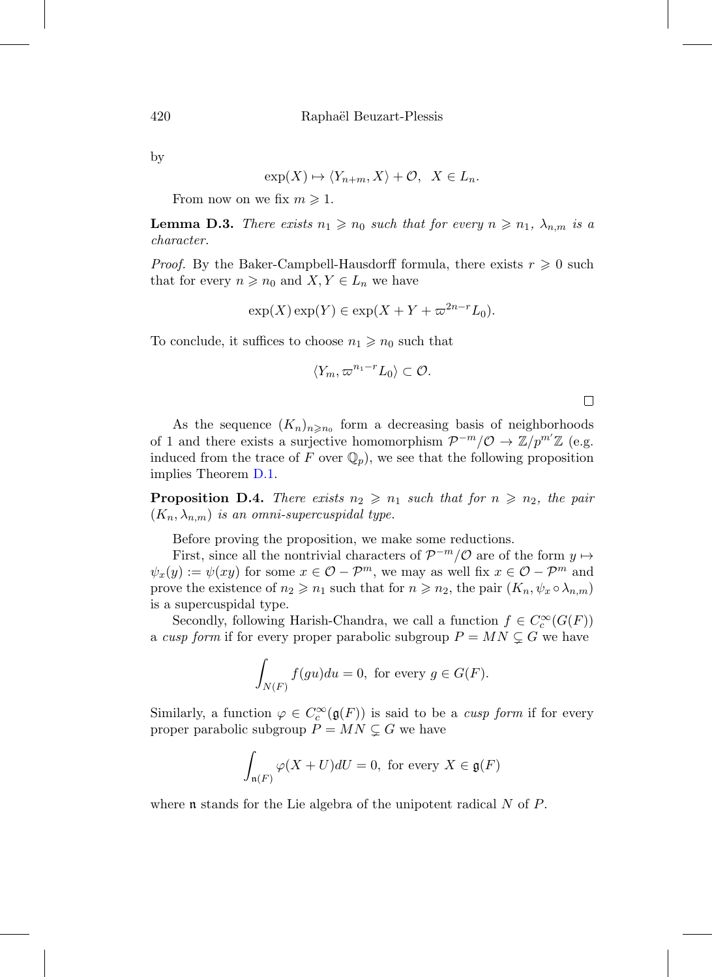by

$$
\exp(X) \mapsto \langle Y_{n+m}, X \rangle + \mathcal{O}, \quad X \in L_n.
$$

From now on we fix  $m \geq 1$ .

**Lemma D.3.** There exists  $n_1 \geq n_0$  such that for every  $n \geq n_1$ ,  $\lambda_{n,m}$  is a character.

*Proof.* By the Baker-Campbell-Hausdorff formula, there exists  $r \geq 0$  such that for every  $n \geq n_0$  and  $X, Y \in L_n$  we have

$$
\exp(X)\exp(Y) \in \exp(X + Y + \varpi^{2n-r}L_0).
$$

To conclude, it suffices to choose  $n_1 \geq n_0$  such that

$$
\langle Y_m, \varpi^{n_1-r} L_0 \rangle \subset \mathcal{O}.
$$

As the sequence  $(K_n)_{n \geq n_0}$  form a decreasing basis of neighborhoods of 1 and there exists a surjective homomorphism  $\mathcal{P}^{-m}/\mathcal{O} \to \mathbb{Z}/p^{m'}\mathbb{Z}$  (e.g. induced from the trace of F over  $\mathbb{Q}_p$ , we see that the following proposition implies Theorem [D.1.](#page-67-1)

**Proposition D.4.** There exists  $n_2 \geq n_1$  such that for  $n \geq n_2$ , the pair  $(K_n, \lambda_{n,m})$  is an omni-supercuspidal type.

Before proving the proposition, we make some reductions.

First, since all the nontrivial characters of  $\mathcal{P}^{-m}/\mathcal{O}$  are of the form  $y \mapsto$  $\psi_x(y) := \psi(xy)$  for some  $x \in \mathcal{O}-\mathcal{P}^m$ , we may as well fix  $x \in \mathcal{O}-\mathcal{P}^m$  and prove the existence of  $n_2 \geqslant n_1$  such that for  $n \geqslant n_2$ , the pair  $(K_n, \psi_x \circ \lambda_{n,m})$ is a supercuspidal type.

Secondly, following Harish-Chandra, we call a function  $f \in C_c^{\infty}(G(F))$ a cusp form if for every proper parabolic subgroup  $P = MN \subsetneq G$  we have

$$
\int_{N(F)} f(gu) du = 0, \text{ for every } g \in G(F).
$$

Similarly, a function  $\varphi \in C_c^{\infty}(\mathfrak{g}(F))$  is said to be a *cusp form* if for every proper parabolic subgroup  $P = MN \subsetneq G$  we have

$$
\int_{\mathfrak{n}(F)} \varphi(X+U)dU = 0, \text{ for every } X \in \mathfrak{g}(F)
$$

where **n** stands for the Lie algebra of the unipotent radical  $N$  of  $P$ .

 $\Box$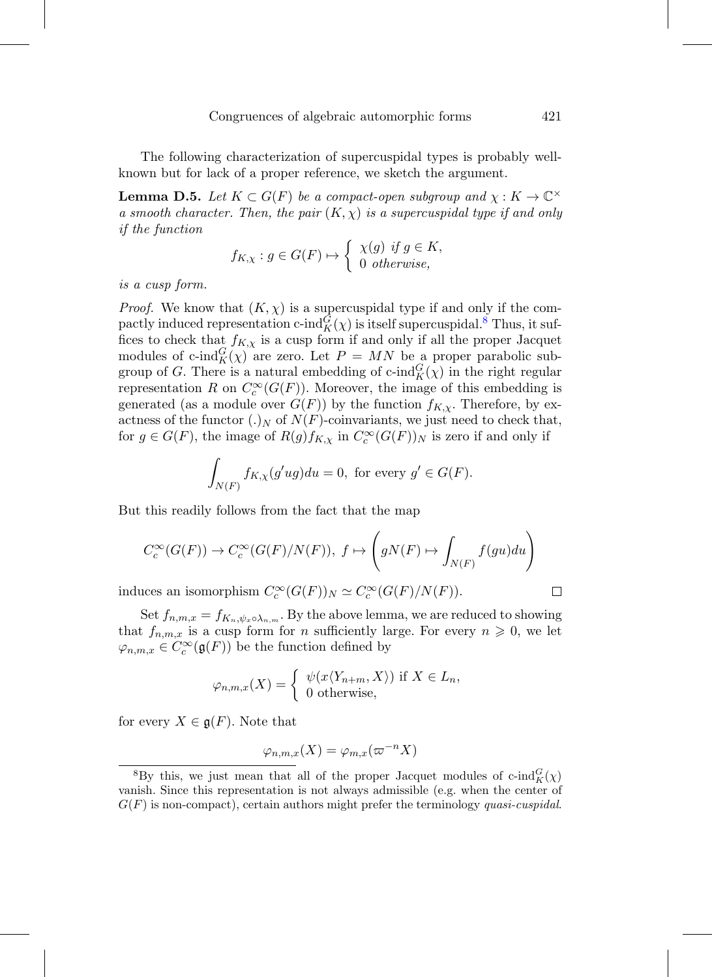The following characterization of supercuspidal types is probably wellknown but for lack of a proper reference, we sketch the argument.

**Lemma D.5.** Let  $K \subset G(F)$  be a compact-open subgroup and  $\chi : K \to \mathbb{C}^{\times}$ a smooth character. Then, the pair  $(K, \chi)$  is a supercuspidal type if and only if the function

$$
f_{K,\chi}: g \in G(F) \mapsto \left\{ \begin{array}{l} \chi(g) \text{ if } g \in K, \\ 0 \text{ otherwise,} \end{array} \right.
$$

is a cusp form.

*Proof.* We know that  $(K, \chi)$  is a supercuspidal type if and only if the compactly induced representation c-ind $_G^G(\chi)$  is itself supercuspidal.<sup>[8](#page-70-0)</sup> Thus, it suffices to check that  $f_{K,\chi}$  is a cusp form if and only if all the proper Jacquet modules of c-ind ${}_{K}^{G}(\chi)$  are zero. Let  $P = MN$  be a proper parabolic subgroup of G. There is a natural embedding of c-ind ${}_{K}^{G}(\chi)$  in the right regular representation R on  $C_c^{\infty}(G(F))$ . Moreover, the image of this embedding is generated (as a module over  $G(F)$ ) by the function  $f_{K,\chi}$ . Therefore, by exactness of the functor  $(.)_N$  of  $N(F)$ -coinvariants, we just need to check that, for  $g \in G(F)$ , the image of  $R(g)f_{K,\chi}$  in  $C_c^{\infty}(G(F))_N$  is zero if and only if

$$
\int_{N(F)} f_{K,\chi}(g'ug) du = 0, \text{ for every } g' \in G(F).
$$

But this readily follows from the fact that the map

$$
C_c^{\infty}(G(F)) \to C_c^{\infty}(G(F)/N(F)), \ f \mapsto \left(gN(F) \mapsto \int_{N(F)} f(gu)du\right)
$$

induces an isomorphism  $C_c^{\infty}(G(F))_N \simeq C_c^{\infty}(G(F)/N(F)).$ 

Set  $f_{n,m,x} = f_{K_n, \psi_x \circ \lambda_{n,m}}$ . By the above lemma, we are reduced to showing that  $f_{n,m,x}$  is a cusp form for n sufficiently large. For every  $n \geq 0$ , we let  $\varphi_{n,m,x} \in C_c^{\infty}(\mathfrak{g}(F))$  be the function defined by

$$
\varphi_{n,m,x}(X) = \begin{cases} \psi(x \langle Y_{n+m}, X \rangle) & \text{if } X \in L_n, \\ 0 & \text{otherwise,} \end{cases}
$$

for every  $X \in \mathfrak{g}(F)$ . Note that

$$
\varphi_{n,m,x}(X)=\varphi_{m,x}(\varpi^{-n}X)
$$

 $\Box$ 

<span id="page-70-0"></span><sup>&</sup>lt;sup>8</sup>By this, we just mean that all of the proper Jacquet modules of c-ind $_K^G(\chi)$ vanish. Since this representation is not always admissible (e.g. when the center of  $G(F)$  is non-compact), certain authors might prefer the terminology quasi-cuspidal.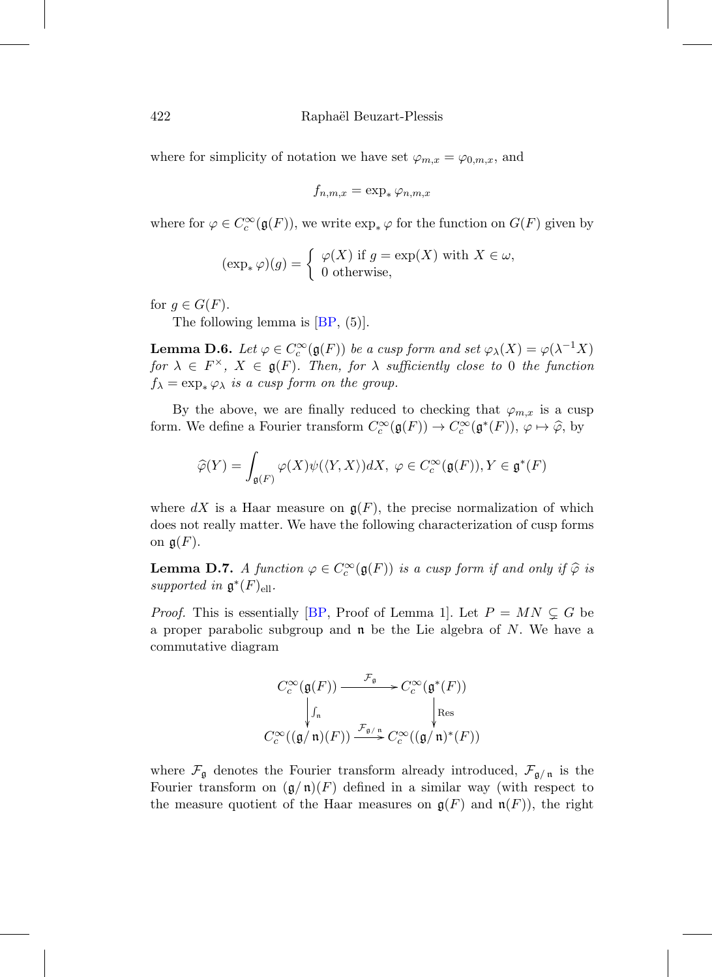where for simplicity of notation we have set  $\varphi_{m,x} = \varphi_{0,m,x}$ , and

$$
f_{n,m,x} = \exp_* \varphi_{n,m,x}
$$

where for  $\varphi \in C_c^{\infty}(\mathfrak{g}(F))$ , we write  $\exp_* \varphi$  for the function on  $G(F)$  given by

$$
(\exp_* \varphi)(g) = \begin{cases} \varphi(X) \text{ if } g = \exp(X) \text{ with } X \in \omega, \\ 0 \text{ otherwise,} \end{cases}
$$

for  $g \in G(F)$ .

The following lemma is  $[BP, (5)]$  $[BP, (5)]$ .

**Lemma D.6.** Let  $\varphi \in C_c^{\infty}(\mathfrak{g}(F))$  be a cusp form and set  $\varphi_{\lambda}(X) = \varphi(\lambda^{-1}X)$ for  $\lambda \in F^{\times}$ ,  $X \in \mathfrak{g}(F)$ . Then, for  $\lambda$  sufficiently close to 0 the function  $f_{\lambda} = \exp_{*} \varphi_{\lambda}$  is a cusp form on the group.

By the above, we are finally reduced to checking that  $\varphi_{m,x}$  is a cusp form. We define a Fourier transform  $C_c^{\infty}(\mathfrak{g}(F)) \to C_c^{\infty}(\mathfrak{g}^*(F)), \varphi \mapsto \widehat{\varphi}$ , by

$$
\widehat{\varphi}(Y) = \int_{\mathfrak{g}(F)} \varphi(X)\psi(\langle Y, X \rangle) dX, \ \varphi \in C_c^{\infty}(\mathfrak{g}(F)), Y \in \mathfrak{g}^*(F)
$$

where dX is a Haar measure on  $g(F)$ , the precise normalization of which does not really matter. We have the following characterization of cusp forms on  $\mathfrak{g}(F)$ .

**Lemma D.7.** A function  $\varphi \in C_c^{\infty}(\mathfrak{g}(F))$  is a cusp form if and only if  $\widehat{\varphi}$  is currented in  $\mathfrak{g}^*(F)$ . supported in  $\mathfrak{g}^*(F)_{\text{ell}}$ .

*Proof.* This is essentially [\[BP](#page-73-0), Proof of Lemma 1]. Let  $P = MN \subsetneq G$  be a proper parabolic subgroup and  $\mathfrak n$  be the Lie algebra of N. We have a commutative diagram

$$
C_c^{\infty}(\mathfrak{g}(F)) \xrightarrow{\mathcal{F}_{\mathfrak{g}}} C_c^{\infty}(\mathfrak{g}^*(F))
$$
  
\n
$$
\downarrow_{\Gamma_{\mathfrak{n}}} \qquad \qquad \downarrow_{\text{Res}}
$$
  
\n
$$
C_c^{\infty}((\mathfrak{g}/\mathfrak{n})(F)) \xrightarrow{\mathcal{F}_{\mathfrak{g}/\mathfrak{n}}} C_c^{\infty}((\mathfrak{g}/\mathfrak{n})^*(F))
$$

where  $\mathcal{F}_{\mathfrak{g}}$  denotes the Fourier transform already introduced,  $\mathcal{F}_{\mathfrak{g}/\mathfrak{n}}$  is the Fourier transform on  $(\mathfrak{g}/\mathfrak{n})(F)$  defined in a similar way (with respect to the measure quotient of the Haar measures on  $\mathfrak{g}(F)$  and  $\mathfrak{n}(F)$ , the right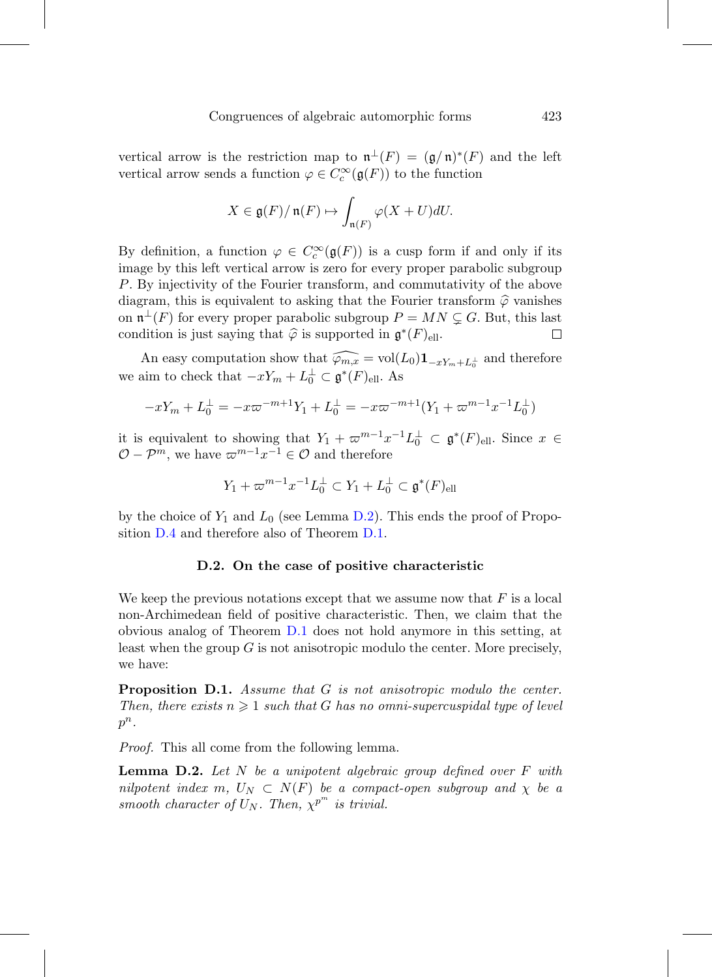vertical arrow is the restriction map to  $\mathfrak{n}^{\perp}(F)=(\mathfrak{g}/\mathfrak{n})^*(F)$  and the left vertical arrow sends a function  $\varphi \in C_c^{\infty}(\mathfrak{g}(F))$  to the function

$$
X \in \mathfrak{g}(F)/\mathfrak{n}(F) \mapsto \int_{\mathfrak{n}(F)} \varphi(X+U)dU.
$$

By definition, a function  $\varphi \in C_c^{\infty}(\mathfrak{g}(F))$  is a cusp form if and only if its image by this left vertical arrow is zero for every proper parabolic subgroup P. By injectivity of the Fourier transform, and commutativity of the above diagram, this is equivalent to asking that the Fourier transform  $\hat{\varphi}$  vanishes on  $\mathfrak{n}^{\perp}(F)$  for every proper parabolic subgroup  $P = MN \subsetneq G$ . But, this last condition is just saying that  $\hat{\varphi}$  is supported in  $\mathfrak{g}^*(F)_{\text{ell}}$ . □

An easy computation show that  $\widehat{\varphi_{m,x}} = \text{vol}(L_0) \mathbf{1}_{-xY_m + L_0^{\perp}}$  and therefore we aim to check that  $-xY_m + L_0^{\perp} \subset \mathfrak{g}^*(F)_{\text{ell}}$ . As

$$
-xY_m + L_0^{\perp} = -x\varpi^{-m+1}Y_1 + L_0^{\perp} = -x\varpi^{-m+1}(Y_1 + \varpi^{m-1}x^{-1}L_0^{\perp})
$$

it is equivalent to showing that  $Y_1 + \varpi^{m-1} x^{-1} L_0^{\perp} \subset \mathfrak{g}^*(F)_{\text{ell}}$ . Since  $x \in$  $\mathcal{O}-\mathcal{P}^m$ , we have  $\varpi^{m-1}x^{-1} \in \mathcal{O}$  and therefore

$$
Y_1 + \varpi^{m-1} x^{-1} L_0^{\perp} \subset Y_1 + L_0^{\perp} \subset \mathfrak{g}^*(F)_{\text{ell}}
$$

by the choice of  $Y_1$  and  $L_0$  (see Lemma [D.2\)](#page-68-0). This ends the proof of Proposition [D.4](#page-69-0) and therefore also of Theorem [D.1.](#page-67-0)

## **D.2. On the case of positive characteristic**

We keep the previous notations except that we assume now that  $F$  is a local non-Archimedean field of positive characteristic. Then, we claim that the obvious analog of Theorem [D.1](#page-67-0) does not hold anymore in this setting, at least when the group  $G$  is not anisotropic modulo the center. More precisely, we have:

**Proposition D.1.** Assume that G is not anisotropic modulo the center. Then, there exists  $n \geq 1$  such that G has no omni-supercuspidal type of level  $p^n$ .

Proof. This all come from the following lemma.

**Lemma D.2.** Let N be a unipotent algebraic group defined over F with nilpotent index m,  $U_N \subset N(F)$  be a compact-open subgroup and  $\chi$  be a smooth character of  $U_N$ . Then,  $\chi^{p^m}$  is trivial.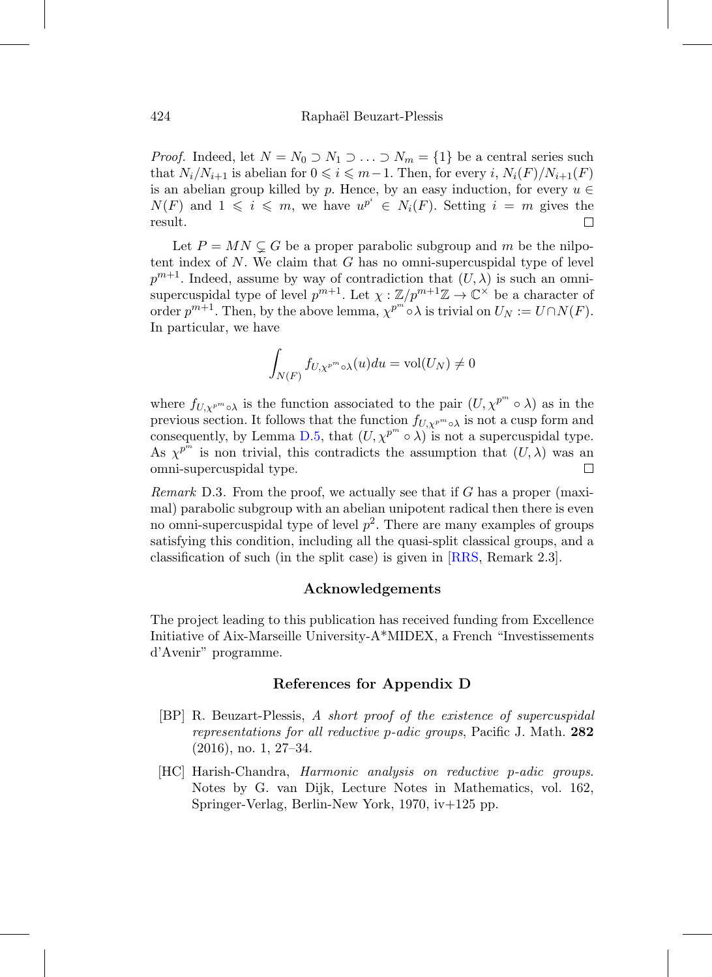*Proof.* Indeed, let  $N = N_0 \supset N_1 \supset \ldots \supset N_m = \{1\}$  be a central series such that  $N_i/N_{i+1}$  is abelian for  $0 \leq i \leq m-1$ . Then, for every i,  $N_i(F)/N_{i+1}(F)$ is an abelian group killed by p. Hence, by an easy induction, for every  $u \in$  $N(F)$  and  $1 \leqslant i \leqslant m$ , we have  $u^{p^i} \in N_i(F)$ . Setting  $i = m$  gives the result. П

Let  $P = MN \subsetneq G$  be a proper parabolic subgroup and m be the nilpotent index of  $N$ . We claim that  $G$  has no omni-supercuspidal type of level  $p^{m+1}$ . Indeed, assume by way of contradiction that  $(U, \lambda)$  is such an omnisupercuspidal type of level  $p^{m+1}$ . Let  $\chi : \mathbb{Z}/p^{m+1}\mathbb{Z} \to \mathbb{C}^\times$  be a character of order  $p^{m+1}$ . Then, by the above lemma,  $\chi^{p^m} \circ \lambda$  is trivial on  $U_N := U \cap N(F)$ . In particular, we have

$$
\int_{N(F)} f_{U,\chi^{p^m}\circ\lambda}(u)du = \text{vol}(U_N) \neq 0
$$

where  $f_{U,\chi^{p^m}\circ\lambda}$  is the function associated to the pair  $(U,\chi^{p^m}\circ\lambda)$  as in the previous section. It follows that the function  $f_{U,\chi^{p^m}\circ\lambda}$  is not a cusp form and consequently, by Lemma [D.5,](#page-70-0) that  $(U, \chi^{p^m} \circ \lambda)$  is not a supercuspidal type. As  $\chi^{p^m}$  is non trivial, this contradicts the assumption that  $(U, \lambda)$  was an omni-supercuspidal type.  $\Box$ 

*Remark* D.3. From the proof, we actually see that if G has a proper (maximal) parabolic subgroup with an abelian unipotent radical then there is even no omni-supercuspidal type of level  $p^2$ . There are many examples of groups satisfying this condition, including all the quasi-split classical groups, and a classification of such (in the split case) is given in [\[RRS](#page-74-0), Remark 2.3].

## **Acknowledgements**

The project leading to this publication has received funding from Excellence Initiative of Aix-Marseille University-A\*MIDEX, a French "Investissements d'Avenir" programme.

## **References for Appendix D**

- [BP] R. Beuzart-Plessis, A short proof of the existence of supercuspidal representations for all reductive p-adic groups, Pacific J. Math. **282** (2016), no. 1, 27–34.
- [HC] Harish-Chandra, Harmonic analysis on reductive p-adic groups. Notes by G. van Dijk, Lecture Notes in Mathematics, vol. 162, Springer-Verlag, Berlin-New York, 1970, iv+125 pp.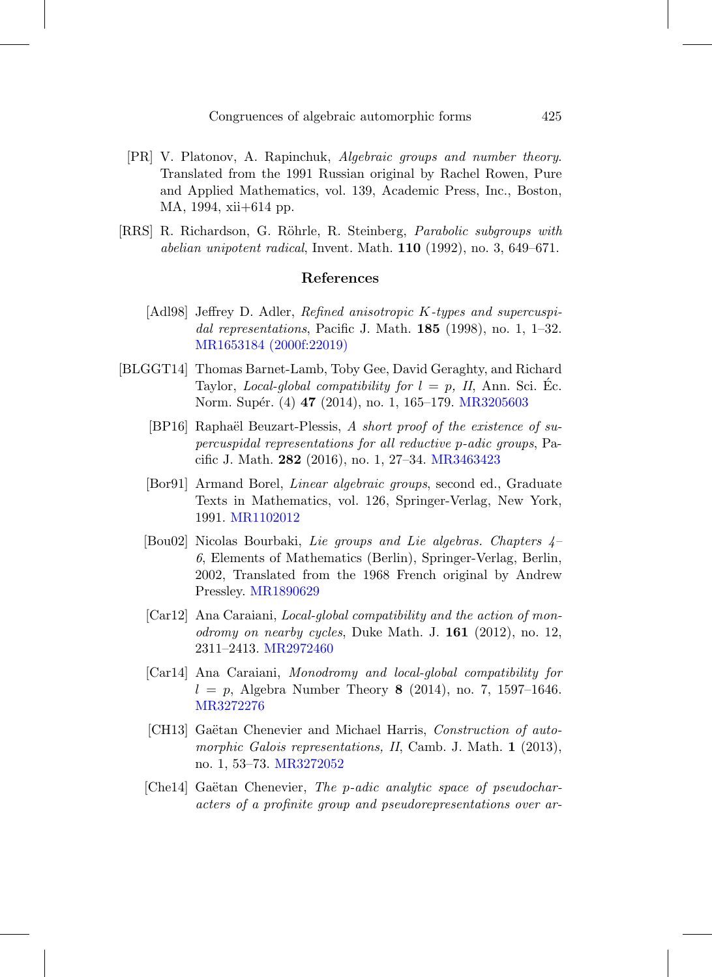- [PR] V. Platonov, A. Rapinchuk, Algebraic groups and number theory. Translated from the 1991 Russian original by Rachel Rowen, Pure and Applied Mathematics, vol. 139, Academic Press, Inc., Boston, MA, 1994, xii+614 pp.
- <span id="page-74-0"></span>[RRS] R. Richardson, G. Röhrle, R. Steinberg, *Parabolic subgroups with* abelian unipotent radical, Invent. Math. **110** (1992), no. 3, 649–671.

## **References**

- [Adl98] Jeffrey D. Adler, Refined anisotropic K-types and supercuspidal representations, Pacific J. Math. **185** (1998), no. 1, 1–32. [MR1653184 \(2000f:22019\)](http://www.ams.org/mathscinet-getitem?mr=1653184)
- [BLGGT14] Thomas Barnet-Lamb, Toby Gee, David Geraghty, and Richard Taylor, *Local-global compatibility for*  $l = p$ , *II*, Ann. Sci. Ec. Norm. Supér. (4) **47** (2014), no. 1, 165–179. [MR3205603](http://www.ams.org/mathscinet-getitem?mr=3205603)
	- [BP16] Raphaël Beuzart-Plessis, A short proof of the existence of supercuspidal representations for all reductive p-adic groups, Pacific J. Math. **282** (2016), no. 1, 27–34. [MR3463423](http://www.ams.org/mathscinet-getitem?mr=3463423)
	- [Bor91] Armand Borel, Linear algebraic groups, second ed., Graduate Texts in Mathematics, vol. 126, Springer-Verlag, New York, 1991. [MR1102012](http://www.ams.org/mathscinet-getitem?mr=1102012)
	- [Bou02] Nicolas Bourbaki, Lie groups and Lie algebras. Chapters 4– 6, Elements of Mathematics (Berlin), Springer-Verlag, Berlin, 2002, Translated from the 1968 French original by Andrew Pressley. [MR1890629](http://www.ams.org/mathscinet-getitem?mr=1890629)
	- [Car12] Ana Caraiani, Local-global compatibility and the action of monodromy on nearby cycles, Duke Math. J. **161** (2012), no. 12, 2311–2413. [MR2972460](http://www.ams.org/mathscinet-getitem?mr=2972460)
	- [Car14] Ana Caraiani, Monodromy and local-global compatibility for  $l = p$ , Algebra Number Theory **8** (2014), no. 7, 1597–1646. [MR3272276](http://www.ams.org/mathscinet-getitem?mr=3272276)
	- [CH13] Gaëtan Chenevier and Michael Harris, Construction of automorphic Galois representations, II, Camb. J. Math. **1** (2013), no. 1, 53–73. [MR3272052](http://www.ams.org/mathscinet-getitem?mr=3272052)
	- [Che14] Gaëtan Chenevier, The p-adic analytic space of pseudocharacters of a profinite group and pseudorepresentations over ar-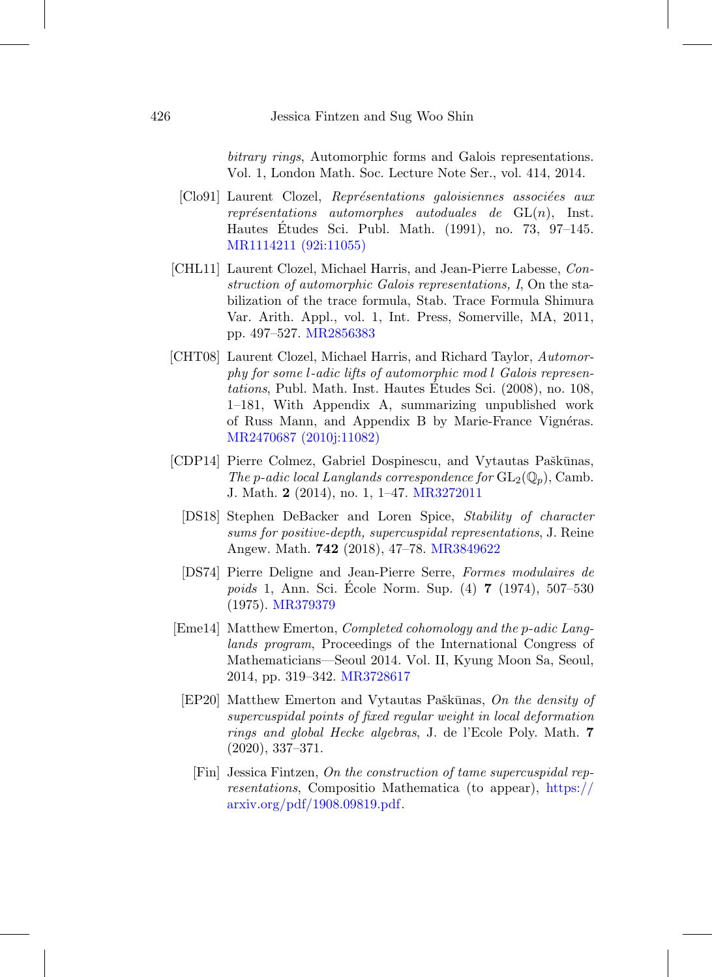bitrary rings, Automorphic forms and Galois representations. Vol. 1, London Math. Soc. Lecture Note Ser., vol. 414, 2014.

- [Clo91] Laurent Clozel, Représentations galoisiennes associées aux représentations automorphes autoduales de  $GL(n)$ , Inst. Hautes Etudes Sci. Publ. Math. (1991), no. 73, 97–145. ´ [MR1114211 \(92i:11055\)](http://www.ams.org/mathscinet-getitem?mr=1114211)
- [CHL11] Laurent Clozel, Michael Harris, and Jean-Pierre Labesse, Construction of automorphic Galois representations, I, On the stabilization of the trace formula, Stab. Trace Formula Shimura Var. Arith. Appl., vol. 1, Int. Press, Somerville, MA, 2011, pp. 497–527. [MR2856383](http://www.ams.org/mathscinet-getitem?mr=2856383)
- [CHT08] Laurent Clozel, Michael Harris, and Richard Taylor, Automorphy for some l-adic lifts of automorphic mod l Galois representations, Publ. Math. Inst. Hautes Etudes Sci. (2008), no. 108, ´ 1–181, With Appendix A, summarizing unpublished work of Russ Mann, and Appendix B by Marie-France Vignéras. [MR2470687 \(2010j:11082\)](http://www.ams.org/mathscinet-getitem?mr=2470687)
- [CDP14] Pierre Colmez, Gabriel Dospinescu, and Vytautas Paškūnas, The p-adic local Langlands correspondence for  $GL_2(\mathbb{Q}_p)$ , Camb. J. Math. **2** (2014), no. 1, 1–47. [MR3272011](http://www.ams.org/mathscinet-getitem?mr=3272011)
	- [DS18] Stephen DeBacker and Loren Spice, Stability of character sums for positive-depth, supercuspidal representations, J. Reine Angew. Math. **742** (2018), 47–78. [MR3849622](http://www.ams.org/mathscinet-getitem?mr=3849622)
	- [DS74] Pierre Deligne and Jean-Pierre Serre, Formes modulaires de poids 1, Ann. Sci. Ecole Norm. Sup. (4) ´ **7** (1974), 507–530 (1975). [MR379379](http://www.ams.org/mathscinet-getitem?mr=379379)
- [Eme14] Matthew Emerton, Completed cohomology and the p-adic Langlands program, Proceedings of the International Congress of Mathematicians—Seoul 2014. Vol. II, Kyung Moon Sa, Seoul, 2014, pp. 319–342. [MR3728617](http://www.ams.org/mathscinet-getitem?mr=3728617)
	- [EP20] Matthew Emerton and Vytautas Paškūnas, On the density of supercuspidal points of fixed regular weight in local deformation rings and global Hecke algebras, J. de l'Ecole Poly. Math. **7** (2020), 337–371.
		- [Fin] Jessica Fintzen, On the construction of tame supercuspidal representations, Compositio Mathematica (to appear), [https://](https://arxiv.org/pdf/1908.09819.pdf) [arxiv.org/pdf/1908.09819.pdf.](https://arxiv.org/pdf/1908.09819.pdf)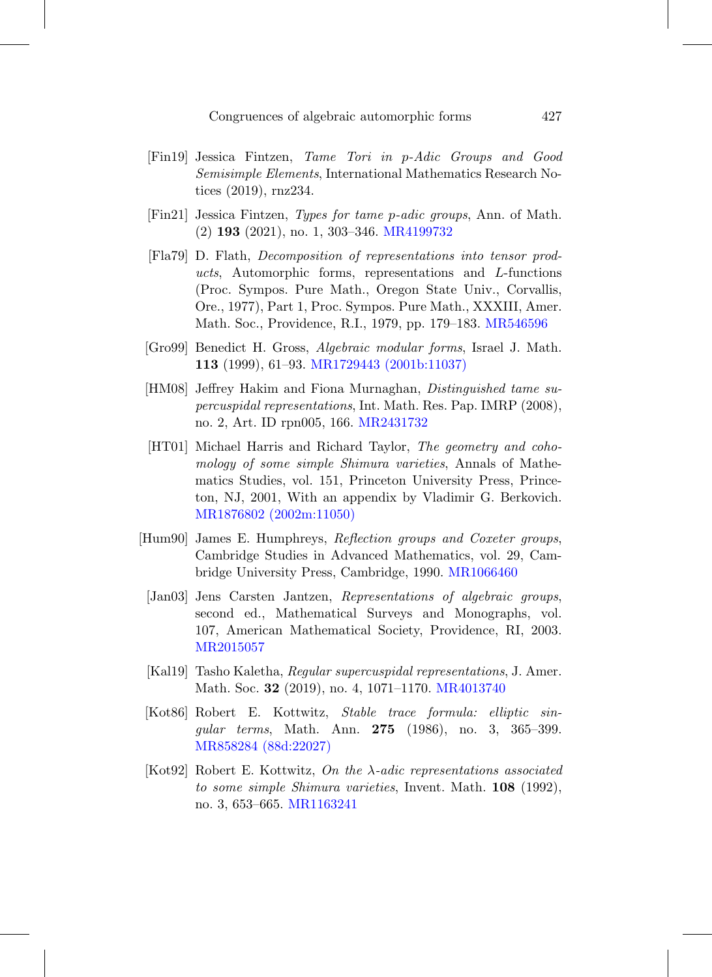- [Fin19] Jessica Fintzen, Tame Tori in p-Adic Groups and Good Semisimple Elements, International Mathematics Research Notices (2019), rnz234.
- [Fin21] Jessica Fintzen, Types for tame p-adic groups, Ann. of Math. (2) **193** (2021), no. 1, 303–346. [MR4199732](http://www.ams.org/mathscinet-getitem?mr=4199732)
- [Fla79] D. Flath, Decomposition of representations into tensor products, Automorphic forms, representations and L-functions (Proc. Sympos. Pure Math., Oregon State Univ., Corvallis, Ore., 1977), Part 1, Proc. Sympos. Pure Math., XXXIII, Amer. Math. Soc., Providence, R.I., 1979, pp. 179–183. [MR546596](http://www.ams.org/mathscinet-getitem?mr=546596)
- [Gro99] Benedict H. Gross, Algebraic modular forms, Israel J. Math. **113** (1999), 61–93. [MR1729443 \(2001b:11037\)](http://www.ams.org/mathscinet-getitem?mr=1729443)
- [HM08] Jeffrey Hakim and Fiona Murnaghan, Distinguished tame supercuspidal representations, Int. Math. Res. Pap. IMRP (2008), no. 2, Art. ID rpn005, 166. [MR2431732](http://www.ams.org/mathscinet-getitem?mr=2431732)
- [HT01] Michael Harris and Richard Taylor, The geometry and cohomology of some simple Shimura varieties, Annals of Mathematics Studies, vol. 151, Princeton University Press, Princeton, NJ, 2001, With an appendix by Vladimir G. Berkovich. [MR1876802 \(2002m:11050\)](http://www.ams.org/mathscinet-getitem?mr=1876802)
- [Hum90] James E. Humphreys, Reflection groups and Coxeter groups, Cambridge Studies in Advanced Mathematics, vol. 29, Cambridge University Press, Cambridge, 1990. [MR1066460](http://www.ams.org/mathscinet-getitem?mr=1066460)
- [Jan03] Jens Carsten Jantzen, Representations of algebraic groups, second ed., Mathematical Surveys and Monographs, vol. 107, American Mathematical Society, Providence, RI, 2003. [MR2015057](http://www.ams.org/mathscinet-getitem?mr=2015057)
- [Kal19] Tasho Kaletha, Regular supercuspidal representations, J. Amer. Math. Soc. **32** (2019), no. 4, 1071–1170. [MR4013740](http://www.ams.org/mathscinet-getitem?mr=4013740)
- [Kot86] Robert E. Kottwitz, Stable trace formula: elliptic singular terms, Math. Ann. **275** (1986), no. 3, 365–399. [MR858284 \(88d:22027\)](http://www.ams.org/mathscinet-getitem?mr=858284)
- [Kot92] Robert E. Kottwitz, On the  $\lambda$ -adic representations associated to some simple Shimura varieties, Invent. Math. **108** (1992), no. 3, 653–665. [MR1163241](http://www.ams.org/mathscinet-getitem?mr=1163241)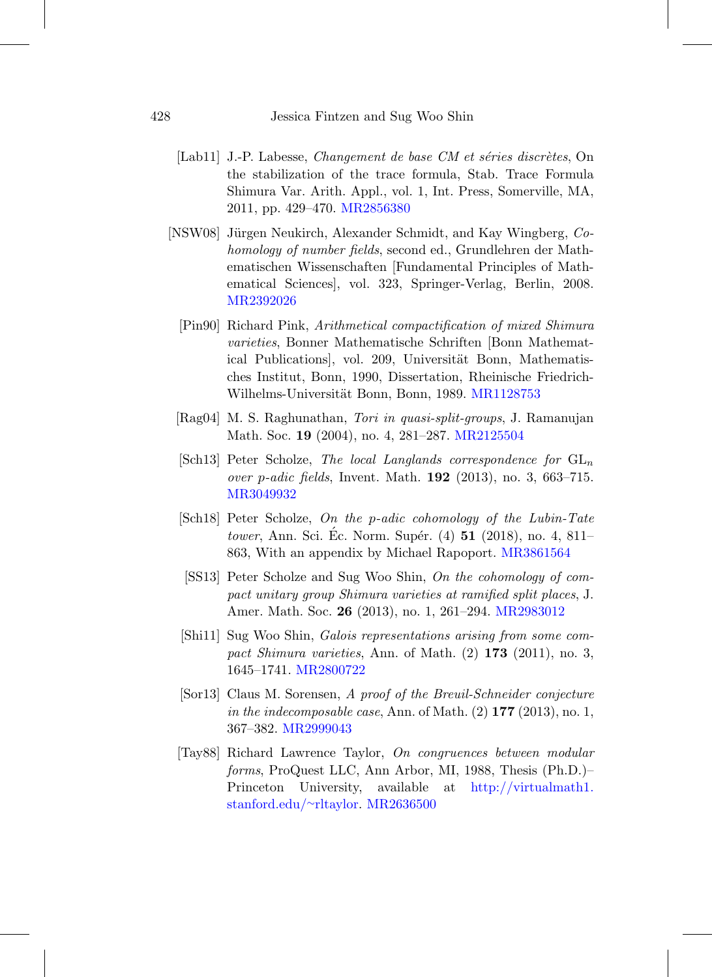- [Lab11] J.-P. Labesse, *Changement de base CM et séries discrètes*, On the stabilization of the trace formula, Stab. Trace Formula Shimura Var. Arith. Appl., vol. 1, Int. Press, Somerville, MA, 2011, pp. 429–470. [MR2856380](http://www.ams.org/mathscinet-getitem?mr=2856380)
- [NSW08] Jürgen Neukirch, Alexander Schmidt, and Kay Wingberg, Cohomology of number fields, second ed., Grundlehren der Mathematischen Wissenschaften [Fundamental Principles of Mathematical Sciences], vol. 323, Springer-Verlag, Berlin, 2008. [MR2392026](http://www.ams.org/mathscinet-getitem?mr=2392026)
	- [Pin90] Richard Pink, Arithmetical compactification of mixed Shimura varieties, Bonner Mathematische Schriften [Bonn Mathematical Publications, vol. 209, Universität Bonn, Mathematisches Institut, Bonn, 1990, Dissertation, Rheinische Friedrich-Wilhelms-Universität Bonn, Bonn, 1989. [MR1128753](http://www.ams.org/mathscinet-getitem?mr=1128753)
	- [Rag04] M. S. Raghunathan, Tori in quasi-split-groups, J. Ramanujan Math. Soc. **19** (2004), no. 4, 281–287. [MR2125504](http://www.ams.org/mathscinet-getitem?mr=2125504)
	- [Sch13] Peter Scholze, The local Langlands correspondence for  $GL_n$ over p-adic fields, Invent. Math. **192** (2013), no. 3, 663–715. [MR3049932](http://www.ams.org/mathscinet-getitem?mr=3049932)
	- [Sch18] Peter Scholze, On the p-adic cohomology of the Lubin-Tate tower, Ann. Sci. Ec. Norm. Supér. (4) **51** (2018), no. 4, 811– 863, With an appendix by Michael Rapoport. [MR3861564](http://www.ams.org/mathscinet-getitem?mr=3861564)
	- [SS13] Peter Scholze and Sug Woo Shin, On the cohomology of compact unitary group Shimura varieties at ramified split places, J. Amer. Math. Soc. **26** (2013), no. 1, 261–294. [MR2983012](http://www.ams.org/mathscinet-getitem?mr=2983012)
	- [Shi11] Sug Woo Shin, Galois representations arising from some compact Shimura varieties, Ann. of Math. (2) **173** (2011), no. 3, 1645–1741. [MR2800722](http://www.ams.org/mathscinet-getitem?mr=2800722)
	- [Sor13] Claus M. Sorensen, A proof of the Breuil-Schneider conjecture in the indecomposable case, Ann. of Math. (2) **177** (2013), no. 1, 367–382. [MR2999043](http://www.ams.org/mathscinet-getitem?mr=2999043)
	- [Tay88] Richard Lawrence Taylor, On congruences between modular forms, ProQuest LLC, Ann Arbor, MI, 1988, Thesis (Ph.D.)– Princeton University, available at [http://virtualmath1.](http://virtualmath1.stanford.edu/~rltaylor) [stanford.edu/](http://virtualmath1.stanford.edu/~rltaylor)∼rltaylor. [MR2636500](http://www.ams.org/mathscinet-getitem?mr=2636500)